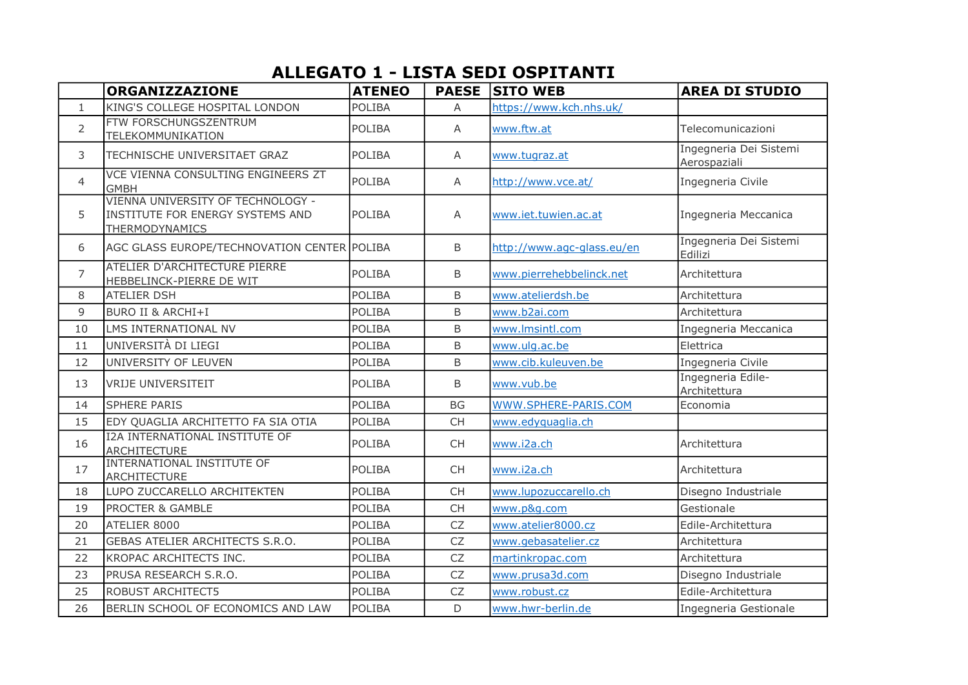## ALLEGATO 1 - LISTA SEDI OSPITANTI

|                | <b>ORGANIZZAZIONE</b>                                                                   | <b>ATENEO</b> |                | <b>PAESE SITO WEB</b>      | <b>AREA DI STUDIO</b>                  |
|----------------|-----------------------------------------------------------------------------------------|---------------|----------------|----------------------------|----------------------------------------|
| $\mathbf{1}$   | KING'S COLLEGE HOSPITAL LONDON                                                          | <b>POLIBA</b> | $\overline{A}$ | https://www.kch.nhs.uk/    |                                        |
| $\overline{2}$ | FTW FORSCHUNGSZENTRUM<br>TELEKOMMUNIKATION                                              | <b>POLIBA</b> | A              | www.ftw.at                 | Telecomunicazioni                      |
| 3              | TECHNISCHE UNIVERSITAET GRAZ                                                            | <b>POLIBA</b> | A              | www.tugraz.at              | Ingegneria Dei Sistemi<br>Aerospaziali |
| $\overline{4}$ | VCE VIENNA CONSULTING ENGINEERS ZT<br><b>GMBH</b>                                       | <b>POLIBA</b> | A              | http://www.vce.at/         | Ingegneria Civile                      |
| 5              | VIENNA UNIVERSITY OF TECHNOLOGY -<br>INSTITUTE FOR ENERGY SYSTEMS AND<br>THERMODYNAMICS | <b>POLIBA</b> | A              | www.iet.tuwien.ac.at       | Ingegneria Meccanica                   |
| 6              | AGC GLASS EUROPE/TECHNOVATION CENTER POLIBA                                             |               | B              | http://www.agc-glass.eu/en | Ingegneria Dei Sistemi<br>Edilizi      |
| $\overline{7}$ | ATELIER D'ARCHITECTURE PIERRE<br>HEBBELINCK-PIERRE DE WIT                               | <b>POLIBA</b> | B              | www.pierrehebbelinck.net   | Architettura                           |
| 8              | <b>ATELIER DSH</b>                                                                      | <b>POLIBA</b> | B              | www.atelierdsh.be          | Architettura                           |
| 9              | <b>BURO II &amp; ARCHI+I</b>                                                            | <b>POLIBA</b> | B              | www.b2ai.com               | Architettura                           |
| 10             | LMS INTERNATIONAL NV                                                                    | POLIBA        | B              | www.lmsintl.com            | Ingegneria Meccanica                   |
| 11             | UNIVERSITÀ DI LIEGI                                                                     | POLIBA        | B              | www.ulg.ac.be              | Elettrica                              |
| 12             | UNIVERSITY OF LEUVEN                                                                    | <b>POLIBA</b> | B              | www.cib.kuleuven.be        | Ingegneria Civile                      |
| 13             | <b>VRIJE UNIVERSITEIT</b>                                                               | <b>POLIBA</b> | B              | www.vub.be                 | Ingegneria Edile-<br>Architettura      |
| 14             | <b>SPHERE PARIS</b>                                                                     | <b>POLIBA</b> | <b>BG</b>      | WWW.SPHERE-PARIS.COM       | Economia                               |
| 15             | EDY QUAGLIA ARCHITETTO FA SIA OTIA                                                      | <b>POLIBA</b> | <b>CH</b>      | www.edyquaglia.ch          |                                        |
| 16             | <b>I2A INTERNATIONAL INSTITUTE OF</b><br>ARCHITECTURE                                   | POLIBA        | <b>CH</b>      | www.i2a.ch                 | Architettura                           |
| 17             | <b>INTERNATIONAL INSTITUTE OF</b><br>ARCHITECTURE                                       | <b>POLIBA</b> | <b>CH</b>      | www.i2a.ch                 | Architettura                           |
| 18             | LUPO ZUCCARELLO ARCHITEKTEN                                                             | POLIBA        | <b>CH</b>      | www.lupozuccarello.ch      | Disegno Industriale                    |
| 19             | <b>PROCTER &amp; GAMBLE</b>                                                             | <b>POLIBA</b> | <b>CH</b>      | www.p&g.com                | Gestionale                             |
| 20             | ATELIER 8000                                                                            | <b>POLIBA</b> | <b>CZ</b>      | www.atelier8000.cz         | Edile-Architettura                     |
| 21             | GEBAS ATELIER ARCHITECTS S.R.O.                                                         | <b>POLIBA</b> | <b>CZ</b>      | www.gebasatelier.cz        | Architettura                           |
| 22             | KROPAC ARCHITECTS INC.                                                                  | POLIBA        | <b>CZ</b>      | martinkropac.com           | Architettura                           |
| 23             | PRUSA RESEARCH S.R.O.                                                                   | POLIBA        | <b>CZ</b>      | www.prusa3d.com            | Disegno Industriale                    |
| 25             | <b>ROBUST ARCHITECT5</b>                                                                | <b>POLIBA</b> | <b>CZ</b>      | www.robust.cz              | Edile-Architettura                     |
| 26             | BERLIN SCHOOL OF ECONOMICS AND LAW                                                      | POLIBA        | D              | www.hwr-berlin.de          | Ingegneria Gestionale                  |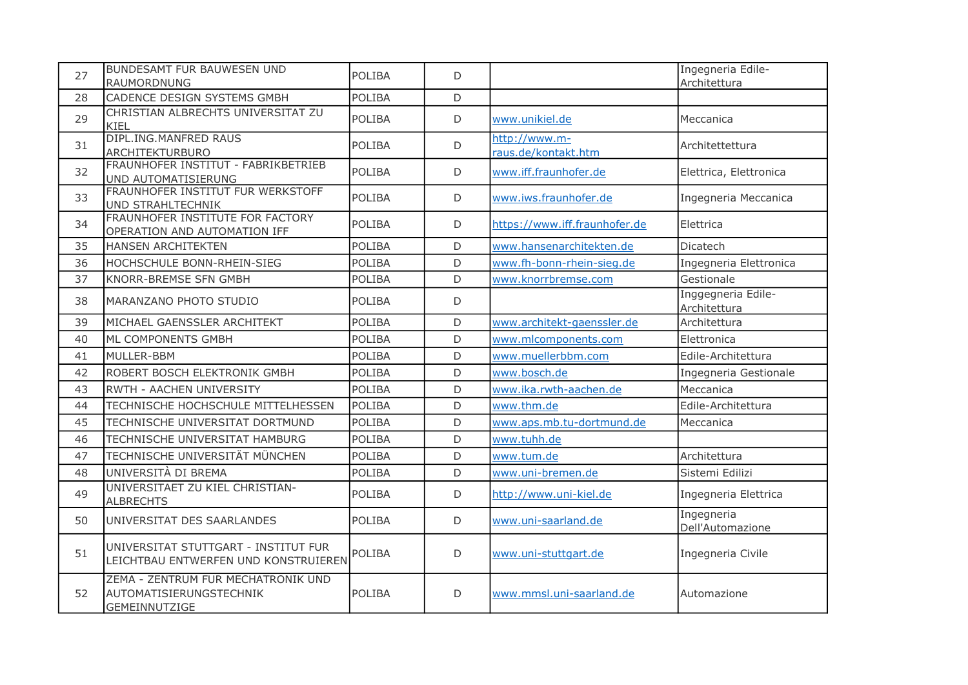| 27 | <b>BUNDESAMT FUR BAUWESEN UND</b><br>RAUMORDNUNG                               | <b>POLIBA</b> | D           |                                      | Ingegneria Edile-<br>Architettura  |
|----|--------------------------------------------------------------------------------|---------------|-------------|--------------------------------------|------------------------------------|
| 28 | CADENCE DESIGN SYSTEMS GMBH                                                    | POLIBA        | D           |                                      |                                    |
| 29 | CHRISTIAN ALBRECHTS UNIVERSITAT ZU<br>KIEL                                     | POLIBA        | D           | www.unikiel.de                       | Meccanica                          |
| 31 | DIPL.ING.MANFRED RAUS<br><b>ARCHITEKTURBURO</b>                                | POLIBA        | D           | http://www.m-<br>raus.de/kontakt.htm | Architettettura                    |
| 32 | FRAUNHOFER INSTITUT - FABRIKBETRIEB<br>UND AUTOMATISIERUNG                     | POLIBA        | D           | www.iff.fraunhofer.de                | Elettrica, Elettronica             |
| 33 | FRAUNHOFER INSTITUT FUR WERKSTOFF<br>UND STRAHLTECHNIK                         | <b>POLIBA</b> | D           | www.iws.fraunhofer.de                | Ingegneria Meccanica               |
| 34 | FRAUNHOFER INSTITUTE FOR FACTORY<br>OPERATION AND AUTOMATION IFF               | <b>POLIBA</b> | D           | https://www.iff.fraunhofer.de        | Elettrica                          |
| 35 | <b>HANSEN ARCHITEKTEN</b>                                                      | POLIBA        | D           | www.hansenarchitekten.de             | Dicatech                           |
| 36 | HOCHSCHULE BONN-RHEIN-SIEG                                                     | POLIBA        | D           | www.fh-bonn-rhein-sieg.de            | Ingegneria Elettronica             |
| 37 | KNORR-BREMSE SFN GMBH                                                          | <b>POLIBA</b> | D           | www.knorrbremse.com                  | Gestionale                         |
| 38 | MARANZANO PHOTO STUDIO                                                         | POLIBA        | $\mathsf D$ |                                      | Inggegneria Edile-<br>Architettura |
| 39 | MICHAEL GAENSSLER ARCHITEKT                                                    | POLIBA        | D           | www.architekt-gaenssler.de           | Architettura                       |
| 40 | ML COMPONENTS GMBH                                                             | <b>POLIBA</b> | D           | www.mlcomponents.com                 | Elettronica                        |
| 41 | MULLER-BBM                                                                     | POLIBA        | D           | www.muellerbbm.com                   | Edile-Architettura                 |
| 42 | ROBERT BOSCH ELEKTRONIK GMBH                                                   | POLIBA        | $\mathsf D$ | www.bosch.de                         | Ingegneria Gestionale              |
| 43 | RWTH - AACHEN UNIVERSITY                                                       | <b>POLIBA</b> | D           | www.ika.rwth-aachen.de               | Meccanica                          |
| 44 | TECHNISCHE HOCHSCHULE MITTELHESSEN                                             | POLIBA        | D           | www.thm.de                           | Edile-Architettura                 |
| 45 | TECHNISCHE UNIVERSITAT DORTMUND                                                | <b>POLIBA</b> | D           | www.aps.mb.tu-dortmund.de            | Meccanica                          |
| 46 | TECHNISCHE UNIVERSITAT HAMBURG                                                 | POLIBA        | D           | www.tuhh.de                          |                                    |
| 47 | TECHNISCHE UNIVERSITÄT MÜNCHEN                                                 | POLIBA        | D           | www.tum.de                           | Architettura                       |
| 48 | UNIVERSITÀ DI BREMA                                                            | <b>POLIBA</b> | D           | www.uni-bremen.de                    | Sistemi Edilizi                    |
| 49 | UNIVERSITAET ZU KIEL CHRISTIAN-<br><b>ALBRECHTS</b>                            | POLIBA        | D           | http://www.uni-kiel.de               | Ingegneria Elettrica               |
| 50 | UNIVERSITAT DES SAARLANDES                                                     | <b>POLIBA</b> | D           | www.uni-saarland.de                  | Ingegneria<br>Dell'Automazione     |
| 51 | UNIVERSITAT STUTTGART - INSTITUT FUR<br>LEICHTBAU ENTWERFEN UND KONSTRUIEREN   | POLIBA        | D           | www.uni-stuttgart.de                 | Ingegneria Civile                  |
| 52 | ZEMA - ZENTRUM FUR MECHATRONIK UND<br>AUTOMATISIERUNGSTECHNIK<br>GEMEINNUTZIGE | <b>POLIBA</b> | D           | www.mmsl.uni-saarland.de             | Automazione                        |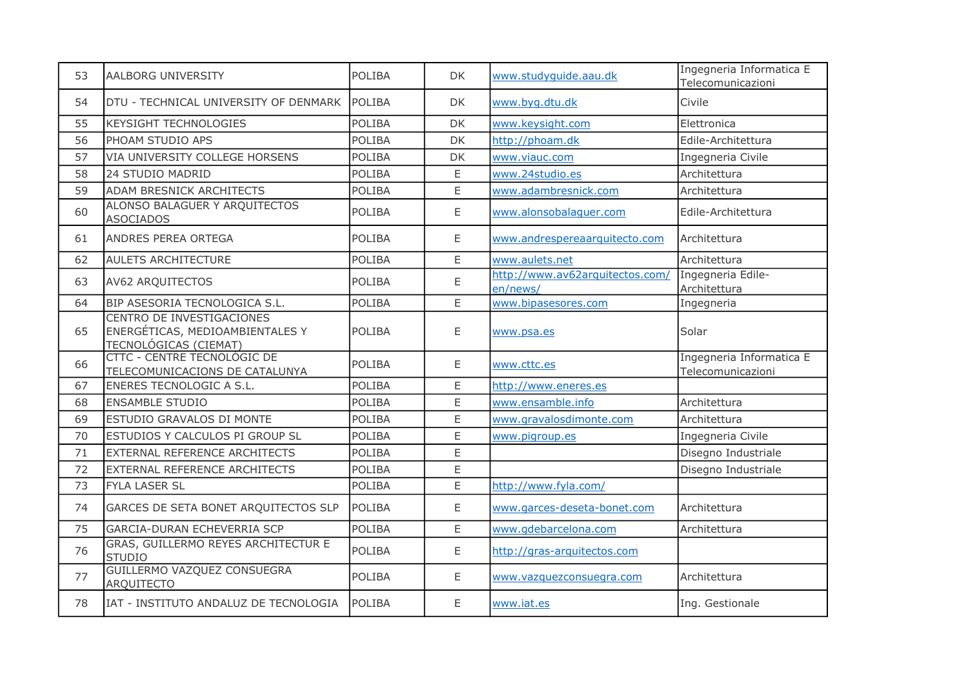| 53 | AALBORG UNIVERSITY                                                                    | <b>POLIBA</b> | <b>DK</b>   | www.studyquide.aau.dk                       | Ingegneria Informatica E<br>Telecomunicazioni |
|----|---------------------------------------------------------------------------------------|---------------|-------------|---------------------------------------------|-----------------------------------------------|
| 54 | DTU - TECHNICAL UNIVERSITY OF DENMARK                                                 | <b>POLIBA</b> | DK          | www.byg.dtu.dk                              | Civile                                        |
| 55 | KEYSIGHT TECHNOLOGIES                                                                 | <b>POLIBA</b> | DK          | www.keysight.com                            | Elettronica                                   |
| 56 | PHOAM STUDIO APS                                                                      | <b>POLIBA</b> | DK          | http://phoam.dk                             | Edile-Architettura                            |
| 57 | VIA UNIVERSITY COLLEGE HORSENS                                                        | <b>POLIBA</b> | DK          | www.viauc.com                               | Ingegneria Civile                             |
| 58 | 24 STUDIO MADRID                                                                      | <b>POLIBA</b> | E.          | www.24studio.es                             | Architettura                                  |
| 59 | <b>ADAM BRESNICK ARCHITECTS</b>                                                       | <b>POLIBA</b> | E           | www.adambresnick.com                        | Architettura                                  |
| 60 | ALONSO BALAGUER Y ARQUITECTOS<br><b>ASOCIADOS</b>                                     | <b>POLIBA</b> | E           | www.alonsobalaguer.com                      | Edile-Architettura                            |
| 61 | ANDRES PEREA ORTEGA                                                                   | POLIBA        | $\mathsf E$ | www.andrespereaarquitecto.com               | Architettura                                  |
| 62 | <b>AULETS ARCHITECTURE</b>                                                            | <b>POLIBA</b> | E.          | www.aulets.net                              | Architettura                                  |
| 63 | AV62 ARQUITECTOS                                                                      | <b>POLIBA</b> | E           | http://www.av62arquitectos.com/<br>en/news/ | Ingegneria Edile-<br>Architettura             |
| 64 | BIP ASESORIA TECNOLOGICA S.L.                                                         | POLIBA        | E           | www.bipasesores.com                         | Ingegneria                                    |
| 65 | CENTRO DE INVESTIGACIONES<br>ENERGÉTICAS, MEDIOAMBIENTALES Y<br>TECNOLÓGICAS (CIEMAT) | POLIBA        | E           | www.psa.es                                  | Solar                                         |
| 66 | CTTC - CENTRE TECNOLOGIC DE<br>TELECOMUNICACIONS DE CATALUNYA                         | <b>POLIBA</b> | E           | www.cttc.es                                 | Ingegneria Informatica E<br>Telecomunicazioni |
| 67 | ENERES TECNOLOGIC A S.L.                                                              | <b>POLIBA</b> | E           | http://www.eneres.es                        |                                               |
| 68 | <b>ENSAMBLE STUDIO</b>                                                                | POLIBA        | E           | www.ensamble.info                           | Architettura                                  |
| 69 | ESTUDIO GRAVALOS DI MONTE                                                             | POLIBA        | E           | www.gravalosdimonte.com                     | Architettura                                  |
| 70 | ESTUDIOS Y CALCULOS PI GROUP SL                                                       | POLIBA        | E           | www.pigroup.es                              | Ingegneria Civile                             |
| 71 | EXTERNAL REFERENCE ARCHITECTS                                                         | <b>POLIBA</b> | E           |                                             | Disegno Industriale                           |
| 72 | EXTERNAL REFERENCE ARCHITECTS                                                         | <b>POLIBA</b> | E           |                                             | Disegno Industriale                           |
| 73 | FYLA LASER SL                                                                         | POLIBA        | $\mathsf E$ | http://www.fyla.com/                        |                                               |
| 74 | GARCES DE SETA BONET ARQUITECTOS SLP                                                  | POLIBA        | E           | www.garces-deseta-bonet.com                 | Architettura                                  |
| 75 | <b>GARCIA-DURAN ECHEVERRIA SCP</b>                                                    | <b>POLIBA</b> | E.          | www.gdebarcelona.com                        | Architettura                                  |
| 76 | GRAS, GUILLERMO REYES ARCHITECTUR E<br><b>STUDIO</b>                                  | POLIBA        | E           | http://gras-arquitectos.com                 |                                               |
| 77 | GUILLERMO VAZQUEZ CONSUEGRA<br><b>ARQUITECTO</b>                                      | POLIBA        | E           | www.vazquezconsuegra.com                    | Architettura                                  |
| 78 | IAT - INSTITUTO ANDALUZ DE TECNOLOGIA                                                 | <b>POLIBA</b> | E.          | www.iat.es                                  | Ing. Gestionale                               |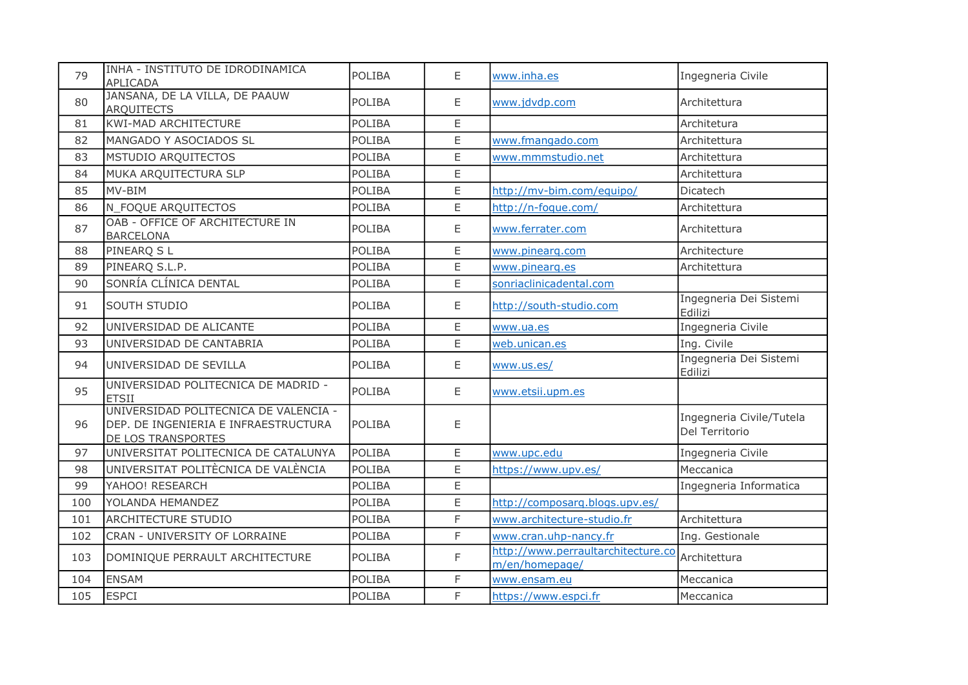| 79  | INHA - INSTITUTO DE IDRODINAMICA<br>APLICADA                                                        | POLIBA        | E            | www.inha.es                                          | Ingegneria Civile                          |
|-----|-----------------------------------------------------------------------------------------------------|---------------|--------------|------------------------------------------------------|--------------------------------------------|
| 80  | JANSANA, DE LA VILLA, DE PAAUW<br><b>ARQUITECTS</b>                                                 | <b>POLIBA</b> | E            | www.jdvdp.com                                        | Architettura                               |
| 81  | <b>KWI-MAD ARCHITECTURE</b>                                                                         | <b>POLIBA</b> | E            |                                                      | Architetura                                |
| 82  | MANGADO Y ASOCIADOS SL                                                                              | <b>POLIBA</b> | E            | www.fmangado.com                                     | Architettura                               |
| 83  | MSTUDIO ARQUITECTOS                                                                                 | POLIBA        | E            | www.mmmstudio.net                                    | Architettura                               |
| 84  | MUKA ARQUITECTURA SLP                                                                               | POLIBA        | E            |                                                      | Architettura                               |
| 85  | MV-BIM                                                                                              | POLIBA        | E            | http://mv-bim.com/equipo/                            | Dicatech                                   |
| 86  | N_FOQUE ARQUITECTOS                                                                                 | <b>POLIBA</b> | E            | http://n-foque.com/                                  | Architettura                               |
| 87  | OAB - OFFICE OF ARCHITECTURE IN<br><b>BARCELONA</b>                                                 | <b>POLIBA</b> | E            | www.ferrater.com                                     | Architettura                               |
| 88  | PINEARQ S L                                                                                         | <b>POLIBA</b> | E            | www.pinearg.com                                      | Architecture                               |
| 89  | PINEARQ S.L.P.                                                                                      | <b>POLIBA</b> | E            | www.pinearq.es                                       | Architettura                               |
| 90  | SONRÍA CLÍNICA DENTAL                                                                               | <b>POLIBA</b> | E            | sonriaclinicadental.com                              |                                            |
| 91  | SOUTH STUDIO                                                                                        | <b>POLIBA</b> | E            | http://south-studio.com                              | Ingegneria Dei Sistemi<br>Edilizi          |
| 92  | UNIVERSIDAD DE ALICANTE                                                                             | <b>POLIBA</b> | $\mathsf E$  | www.ua.es                                            | Ingegneria Civile                          |
| 93  | UNIVERSIDAD DE CANTABRIA                                                                            | <b>POLIBA</b> | E            | web.unican.es                                        | Ing. Civile                                |
| 94  | UNIVERSIDAD DE SEVILLA                                                                              | <b>POLIBA</b> | E            | www.us.es/                                           | Ingegneria Dei Sistemi<br>Edilizi          |
| 95  | UNIVERSIDAD POLITECNICA DE MADRID -<br><b>ETSII</b>                                                 | <b>POLIBA</b> | E            | www.etsii.upm.es                                     |                                            |
| 96  | UNIVERSIDAD POLITECNICA DE VALENCIA -<br>DEP. DE INGENIERIA E INFRAESTRUCTURA<br>DE LOS TRANSPORTES | <b>POLIBA</b> | E            |                                                      | Ingegneria Civile/Tutela<br>Del Territorio |
| 97  | UNIVERSITAT POLITECNICA DE CATALUNYA                                                                | POLIBA        | E            | www.upc.edu                                          | Ingegneria Civile                          |
| 98  | UNIVERSITAT POLITÈCNICA DE VALÈNCIA                                                                 | POLIBA        | E            | https://www.upv.es/                                  | Meccanica                                  |
| 99  | YAHOO! RESEARCH                                                                                     | <b>POLIBA</b> | E            |                                                      | Ingegneria Informatica                     |
| 100 | YOLANDA HEMANDEZ                                                                                    | <b>POLIBA</b> | E            | http://composarg.blogs.upv.es/                       |                                            |
| 101 | <b>ARCHITECTURE STUDIO</b>                                                                          | POLIBA        | F            | www.architecture-studio.fr                           | Architettura                               |
| 102 | CRAN - UNIVERSITY OF LORRAINE                                                                       | POLIBA        | $\mathsf{F}$ | www.cran.uhp-nancy.fr                                | Ing. Gestionale                            |
| 103 | DOMINIQUE PERRAULT ARCHITECTURE                                                                     | <b>POLIBA</b> | F            | http://www.perraultarchitecture.co<br>m/en/homepage/ | Architettura                               |
| 104 | <b>ENSAM</b>                                                                                        | <b>POLIBA</b> | F            | www.ensam.eu                                         | Meccanica                                  |
| 105 | <b>ESPCI</b>                                                                                        | <b>POLIBA</b> | F            | https://www.espci.fr                                 | Meccanica                                  |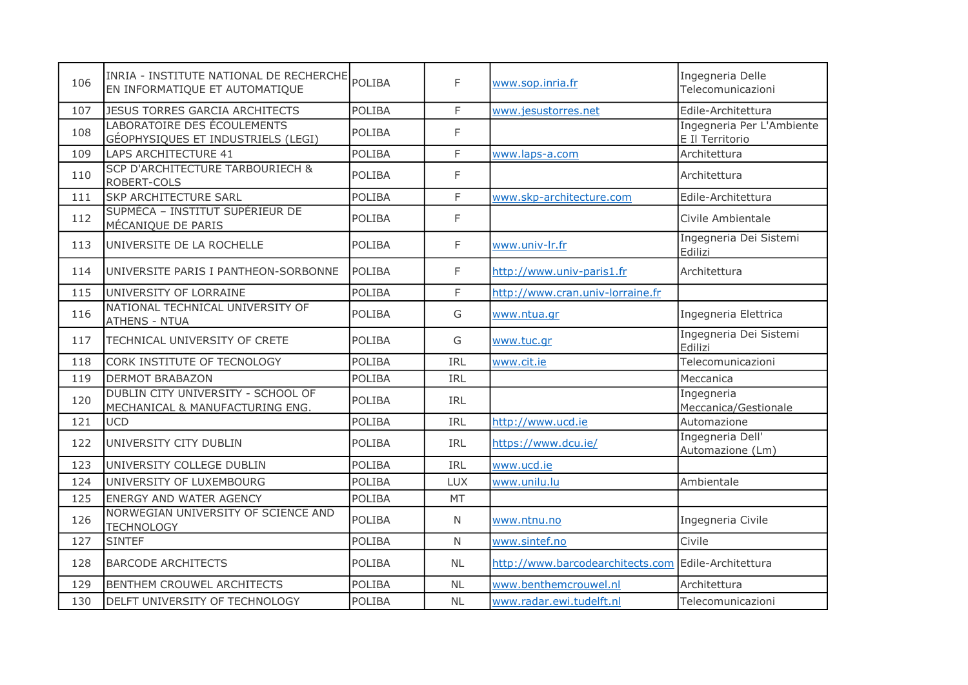| 106 | INRIA - INSTITUTE NATIONAL DE RECHERCHE<br>EN INFORMATIQUE ET AUTOMATIQUE | POLIBA        | F            | www.sop.inria.fr                                    | Ingegneria Delle<br>Telecomunicazioni        |
|-----|---------------------------------------------------------------------------|---------------|--------------|-----------------------------------------------------|----------------------------------------------|
| 107 | <b>JESUS TORRES GARCIA ARCHITECTS</b>                                     | <b>POLIBA</b> | F            | www.jesustorres.net                                 | Edile-Architettura                           |
| 108 | LABORATOIRE DES ÉCOULEMENTS<br>GÉOPHYSIQUES ET INDUSTRIELS (LEGI)         | <b>POLIBA</b> | F            |                                                     | Ingegneria Per L'Ambiente<br>E Il Territorio |
| 109 | LAPS ARCHITECTURE 41                                                      | <b>POLIBA</b> | F            | www.laps-a.com                                      | Architettura                                 |
| 110 | <b>SCP D'ARCHITECTURE TARBOURIECH &amp;</b><br>ROBERT-COLS                | <b>POLIBA</b> | F            |                                                     | Architettura                                 |
| 111 | <b>SKP ARCHITECTURE SARL</b>                                              | <b>POLIBA</b> | F            | www.skp-architecture.com                            | Edile-Architettura                           |
| 112 | SUPMÉCA - INSTITUT SUPÉRIEUR DE<br>MÉCANIQUE DE PARIS                     | POLIBA        | F            |                                                     | Civile Ambientale                            |
| 113 | UNIVERSITE DE LA ROCHELLE                                                 | <b>POLIBA</b> | F            | www.univ-lr.fr                                      | Ingegneria Dei Sistemi<br>Edilizi            |
| 114 | UNIVERSITE PARIS I PANTHEON-SORBONNE                                      | <b>POLIBA</b> | F            | http://www.univ-paris1.fr                           | Architettura                                 |
| 115 | UNIVERSITY OF LORRAINE                                                    | <b>POLIBA</b> | F            | http://www.cran.univ-lorraine.fr                    |                                              |
| 116 | NATIONAL TECHNICAL UNIVERSITY OF<br><b>ATHENS - NTUA</b>                  | <b>POLIBA</b> | G            | www.ntua.gr                                         | Ingegneria Elettrica                         |
| 117 | TECHNICAL UNIVERSITY OF CRETE                                             | <b>POLIBA</b> | G            | www.tuc.gr                                          | Ingegneria Dei Sistemi<br>Edilizi            |
| 118 | CORK INSTITUTE OF TECNOLOGY                                               | <b>POLIBA</b> | IRL          | www.cit.ie                                          | Telecomunicazioni                            |
| 119 | <b>DERMOT BRABAZON</b>                                                    | <b>POLIBA</b> | <b>IRL</b>   |                                                     | Meccanica                                    |
| 120 | DUBLIN CITY UNIVERSITY - SCHOOL OF<br>MECHANICAL & MANUFACTURING ENG.     | POLIBA        | <b>IRL</b>   |                                                     | Ingegneria<br>Meccanica/Gestionale           |
| 121 | <b>UCD</b>                                                                | <b>POLIBA</b> | IRL          | http://www.ucd.ie                                   | Automazione                                  |
| 122 | UNIVERSITY CITY DUBLIN                                                    | <b>POLIBA</b> | <b>IRL</b>   | https://www.dcu.ie/                                 | Ingegneria Dell'<br>Automazione (Lm)         |
| 123 | UNIVERSITY COLLEGE DUBLIN                                                 | <b>POLIBA</b> | IRL          | www.ucd.ie                                          |                                              |
| 124 | UNIVERSITY OF LUXEMBOURG                                                  | <b>POLIBA</b> | <b>LUX</b>   | www.unilu.lu                                        | Ambientale                                   |
| 125 | <b>ENERGY AND WATER AGENCY</b>                                            | <b>POLIBA</b> | <b>MT</b>    |                                                     |                                              |
| 126 | NORWEGIAN UNIVERSITY OF SCIENCE AND<br><b>TECHNOLOGY</b>                  | <b>POLIBA</b> | N            | www.ntnu.no                                         | Ingegneria Civile                            |
| 127 | <b>SINTEF</b>                                                             | POLIBA        | $\mathsf{N}$ | www.sintef.no                                       | Civile                                       |
| 128 | <b>BARCODE ARCHITECTS</b>                                                 | <b>POLIBA</b> | <b>NL</b>    | http://www.barcodearchitects.com Edile-Architettura |                                              |
| 129 | <b>BENTHEM CROUWEL ARCHITECTS</b>                                         | POLIBA        | <b>NL</b>    | www.benthemcrouwel.nl                               | Architettura                                 |
| 130 | DELFT UNIVERSITY OF TECHNOLOGY                                            | POLIBA        | <b>NL</b>    | www.radar.ewi.tudelft.nl                            | Telecomunicazioni                            |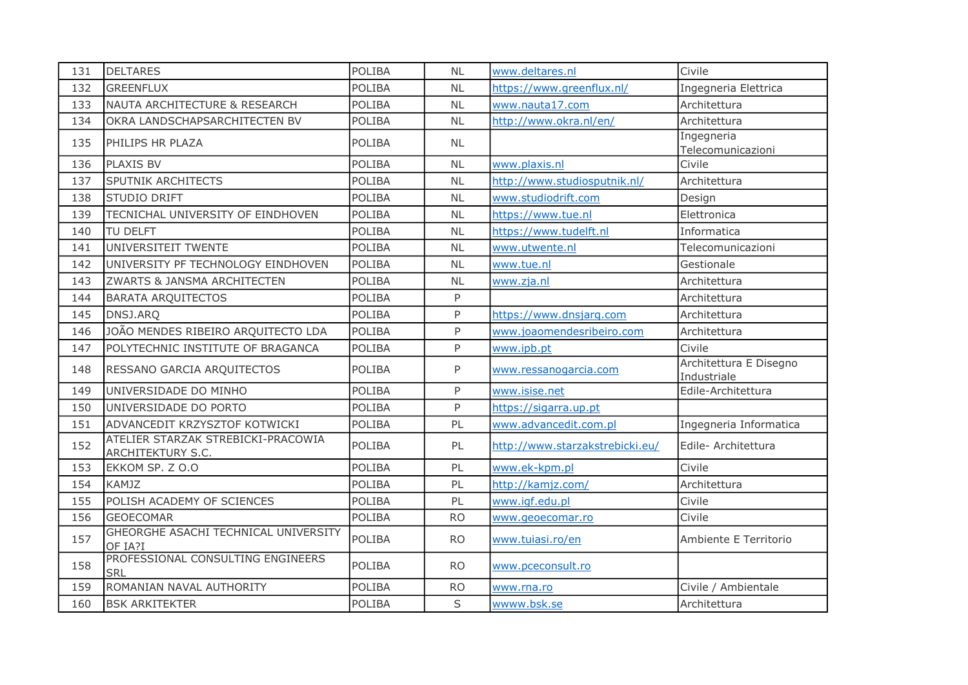| 131 | <b>DELTARES</b>                                         | <b>POLIBA</b> | <b>NL</b> | www.deltares.nl                 | Civile                                |
|-----|---------------------------------------------------------|---------------|-----------|---------------------------------|---------------------------------------|
| 132 | <b>GREENFLUX</b>                                        | <b>POLIBA</b> | <b>NL</b> | https://www.greenflux.nl/       | Ingegneria Elettrica                  |
| 133 | NAUTA ARCHITECTURE & RESEARCH                           | POLIBA        | <b>NL</b> | www.nauta17.com                 | Architettura                          |
| 134 | OKRA LANDSCHAPSARCHITECTEN BV                           | <b>POLIBA</b> | <b>NL</b> | http://www.okra.nl/en/          | Architettura                          |
| 135 | PHILIPS HR PLAZA                                        | <b>POLIBA</b> | <b>NL</b> |                                 | Ingegneria<br>Telecomunicazioni       |
| 136 | <b>PLAXIS BV</b>                                        | <b>POLIBA</b> | <b>NL</b> | www.plaxis.nl                   | Civile                                |
| 137 | SPUTNIK ARCHITECTS                                      | POLIBA        | <b>NL</b> | http://www.studiosputnik.nl/    | Architettura                          |
| 138 | STUDIO DRIFT                                            | POLIBA        | <b>NL</b> | www.studiodrift.com             | Design                                |
| 139 | TECNICHAL UNIVERSITY OF EINDHOVEN                       | POLIBA        | <b>NL</b> | https://www.tue.nl              | Elettronica                           |
| 140 | <b>TU DELFT</b>                                         | <b>POLIBA</b> | <b>NL</b> | https://www.tudelft.nl          | Informatica                           |
| 141 | UNIVERSITEIT TWENTE                                     | <b>POLIBA</b> | <b>NL</b> | www.utwente.nl                  | Telecomunicazioni                     |
| 142 | UNIVERSITY PF TECHNOLOGY EINDHOVEN                      | <b>POLIBA</b> | <b>NL</b> | www.tue.nl                      | Gestionale                            |
| 143 | ZWARTS & JANSMA ARCHITECTEN                             | <b>POLIBA</b> | <b>NL</b> | www.zja.nl                      | Architettura                          |
| 144 | <b>BARATA ARQUITECTOS</b>                               | <b>POLIBA</b> | P         |                                 | Architettura                          |
| 145 | DNSJ.ARQ                                                | <b>POLIBA</b> | P         | https://www.dnsjarg.com         | Architettura                          |
| 146 | JOÃO MENDES RIBEIRO ARQUITECTO LDA                      | POLIBA        | P         | www.joaomendesribeiro.com       | Architettura                          |
| 147 | POLYTECHNIC INSTITUTE OF BRAGANCA                       | <b>POLIBA</b> | P         | www.ipb.pt                      | Civile                                |
| 148 | RESSANO GARCIA ARQUITECTOS                              | <b>POLIBA</b> | P         | www.ressanogarcia.com           | Architettura E Disegno<br>Industriale |
| 149 | UNIVERSIDADE DO MINHO                                   | <b>POLIBA</b> | P         | www.isise.net                   | Edile-Architettura                    |
| 150 | UNIVERSIDADE DO PORTO                                   | <b>POLIBA</b> | P         | https://sigarra.up.pt           |                                       |
| 151 | ADVANCEDIT KRZYSZTOF KOTWICKI                           | POLIBA        | PL        | www.advancedit.com.pl           | Ingegneria Informatica                |
| 152 | ATELIER STARZAK STREBICKI-PRACOWIA<br>ARCHITEKTURY S.C. | <b>POLIBA</b> | PL        | http://www.starzakstrebicki.eu/ | Edile- Architettura                   |
| 153 | EKKOM SP. Z O.O                                         | <b>POLIBA</b> | PL        | www.ek-kpm.pl                   | Civile                                |
| 154 | <b>KAMJZ</b>                                            | <b>POLIBA</b> | PL        | http://kamjz.com/               | Architettura                          |
| 155 | POLISH ACADEMY OF SCIENCES                              | <b>POLIBA</b> | PL        | www.iqf.edu.pl                  | Civile                                |
| 156 | <b>GEOECOMAR</b>                                        | POLIBA        | <b>RO</b> | www.geoecomar.ro                | Civile                                |
| 157 | GHEORGHE ASACHI TECHNICAL UNIVERSITY<br>OF IA?I         | POLIBA        | <b>RO</b> | www.tuiasi.ro/en                | Ambiente E Territorio                 |
| 158 | PROFESSIONAL CONSULTING ENGINEERS<br><b>SRL</b>         | POLIBA        | <b>RO</b> | www.pceconsult.ro               |                                       |
| 159 | ROMANIAN NAVAL AUTHORITY                                | <b>POLIBA</b> | <b>RO</b> | www.rna.ro                      | Civile / Ambientale                   |
| 160 | <b>BSK ARKITEKTER</b>                                   | <b>POLIBA</b> | S         | wwww.bsk.se                     | Architettura                          |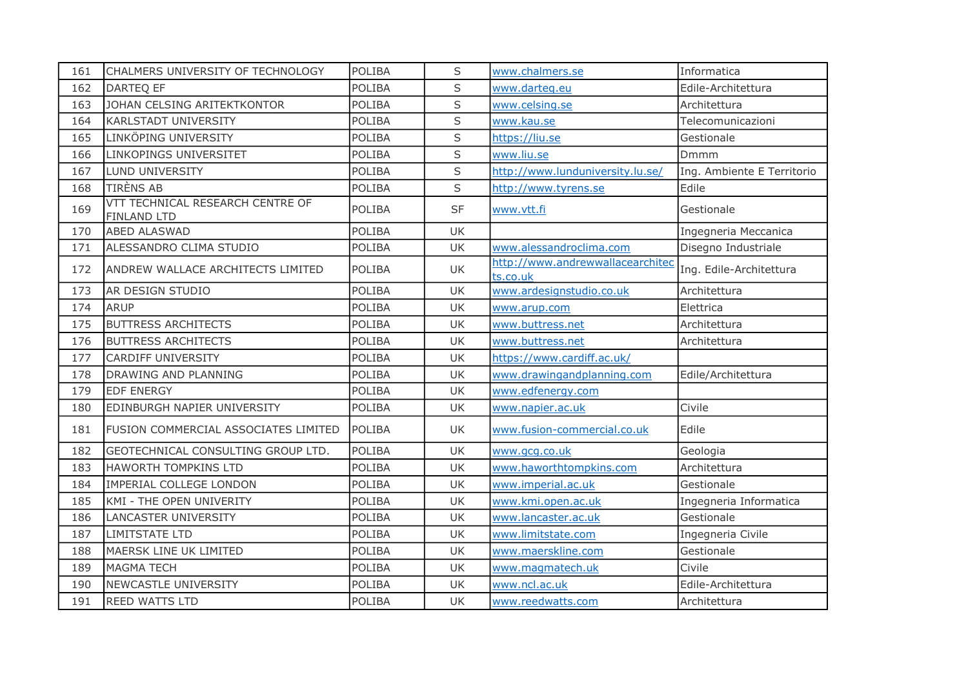| 161 | CHALMERS UNIVERSITY OF TECHNOLOGY                      | <b>POLIBA</b> | S         | www.chalmers.se                              | Informatica                |
|-----|--------------------------------------------------------|---------------|-----------|----------------------------------------------|----------------------------|
| 162 | DARTEQ EF                                              | POLIBA        | S         | www.darteg.eu                                | Edile-Architettura         |
| 163 | JOHAN CELSING ARITEKTKONTOR                            | POLIBA        | S         | www.celsing.se                               | Architettura               |
| 164 | <b>KARLSTADT UNIVERSITY</b>                            | POLIBA        | S         | www.kau.se                                   | Telecomunicazioni          |
| 165 | LINKÖPING UNIVERSITY                                   | POLIBA        | S         | https://liu.se                               | Gestionale                 |
| 166 | LINKOPINGS UNIVERSITET                                 | POLIBA        | S         | www.liu.se                                   | Dmmm                       |
| 167 | LUND UNIVERSITY                                        | POLIBA        | S         | http://www.lunduniversity.lu.se/             | Ing. Ambiente E Territorio |
| 168 | <b>TIRÈNS AB</b>                                       | POLIBA        | S         | http://www.tyrens.se                         | Edile                      |
| 169 | VTT TECHNICAL RESEARCH CENTRE OF<br><b>FINLAND LTD</b> | POLIBA        | <b>SF</b> | www.vtt.fi                                   | Gestionale                 |
| 170 | <b>ABED ALASWAD</b>                                    | POLIBA        | <b>UK</b> |                                              | Ingegneria Meccanica       |
| 171 | ALESSANDRO CLIMA STUDIO                                | POLIBA        | <b>UK</b> | www.alessandroclima.com                      | Disegno Industriale        |
| 172 | <b>ANDREW WALLACE ARCHITECTS LIMITED</b>               | <b>POLIBA</b> | UK        | http://www.andrewwallacearchitec<br>ts.co.uk | Ing. Edile-Architettura    |
| 173 | AR DESIGN STUDIO                                       | <b>POLIBA</b> | UK        | www.ardesignstudio.co.uk                     | Architettura               |
| 174 | <b>ARUP</b>                                            | POLIBA        | UK        | www.arup.com                                 | Elettrica                  |
| 175 | <b>BUTTRESS ARCHITECTS</b>                             | <b>POLIBA</b> | UK        | www.buttress.net                             | Architettura               |
| 176 | <b>BUTTRESS ARCHITECTS</b>                             | POLIBA        | UK        | www.buttress.net                             | Architettura               |
| 177 | <b>CARDIFF UNIVERSITY</b>                              | <b>POLIBA</b> | UK        | https://www.cardiff.ac.uk/                   |                            |
| 178 | DRAWING AND PLANNING                                   | POLIBA        | UK        | www.drawingandplanning.com                   | Edile/Architettura         |
| 179 | <b>EDF ENERGY</b>                                      | POLIBA        | UK        | www.edfenergy.com                            |                            |
| 180 | EDINBURGH NAPIER UNIVERSITY                            | POLIBA        | UK        | www.napier.ac.uk                             | Civile                     |
| 181 | FUSION COMMERCIAL ASSOCIATES LIMITED                   | <b>POLIBA</b> | UK.       | www.fusion-commercial.co.uk                  | Edile                      |
| 182 | GEOTECHNICAL CONSULTING GROUP LTD.                     | <b>POLIBA</b> | UK        | www.gcg.co.uk                                | Geologia                   |
| 183 | <b>HAWORTH TOMPKINS LTD</b>                            | POLIBA        | UK        | www.haworthtompkins.com                      | Architettura               |
| 184 | IMPERIAL COLLEGE LONDON                                | POLIBA        | UK        | www.imperial.ac.uk                           | Gestionale                 |
| 185 | KMI - THE OPEN UNIVERITY                               | POLIBA        | UK        | www.kmi.open.ac.uk                           | Ingegneria Informatica     |
| 186 | LANCASTER UNIVERSITY                                   | POLIBA        | UK        | www.lancaster.ac.uk                          | Gestionale                 |
| 187 | <b>LIMITSTATE LTD</b>                                  | POLIBA        | <b>UK</b> | www.limitstate.com                           | Ingegneria Civile          |
| 188 | MAERSK LINE UK LIMITED                                 | <b>POLIBA</b> | <b>UK</b> | www.maerskline.com                           | Gestionale                 |
| 189 | <b>MAGMA TECH</b>                                      | POLIBA        | UK        | www.magmatech.uk                             | Civile                     |
| 190 | NEWCASTLE UNIVERSITY                                   | POLIBA        | UK        | www.ncl.ac.uk                                | Edile-Architettura         |
| 191 | <b>REED WATTS LTD</b>                                  | <b>POLIBA</b> | UK        | www.reedwatts.com                            | Architettura               |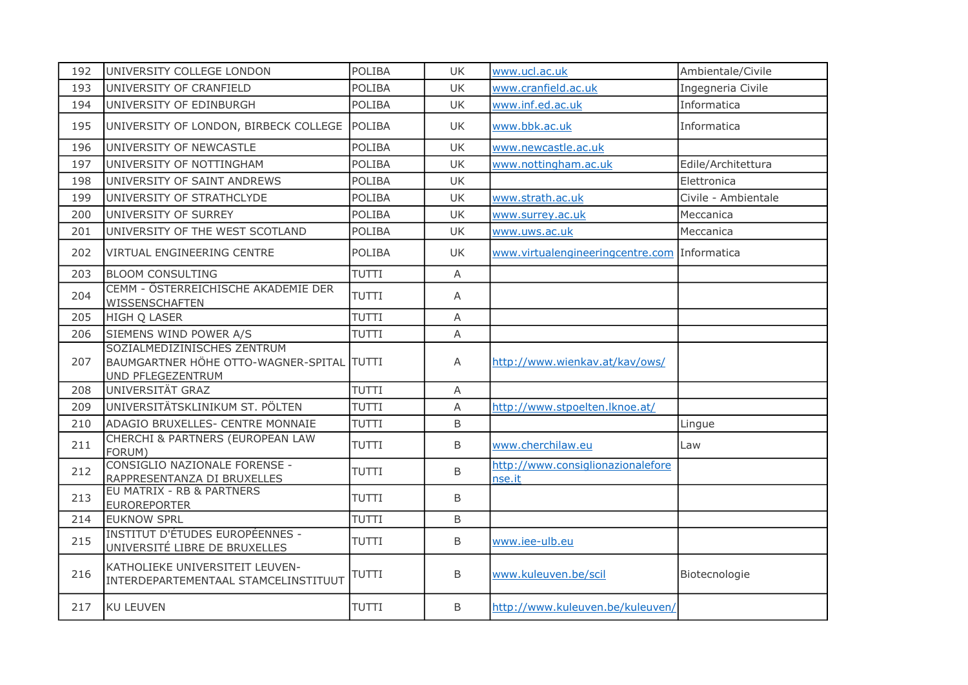| 192 | UNIVERSITY COLLEGE LONDON                                                                     | POLIBA        | <b>UK</b> | www.ucl.ac.uk                                | Ambientale/Civile   |
|-----|-----------------------------------------------------------------------------------------------|---------------|-----------|----------------------------------------------|---------------------|
| 193 | UNIVERSITY OF CRANFIELD                                                                       | <b>POLIBA</b> | <b>UK</b> | www.cranfield.ac.uk                          | Ingegneria Civile   |
| 194 | UNIVERSITY OF EDINBURGH                                                                       | POLIBA        | <b>UK</b> | www.inf.ed.ac.uk                             | Informatica         |
| 195 | UNIVERSITY OF LONDON, BIRBECK COLLEGE                                                         | <b>POLIBA</b> | <b>UK</b> | www.bbk.ac.uk                                | Informatica         |
| 196 | UNIVERSITY OF NEWCASTLE                                                                       | <b>POLIBA</b> | <b>UK</b> | www.newcastle.ac.uk                          |                     |
| 197 | UNIVERSITY OF NOTTINGHAM                                                                      | POLIBA        | <b>UK</b> | www.nottingham.ac.uk                         | Edile/Architettura  |
| 198 | UNIVERSITY OF SAINT ANDREWS                                                                   | <b>POLIBA</b> | <b>UK</b> |                                              | Elettronica         |
| 199 | UNIVERSITY OF STRATHCLYDE                                                                     | <b>POLIBA</b> | UK        | www.strath.ac.uk                             | Civile - Ambientale |
| 200 | UNIVERSITY OF SURREY                                                                          | <b>POLIBA</b> | <b>UK</b> | www.surrey.ac.uk                             | Meccanica           |
| 201 | UNIVERSITY OF THE WEST SCOTLAND                                                               | <b>POLIBA</b> | <b>UK</b> | www.uws.ac.uk                                | Meccanica           |
| 202 | VIRTUAL ENGINEERING CENTRE                                                                    | <b>POLIBA</b> | <b>UK</b> | www.virtualengineeringcentre.com Informatica |                     |
| 203 | <b>BLOOM CONSULTING</b>                                                                       | TUTTI         | A         |                                              |                     |
| 204 | CEMM - ÖSTERREICHISCHE AKADEMIE DER<br><b>WISSENSCHAFTEN</b>                                  | <b>TUTTI</b>  | A         |                                              |                     |
| 205 | HIGH Q LASER                                                                                  | TUTTI         | Α         |                                              |                     |
| 206 | SIEMENS WIND POWER A/S                                                                        | TUTTI         | A         |                                              |                     |
| 207 | SOZIALMEDIZINISCHES ZENTRUM<br>BAUMGARTNER HÖHE OTTO-WAGNER-SPITAL TUTTI<br>UND PFLEGEZENTRUM |               | Α         | http://www.wienkav.at/kav/ows/               |                     |
| 208 | UNIVERSITÄT GRAZ                                                                              | TUTTI         | A         |                                              |                     |
| 209 | UNIVERSITÄTSKLINIKUM ST. PÖLTEN                                                               | <b>TUTTI</b>  | A         | http://www.stpoelten.lknoe.at/               |                     |
| 210 | ADAGIO BRUXELLES- CENTRE MONNAIE                                                              | <b>TUTTI</b>  | B         |                                              | Lingue              |
| 211 | CHERCHI & PARTNERS (EUROPEAN LAW<br>FORUM)                                                    | <b>TUTTI</b>  | B         | www.cherchilaw.eu                            | Law                 |
| 212 | CONSIGLIO NAZIONALE FORENSE -<br>RAPPRESENTANZA DI BRUXELLES                                  | <b>TUTTI</b>  | B         | http://www.consiglionazionalefore<br>nse.it  |                     |
| 213 | EU MATRIX - RB & PARTNERS<br><b>EUROREPORTER</b>                                              | <b>TUTTI</b>  | B         |                                              |                     |
| 214 | <b>EUKNOW SPRL</b>                                                                            | <b>TUTTI</b>  | B         |                                              |                     |
| 215 | <b>INSTITUT D'ÉTUDES EUROPÉENNES -</b><br>UNIVERSITÉ LIBRE DE BRUXELLES                       | <b>TUTTI</b>  | B         | www.iee-ulb.eu                               |                     |
| 216 | KATHOLIEKE UNIVERSITEIT LEUVEN-<br>INTERDEPARTEMENTAAL STAMCELINSTITUUT                       | <b>TUTTI</b>  | B         | www.kuleuven.be/scil                         | Biotecnologie       |
| 217 | KU LEUVEN                                                                                     | TUTTI         | B         | http://www.kuleuven.be/kuleuven/             |                     |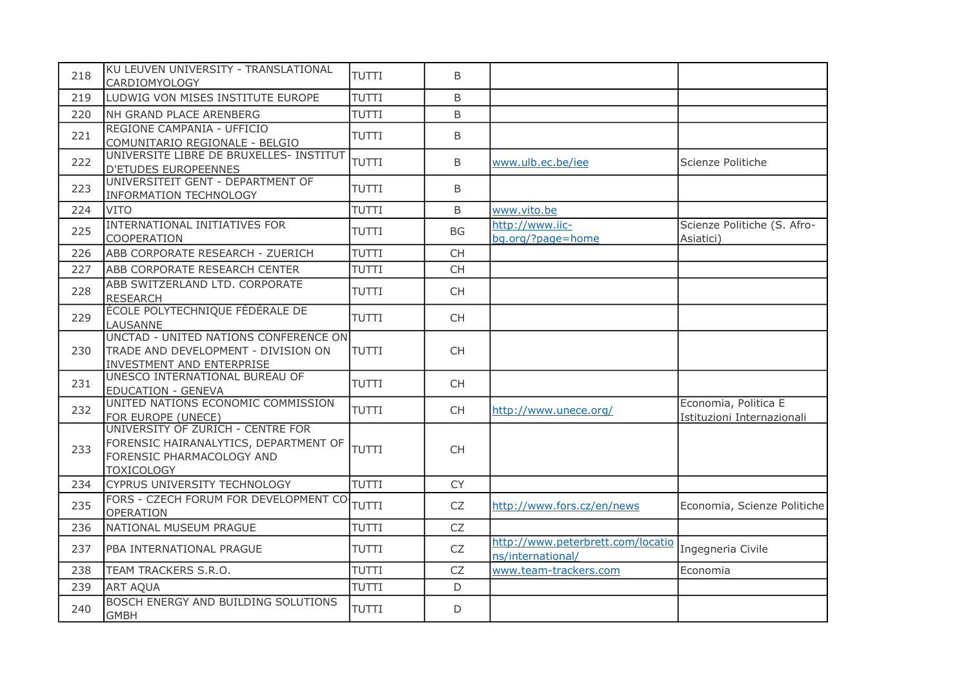| 218 | KU LEUVEN UNIVERSITY - TRANSLATIONAL<br>CARDIOMYOLOGY                                                                        | <b>TUTTI</b> | B         |                                                        |                                                    |
|-----|------------------------------------------------------------------------------------------------------------------------------|--------------|-----------|--------------------------------------------------------|----------------------------------------------------|
| 219 | LUDWIG VON MISES INSTITUTE EUROPE                                                                                            | <b>TUTTI</b> | B         |                                                        |                                                    |
| 220 | NH GRAND PLACE ARENBERG                                                                                                      | <b>TUTTI</b> | B         |                                                        |                                                    |
| 221 | REGIONE CAMPANIA - UFFICIO<br>COMUNITARIO REGIONALE - BELGIO                                                                 | <b>TUTTI</b> | B         |                                                        |                                                    |
| 222 | UNIVERSITE LIBRE DE BRUXELLES- INSTITUT<br><b>D'ETUDES EUROPEENNES</b>                                                       | <b>TUTTI</b> | B         | www.ulb.ec.be/iee                                      | Scienze Politiche                                  |
| 223 | UNIVERSITEIT GENT - DEPARTMENT OF<br><b>INFORMATION TECHNOLOGY</b>                                                           | <b>TUTTI</b> | B         |                                                        |                                                    |
| 224 | <b>VITO</b>                                                                                                                  | <b>TUTTI</b> | B         | www.vito.be                                            |                                                    |
| 225 | INTERNATIONAL INITIATIVES FOR<br>COOPERATION                                                                                 | <b>TUTTI</b> | BG        | http://www.iic-<br>bq.org/?page=home                   | Scienze Politiche (S. Afro-<br>Asiatici)           |
| 226 | ABB CORPORATE RESEARCH - ZUERICH                                                                                             | <b>TUTTI</b> | <b>CH</b> |                                                        |                                                    |
| 227 | ABB CORPORATE RESEARCH CENTER                                                                                                | <b>TUTTI</b> | <b>CH</b> |                                                        |                                                    |
| 228 | ABB SWITZERLAND LTD. CORPORATE<br><b>RESEARCH</b>                                                                            | <b>TUTTI</b> | <b>CH</b> |                                                        |                                                    |
| 229 | ÉCOLE POLYTECHNIQUE FÉDÉRALE DE<br>LAUSANNE                                                                                  | <b>TUTTI</b> | <b>CH</b> |                                                        |                                                    |
| 230 | UNCTAD - UNITED NATIONS CONFERENCE ON<br>TRADE AND DEVELOPMENT - DIVISION ON<br>INVESTMENT AND ENTERPRISE                    | <b>TUTTI</b> | <b>CH</b> |                                                        |                                                    |
| 231 | UNESCO INTERNATIONAL BUREAU OF<br><b>EDUCATION - GENEVA</b>                                                                  | <b>TUTTI</b> | <b>CH</b> |                                                        |                                                    |
| 232 | UNITED NATIONS ECONOMIC COMMISSION<br>FOR EUROPE (UNECE)                                                                     | <b>TUTTI</b> | <b>CH</b> | http://www.unece.org/                                  | Economia, Politica E<br>Istituzioni Internazionali |
| 233 | UNIVERSITY OF ZURICH - CENTRE FOR<br>FORENSIC HAIRANALYTICS, DEPARTMENT OF<br>FORENSIC PHARMACOLOGY AND<br><b>TOXICOLOGY</b> | <b>TUTTI</b> | <b>CH</b> |                                                        |                                                    |
| 234 | <b>CYPRUS UNIVERSITY TECHNOLOGY</b>                                                                                          | <b>TUTTI</b> | <b>CY</b> |                                                        |                                                    |
| 235 | FORS - CZECH FORUM FOR DEVELOPMENT CO-<br><b>OPERATION</b>                                                                   | <b>TUTTI</b> | CZ        | http://www.fors.cz/en/news                             | Economia, Scienze Politiche                        |
| 236 | NATIONAL MUSEUM PRAGUE                                                                                                       | <b>TUTTI</b> | CZ        |                                                        |                                                    |
| 237 | PBA INTERNATIONAL PRAGUE                                                                                                     | <b>TUTTI</b> | CZ        | http://www.peterbrett.com/locatio<br>ns/international/ | Ingegneria Civile                                  |
| 238 | TEAM TRACKERS S.R.O.                                                                                                         | <b>TUTTI</b> | <b>CZ</b> | www.team-trackers.com                                  | Economia                                           |
| 239 | <b>ART AQUA</b>                                                                                                              | <b>TUTTI</b> | D         |                                                        |                                                    |
| 240 | BOSCH ENERGY AND BUILDING SOLUTIONS<br><b>GMBH</b>                                                                           | TUTTI        | D         |                                                        |                                                    |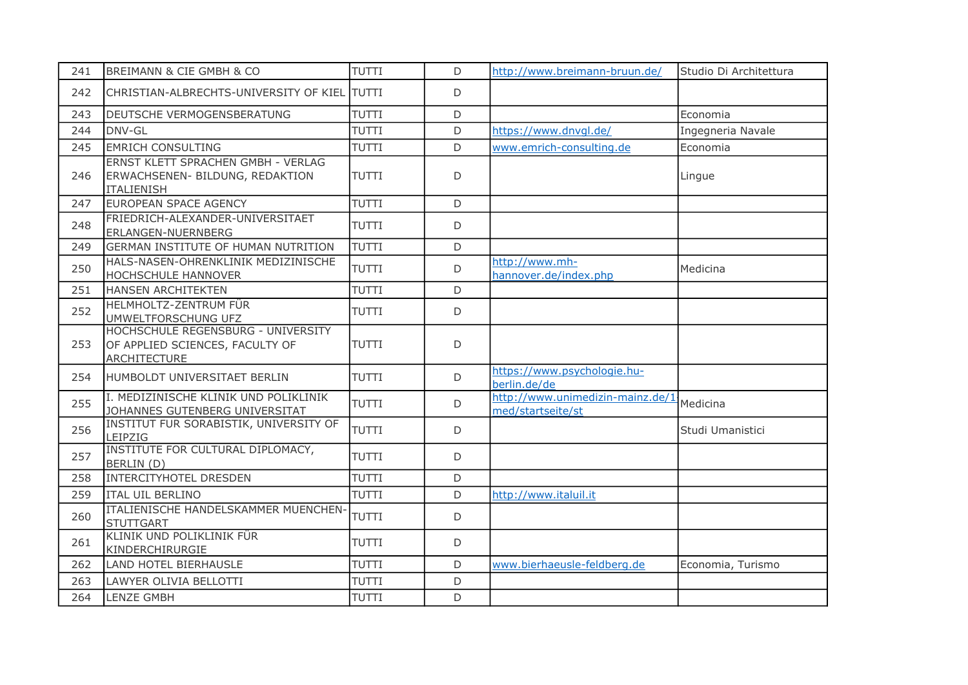| 241 | BREIMANN & CIE GMBH & CO                                                                     | TUTTI        | D           | http://www.breimann-bruun.de/                         | Studio Di Architettura |
|-----|----------------------------------------------------------------------------------------------|--------------|-------------|-------------------------------------------------------|------------------------|
| 242 | CHRISTIAN-ALBRECHTS-UNIVERSITY OF KIEL TUTTI                                                 |              | D           |                                                       |                        |
| 243 | DEUTSCHE VERMOGENSBERATUNG                                                                   | <b>TUTTI</b> | D           |                                                       | Economia               |
| 244 | DNV-GL                                                                                       | <b>TUTTI</b> | D           | https://www.dnvgl.de/                                 | Ingegneria Navale      |
| 245 | <b>EMRICH CONSULTING</b>                                                                     | TUTTI        | D           | www.emrich-consulting.de                              | Economia               |
| 246 | ERNST KLETT SPRACHEN GMBH - VERLAG<br>ERWACHSENEN- BILDUNG, REDAKTION<br><b>ITALIENISH</b>   | <b>TUTTI</b> | D           |                                                       | Lingue                 |
| 247 | EUROPEAN SPACE AGENCY                                                                        | TUTTI        | D           |                                                       |                        |
| 248 | FRIEDRICH-ALEXANDER-UNIVERSITAET<br>ERLANGEN-NUERNBERG                                       | <b>TUTTI</b> | D           |                                                       |                        |
| 249 | <b>GERMAN INSTITUTE OF HUMAN NUTRITION</b>                                                   | TUTTI        | D           |                                                       |                        |
| 250 | HALS-NASEN-OHRENKLINIK MEDIZINISCHE<br>HOCHSCHULE HANNOVER                                   | <b>TUTTI</b> | D           | http://www.mh-<br>hannover.de/index.php               | Medicina               |
| 251 | HANSEN ARCHITEKTEN                                                                           | <b>TUTTI</b> | D           |                                                       |                        |
| 252 | HELMHOLTZ-ZENTRUM FÜR<br>UMWELTFORSCHUNG UFZ                                                 | <b>TUTTI</b> | D           |                                                       |                        |
| 253 | HOCHSCHULE REGENSBURG - UNIVERSITY<br>OF APPLIED SCIENCES, FACULTY OF<br><b>ARCHITECTURE</b> | TUTTI        | D           |                                                       |                        |
| 254 | HUMBOLDT UNIVERSITAET BERLIN                                                                 | TUTTI        | D           | https://www.psychologie.hu-<br>berlin.de/de           |                        |
| 255 | I. MEDIZINISCHE KLINIK UND POLIKLINIK<br>JOHANNES GUTENBERG UNIVERSITAT                      | TUTTI        | D           | http://www.unimedizin-mainz.de/1<br>med/startseite/st | Medicina               |
| 256 | INSTITUT FUR SORABISTIK, UNIVERSITY OF<br>LEIPZIG                                            | <b>TUTTI</b> | D           |                                                       | Studi Umanistici       |
| 257 | INSTITUTE FOR CULTURAL DIPLOMACY,<br>BERLIN (D)                                              | TUTTI        | D           |                                                       |                        |
| 258 | <b>INTERCITYHOTEL DRESDEN</b>                                                                | <b>TUTTI</b> | $\mathsf D$ |                                                       |                        |
| 259 | <b>ITAL UIL BERLINO</b>                                                                      | TUTTI        | D           | http://www.italuil.it                                 |                        |
| 260 | ITALIENISCHE HANDELSKAMMER MUENCHEN-<br><b>STUTTGART</b>                                     | <b>TUTTI</b> | $\mathsf D$ |                                                       |                        |
| 261 | KLINIK UND POLIKLINIK FÜR<br>KINDERCHIRURGIE                                                 | <b>TUTTI</b> | D           |                                                       |                        |
| 262 | LAND HOTEL BIERHAUSLE                                                                        | <b>TUTTI</b> | D           | www.bierhaeusle-feldberg.de                           | Economia, Turismo      |
| 263 | LAWYER OLIVIA BELLOTTI                                                                       | <b>TUTTI</b> | D           |                                                       |                        |
| 264 | <b>LENZE GMBH</b>                                                                            | TUTTI        | D           |                                                       |                        |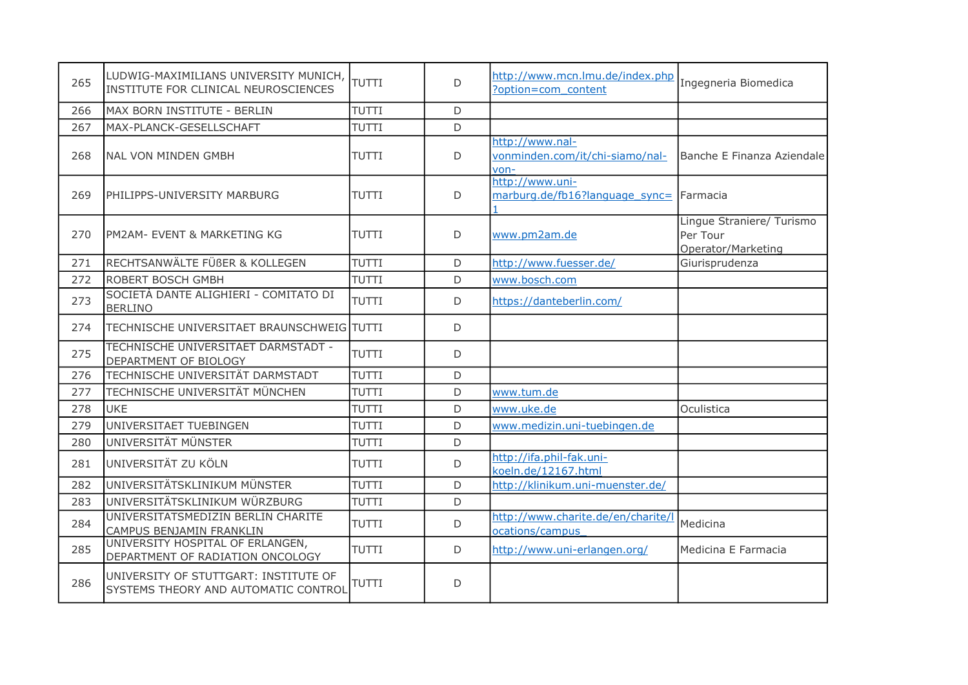| 265 | LUDWIG-MAXIMILIANS UNIVERSITY MUNICH,<br>INSTITUTE FOR CLINICAL NEUROSCIENCES | <b>TUTTI</b> | D            | http://www.mcn.lmu.de/index.php<br>?option=com content     | Ingegneria Biomedica                                        |
|-----|-------------------------------------------------------------------------------|--------------|--------------|------------------------------------------------------------|-------------------------------------------------------------|
| 266 | MAX BORN INSTITUTE - BERLIN                                                   | <b>TUTTI</b> | D            |                                                            |                                                             |
| 267 | MAX-PLANCK-GESELLSCHAFT                                                       | TUTTI        | D            |                                                            |                                                             |
| 268 | <b>NAL VON MINDEN GMBH</b>                                                    | <b>TUTTI</b> | $\mathsf{D}$ | http://www.nal-<br>vonminden.com/it/chi-siamo/nal-<br>von- | Banche E Finanza Aziendale                                  |
| 269 | PHILIPPS-UNIVERSITY MARBURG                                                   | <b>TUTTI</b> | D            | http://www.uni-<br>marburg.de/fb16?language sync=          | Farmacia                                                    |
| 270 | IPM2AM- EVENT & MARKETING KG                                                  | <b>TUTTI</b> | D            | www.pm2am.de                                               | Lingue Straniere/ Turismo<br>Per Tour<br>Operator/Marketing |
| 271 | RECHTSANWÄLTE FÜßER & KOLLEGEN                                                | <b>TUTTI</b> | D            | http://www.fuesser.de/                                     | Giurisprudenza                                              |
| 272 | ROBERT BOSCH GMBH                                                             | <b>TUTTI</b> | D            | www.bosch.com                                              |                                                             |
| 273 | SOCIETÀ DANTE ALIGHIERI - COMITATO DI<br><b>BERLINO</b>                       | <b>TUTTI</b> | D            | https://danteberlin.com/                                   |                                                             |
| 274 | TECHNISCHE UNIVERSITAET BRAUNSCHWEIG TUTTI                                    |              | D            |                                                            |                                                             |
| 275 | TECHNISCHE UNIVERSITAET DARMSTADT -<br>DEPARTMENT OF BIOLOGY                  | <b>TUTTI</b> | D            |                                                            |                                                             |
| 276 | TECHNISCHE UNIVERSITÄT DARMSTADT                                              | <b>TUTTI</b> | D            |                                                            |                                                             |
| 277 | TECHNISCHE UNIVERSITÄT MÜNCHEN                                                | TUTTI        | D            | www.tum.de                                                 |                                                             |
| 278 | <b>UKE</b>                                                                    | <b>TUTTI</b> | D            | www.uke.de                                                 | Oculistica                                                  |
| 279 | UNIVERSITAET TUEBINGEN                                                        | <b>TUTTI</b> | D            | www.medizin.uni-tuebingen.de                               |                                                             |
| 280 | UNIVERSITÄT MÜNSTER                                                           | <b>TUTTI</b> | D            |                                                            |                                                             |
| 281 | UNIVERSITÄT ZU KÖLN                                                           | <b>TUTTI</b> | D            | http://ifa.phil-fak.uni-<br>koeln.de/12167.html            |                                                             |
| 282 | UNIVERSITÄTSKLINIKUM MÜNSTER                                                  | TUTTI        | $\mathsf D$  | http://klinikum.uni-muenster.de/                           |                                                             |
| 283 | UNIVERSITÄTSKLINIKUM WÜRZBURG                                                 | <b>TUTTI</b> | D            |                                                            |                                                             |
| 284 | UNIVERSITATSMEDIZIN BERLIN CHARITE<br>CAMPUS BENJAMIN FRANKLIN                | <b>TUTTI</b> | D            | http://www.charite.de/en/charite/l<br>ocations/campus      | Medicina                                                    |
| 285 | UNIVERSITY HOSPITAL OF ERLANGEN,<br>DEPARTMENT OF RADIATION ONCOLOGY          | <b>TUTTI</b> | D            | http://www.uni-erlangen.org/                               | Medicina E Farmacia                                         |
| 286 | UNIVERSITY OF STUTTGART: INSTITUTE OF<br>SYSTEMS THEORY AND AUTOMATIC CONTROL | TUTTI        | D            |                                                            |                                                             |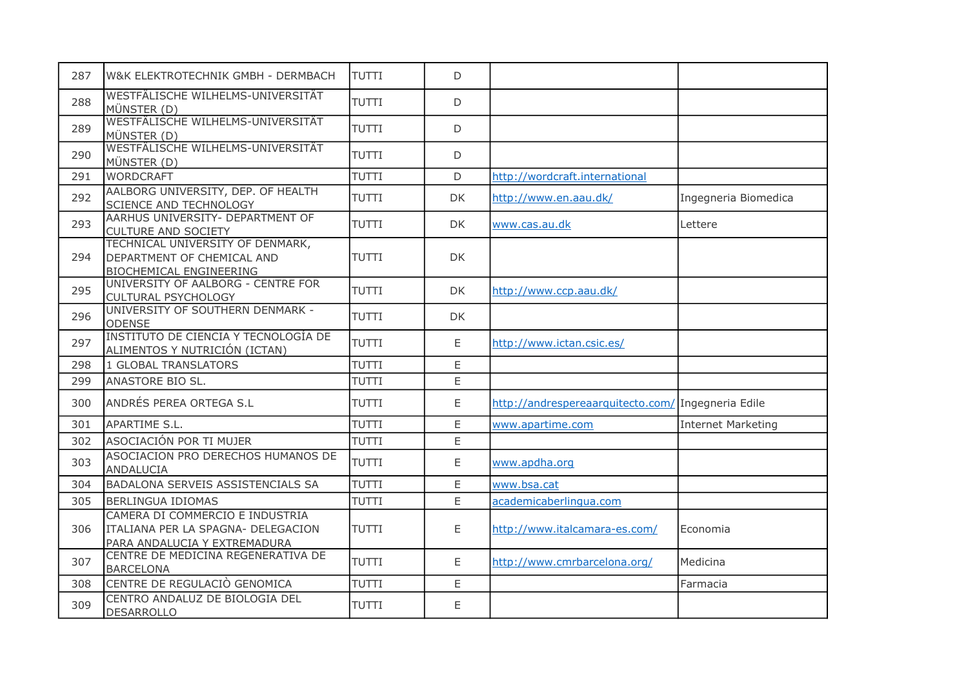| 287 | W&K ELEKTROTECHNIK GMBH - DERMBACH                                                                    | <b>TUTTI</b> | D   |                                                    |                           |
|-----|-------------------------------------------------------------------------------------------------------|--------------|-----|----------------------------------------------------|---------------------------|
| 288 | WESTFÄLISCHE WILHELMS-UNIVERSITÄT<br>MÜNSTER (D)                                                      | <b>TUTTI</b> | D   |                                                    |                           |
| 289 | WESTFÄLISCHE WILHELMS-UNIVERSITÄT<br>MÜNSTER (D)                                                      | <b>TUTTI</b> | D   |                                                    |                           |
| 290 | WESTFÄLISCHE WILHELMS-UNIVERSITÄT<br>MÜNSTER (D)                                                      | <b>TUTTI</b> | D   |                                                    |                           |
| 291 | <b>WORDCRAFT</b>                                                                                      | <b>TUTTI</b> | D   | http://wordcraft.international                     |                           |
| 292 | AALBORG UNIVERSITY, DEP. OF HEALTH<br>SCIENCE AND TECHNOLOGY                                          | <b>TUTTI</b> | DK. | http://www.en.aau.dk/                              | Ingegneria Biomedica      |
| 293 | AARHUS UNIVERSITY- DEPARTMENT OF<br><b>CULTURE AND SOCIETY</b>                                        | <b>TUTTI</b> | DK  | www.cas.au.dk                                      | Lettere                   |
| 294 | TECHNICAL UNIVERSITY OF DENMARK,<br>DEPARTMENT OF CHEMICAL AND<br><b>BIOCHEMICAL ENGINEERING</b>      | <b>TUTTI</b> | DK  |                                                    |                           |
| 295 | UNIVERSITY OF AALBORG - CENTRE FOR<br><b>CULTURAL PSYCHOLOGY</b>                                      | <b>TUTTI</b> | DK  | http://www.ccp.aau.dk/                             |                           |
| 296 | UNIVERSITY OF SOUTHERN DENMARK -<br><b>ODENSE</b>                                                     | <b>TUTTI</b> | DK  |                                                    |                           |
| 297 | INSTITUTO DE CIENCIA Y TECNOLOGÍA DE<br>ALIMENTOS Y NUTRICIÓN (ICTAN)                                 | <b>TUTTI</b> | Ε   | http://www.ictan.csic.es/                          |                           |
| 298 | <b>1 GLOBAL TRANSLATORS</b>                                                                           | <b>TUTTI</b> | E   |                                                    |                           |
| 299 | ANASTORE BIO SL.                                                                                      | <b>TUTTI</b> | E   |                                                    |                           |
| 300 | ANDRÉS PEREA ORTEGA S.L                                                                               | <b>TUTTI</b> | E   | http://andrespereaarquitecto.com/ Ingegneria Edile |                           |
| 301 | APARTIME S.L.                                                                                         | <b>TUTTI</b> | E   | www.apartime.com                                   | <b>Internet Marketing</b> |
| 302 | ASOCIACIÓN POR TI MUJER                                                                               | <b>TUTTI</b> | E.  |                                                    |                           |
| 303 | ASOCIACION PRO DERECHOS HUMANOS DE<br><b>ANDALUCIA</b>                                                | <b>TUTTI</b> | E   | www.apdha.org                                      |                           |
| 304 | BADALONA SERVEIS ASSISTENCIALS SA                                                                     | <b>TUTTI</b> | E   | www.bsa.cat                                        |                           |
| 305 | <b>BERLINGUA IDIOMAS</b>                                                                              | <b>TUTTI</b> | E   | academicaberlingua.com                             |                           |
| 306 | CAMERA DI COMMERCIO E INDUSTRIA<br>ITALIANA PER LA SPAGNA- DELEGACION<br>PARA ANDALUCIA Y EXTREMADURA | <b>TUTTI</b> | E   | http://www.italcamara-es.com/                      | Economia                  |
| 307 | CENTRE DE MEDICINA REGENERATIVA DE<br><b>BARCELONA</b>                                                | <b>TUTTI</b> | E   | http://www.cmrbarcelona.org/                       | Medicina                  |
| 308 | CENTRE DE REGULACIÒ GENOMICA                                                                          | <b>TUTTI</b> | E   |                                                    | Farmacia                  |
| 309 | CENTRO ANDALUZ DE BIOLOGIA DEL<br><b>DESARROLLO</b>                                                   | <b>TUTTI</b> | E   |                                                    |                           |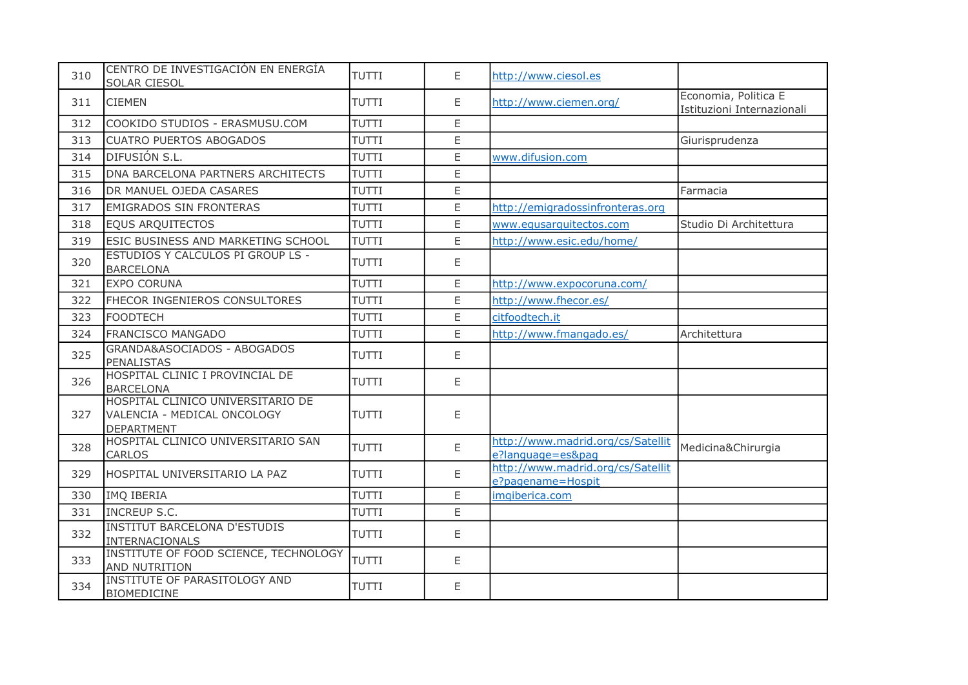| 310 | CENTRO DE INVESTIGACIÓN EN ENERGÍA<br>SOLAR CIESOL                                    | <b>TUTTI</b> | E           | http://www.ciesol.es                                   |                                                    |
|-----|---------------------------------------------------------------------------------------|--------------|-------------|--------------------------------------------------------|----------------------------------------------------|
| 311 | <b>CIEMEN</b>                                                                         | <b>TUTTI</b> | E           | http://www.ciemen.org/                                 | Economia, Politica E<br>Istituzioni Internazionali |
| 312 | COOKIDO STUDIOS - ERASMUSU.COM                                                        | <b>TUTTI</b> | E           |                                                        |                                                    |
| 313 | <b>CUATRO PUERTOS ABOGADOS</b>                                                        | TUTTI        | E           |                                                        | Giurisprudenza                                     |
| 314 | DIFUSIÓN S.L.                                                                         | <b>TUTTI</b> | E           | www.difusion.com                                       |                                                    |
| 315 | DNA BARCELONA PARTNERS ARCHITECTS                                                     | <b>TUTTI</b> | E           |                                                        |                                                    |
| 316 | DR MANUEL OJEDA CASARES                                                               | <b>TUTTI</b> | E           |                                                        | Farmacia                                           |
| 317 | <b>EMIGRADOS SIN FRONTERAS</b>                                                        | <b>TUTTI</b> | $\mathsf E$ | http://emigradossinfronteras.org                       |                                                    |
| 318 | <b>EQUS ARQUITECTOS</b>                                                               | <b>TUTTI</b> | E           | www.equsarquitectos.com                                | Studio Di Architettura                             |
| 319 | ESIC BUSINESS AND MARKETING SCHOOL                                                    | TUTTI        | E           | http://www.esic.edu/home/                              |                                                    |
| 320 | ESTUDIOS Y CALCULOS PI GROUP LS -<br><b>BARCELONA</b>                                 | <b>TUTTI</b> | E           |                                                        |                                                    |
| 321 | <b>EXPO CORUNA</b>                                                                    | TUTTI        | E           | http://www.expocoruna.com/                             |                                                    |
| 322 | FHECOR INGENIEROS CONSULTORES                                                         | TUTTI        | $\mathsf E$ | http://www.fhecor.es/                                  |                                                    |
| 323 | <b>FOODTECH</b>                                                                       | <b>TUTTI</b> | E           | citfoodtech.it                                         |                                                    |
| 324 | <b>FRANCISCO MANGADO</b>                                                              | <b>TUTTI</b> | E           | http://www.fmangado.es/                                | Architettura                                       |
| 325 | GRANDA&ASOCIADOS - ABOGADOS<br><b>PENALISTAS</b>                                      | <b>TUTTI</b> | E           |                                                        |                                                    |
| 326 | HOSPITAL CLINIC I PROVINCIAL DE<br><b>BARCELONA</b>                                   | <b>TUTTI</b> | E           |                                                        |                                                    |
| 327 | HOSPITAL CLINICO UNIVERSITARIO DE<br>VALENCIA - MEDICAL ONCOLOGY<br><b>DEPARTMENT</b> | <b>TUTTI</b> | E           |                                                        |                                                    |
| 328 | HOSPITAL CLINICO UNIVERSITARIO SAN<br><b>CARLOS</b>                                   | <b>TUTTI</b> | E           | http://www.madrid.org/cs/Satellit<br>e?language=es&pag | Medicina&Chirurgia                                 |
| 329 | HOSPITAL UNIVERSITARIO LA PAZ                                                         | <b>TUTTI</b> | E           | http://www.madrid.org/cs/Satellit<br>e?pagename=Hospit |                                                    |
| 330 | IMQ IBERIA                                                                            | <b>TUTTI</b> | $\mathsf E$ | imqiberica.com                                         |                                                    |
| 331 | <b>INCREUP S.C.</b>                                                                   | <b>TUTTI</b> | E           |                                                        |                                                    |
| 332 | <b>INSTITUT BARCELONA D'ESTUDIS</b><br>INTERNACIONALS                                 | <b>TUTTI</b> | E           |                                                        |                                                    |
| 333 | INSTITUTE OF FOOD SCIENCE, TECHNOLOGY<br>AND NUTRITION                                | <b>TUTTI</b> | $\mathsf E$ |                                                        |                                                    |
| 334 | INSTITUTE OF PARASITOLOGY AND<br><b>BIOMEDICINE</b>                                   | <b>TUTTI</b> | E           |                                                        |                                                    |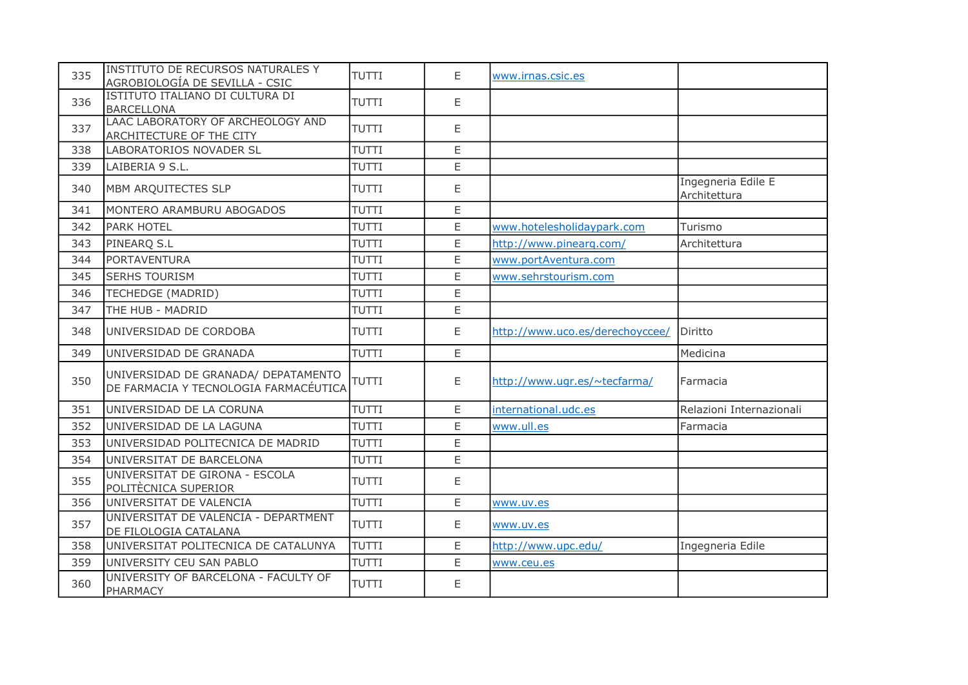| 335 | <b>INSTITUTO DE RECURSOS NATURALES Y</b><br>AGROBIOLOGÍA DE SEVILLA - CSIC   | <b>TUTTI</b> | E           | www.irnas.csic.es               |                                    |
|-----|------------------------------------------------------------------------------|--------------|-------------|---------------------------------|------------------------------------|
| 336 | ISTITUTO ITALIANO DI CULTURA DI<br><b>BARCELLONA</b>                         | <b>TUTTI</b> | E           |                                 |                                    |
| 337 | LAAC LABORATORY OF ARCHEOLOGY AND<br>ARCHITECTURE OF THE CITY                | <b>TUTTI</b> | E           |                                 |                                    |
| 338 | LABORATORIOS NOVADER SL                                                      | <b>TUTTI</b> | E           |                                 |                                    |
| 339 | LAIBERIA 9 S.L.                                                              | <b>TUTTI</b> | E           |                                 |                                    |
| 340 | MBM ARQUITECTES SLP                                                          | <b>TUTTI</b> | E           |                                 | Ingegneria Edile E<br>Architettura |
| 341 | MONTERO ARAMBURU ABOGADOS                                                    | <b>TUTTI</b> | E           |                                 |                                    |
| 342 | <b>PARK HOTEL</b>                                                            | <b>TUTTI</b> | E           | www.hotelesholidaypark.com      | Turismo                            |
| 343 | PINEARQ S.L                                                                  | <b>TUTTI</b> | E           | http://www.pinearg.com/         | Architettura                       |
| 344 | <b>PORTAVENTURA</b>                                                          | TUTTI        | E           | www.portAventura.com            |                                    |
| 345 | <b>SERHS TOURISM</b>                                                         | <b>TUTTI</b> | E           | www.sehrstourism.com            |                                    |
| 346 | <b>TECHEDGE (MADRID)</b>                                                     | <b>TUTTI</b> | E           |                                 |                                    |
| 347 | THE HUB - MADRID                                                             | <b>TUTTI</b> | $\mathsf E$ |                                 |                                    |
| 348 | UNIVERSIDAD DE CORDOBA                                                       | <b>TUTTI</b> | E           | http://www.uco.es/derechoyccee/ | Diritto                            |
| 349 | UNIVERSIDAD DE GRANADA                                                       | <b>TUTTI</b> | E           |                                 | Medicina                           |
| 350 | UNIVERSIDAD DE GRANADA/ DEPATAMENTO<br>DE FARMACIA Y TECNOLOGIA FARMACÉUTICA | TUTTI        | E           | http://www.ugr.es/~tecfarma/    | Farmacia                           |
| 351 | UNIVERSIDAD DE LA CORUNA                                                     | TUTTI        | E           | international.udc.es            | Relazioni Internazionali           |
| 352 | UNIVERSIDAD DE LA LAGUNA                                                     | <b>TUTTI</b> | E           | www.ull.es                      | Farmacia                           |
| 353 | UNIVERSIDAD POLITECNICA DE MADRID                                            | TUTTI        | E           |                                 |                                    |
| 354 | UNIVERSITAT DE BARCELONA                                                     | <b>TUTTI</b> | $\mathsf E$ |                                 |                                    |
| 355 | UNIVERSITAT DE GIRONA - ESCOLA<br>POLITÈCNICA SUPERIOR                       | <b>TUTTI</b> | E           |                                 |                                    |
| 356 | UNIVERSITAT DE VALENCIA                                                      | TUTTI        | $\mathsf E$ | www.uv.es                       |                                    |
| 357 | UNIVERSITAT DE VALENCIA - DEPARTMENT<br>DE FILOLOGIA CATALANA                | <b>TUTTI</b> | E           | www.uv.es                       |                                    |
| 358 | UNIVERSITAT POLITECNICA DE CATALUNYA                                         | TUTTI        | $\mathsf E$ | http://www.upc.edu/             | Ingegneria Edile                   |
| 359 | UNIVERSITY CEU SAN PABLO                                                     | TUTTI        | E           | www.ceu.es                      |                                    |
| 360 | UNIVERSITY OF BARCELONA - FACULTY OF<br><b>PHARMACY</b>                      | <b>TUTTI</b> | E           |                                 |                                    |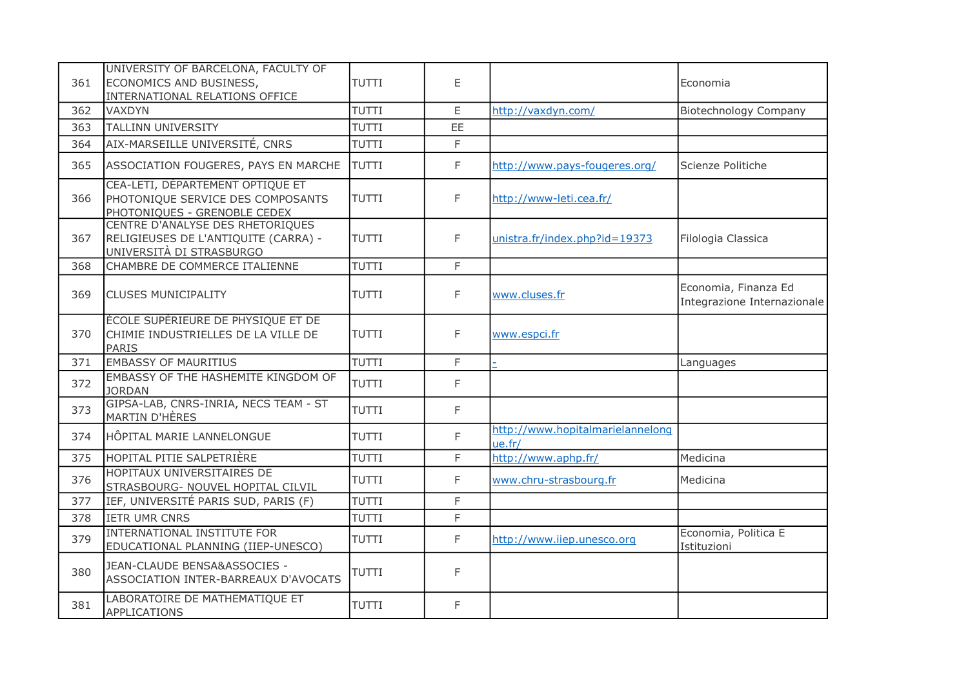| 361 | UNIVERSITY OF BARCELONA, FACULTY OF<br>ECONOMICS AND BUSINESS,<br>INTERNATIONAL RELATIONS OFFICE      | <b>TUTTI</b> | E            |                                            | Economia                                            |
|-----|-------------------------------------------------------------------------------------------------------|--------------|--------------|--------------------------------------------|-----------------------------------------------------|
| 362 | <b>VAXDYN</b>                                                                                         | <b>TUTTI</b> | $\mathsf E$  | http://vaxdyn.com/                         | <b>Biotechnology Company</b>                        |
| 363 | <b>TALLINN UNIVERSITY</b>                                                                             | <b>TUTTI</b> | EE           |                                            |                                                     |
| 364 | AIX-MARSEILLE UNIVERSITÉ, CNRS                                                                        | <b>TUTTI</b> | F            |                                            |                                                     |
| 365 | ASSOCIATION FOUGERES, PAYS EN MARCHE                                                                  | <b>TUTTI</b> | F            | http://www.pays-fougeres.org/              | Scienze Politiche                                   |
| 366 | CEA-LETI, DÉPARTEMENT OPTIQUE ET<br>PHOTONIQUE SERVICE DES COMPOSANTS<br>PHOTONIQUES - GRENOBLE CEDEX | <b>TUTTI</b> | F            | http://www-leti.cea.fr/                    |                                                     |
| 367 | CENTRE D'ANALYSE DES RHETORIQUES<br>RELIGIEUSES DE L'ANTIQUITE (CARRA) -<br>UNIVERSITÀ DI STRASBURGO  | <b>TUTTI</b> | F            | unistra.fr/index.php?id=19373              | Filologia Classica                                  |
| 368 | CHAMBRE DE COMMERCE ITALIENNE                                                                         | <b>TUTTI</b> | F            |                                            |                                                     |
| 369 | <b>CLUSES MUNICIPALITY</b>                                                                            | <b>TUTTI</b> | F            | www.cluses.fr                              | Economia, Finanza Ed<br>Integrazione Internazionale |
| 370 | ÉCOLE SUPÉRIEURE DE PHYSIQUE ET DE<br>CHIMIE INDUSTRIELLES DE LA VILLE DE<br><b>PARIS</b>             | <b>TUTTI</b> | F            | www.espci.fr                               |                                                     |
| 371 | <b>EMBASSY OF MAURITIUS</b>                                                                           | <b>TUTTI</b> | F            |                                            | Languages                                           |
| 372 | EMBASSY OF THE HASHEMITE KINGDOM OF<br><b>JORDAN</b>                                                  | <b>TUTTI</b> | F            |                                            |                                                     |
| 373 | GIPSA-LAB, CNRS-INRIA, NECS TEAM - ST<br><b>MARTIN D'HÈRES</b>                                        | TUTTI        | F            |                                            |                                                     |
| 374 | HÔPITAL MARIE LANNELONGUE                                                                             | <b>TUTTI</b> | F            | http://www.hopitalmarielannelong<br>ue.fr/ |                                                     |
| 375 | HOPITAL PITIE SALPETRIÈRE                                                                             | TUTTI        | F            | http://www.aphp.fr/                        | Medicina                                            |
| 376 | HOPITAUX UNIVERSITAIRES DE<br>STRASBOURG- NOUVEL HOPITAL CILVIL                                       | TUTTI        | F            | www.chru-strasbourg.fr                     | Medicina                                            |
| 377 | IEF, UNIVERSITÉ PARIS SUD, PARIS (F)                                                                  | <b>TUTTI</b> | F            |                                            |                                                     |
| 378 | <b>IETR UMR CNRS</b>                                                                                  | <b>TUTTI</b> | F            |                                            |                                                     |
| 379 | <b>INTERNATIONAL INSTITUTE FOR</b><br>EDUCATIONAL PLANNING (IIEP-UNESCO)                              | <b>TUTTI</b> | F            | http://www.iiep.unesco.org                 | Economia, Politica E<br>Istituzioni                 |
| 380 | JEAN-CLAUDE BENSA&ASSOCIES -<br>ASSOCIATION INTER-BARREAUX D'AVOCATS                                  | <b>TUTTI</b> | F            |                                            |                                                     |
| 381 | LABORATOIRE DE MATHEMATIQUE ET<br>APPLICATIONS                                                        | <b>TUTTI</b> | $\mathsf{F}$ |                                            |                                                     |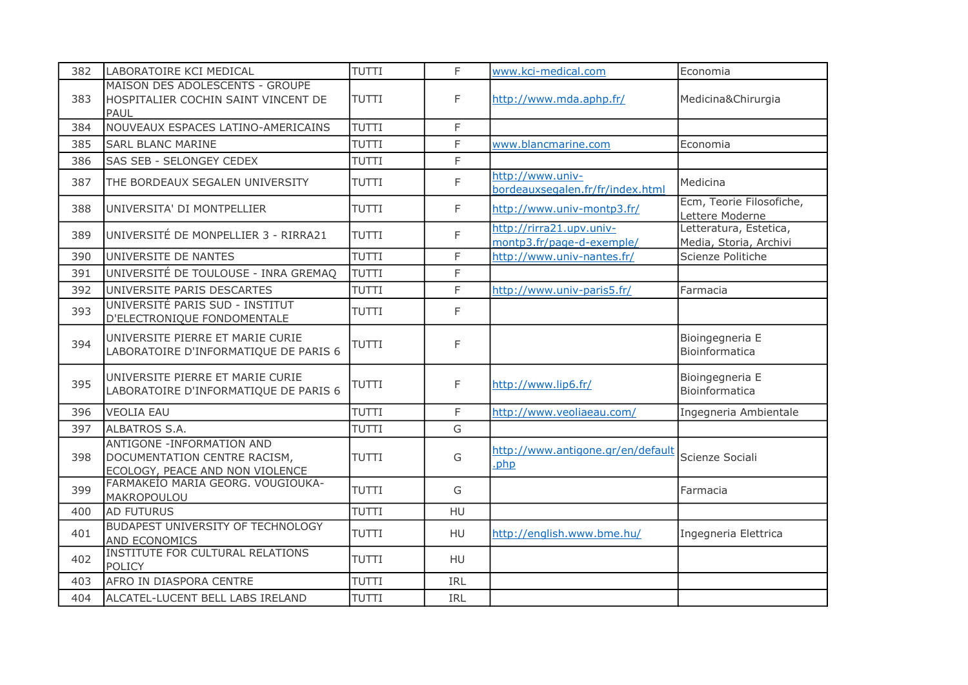| 382 | LABORATOIRE KCI MEDICAL                                                                              | <b>TUTTI</b> | F           | www.kci-medical.com                                   | Economia                                         |
|-----|------------------------------------------------------------------------------------------------------|--------------|-------------|-------------------------------------------------------|--------------------------------------------------|
| 383 | MAISON DES ADOLESCENTS - GROUPE<br>HOSPITALIER COCHIN SAINT VINCENT DE<br>PAUL                       | <b>TUTTI</b> | F           | http://www.mda.aphp.fr/                               | Medicina&Chirurgia                               |
| 384 | NOUVEAUX ESPACES LATINO-AMERICAINS                                                                   | <b>TUTTI</b> | F           |                                                       |                                                  |
| 385 | <b>SARL BLANC MARINE</b>                                                                             | <b>TUTTI</b> | F           | www.blancmarine.com                                   | Economia                                         |
| 386 | SAS SEB - SELONGEY CEDEX                                                                             | TUTTI        | $\mathsf F$ |                                                       |                                                  |
| 387 | THE BORDEAUX SEGALEN UNIVERSITY                                                                      | <b>TUTTI</b> | F           | http://www.univ-<br>bordeauxsegalen.fr/fr/index.html  | Medicina                                         |
| 388 | UNIVERSITA' DI MONTPELLIER                                                                           | <b>TUTTI</b> | F           | http://www.univ-montp3.fr/                            | Ecm, Teorie Filosofiche,<br>Lettere Moderne      |
| 389 | UNIVERSITÉ DE MONPELLIER 3 - RIRRA21                                                                 | <b>TUTTI</b> | F           | http://rirra21.upv.univ-<br>montp3.fr/page-d-exemple/ | Letteratura, Estetica,<br>Media, Storia, Archivi |
| 390 | UNIVERSITE DE NANTES                                                                                 | <b>TUTTI</b> | F           | http://www.univ-nantes.fr/                            | Scienze Politiche                                |
| 391 | UNIVERSITÉ DE TOULOUSE - INRA GREMAQ                                                                 | TUTTI        | F           |                                                       |                                                  |
| 392 | UNIVERSITE PARIS DESCARTES                                                                           | <b>TUTTI</b> | F           | http://www.univ-paris5.fr/                            | Farmacia                                         |
| 393 | UNIVERSITÉ PARIS SUD - INSTITUT<br>D'ELECTRONIQUE FONDOMENTALE                                       | <b>TUTTI</b> | F           |                                                       |                                                  |
| 394 | UNIVERSITE PIERRE ET MARIE CURIE<br>LABORATOIRE D'INFORMATIQUE DE PARIS 6                            | <b>TUTTI</b> | F           |                                                       | Bioingegneria E<br>Bioinformatica                |
| 395 | UNIVERSITE PIERRE ET MARIE CURIE<br>LABORATOIRE D'INFORMATIQUE DE PARIS 6                            | TUTTI        | F           | http://www.lip6.fr/                                   | Bioingegneria E<br>Bioinformatica                |
| 396 | <b>VEOLIA EAU</b>                                                                                    | <b>TUTTI</b> | F           | http://www.veoliaeau.com/                             | Ingegneria Ambientale                            |
| 397 | ALBATROS S.A.                                                                                        | <b>TUTTI</b> | G           |                                                       |                                                  |
| 398 | <b>ANTIGONE - INFORMATION AND</b><br>DOCUMENTATION CENTRE RACISM,<br>ECOLOGY, PEACE AND NON VIOLENCE | <b>TUTTI</b> | G           | http://www.antigone.gr/en/default<br>.php             | Scienze Sociali                                  |
| 399 | FARMAKEIO MARIA GEORG. VOUGIOUKA-<br>MAKROPOULOU                                                     | <b>TUTTI</b> | G           |                                                       | Farmacia                                         |
| 400 | <b>AD FUTURUS</b>                                                                                    | <b>TUTTI</b> | <b>HU</b>   |                                                       |                                                  |
| 401 | <b>BUDAPEST UNIVERSITY OF TECHNOLOGY</b><br>AND ECONOMICS                                            | <b>TUTTI</b> | HU          | http://english.www.bme.hu/                            | Ingegneria Elettrica                             |
| 402 | INSTITUTE FOR CULTURAL RELATIONS<br><b>POLICY</b>                                                    | TUTTI        | <b>HU</b>   |                                                       |                                                  |
| 403 | AFRO IN DIASPORA CENTRE                                                                              | <b>TUTTI</b> | IRL         |                                                       |                                                  |
| 404 | ALCATEL-LUCENT BELL LABS IRELAND                                                                     | <b>TUTTI</b> | IRL         |                                                       |                                                  |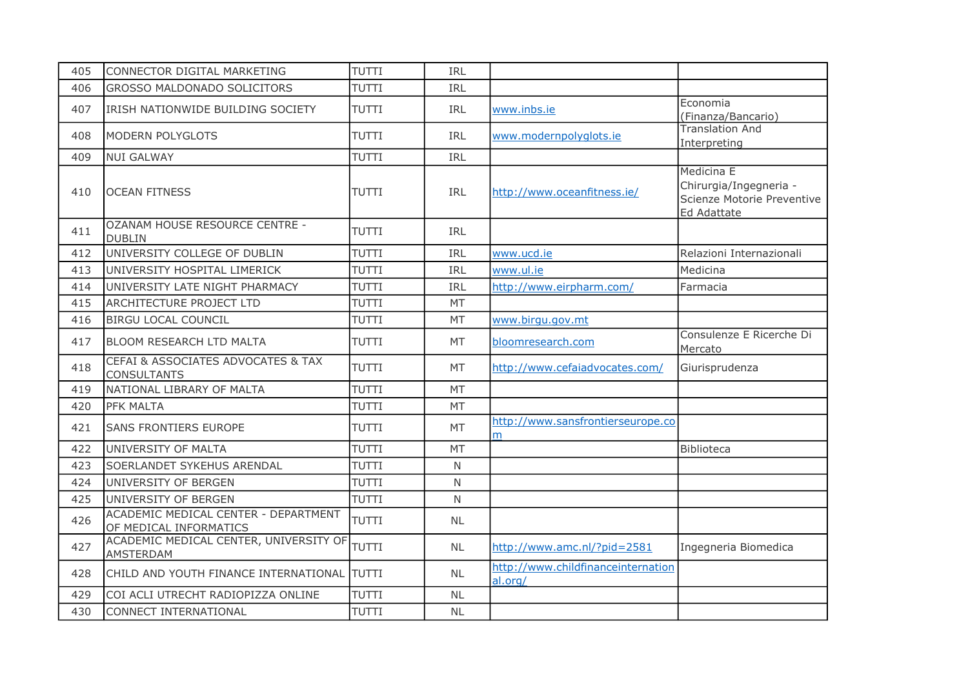| 405 | CONNECTOR DIGITAL MARKETING                                    | <b>TUTTI</b> | <b>IRL</b> |                                               |                                                                                          |
|-----|----------------------------------------------------------------|--------------|------------|-----------------------------------------------|------------------------------------------------------------------------------------------|
| 406 | <b>GROSSO MALDONADO SOLICITORS</b>                             | <b>TUTTI</b> | <b>IRL</b> |                                               |                                                                                          |
| 407 | IRISH NATIONWIDE BUILDING SOCIETY                              | <b>TUTTI</b> | <b>IRL</b> | www.inbs.ie                                   | Economia<br>(Finanza/Bancario)                                                           |
| 408 | <b>MODERN POLYGLOTS</b>                                        | <b>TUTTI</b> | IRL        | www.modernpolyglots.ie                        | <b>Translation And</b><br>Interpreting                                                   |
| 409 | <b>NUI GALWAY</b>                                              | <b>TUTTI</b> | <b>IRL</b> |                                               |                                                                                          |
| 410 | <b>OCEAN FITNESS</b>                                           | <b>TUTTI</b> | <b>IRL</b> | http://www.oceanfitness.ie/                   | Medicina E<br>Chirurgia/Ingegneria -<br>Scienze Motorie Preventive<br><b>Ed Adattate</b> |
| 411 | OZANAM HOUSE RESOURCE CENTRE -<br><b>DUBLIN</b>                | <b>TUTTI</b> | IRL        |                                               |                                                                                          |
| 412 | UNIVERSITY COLLEGE OF DUBLIN                                   | TUTTI        | IRL        | www.ucd.ie                                    | Relazioni Internazionali                                                                 |
| 413 | UNIVERSITY HOSPITAL LIMERICK                                   | TUTTI        | IRL        | www.ul.ie                                     | Medicina                                                                                 |
| 414 | UNIVERSITY LATE NIGHT PHARMACY                                 | TUTTI        | IRL        | http://www.eirpharm.com/                      | Farmacia                                                                                 |
| 415 | <b>ARCHITECTURE PROJECT LTD</b>                                | <b>TUTTI</b> | <b>MT</b>  |                                               |                                                                                          |
| 416 | <b>BIRGU LOCAL COUNCIL</b>                                     | <b>TUTTI</b> | <b>MT</b>  | www.birgu.gov.mt                              |                                                                                          |
| 417 | <b>BLOOM RESEARCH LTD MALTA</b>                                | <b>TUTTI</b> | <b>MT</b>  | bloomresearch.com                             | Consulenze E Ricerche Di<br>Mercato                                                      |
| 418 | CEFAI & ASSOCIATES ADVOCATES & TAX<br><b>CONSULTANTS</b>       | <b>TUTTI</b> | <b>MT</b>  | http://www.cefaiadvocates.com/                | Giurisprudenza                                                                           |
| 419 | NATIONAL LIBRARY OF MALTA                                      | TUTTI        | <b>MT</b>  |                                               |                                                                                          |
| 420 | PFK MALTA                                                      | TUTTI        | <b>MT</b>  |                                               |                                                                                          |
| 421 | <b>SANS FRONTIERS EUROPE</b>                                   | <b>TUTTI</b> | <b>MT</b>  | http://www.sansfrontierseurope.co<br>m        |                                                                                          |
| 422 | UNIVERSITY OF MALTA                                            | <b>TUTTI</b> | MT         |                                               | Biblioteca                                                                               |
| 423 | <b>SOERLANDET SYKEHUS ARENDAL</b>                              | <b>TUTTI</b> | N          |                                               |                                                                                          |
| 424 | UNIVERSITY OF BERGEN                                           | <b>TUTTI</b> | N          |                                               |                                                                                          |
| 425 | UNIVERSITY OF BERGEN                                           | <b>TUTTI</b> | N          |                                               |                                                                                          |
| 426 | ACADEMIC MEDICAL CENTER - DEPARTMENT<br>OF MEDICAL INFORMATICS | TUTTI        | NL         |                                               |                                                                                          |
| 427 | ACADEMIC MEDICAL CENTER, UNIVERSITY OF<br>AMSTERDAM            | <b>TUTTI</b> | <b>NL</b>  | http://www.amc.nl/?pid=2581                   | Ingegneria Biomedica                                                                     |
| 428 | CHILD AND YOUTH FINANCE INTERNATIONAL                          | <b>TUTTI</b> | <b>NL</b>  | http://www.childfinanceinternation<br>al.org/ |                                                                                          |
| 429 | COI ACLI UTRECHT RADIOPIZZA ONLINE                             | TUTTI        | <b>NL</b>  |                                               |                                                                                          |
| 430 | CONNECT INTERNATIONAL                                          | <b>TUTTI</b> | <b>NL</b>  |                                               |                                                                                          |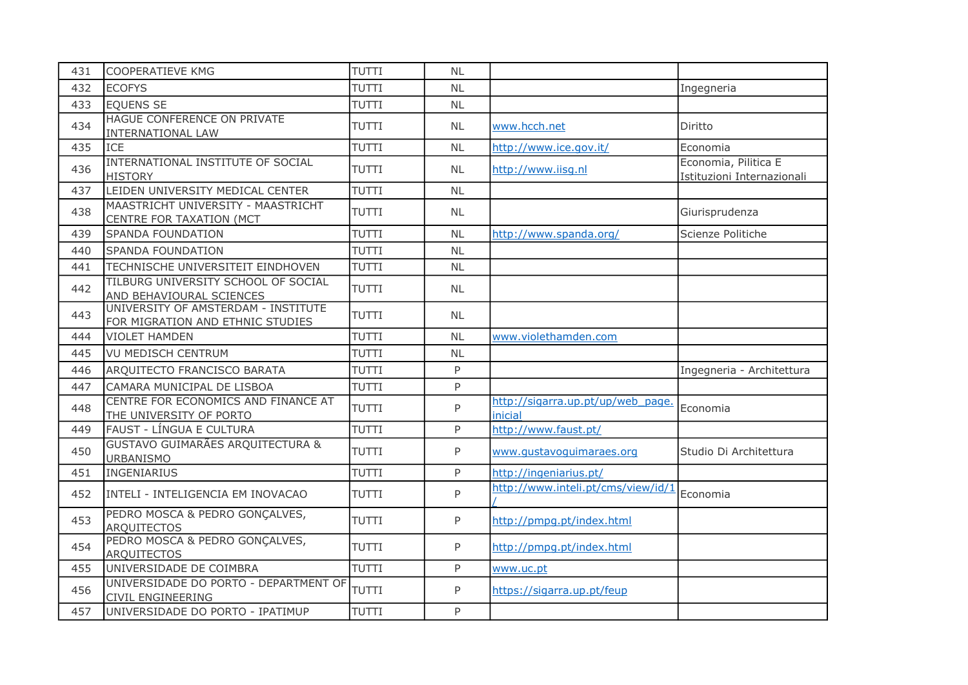| 431 | <b>COOPERATIEVE KMG</b>                                                 | TUTTI        | <b>NL</b> |                                              |                                                    |
|-----|-------------------------------------------------------------------------|--------------|-----------|----------------------------------------------|----------------------------------------------------|
| 432 | <b>ECOFYS</b>                                                           | <b>TUTTI</b> | <b>NL</b> |                                              | Ingegneria                                         |
| 433 | <b>EQUENS SE</b>                                                        | <b>TUTTI</b> | <b>NL</b> |                                              |                                                    |
| 434 | HAGUE CONFERENCE ON PRIVATE<br>INTERNATIONAL LAW                        | <b>TUTTI</b> | <b>NL</b> | www.hcch.net                                 | Diritto                                            |
| 435 | <b>ICE</b>                                                              | <b>TUTTI</b> | NL        | http://www.ice.gov.it/                       | Economia                                           |
| 436 | INTERNATIONAL INSTITUTE OF SOCIAL<br><b>HISTORY</b>                     | <b>TUTTI</b> | <b>NL</b> | http://www.iisg.nl                           | Economia, Pilitica E<br>Istituzioni Internazionali |
| 437 | LEIDEN UNIVERSITY MEDICAL CENTER                                        | <b>TUTTI</b> | <b>NL</b> |                                              |                                                    |
| 438 | MAASTRICHT UNIVERSITY - MAASTRICHT<br>CENTRE FOR TAXATION (MCT          | <b>TUTTI</b> | <b>NL</b> |                                              | Giurisprudenza                                     |
| 439 | SPANDA FOUNDATION                                                       | TUTTI        | <b>NL</b> | http://www.spanda.org/                       | Scienze Politiche                                  |
| 440 | <b>SPANDA FOUNDATION</b>                                                | <b>TUTTI</b> | <b>NL</b> |                                              |                                                    |
| 441 | TECHNISCHE UNIVERSITEIT EINDHOVEN                                       | <b>TUTTI</b> | <b>NL</b> |                                              |                                                    |
| 442 | TILBURG UNIVERSITY SCHOOL OF SOCIAL<br>AND BEHAVIOURAL SCIENCES         | <b>TUTTI</b> | <b>NL</b> |                                              |                                                    |
| 443 | UNIVERSITY OF AMSTERDAM - INSTITUTE<br>FOR MIGRATION AND ETHNIC STUDIES | <b>TUTTI</b> | <b>NL</b> |                                              |                                                    |
| 444 | <b>VIOLET HAMDEN</b>                                                    | <b>TUTTI</b> | <b>NL</b> | www.violethamden.com                         |                                                    |
| 445 | <b>VU MEDISCH CENTRUM</b>                                               | <b>TUTTI</b> | <b>NL</b> |                                              |                                                    |
| 446 | ARQUITECTO FRANCISCO BARATA                                             | <b>TUTTI</b> | P         |                                              | Ingegneria - Architettura                          |
| 447 | CAMARA MUNICIPAL DE LISBOA                                              | TUTTI        | P         |                                              |                                                    |
| 448 | CENTRE FOR ECONOMICS AND FINANCE AT<br>THE UNIVERSITY OF PORTO          | <b>TUTTI</b> | P         | http://sigarra.up.pt/up/web page.<br>inicial | Economia                                           |
| 449 | FAUST - LÍNGUA E CULTURA                                                | <b>TUTTI</b> | P         | http://www.faust.pt/                         |                                                    |
| 450 | GUSTAVO GUIMARÃES ARQUITECTURA &<br><b>URBANISMO</b>                    | <b>TUTTI</b> | P         | www.qustavoquimaraes.org                     | Studio Di Architettura                             |
| 451 | <b>INGENIARIUS</b>                                                      | TUTTI        | P         | http://ingeniarius.pt/                       |                                                    |
| 452 | INTELI - INTELIGENCIA EM INOVACAO                                       | TUTTI        | P         | http://www.inteli.pt/cms/view/id/1           | Economia                                           |
| 453 | PEDRO MOSCA & PEDRO GONÇALVES,<br><b>ARQUITECTOS</b>                    | <b>TUTTI</b> | P         | http://pmpg.pt/index.html                    |                                                    |
| 454 | PEDRO MOSCA & PEDRO GONÇALVES,<br><b>ARQUITECTOS</b>                    | TUTTI        | P         | http://pmpg.pt/index.html                    |                                                    |
| 455 | UNIVERSIDADE DE COIMBRA                                                 | TUTTI        | P         | www.uc.pt                                    |                                                    |
| 456 | UNIVERSIDADE DO PORTO - DEPARTMENT OF<br><b>CIVIL ENGINEERING</b>       | TUTTI        | P         | https://sigarra.up.pt/feup                   |                                                    |
| 457 | UNIVERSIDADE DO PORTO - IPATIMUP                                        | <b>TUTTI</b> | P         |                                              |                                                    |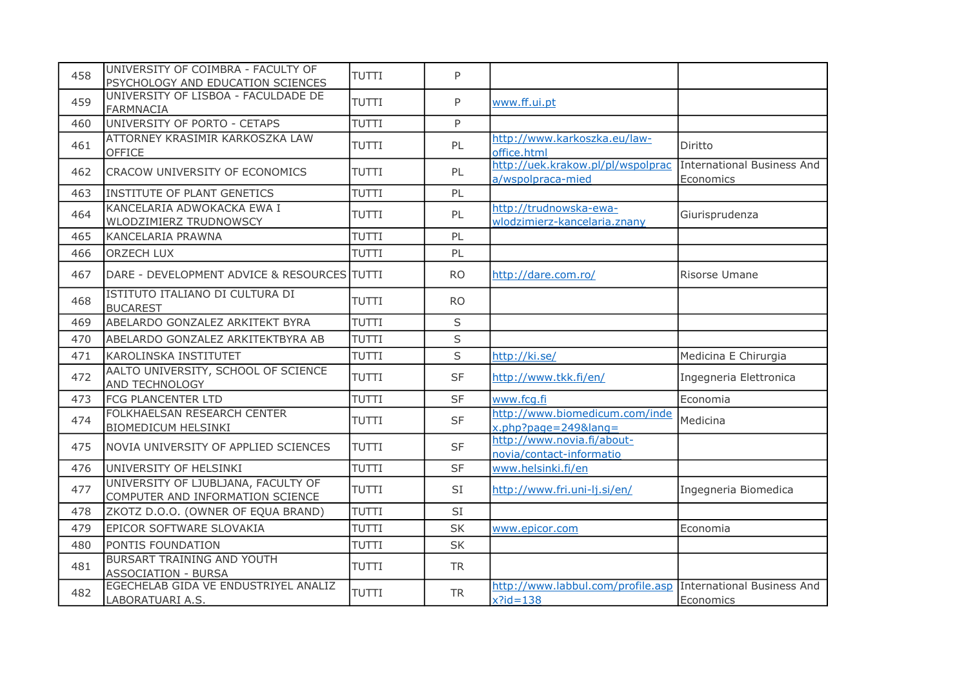| 458 | UNIVERSITY OF COIMBRA - FACULTY OF<br>PSYCHOLOGY AND EDUCATION SCIENCES | <b>TUTTI</b> | P         |                                                                             |                                                |
|-----|-------------------------------------------------------------------------|--------------|-----------|-----------------------------------------------------------------------------|------------------------------------------------|
| 459 | UNIVERSITY OF LISBOA - FACULDADE DE<br><b>FARMNACIA</b>                 | TUTTI        | P         | www.ff.ui.pt                                                                |                                                |
| 460 | UNIVERSITY OF PORTO - CETAPS                                            | <b>TUTTI</b> | P         |                                                                             |                                                |
| 461 | ATTORNEY KRASIMIR KARKOSZKA LAW<br>OFFICE                               | <b>TUTTI</b> | PL        | http://www.karkoszka.eu/law-<br>office.html                                 | Diritto                                        |
| 462 | CRACOW UNIVERSITY OF ECONOMICS                                          | <b>TUTTI</b> | PL        | http://uek.krakow.pl/pl/wspolprac<br>a/wspolpraca-mied                      | <b>International Business And</b><br>Economics |
| 463 | INSTITUTE OF PLANT GENETICS                                             | TUTTI        | PL        |                                                                             |                                                |
| 464 | KANCELARIA ADWOKACKA EWA I<br>WLODZIMIERZ TRUDNOWSCY                    | <b>TUTTI</b> | PL        | http://trudnowska-ewa-<br>wlodzimierz-kancelaria.znany                      | Giurisprudenza                                 |
| 465 | KANCELARIA PRAWNA                                                       | <b>TUTTI</b> | PL        |                                                                             |                                                |
| 466 | <b>ORZECH LUX</b>                                                       | <b>TUTTI</b> | PL        |                                                                             |                                                |
| 467 | DARE - DEVELOPMENT ADVICE & RESOURCES TUTTI                             |              | RO.       | http://dare.com.ro/                                                         | Risorse Umane                                  |
| 468 | ISTITUTO ITALIANO DI CULTURA DI<br><b>BUCAREST</b>                      | <b>TUTTI</b> | <b>RO</b> |                                                                             |                                                |
| 469 | ABELARDO GONZALEZ ARKITEKT BYRA                                         | <b>TUTTI</b> | S         |                                                                             |                                                |
| 470 | ABELARDO GONZALEZ ARKITEKTBYRA AB                                       | <b>TUTTI</b> | S         |                                                                             |                                                |
| 471 | <b>KAROLINSKA INSTITUTET</b>                                            | <b>TUTTI</b> | S         | http://ki.se/                                                               | Medicina E Chirurgia                           |
| 472 | AALTO UNIVERSITY, SCHOOL OF SCIENCE<br>AND TECHNOLOGY                   | <b>TUTTI</b> | <b>SF</b> | http://www.tkk.fi/en/                                                       | Ingegneria Elettronica                         |
| 473 | FCG PLANCENTER LTD                                                      | <b>TUTTI</b> | <b>SF</b> | www.fca.fi                                                                  | Economia                                       |
| 474 | FOLKHAELSAN RESEARCH CENTER<br><b>BIOMEDICUM HELSINKI</b>               | <b>TUTTI</b> | <b>SF</b> | http://www.biomedicum.com/inde<br>$x.php?page=249⟨=$                        | Medicina                                       |
| 475 | NOVIA UNIVERSITY OF APPLIED SCIENCES                                    | <b>TUTTI</b> | <b>SF</b> | http://www.novia.fi/about-<br>novia/contact-informatio                      |                                                |
| 476 | UNIVERSITY OF HELSINKI                                                  | <b>TUTTI</b> | <b>SF</b> | www.helsinki.fi/en                                                          |                                                |
| 477 | UNIVERSITY OF LJUBLJANA, FACULTY OF<br>COMPUTER AND INFORMATION SCIENCE | <b>TUTTI</b> | <b>SI</b> | http://www.fri.uni-lj.si/en/                                                | Ingegneria Biomedica                           |
| 478 | ZKOTZ D.O.O. (OWNER OF EQUA BRAND)                                      | <b>TUTTI</b> | <b>SI</b> |                                                                             |                                                |
| 479 | EPICOR SOFTWARE SLOVAKIA                                                | <b>TUTTI</b> | <b>SK</b> | www.epicor.com                                                              | Economia                                       |
| 480 | PONTIS FOUNDATION                                                       | <b>TUTTI</b> | <b>SK</b> |                                                                             |                                                |
| 481 | <b>BURSART TRAINING AND YOUTH</b><br><b>ASSOCIATION - BURSA</b>         | <b>TUTTI</b> | <b>TR</b> |                                                                             |                                                |
| 482 | EGECHELAB GIDA VE ENDUSTRIYEL ANALIZ<br>LABORATUARI A.S.                | <b>TUTTI</b> | <b>TR</b> | http://www.labbul.com/profile.asp International Business And<br>$x$ ?id=138 | Economics                                      |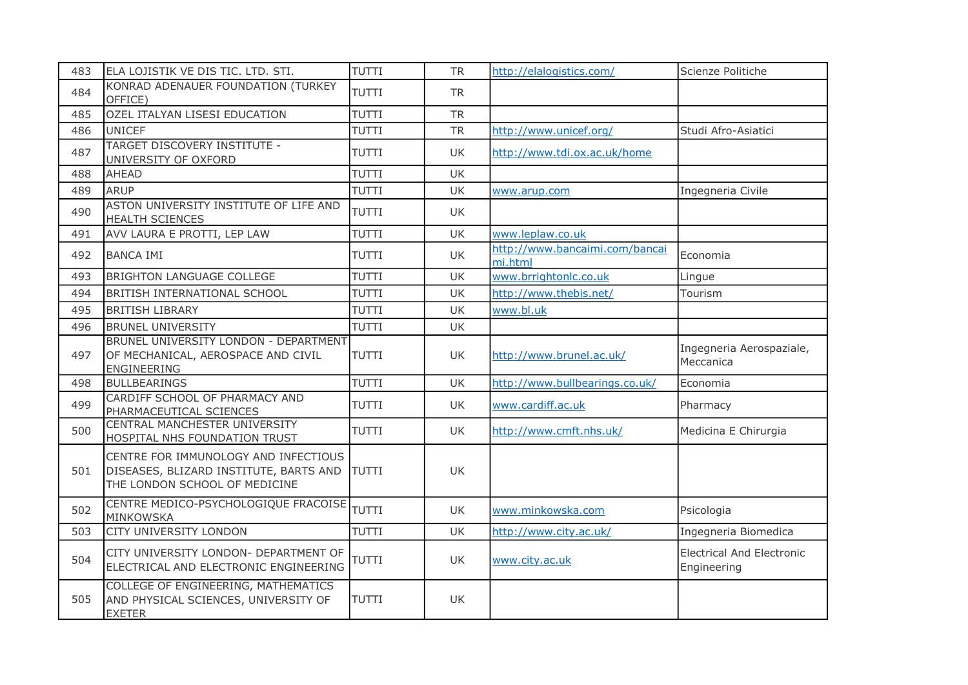| 483 | ELA LOJISTIK VE DIS TIC. LTD. STI.                                                                              | TUTTI        | <b>TR</b> | http://elalogistics.com/                  | Scienze Politiche                               |
|-----|-----------------------------------------------------------------------------------------------------------------|--------------|-----------|-------------------------------------------|-------------------------------------------------|
| 484 | KONRAD ADENAUER FOUNDATION (TURKEY<br>OFFICE)                                                                   | <b>TUTTI</b> | <b>TR</b> |                                           |                                                 |
| 485 | OZEL ITALYAN LISESI EDUCATION                                                                                   | TUTTI        | <b>TR</b> |                                           |                                                 |
| 486 | UNICEF                                                                                                          | <b>TUTTI</b> | <b>TR</b> | http://www.unicef.org/                    | Studi Afro-Asiatici                             |
| 487 | TARGET DISCOVERY INSTITUTE -<br>UNIVERSITY OF OXFORD                                                            | <b>TUTTI</b> | UK.       | http://www.tdi.ox.ac.uk/home              |                                                 |
| 488 | <b>AHEAD</b>                                                                                                    | <b>TUTTI</b> | <b>UK</b> |                                           |                                                 |
| 489 | <b>ARUP</b>                                                                                                     | <b>TUTTI</b> | <b>UK</b> | www.arup.com                              | Ingegneria Civile                               |
| 490 | ASTON UNIVERSITY INSTITUTE OF LIFE AND<br><b>HEALTH SCIENCES</b>                                                | TUTTI        | UK.       |                                           |                                                 |
| 491 | AVV LAURA E PROTTI, LEP LAW                                                                                     | TUTTI        | <b>UK</b> | www.leplaw.co.uk                          |                                                 |
| 492 | <b>BANCA IMI</b>                                                                                                | TUTTI        | <b>UK</b> | http://www.bancaimi.com/bancai<br>mi.html | Economia                                        |
| 493 | <b>BRIGHTON LANGUAGE COLLEGE</b>                                                                                | <b>TUTTI</b> | <b>UK</b> | www.brrightonlc.co.uk                     | Lingue                                          |
| 494 | <b>BRITISH INTERNATIONAL SCHOOL</b>                                                                             | <b>TUTTI</b> | <b>UK</b> | http://www.thebis.net/                    | Tourism                                         |
| 495 | <b>BRITISH LIBRARY</b>                                                                                          | <b>TUTTI</b> | <b>UK</b> | www.bl.uk                                 |                                                 |
| 496 | <b>BRUNEL UNIVERSITY</b>                                                                                        | TUTTI        | <b>UK</b> |                                           |                                                 |
| 497 | BRUNEL UNIVERSITY LONDON - DEPARTMENT<br>OF MECHANICAL, AEROSPACE AND CIVIL<br>ENGINEERING                      | <b>TUTTI</b> | UK        | http://www.brunel.ac.uk/                  | Ingegneria Aerospaziale,<br>Meccanica           |
| 498 | <b>BULLBEARINGS</b>                                                                                             | TUTTI        | UK        | http://www.bullbearings.co.uk/            | Economia                                        |
| 499 | CARDIFF SCHOOL OF PHARMACY AND<br>PHARMACEUTICAL SCIENCES                                                       | <b>TUTTI</b> | UK.       | www.cardiff.ac.uk                         | Pharmacy                                        |
| 500 | CENTRAL MANCHESTER UNIVERSITY<br>HOSPITAL NHS FOUNDATION TRUST                                                  | <b>TUTTI</b> | UK        | http://www.cmft.nhs.uk/                   | Medicina E Chirurgia                            |
| 501 | CENTRE FOR IMMUNOLOGY AND INFECTIOUS<br>DISEASES, BLIZARD INSTITUTE, BARTS AND<br>THE LONDON SCHOOL OF MEDICINE | TUTTI        | <b>UK</b> |                                           |                                                 |
| 502 | CENTRE MEDICO-PSYCHOLOGIQUE FRACOISE<br>MINKOWSKA                                                               | <b>TUTTI</b> | UK.       | www.minkowska.com                         | Psicologia                                      |
| 503 | CITY UNIVERSITY LONDON                                                                                          | TUTTI        | UK        | http://www.city.ac.uk/                    | Ingegneria Biomedica                            |
| 504 | CITY UNIVERSITY LONDON- DEPARTMENT OF<br>ELECTRICAL AND ELECTRONIC ENGINEERING                                  | <b>TUTTI</b> | UK        | www.city.ac.uk                            | <b>Electrical And Electronic</b><br>Engineering |
| 505 | COLLEGE OF ENGINEERING, MATHEMATICS<br>AND PHYSICAL SCIENCES, UNIVERSITY OF<br><b>EXETER</b>                    | <b>TUTTI</b> | UK        |                                           |                                                 |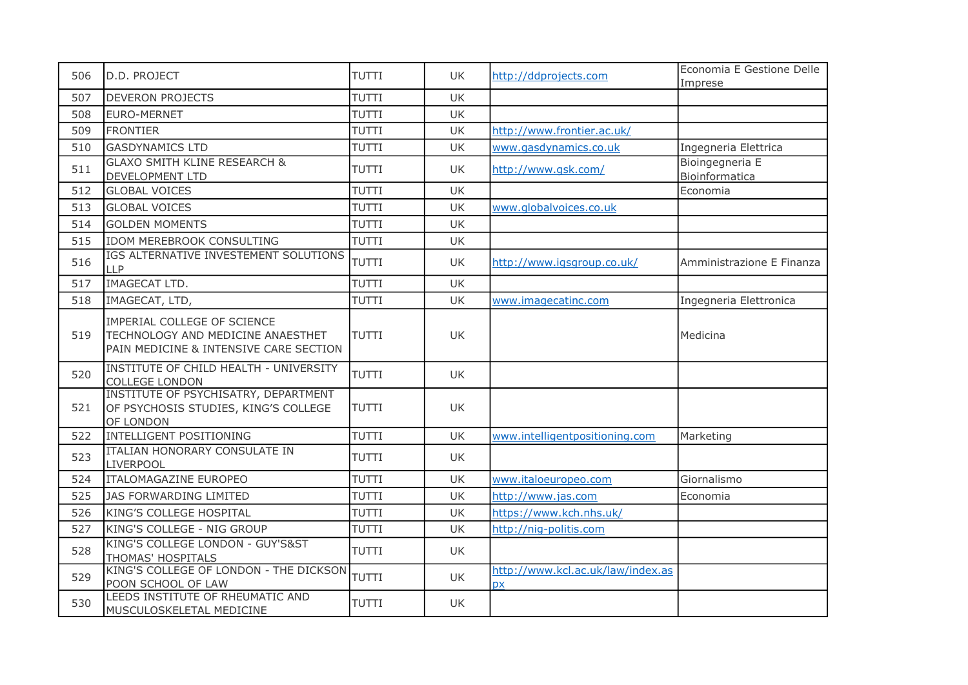| 506 | D.D. PROJECT                                                                                               | <b>TUTTI</b> | <b>UK</b> | http://ddprojects.com                          | Economia E Gestione Delle<br>Imprese |
|-----|------------------------------------------------------------------------------------------------------------|--------------|-----------|------------------------------------------------|--------------------------------------|
| 507 | <b>DEVERON PROJECTS</b>                                                                                    | TUTTI        | UK        |                                                |                                      |
| 508 | EURO-MERNET                                                                                                | TUTTI        | <b>UK</b> |                                                |                                      |
| 509 | <b>FRONTIER</b>                                                                                            | <b>TUTTI</b> | UK        | http://www.frontier.ac.uk/                     |                                      |
| 510 | <b>GASDYNAMICS LTD</b>                                                                                     | <b>TUTTI</b> | UK        | www.gasdynamics.co.uk                          | Ingegneria Elettrica                 |
| 511 | <b>GLAXO SMITH KLINE RESEARCH &amp;</b><br><b>DEVELOPMENT LTD</b>                                          | <b>TUTTI</b> | UK.       | http://www.gsk.com/                            | Bioingegneria E<br>Bioinformatica    |
| 512 | <b>GLOBAL VOICES</b>                                                                                       | <b>TUTTI</b> | UK        |                                                | Economia                             |
| 513 | <b>GLOBAL VOICES</b>                                                                                       | <b>TUTTI</b> | UK        | www.globalvoices.co.uk                         |                                      |
| 514 | <b>GOLDEN MOMENTS</b>                                                                                      | <b>TUTTI</b> | <b>UK</b> |                                                |                                      |
| 515 | <b>IDOM MEREBROOK CONSULTING</b>                                                                           | <b>TUTTI</b> | UK        |                                                |                                      |
| 516 | IGS ALTERNATIVE INVESTEMENT SOLUTIONS<br>LLP                                                               | <b>TUTTI</b> | UK        | http://www.igsgroup.co.uk/                     | Amministrazione E Finanza            |
| 517 | IMAGECAT LTD.                                                                                              | TUTTI        | UK        |                                                |                                      |
| 518 | IMAGECAT, LTD,                                                                                             | TUTTI        | <b>UK</b> | www.imagecatinc.com                            | Ingegneria Elettronica               |
| 519 | IMPERIAL COLLEGE OF SCIENCE<br>TECHNOLOGY AND MEDICINE ANAESTHET<br>PAIN MEDICINE & INTENSIVE CARE SECTION | <b>TUTTI</b> | UK.       |                                                | Medicina                             |
| 520 | INSTITUTE OF CHILD HEALTH - UNIVERSITY<br><b>COLLEGE LONDON</b>                                            | <b>TUTTI</b> | UK        |                                                |                                      |
| 521 | INSTITUTE OF PSYCHISATRY, DEPARTMENT<br>OF PSYCHOSIS STUDIES, KING'S COLLEGE<br>OF LONDON                  | <b>TUTTI</b> | UK.       |                                                |                                      |
| 522 | INTELLIGENT POSITIONING                                                                                    | <b>TUTTI</b> | UK        | www.intelligentpositioning.com                 | Marketing                            |
| 523 | <b>ITALIAN HONORARY CONSULATE IN</b><br><b>LIVERPOOL</b>                                                   | <b>TUTTI</b> | UK        |                                                |                                      |
| 524 | ITALOMAGAZINE EUROPEO                                                                                      | <b>TUTTI</b> | UK        | www.italoeuropeo.com                           | Giornalismo                          |
| 525 | JAS FORWARDING LIMITED                                                                                     | TUTTI        | UK        | http://www.jas.com                             | Economia                             |
| 526 | KING'S COLLEGE HOSPITAL                                                                                    | <b>TUTTI</b> | UK        | https://www.kch.nhs.uk/                        |                                      |
| 527 | KING'S COLLEGE - NIG GROUP                                                                                 | <b>TUTTI</b> | UK        | http://nig-politis.com                         |                                      |
| 528 | KING'S COLLEGE LONDON - GUY'S&ST<br>THOMAS' HOSPITALS                                                      | <b>TUTTI</b> | UK        |                                                |                                      |
| 529 | KING'S COLLEGE OF LONDON - THE DICKSON<br>POON SCHOOL OF LAW                                               | <b>TUTTI</b> | UK        | http://www.kcl.ac.uk/law/index.as<br><b>DX</b> |                                      |
| 530 | LEEDS INSTITUTE OF RHEUMATIC AND<br>MUSCULOSKELETAL MEDICINE                                               | <b>TUTTI</b> | UK        |                                                |                                      |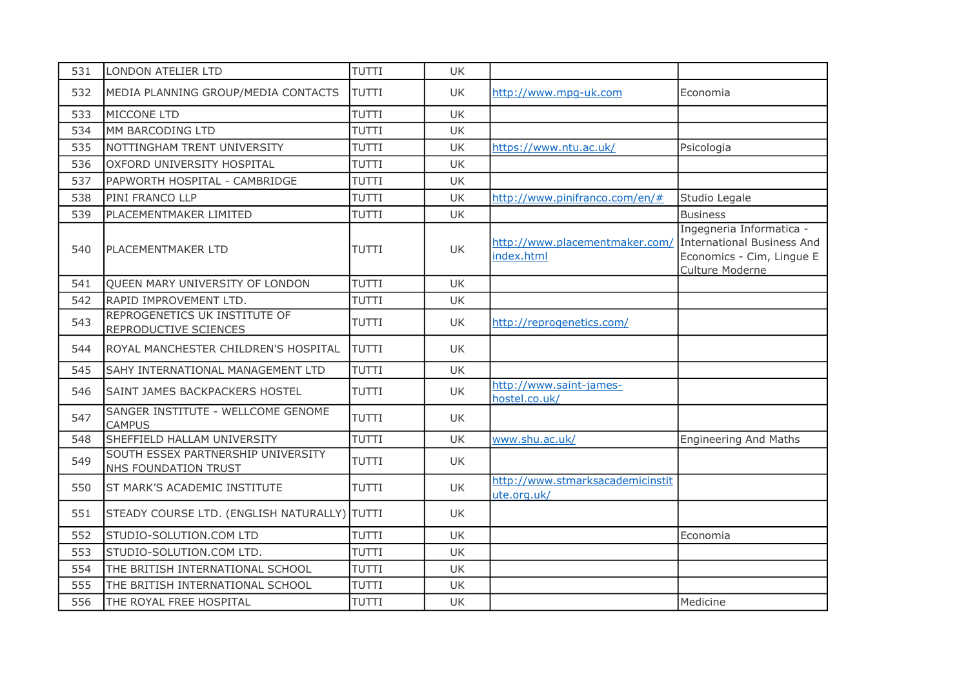| 531 | LONDON ATELIER LTD                                         | TUTTI        | UK        |                                                 |                                                                                                        |
|-----|------------------------------------------------------------|--------------|-----------|-------------------------------------------------|--------------------------------------------------------------------------------------------------------|
| 532 | MEDIA PLANNING GROUP/MEDIA CONTACTS                        | <b>TUTTI</b> | UK        | http://www.mpg-uk.com                           | Economia                                                                                               |
| 533 | MICCONE LTD                                                | TUTTI        | UK        |                                                 |                                                                                                        |
| 534 | MM BARCODING LTD                                           | <b>TUTTI</b> | UK        |                                                 |                                                                                                        |
| 535 | NOTTINGHAM TRENT UNIVERSITY                                | <b>TUTTI</b> | UK        | https://www.ntu.ac.uk/                          | Psicologia                                                                                             |
| 536 | OXFORD UNIVERSITY HOSPITAL                                 | TUTTI        | UK        |                                                 |                                                                                                        |
| 537 | PAPWORTH HOSPITAL - CAMBRIDGE                              | <b>TUTTI</b> | UK        |                                                 |                                                                                                        |
| 538 | PINI FRANCO LLP                                            | <b>TUTTI</b> | UK        | http://www.pinifranco.com/en/#                  | Studio Legale                                                                                          |
| 539 | PLACEMENTMAKER LIMITED                                     | <b>TUTTI</b> | <b>UK</b> |                                                 | <b>Business</b>                                                                                        |
| 540 | PLACEMENTMAKER LTD                                         | <b>TUTTI</b> | UK        | http://www.placementmaker.com/<br>index.html    | Ingegneria Informatica -<br>International Business And<br>Economics - Cim, Lingue E<br>Culture Moderne |
| 541 | QUEEN MARY UNIVERSITY OF LONDON                            | <b>TUTTI</b> | UK        |                                                 |                                                                                                        |
| 542 | RAPID IMPROVEMENT LTD.                                     | <b>TUTTI</b> | UK        |                                                 |                                                                                                        |
| 543 | REPROGENETICS UK INSTITUTE OF<br>REPRODUCTIVE SCIENCES     | <b>TUTTI</b> | UK.       | http://reprogenetics.com/                       |                                                                                                        |
| 544 | ROYAL MANCHESTER CHILDREN'S HOSPITAL                       | <b>TUTTI</b> | UK        |                                                 |                                                                                                        |
| 545 | SAHY INTERNATIONAL MANAGEMENT LTD                          | TUTTI        | <b>UK</b> |                                                 |                                                                                                        |
| 546 | <b>SAINT JAMES BACKPACKERS HOSTEL</b>                      | <b>TUTTI</b> | UK        | http://www.saint-james-<br>hostel.co.uk/        |                                                                                                        |
| 547 | SANGER INSTITUTE - WELLCOME GENOME<br><b>CAMPUS</b>        | <b>TUTTI</b> | <b>UK</b> |                                                 |                                                                                                        |
| 548 | SHEFFIELD HALLAM UNIVERSITY                                | <b>TUTTI</b> | UK        | www.shu.ac.uk/                                  | <b>Engineering And Maths</b>                                                                           |
| 549 | SOUTH ESSEX PARTNERSHIP UNIVERSITY<br>NHS FOUNDATION TRUST | <b>TUTTI</b> | UK        |                                                 |                                                                                                        |
| 550 | <b>ST MARK'S ACADEMIC INSTITUTE</b>                        | <b>TUTTI</b> | UK        | http://www.stmarksacademicinstit<br>ute.org.uk/ |                                                                                                        |
| 551 | STEADY COURSE LTD. (ENGLISH NATURALLY) TUTTI               |              | UK        |                                                 |                                                                                                        |
| 552 | STUDIO-SOLUTION.COM LTD                                    | <b>TUTTI</b> | UK        |                                                 | Economia                                                                                               |
| 553 | STUDIO-SOLUTION.COM LTD.                                   | TUTTI        | UK        |                                                 |                                                                                                        |
| 554 | THE BRITISH INTERNATIONAL SCHOOL                           | TUTTI        | UK        |                                                 |                                                                                                        |
| 555 | THE BRITISH INTERNATIONAL SCHOOL                           | TUTTI        | UK        |                                                 |                                                                                                        |
| 556 | THE ROYAL FREE HOSPITAL                                    | <b>TUTTI</b> | UK        |                                                 | Medicine                                                                                               |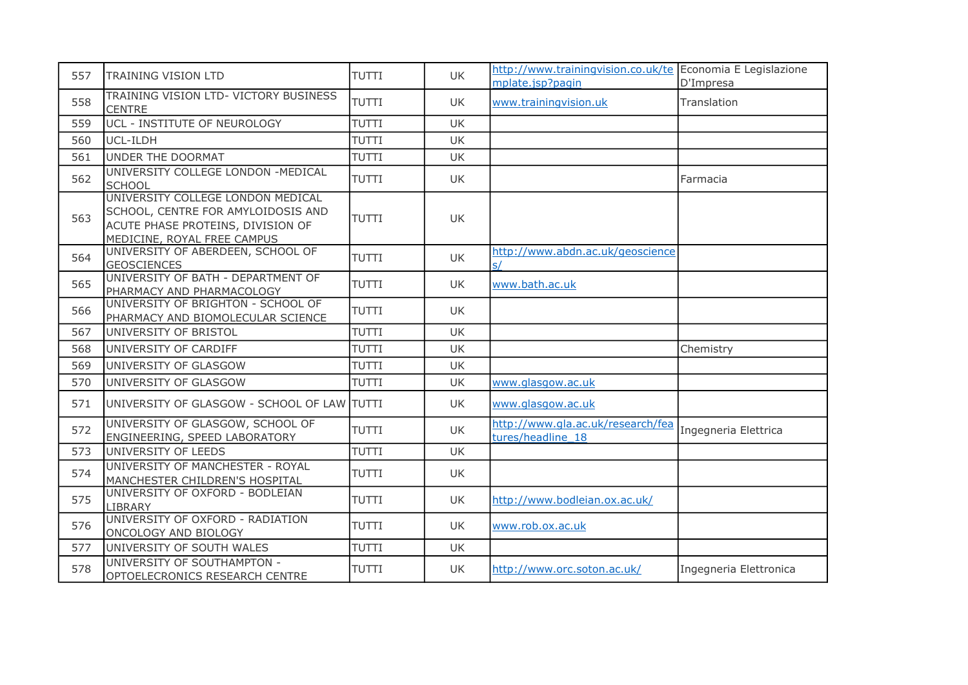| 557 | TRAINING VISION LTD                                                                                                                         | <b>TUTTI</b> | UK.       | http://www.trainingvision.co.uk/te Economia E Legislazione<br>mplate.jsp?pagin | D'Impresa              |
|-----|---------------------------------------------------------------------------------------------------------------------------------------------|--------------|-----------|--------------------------------------------------------------------------------|------------------------|
| 558 | TRAINING VISION LTD- VICTORY BUSINESS<br><b>CENTRE</b>                                                                                      | <b>TUTTI</b> | UK.       | www.trainingvision.uk                                                          | Translation            |
| 559 | UCL - INSTITUTE OF NEUROLOGY                                                                                                                | <b>TUTTI</b> | <b>UK</b> |                                                                                |                        |
| 560 | UCL-ILDH                                                                                                                                    | <b>TUTTI</b> | UK        |                                                                                |                        |
| 561 | UNDER THE DOORMAT                                                                                                                           | <b>TUTTI</b> | <b>UK</b> |                                                                                |                        |
| 562 | UNIVERSITY COLLEGE LONDON -MEDICAL<br><b>SCHOOL</b>                                                                                         | <b>TUTTI</b> | UK        |                                                                                | Farmacia               |
| 563 | UNIVERSITY COLLEGE LONDON MEDICAL<br>SCHOOL, CENTRE FOR AMYLOIDOSIS AND<br>ACUTE PHASE PROTEINS, DIVISION OF<br>MEDICINE, ROYAL FREE CAMPUS | <b>TUTTI</b> | UK.       |                                                                                |                        |
| 564 | UNIVERSITY OF ABERDEEN, SCHOOL OF<br><b>GEOSCIENCES</b>                                                                                     | <b>TUTTI</b> | UK.       | http://www.abdn.ac.uk/geoscience<br>s/                                         |                        |
| 565 | UNIVERSITY OF BATH - DEPARTMENT OF<br>PHARMACY AND PHARMACOLOGY                                                                             | <b>TUTTI</b> | UK.       | www.bath.ac.uk                                                                 |                        |
| 566 | UNIVERSITY OF BRIGHTON - SCHOOL OF<br>PHARMACY AND BIOMOLECULAR SCIENCE                                                                     | <b>TUTTI</b> | UK        |                                                                                |                        |
| 567 | UNIVERSITY OF BRISTOL                                                                                                                       | <b>TUTTI</b> | <b>UK</b> |                                                                                |                        |
| 568 | UNIVERSITY OF CARDIFF                                                                                                                       | <b>TUTTI</b> | UK        |                                                                                | Chemistry              |
| 569 | UNIVERSITY OF GLASGOW                                                                                                                       | <b>TUTTI</b> | UK        |                                                                                |                        |
| 570 | UNIVERSITY OF GLASGOW                                                                                                                       | <b>TUTTI</b> | UK        | www.glasgow.ac.uk                                                              |                        |
| 571 | UNIVERSITY OF GLASGOW - SCHOOL OF LAW TUTTI                                                                                                 |              | UK.       | www.glasgow.ac.uk                                                              |                        |
| 572 | UNIVERSITY OF GLASGOW, SCHOOL OF<br>ENGINEERING, SPEED LABORATORY                                                                           | TUTTI        | <b>UK</b> | http://www.gla.ac.uk/research/fea<br>tures/headline 18                         | Ingegneria Elettrica   |
| 573 | UNIVERSITY OF LEEDS                                                                                                                         | <b>TUTTI</b> | <b>UK</b> |                                                                                |                        |
| 574 | UNIVERSITY OF MANCHESTER - ROYAL<br>MANCHESTER CHILDREN'S HOSPITAL                                                                          | <b>TUTTI</b> | UK        |                                                                                |                        |
| 575 | UNIVERSITY OF OXFORD - BODLEIAN<br><b>LIBRARY</b>                                                                                           | <b>TUTTI</b> | UK.       | http://www.bodleian.ox.ac.uk/                                                  |                        |
| 576 | UNIVERSITY OF OXFORD - RADIATION<br>ONCOLOGY AND BIOLOGY                                                                                    | <b>TUTTI</b> | UK        | www.rob.ox.ac.uk                                                               |                        |
| 577 | UNIVERSITY OF SOUTH WALES                                                                                                                   | <b>TUTTI</b> | UK        |                                                                                |                        |
| 578 | UNIVERSITY OF SOUTHAMPTON -<br>OPTOELECRONICS RESEARCH CENTRE                                                                               | <b>TUTTI</b> | UK.       | http://www.orc.soton.ac.uk/                                                    | Ingegneria Elettronica |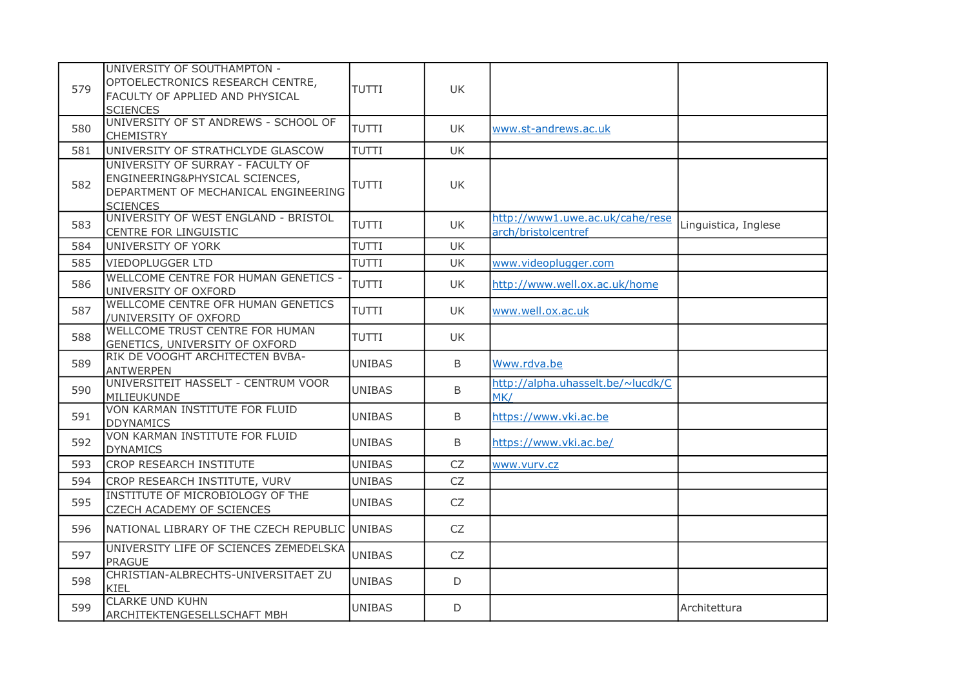| 579 | UNIVERSITY OF SOUTHAMPTON -<br>OPTOELECTRONICS RESEARCH CENTRE,<br>FACULTY OF APPLIED AND PHYSICAL<br><b>SCIENCES</b>          | <b>TUTTI</b>  | <b>UK</b> |                                                        |                      |
|-----|--------------------------------------------------------------------------------------------------------------------------------|---------------|-----------|--------------------------------------------------------|----------------------|
| 580 | UNIVERSITY OF ST ANDREWS - SCHOOL OF<br><b>CHEMISTRY</b>                                                                       | TUTTI         | UK.       | www.st-andrews.ac.uk                                   |                      |
| 581 | UNIVERSITY OF STRATHCLYDE GLASCOW                                                                                              | <b>TUTTI</b>  | UK        |                                                        |                      |
| 582 | UNIVERSITY OF SURRAY - FACULTY OF<br>ENGINEERING&PHYSICAL SCIENCES,<br>DEPARTMENT OF MECHANICAL ENGINEERING<br><b>SCIENCES</b> | <b>TUTTI</b>  | UK        |                                                        |                      |
| 583 | UNIVERSITY OF WEST ENGLAND - BRISTOL<br>CENTRE FOR LINGUISTIC                                                                  | <b>TUTTI</b>  | <b>UK</b> | http://www1.uwe.ac.uk/cahe/rese<br>arch/bristolcentref | Linguistica, Inglese |
| 584 | UNIVERSITY OF YORK                                                                                                             | TUTTI         | UK        |                                                        |                      |
| 585 | <b>VIEDOPLUGGER LTD</b>                                                                                                        | <b>TUTTI</b>  | <b>UK</b> | www.videoplugger.com                                   |                      |
| 586 | WELLCOME CENTRE FOR HUMAN GENETICS -<br>UNIVERSITY OF OXFORD                                                                   | TUTTI         | UK.       | http://www.well.ox.ac.uk/home                          |                      |
| 587 | WELLCOME CENTRE OFR HUMAN GENETICS<br>/UNIVERSITY OF OXFORD                                                                    | <b>TUTTI</b>  | UK.       | www.well.ox.ac.uk                                      |                      |
| 588 | WELLCOME TRUST CENTRE FOR HUMAN<br>GENETICS, UNIVERSITY OF OXFORD                                                              | <b>TUTTI</b>  | <b>UK</b> |                                                        |                      |
| 589 | RIK DE VOOGHT ARCHITECTEN BVBA-<br><b>ANTWERPEN</b>                                                                            | <b>UNIBAS</b> | B         | Www.rdva.be                                            |                      |
| 590 | UNIVERSITEIT HASSELT - CENTRUM VOOR<br><b>MILIEUKUNDE</b>                                                                      | <b>UNIBAS</b> | $\sf B$   | http://alpha.uhasselt.be/~lucdk/C<br>MK/               |                      |
| 591 | VON KARMAN INSTITUTE FOR FLUID<br><b>DDYNAMICS</b>                                                                             | <b>UNIBAS</b> | B         | https://www.vki.ac.be                                  |                      |
| 592 | VON KARMAN INSTITUTE FOR FLUID<br><b>DYNAMICS</b>                                                                              | <b>UNIBAS</b> | B         | https://www.vki.ac.be/                                 |                      |
| 593 | <b>CROP RESEARCH INSTITUTE</b>                                                                                                 | <b>UNIBAS</b> | <b>CZ</b> | www.vurv.cz                                            |                      |
| 594 | CROP RESEARCH INSTITUTE, VURV                                                                                                  | <b>UNIBAS</b> | <b>CZ</b> |                                                        |                      |
| 595 | INSTITUTE OF MICROBIOLOGY OF THE<br>CZECH ACADEMY OF SCIENCES                                                                  | <b>UNIBAS</b> | CZ        |                                                        |                      |
| 596 | NATIONAL LIBRARY OF THE CZECH REPUBLIC UNIBAS                                                                                  |               | <b>CZ</b> |                                                        |                      |
| 597 | UNIVERSITY LIFE OF SCIENCES ZEMEDELSKA<br><b>PRAGUE</b>                                                                        | <b>UNIBAS</b> | CZ        |                                                        |                      |
| 598 | CHRISTIAN-ALBRECHTS-UNIVERSITAET ZU<br>KIEL                                                                                    | <b>UNIBAS</b> | D         |                                                        |                      |
| 599 | <b>CLARKE UND KUHN</b><br>ARCHITEKTENGESELLSCHAFT MBH                                                                          | <b>UNIBAS</b> | D         |                                                        | Architettura         |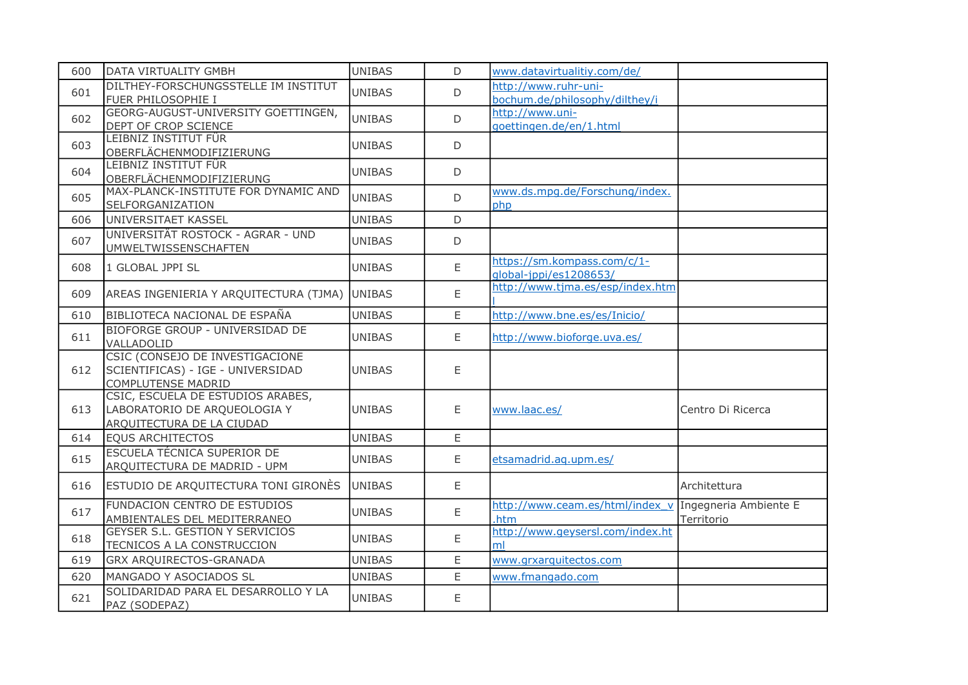| 600 | DATA VIRTUALITY GMBH                                                                              | <b>UNIBAS</b> | D  | www.datavirtualitiy.com/de/                                   |                   |
|-----|---------------------------------------------------------------------------------------------------|---------------|----|---------------------------------------------------------------|-------------------|
| 601 | DILTHEY-FORSCHUNGSSTELLE IM INSTITUT<br>FUER PHILOSOPHIE I                                        | <b>UNIBAS</b> | D. | http://www.ruhr-uni-<br>bochum.de/philosophy/dilthey/i        |                   |
| 602 | GEORG-AUGUST-UNIVERSITY GOETTINGEN,<br>DEPT OF CROP SCIENCE                                       | <b>UNIBAS</b> | D  | http://www.uni-<br>goettingen.de/en/1.html                    |                   |
| 603 | LEIBNIZ INSTITUT FÜR<br>OBERFLÄCHENMODIFIZIERUNG                                                  | <b>UNIBAS</b> | D  |                                                               |                   |
| 604 | LEIBNIZ INSTITUT FÜR<br>OBERFLÄCHENMODIFIZIERUNG                                                  | <b>UNIBAS</b> | D  |                                                               |                   |
| 605 | MAX-PLANCK-INSTITUTE FOR DYNAMIC AND<br>SELFORGANIZATION                                          | <b>UNIBAS</b> | D  | www.ds.mpg.de/Forschung/index.<br>php                         |                   |
| 606 | UNIVERSITAET KASSEL                                                                               | <b>UNIBAS</b> | D  |                                                               |                   |
| 607 | UNIVERSITÄT ROSTOCK - AGRAR - UND<br><b>UMWELTWISSENSCHAFTEN</b>                                  | UNIBAS        | D  |                                                               |                   |
| 608 | 1 GLOBAL JPPI SL                                                                                  | <b>UNIBAS</b> | E  | https://sm.kompass.com/c/1-<br>qlobal-jppi/es1208653/         |                   |
| 609 | AREAS INGENIERIA Y ARQUITECTURA (TJMA)                                                            | <b>UNIBAS</b> | E  | http://www.tjma.es/esp/index.htm                              |                   |
| 610 | BIBLIOTECA NACIONAL DE ESPAÑA                                                                     | <b>UNIBAS</b> | E  | http://www.bne.es/es/Inicio/                                  |                   |
| 611 | BIOFORGE GROUP - UNIVERSIDAD DE<br>VALLADOLID                                                     | <b>UNIBAS</b> | E  | http://www.bioforge.uva.es/                                   |                   |
| 612 | CSIC (CONSEJO DE INVESTIGACIONE<br>SCIENTIFICAS) - IGE - UNIVERSIDAD<br><b>COMPLUTENSE MADRID</b> | <b>UNIBAS</b> | E  |                                                               |                   |
| 613 | CSIC, ESCUELA DE ESTUDIOS ARABES,<br>LABORATORIO DE ARQUEOLOGIA Y<br>ARQUITECTURA DE LA CIUDAD    | <b>UNIBAS</b> | E  | www.laac.es/                                                  | Centro Di Ricerca |
| 614 | <b>EQUS ARCHITECTOS</b>                                                                           | <b>UNIBAS</b> | E  |                                                               |                   |
| 615 | ESCUELA TÉCNICA SUPERIOR DE<br>ARQUITECTURA DE MADRID - UPM                                       | <b>UNIBAS</b> | E  | etsamadrid.aq.upm.es/                                         |                   |
| 616 | ESTUDIO DE ARQUITECTURA TONI GIRONÈS                                                              | <b>UNIBAS</b> | E  |                                                               | Architettura      |
| 617 | FUNDACION CENTRO DE ESTUDIOS<br>AMBIENTALES DEL MEDITERRANEO                                      | <b>UNIBAS</b> | E  | http://www.ceam.es/html/index v Ingegneria Ambiente E<br>.htm | Territorio        |
| 618 | GEYSER S.L. GESTION Y SERVICIOS<br>TECNICOS A LA CONSTRUCCION                                     | <b>UNIBAS</b> | E  | http://www.geysersl.com/index.ht<br>ml                        |                   |
| 619 | GRX ARQUIRECTOS-GRANADA                                                                           | <b>UNIBAS</b> | E  | www.grxarquitectos.com                                        |                   |
| 620 | MANGADO Y ASOCIADOS SL                                                                            | <b>UNIBAS</b> | E  | www.fmangado.com                                              |                   |
| 621 | SOLIDARIDAD PARA EL DESARROLLO Y LA<br>PAZ (SODEPAZ)                                              | <b>UNIBAS</b> | E  |                                                               |                   |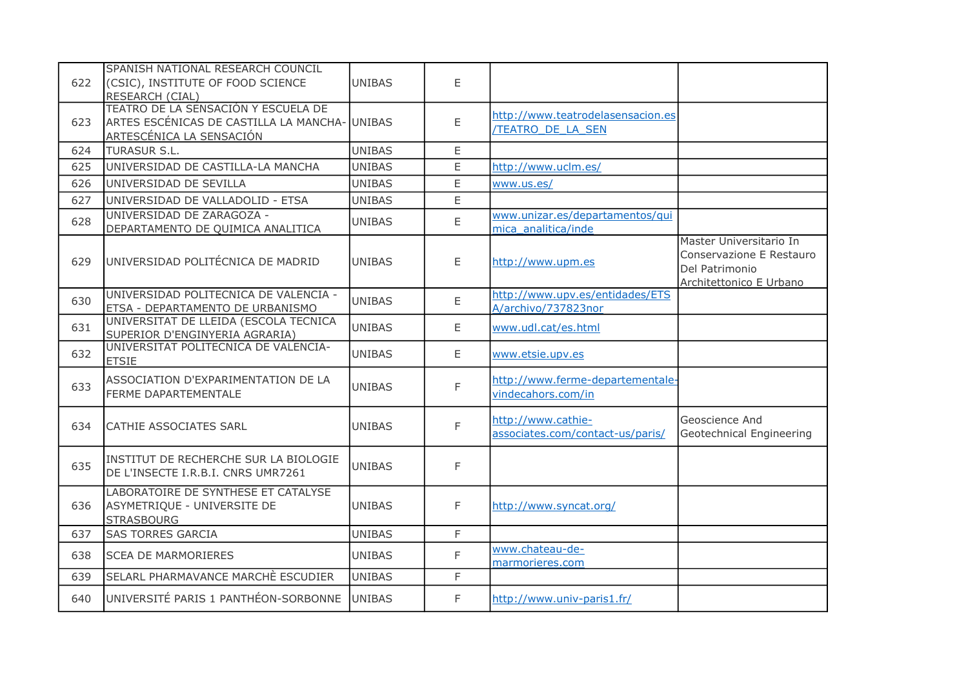| 622 | SPANISH NATIONAL RESEARCH COUNCIL<br>(CSIC), INSTITUTE OF FOOD SCIENCE<br>RESEARCH (CIAL)                        | <b>UNIBAS</b> | E           |                                                              |                                                                                                  |
|-----|------------------------------------------------------------------------------------------------------------------|---------------|-------------|--------------------------------------------------------------|--------------------------------------------------------------------------------------------------|
| 623 | TEATRO DE LA SENSACIÓN Y ESCUELA DE<br>ARTES ESCÉNICAS DE CASTILLA LA MANCHA-<br><u>ARTESCÉNICA LA SENSACIÓN</u> | <b>UNIBAS</b> | E           | http://www.teatrodelasensacion.es<br><b>TEATRO DE LA SEN</b> |                                                                                                  |
| 624 | <b>TURASUR S.L.</b>                                                                                              | <b>UNIBAS</b> | E           |                                                              |                                                                                                  |
| 625 | UNIVERSIDAD DE CASTILLA-LA MANCHA                                                                                | <b>UNIBAS</b> | E           | http://www.uclm.es/                                          |                                                                                                  |
| 626 | UNIVERSIDAD DE SEVILLA                                                                                           | <b>UNIBAS</b> | E           | www.us.es/                                                   |                                                                                                  |
| 627 | UNIVERSIDAD DE VALLADOLID - ETSA                                                                                 | <b>UNIBAS</b> | E           |                                                              |                                                                                                  |
| 628 | UNIVERSIDAD DE ZARAGOZA -<br>DEPARTAMENTO DE QUIMICA ANALITICA                                                   | <b>UNIBAS</b> | $\mathsf E$ | www.unizar.es/departamentos/qui<br>mica analitica/inde       |                                                                                                  |
| 629 | UNIVERSIDAD POLITÉCNICA DE MADRID                                                                                | <b>UNIBAS</b> | E           | http://www.upm.es                                            | Master Universitario In<br>Conservazione E Restauro<br>Del Patrimonio<br>Architettonico E Urbano |
| 630 | UNIVERSIDAD POLITECNICA DE VALENCIA -<br>ETSA - DEPARTAMENTO DE URBANISMO                                        | <b>UNIBAS</b> | E           | http://www.upv.es/entidades/ETS<br>A/archivo/737823nor       |                                                                                                  |
| 631 | UNIVERSITAT DE LLEIDA (ESCOLA TECNICA<br>SUPERIOR D'ENGINYERIA AGRARIA)                                          | <b>UNIBAS</b> | E           | www.udl.cat/es.html                                          |                                                                                                  |
| 632 | UNIVERSITAT POLITECNICA DE VALENCIA-<br><b>ETSIE</b>                                                             | <b>UNIBAS</b> | E           | www.etsie.upv.es                                             |                                                                                                  |
| 633 | ASSOCIATION D'EXPARIMENTATION DE LA<br>FERME DAPARTEMENTALE                                                      | <b>UNIBAS</b> | F           | http://www.ferme-departementale-<br>vindecahors.com/in       |                                                                                                  |
| 634 | <b>CATHIE ASSOCIATES SARL</b>                                                                                    | <b>UNIBAS</b> | F           | http://www.cathie-<br>associates.com/contact-us/paris/       | Geoscience And<br>Geotechnical Engineering                                                       |
| 635 | INSTITUT DE RECHERCHE SUR LA BIOLOGIE<br>DE L'INSECTE I.R.B.I. CNRS UMR7261                                      | <b>UNIBAS</b> | F           |                                                              |                                                                                                  |
| 636 | LABORATOIRE DE SYNTHESE ET CATALYSE<br>ASYMETRIQUE - UNIVERSITE DE<br><b>STRASBOURG</b>                          | <b>UNIBAS</b> | F           | http://www.syncat.org/                                       |                                                                                                  |
| 637 | <b>SAS TORRES GARCIA</b>                                                                                         | <b>UNIBAS</b> | F           |                                                              |                                                                                                  |
| 638 | <b>SCEA DE MARMORIERES</b>                                                                                       | <b>UNIBAS</b> | F           | www.chateau-de-<br>marmorieres.com                           |                                                                                                  |
| 639 | SELARL PHARMAVANCE MARCHÈ ESCUDIER                                                                               | <b>UNIBAS</b> | F           |                                                              |                                                                                                  |
| 640 | UNIVERSITÉ PARIS 1 PANTHÉON-SORBONNE                                                                             | <b>UNIBAS</b> | F           | http://www.univ-paris1.fr/                                   |                                                                                                  |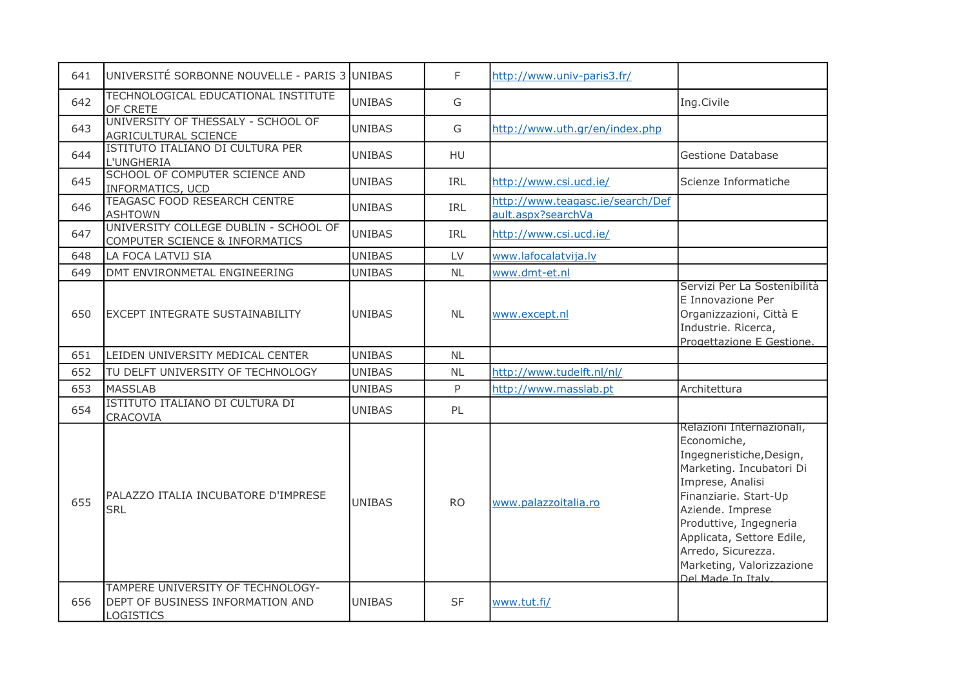| 641 | UNIVERSITÉ SORBONNE NOUVELLE - PARIS 3 UNIBAS                                      |               | F.         | http://www.univ-paris3.fr/                             |                                                                                                                                                                                                                                                                                                   |
|-----|------------------------------------------------------------------------------------|---------------|------------|--------------------------------------------------------|---------------------------------------------------------------------------------------------------------------------------------------------------------------------------------------------------------------------------------------------------------------------------------------------------|
| 642 | TECHNOLOGICAL EDUCATIONAL INSTITUTE<br>OF CRETE                                    | <b>UNIBAS</b> | G          |                                                        | Ing.Civile                                                                                                                                                                                                                                                                                        |
| 643 | UNIVERSITY OF THESSALY - SCHOOL OF<br>AGRICULTURAL SCIENCE                         | <b>UNIBAS</b> | G          | http://www.uth.gr/en/index.php                         |                                                                                                                                                                                                                                                                                                   |
| 644 | ISTITUTO ITALIANO DI CULTURA PER<br>L'UNGHERIA                                     | <b>UNIBAS</b> | <b>HU</b>  |                                                        | <b>Gestione Database</b>                                                                                                                                                                                                                                                                          |
| 645 | SCHOOL OF COMPUTER SCIENCE AND<br><b>INFORMATICS, UCD</b>                          | <b>UNIBAS</b> | IRL        | http://www.csi.ucd.ie/                                 | Scienze Informatiche                                                                                                                                                                                                                                                                              |
| 646 | <b>TEAGASC FOOD RESEARCH CENTRE</b><br><b>ASHTOWN</b>                              | <b>UNIBAS</b> | <b>IRL</b> | http://www.teagasc.ie/search/Def<br>ault.aspx?searchVa |                                                                                                                                                                                                                                                                                                   |
| 647 | UNIVERSITY COLLEGE DUBLIN - SCHOOL OF<br>COMPUTER SCIENCE & INFORMATICS            | <b>UNIBAS</b> | IRL        | http://www.csi.ucd.ie/                                 |                                                                                                                                                                                                                                                                                                   |
| 648 | LA FOCA LATVIJ SIA                                                                 | <b>UNIBAS</b> | LV         | www.lafocalatvija.lv                                   |                                                                                                                                                                                                                                                                                                   |
| 649 | DMT ENVIRONMETAL ENGINEERING                                                       | <b>UNIBAS</b> | <b>NL</b>  | www.dmt-et.nl                                          |                                                                                                                                                                                                                                                                                                   |
| 650 | <b>EXCEPT INTEGRATE SUSTAINABILITY</b>                                             | <b>UNIBAS</b> | <b>NL</b>  | www.except.nl                                          | Servizi Per La Sostenibilità<br>E Innovazione Per<br>Organizzazioni, Città E<br>Industrie. Ricerca,<br>Progettazione E Gestione.                                                                                                                                                                  |
| 651 | LEIDEN UNIVERSITY MEDICAL CENTER                                                   | <b>UNIBAS</b> | NL         |                                                        |                                                                                                                                                                                                                                                                                                   |
| 652 | TU DELFT UNIVERSITY OF TECHNOLOGY                                                  | <b>UNIBAS</b> | NL         | http://www.tudelft.nl/nl/                              |                                                                                                                                                                                                                                                                                                   |
| 653 | <b>MASSLAB</b>                                                                     | <b>UNIBAS</b> | P          | http://www.masslab.pt                                  | Architettura                                                                                                                                                                                                                                                                                      |
| 654 | ISTITUTO ITALIANO DI CULTURA DI<br>CRACOVIA                                        | <b>UNIBAS</b> | PL         |                                                        |                                                                                                                                                                                                                                                                                                   |
| 655 | PALAZZO ITALIA INCUBATORE D'IMPRESE<br><b>SRL</b>                                  | <b>UNIBAS</b> | <b>RO</b>  | www.palazzoitalia.ro                                   | Relazioni Internazionali,<br>Economiche,<br>Ingegneristiche, Design,<br>Marketing. Incubatori Di<br>Imprese, Analisi<br>Finanziarie. Start-Up<br>Aziende. Imprese<br>Produttive, Ingegneria<br>Applicata, Settore Edile,<br>Arredo, Sicurezza.<br>Marketing, Valorizzazione<br>Del Made In Italy. |
| 656 | TAMPERE UNIVERSITY OF TECHNOLOGY-<br>DEPT OF BUSINESS INFORMATION AND<br>LOGISTICS | <b>UNIBAS</b> | <b>SF</b>  | www.tut.fi/                                            |                                                                                                                                                                                                                                                                                                   |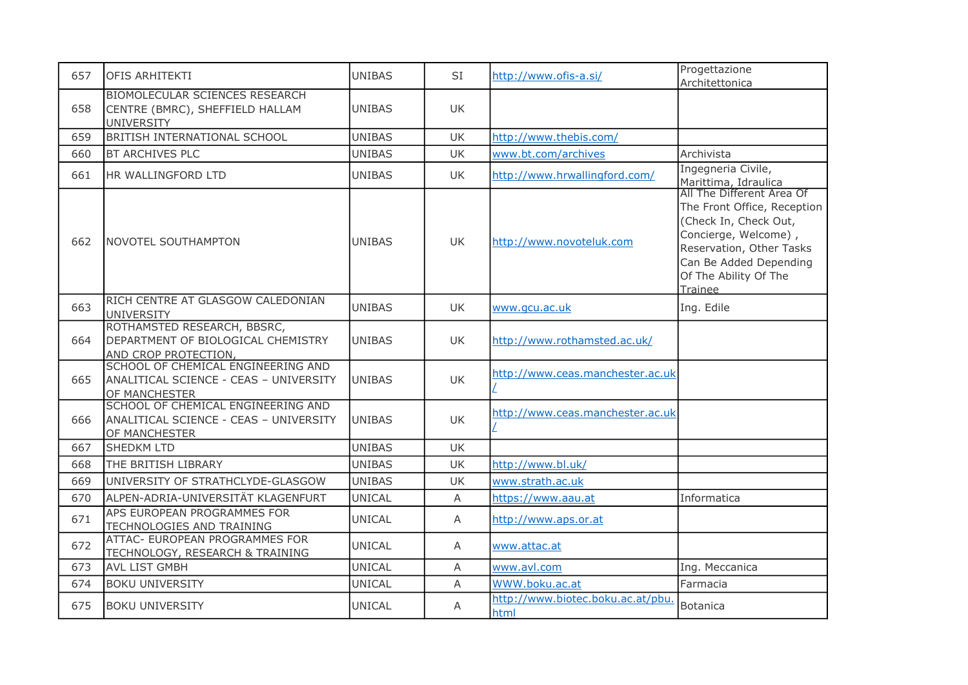| 657 | OFIS ARHITEKTI                                                                                | <b>UNIBAS</b> | <b>SI</b> | http://www.ofis-a.si/                     | Progettazione<br>Architettonica                                                                                                                                                                     |
|-----|-----------------------------------------------------------------------------------------------|---------------|-----------|-------------------------------------------|-----------------------------------------------------------------------------------------------------------------------------------------------------------------------------------------------------|
| 658 | <b>BIOMOLECULAR SCIENCES RESEARCH</b><br>CENTRE (BMRC), SHEFFIELD HALLAM<br><b>UNIVERSITY</b> | <b>UNIBAS</b> | UK        |                                           |                                                                                                                                                                                                     |
| 659 | BRITISH INTERNATIONAL SCHOOL                                                                  | <b>UNIBAS</b> | <b>UK</b> | http://www.thebis.com/                    |                                                                                                                                                                                                     |
| 660 | <b>BT ARCHIVES PLC</b>                                                                        | <b>UNIBAS</b> | UK        | www.bt.com/archives                       | Archivista                                                                                                                                                                                          |
| 661 | HR WALLINGFORD LTD                                                                            | <b>UNIBAS</b> | UK        | http://www.hrwallingford.com/             | Ingegneria Civile,<br>Marittima, Idraulica                                                                                                                                                          |
| 662 | <b>NOVOTEL SOUTHAMPTON</b>                                                                    | <b>UNIBAS</b> | <b>UK</b> | http://www.novoteluk.com                  | All The Different Area Of<br>The Front Office, Reception<br>(Check In, Check Out,<br>Concierge, Welcome),<br>Reservation, Other Tasks<br>Can Be Added Depending<br>Of The Ability Of The<br>Trainee |
| 663 | RICH CENTRE AT GLASGOW CALEDONIAN<br><b>UNIVERSITY</b>                                        | <b>UNIBAS</b> | <b>UK</b> | www.gcu.ac.uk                             | Ing. Edile                                                                                                                                                                                          |
| 664 | ROTHAMSTED RESEARCH, BBSRC,<br>DEPARTMENT OF BIOLOGICAL CHEMISTRY<br>AND CROP PROTECTION,     | UNIBAS        | UK        | http://www.rothamsted.ac.uk/              |                                                                                                                                                                                                     |
| 665 | SCHOOL OF CHEMICAL ENGINEERING AND<br>ANALITICAL SCIENCE - CEAS - UNIVERSITY<br>OF MANCHESTER | <b>UNIBAS</b> | UK        | http://www.ceas.manchester.ac.uk          |                                                                                                                                                                                                     |
| 666 | SCHOOL OF CHEMICAL ENGINEERING AND<br>ANALITICAL SCIENCE - CEAS - UNIVERSITY<br>OF MANCHESTER | <b>UNIBAS</b> | UK        | http://www.ceas.manchester.ac.uk          |                                                                                                                                                                                                     |
| 667 | <b>SHEDKM LTD</b>                                                                             | <b>UNIBAS</b> | UK        |                                           |                                                                                                                                                                                                     |
| 668 | THE BRITISH LIBRARY                                                                           | <b>UNIBAS</b> | <b>UK</b> | http://www.bl.uk/                         |                                                                                                                                                                                                     |
| 669 | UNIVERSITY OF STRATHCLYDE-GLASGOW                                                             | <b>UNIBAS</b> | UK        | www.strath.ac.uk                          |                                                                                                                                                                                                     |
| 670 | ALPEN-ADRIA-UNIVERSITÄT KLAGENFURT                                                            | <b>UNICAL</b> | Α         | https://www.aau.at                        | Informatica                                                                                                                                                                                         |
| 671 | APS EUROPEAN PROGRAMMES FOR<br>TECHNOLOGIES AND TRAINING                                      | UNICAL        | A         | http://www.aps.or.at                      |                                                                                                                                                                                                     |
| 672 | ATTAC- EUROPEAN PROGRAMMES FOR<br>TECHNOLOGY, RESEARCH & TRAINING                             | UNICAL        | A         | www.attac.at                              |                                                                                                                                                                                                     |
| 673 | <b>AVL LIST GMBH</b>                                                                          | UNICAL        | A         | www.avl.com                               | Ing. Meccanica                                                                                                                                                                                      |
| 674 | <b>BOKU UNIVERSITY</b>                                                                        | <b>UNICAL</b> | A         | WWW.boku.ac.at                            | Farmacia                                                                                                                                                                                            |
| 675 | <b>BOKU UNIVERSITY</b>                                                                        | <b>UNICAL</b> | Α         | http://www.biotec.boku.ac.at/pbu.<br>html | Botanica                                                                                                                                                                                            |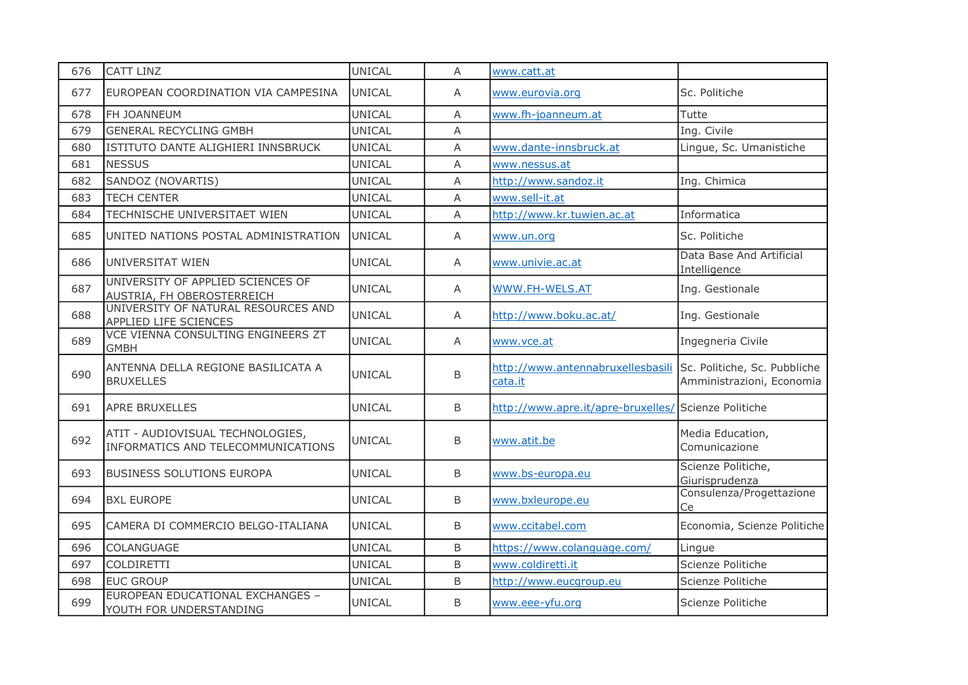| 676 | CATT LINZ                                                              | <b>UNICAL</b> | Α            | www.catt.at                                          |                                                           |
|-----|------------------------------------------------------------------------|---------------|--------------|------------------------------------------------------|-----------------------------------------------------------|
| 677 | EUROPEAN COORDINATION VIA CAMPESINA                                    | UNICAL        | A            | www.eurovia.org                                      | Sc. Politiche                                             |
| 678 | FH JOANNEUM                                                            | UNICAL        | $\mathsf{A}$ | www.fh-joanneum.at                                   | Tutte                                                     |
| 679 | <b>GENERAL RECYCLING GMBH</b>                                          | UNICAL        | A            |                                                      | Ing. Civile                                               |
| 680 | ISTITUTO DANTE ALIGHIERI INNSBRUCK                                     | UNICAL        | A            | www.dante-innsbruck.at                               | Lingue, Sc. Umanistiche                                   |
| 681 | <b>NESSUS</b>                                                          | <b>UNICAL</b> | A            | www.nessus.at                                        |                                                           |
| 682 | SANDOZ (NOVARTIS)                                                      | <b>UNICAL</b> | A            | http://www.sandoz.it                                 | Ing. Chimica                                              |
| 683 | <b>TECH CENTER</b>                                                     | UNICAL        | Α            | www.sell-it.at                                       |                                                           |
| 684 | TECHNISCHE UNIVERSITAET WIEN                                           | UNICAL        | A            | http://www.kr.tuwien.ac.at                           | Informatica                                               |
| 685 | UNITED NATIONS POSTAL ADMINISTRATION                                   | <b>UNICAL</b> | Α            | www.un.org                                           | Sc. Politiche                                             |
| 686 | UNIVERSITAT WIEN                                                       | UNICAL        | A            | www.univie.ac.at                                     | Data Base And Artificial<br>Intelligence                  |
| 687 | UNIVERSITY OF APPLIED SCIENCES OF<br>AUSTRIA, FH OBEROSTERREICH        | UNICAL        | A            | WWW.FH-WELS.AT                                       | Ing. Gestionale                                           |
| 688 | UNIVERSITY OF NATURAL RESOURCES AND<br>APPLIED LIFE SCIENCES           | UNICAL        | A            | http://www.boku.ac.at/                               | Ing. Gestionale                                           |
| 689 | VCE VIENNA CONSULTING ENGINEERS ZT<br><b>GMBH</b>                      | <b>UNICAL</b> | A            | www.vce.at                                           | Ingegneria Civile                                         |
| 690 | ANTENNA DELLA REGIONE BASILICATA A<br><b>BRUXELLES</b>                 | <b>UNICAL</b> | B            | http://www.antennabruxellesbasili<br>cata.it         | Sc. Politiche, Sc. Pubbliche<br>Amministrazioni, Economia |
| 691 | <b>APRE BRUXELLES</b>                                                  | <b>UNICAL</b> | B            | http://www.apre.it/apre-bruxelles/ Scienze Politiche |                                                           |
| 692 | ATIT - AUDIOVISUAL TECHNOLOGIES,<br>INFORMATICS AND TELECOMMUNICATIONS | UNICAL        | B            | www.atit.be                                          | Media Education,<br>Comunicazione                         |
| 693 | <b>BUSINESS SOLUTIONS EUROPA</b>                                       | <b>UNICAL</b> | B            | www.bs-europa.eu                                     | Scienze Politiche,<br>Giurisprudenza                      |
| 694 | <b>BXL EUROPE</b>                                                      | UNICAL        | B            | www.bxleurope.eu                                     | Consulenza/Progettazione<br>Ce                            |
| 695 | CAMERA DI COMMERCIO BELGO-ITALIANA                                     | <b>UNICAL</b> | B            | www.ccitabel.com                                     | Economia, Scienze Politiche                               |
| 696 | COLANGUAGE                                                             | <b>UNICAL</b> | B            | https://www.colanguage.com/                          | Lingue                                                    |
| 697 | COLDIRETTI                                                             | <b>UNICAL</b> | B            | www.coldiretti.it                                    | Scienze Politiche                                         |
| 698 | <b>EUC GROUP</b>                                                       | <b>UNICAL</b> | B            | http://www.eucgroup.eu                               | Scienze Politiche                                         |
| 699 | EUROPEAN EDUCATIONAL EXCHANGES -<br>YOUTH FOR UNDERSTANDING            | <b>UNICAL</b> | B            | www.eee-yfu.org                                      | Scienze Politiche                                         |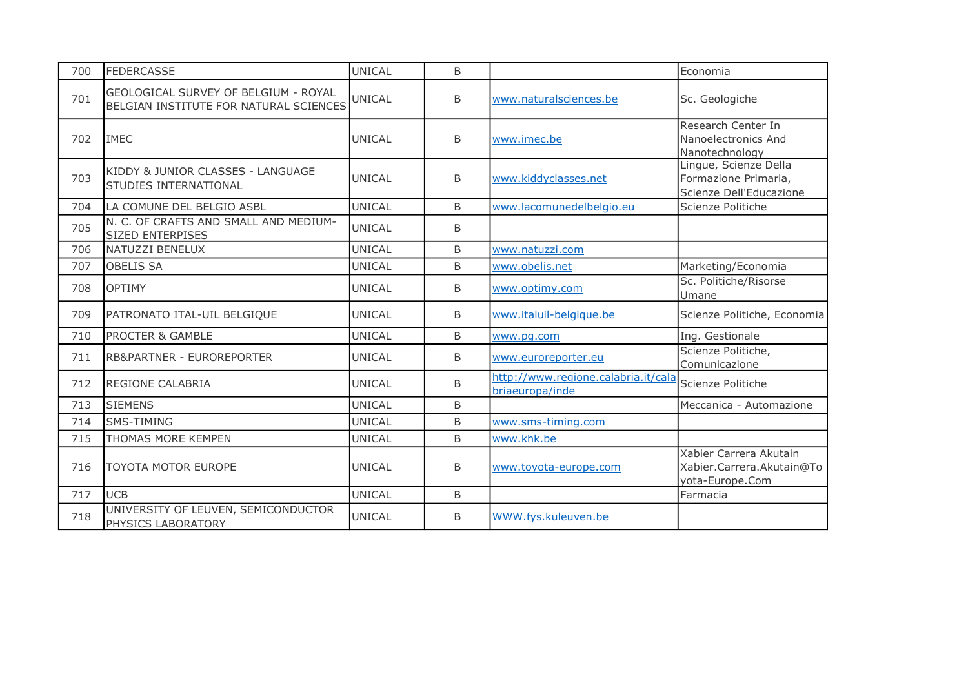| 700 | <b>FEDERCASSE</b>                                                              | <b>UNICAL</b> | B            |                                                        | Economia                                                                 |
|-----|--------------------------------------------------------------------------------|---------------|--------------|--------------------------------------------------------|--------------------------------------------------------------------------|
| 701 | GEOLOGICAL SURVEY OF BELGIUM - ROYAL<br>BELGIAN INSTITUTE FOR NATURAL SCIENCES | <b>UNICAL</b> | B            | www.naturalsciences.be                                 | Sc. Geologiche                                                           |
| 702 | <b>IMEC</b>                                                                    | <b>UNICAL</b> | B            | www.imec.be                                            | Research Center In<br>Nanoelectronics And<br>Nanotechnology              |
| 703 | KIDDY & JUNIOR CLASSES - LANGUAGE<br>STUDIES INTERNATIONAL                     | <b>UNICAL</b> | <sub>B</sub> | www.kiddyclasses.net                                   | Lingue, Scienze Della<br>Formazione Primaria,<br>Scienze Dell'Educazione |
| 704 | LA COMUNE DEL BELGIO ASBL                                                      | <b>UNICAL</b> | B            | www.lacomunedelbelgio.eu                               | Scienze Politiche                                                        |
| 705 | N. C. OF CRAFTS AND SMALL AND MEDIUM-<br>SIZED ENTERPISES                      | <b>UNICAL</b> | B            |                                                        |                                                                          |
| 706 | NATUZZI BENELUX                                                                | <b>UNICAL</b> | B            | www.natuzzi.com                                        |                                                                          |
| 707 | <b>OBELIS SA</b>                                                               | <b>UNICAL</b> | B            | www.obelis.net                                         | Marketing/Economia                                                       |
| 708 | <b>OPTIMY</b>                                                                  | <b>UNICAL</b> | B            | www.optimy.com                                         | Sc. Politiche/Risorse<br>Umane                                           |
| 709 | PATRONATO ITAL-UIL BELGIQUE                                                    | <b>UNICAL</b> | B            | www.italuil-belgique.be                                | Scienze Politiche, Economia                                              |
| 710 | <b>PROCTER &amp; GAMBLE</b>                                                    | <b>UNICAL</b> | B            | www.pg.com                                             | Ing. Gestionale                                                          |
| 711 | <b>RB&amp;PARTNER - EUROREPORTER</b>                                           | <b>UNICAL</b> | B            | www.euroreporter.eu                                    | Scienze Politiche,<br>Comunicazione                                      |
| 712 | <b>REGIONE CALABRIA</b>                                                        | <b>UNICAL</b> | B            | http://www.regione.calabria.it/cala<br>briaeuropa/inde | Scienze Politiche                                                        |
| 713 | <b>SIEMENS</b>                                                                 | <b>UNICAL</b> | B            |                                                        | Meccanica - Automazione                                                  |
| 714 | SMS-TIMING                                                                     | <b>UNICAL</b> | B            | www.sms-timing.com                                     |                                                                          |
| 715 | THOMAS MORE KEMPEN                                                             | UNICAL        | B            | www.khk.be                                             |                                                                          |
| 716 | <b>TOYOTA MOTOR EUROPE</b>                                                     | UNICAL        | B            | www.toyota-europe.com                                  | Xabier Carrera Akutain<br>Xabier.Carrera.Akutain@To<br>yota-Europe.Com   |
| 717 | <b>UCB</b>                                                                     | <b>UNICAL</b> | $\sf B$      |                                                        | Farmacia                                                                 |
| 718 | UNIVERSITY OF LEUVEN, SEMICONDUCTOR<br>PHYSICS LABORATORY                      | <b>UNICAL</b> | B            | WWW.fys.kuleuven.be                                    |                                                                          |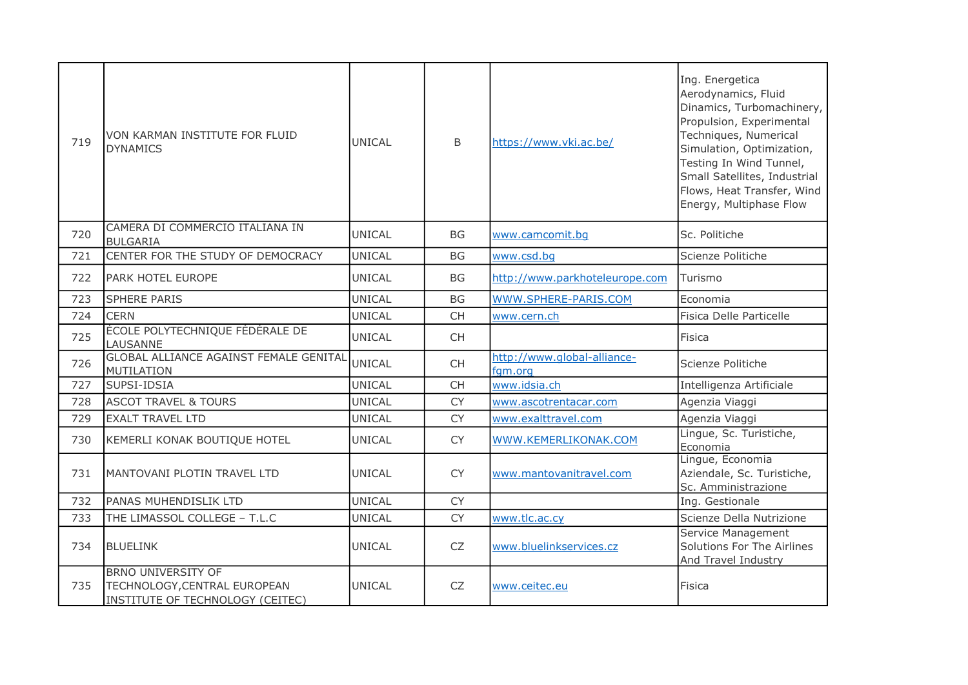| 719 | VON KARMAN INSTITUTE FOR FLUID<br><b>DYNAMICS</b>                                             | <b>UNICAL</b> | B         | https://www.vki.ac.be/                 | Ing. Energetica<br>Aerodynamics, Fluid<br>Dinamics, Turbomachinery,<br>Propulsion, Experimental<br>Techniques, Numerical<br>Simulation, Optimization,<br>Testing In Wind Tunnel,<br>Small Satellites, Industrial<br>Flows, Heat Transfer, Wind<br>Energy, Multiphase Flow |
|-----|-----------------------------------------------------------------------------------------------|---------------|-----------|----------------------------------------|---------------------------------------------------------------------------------------------------------------------------------------------------------------------------------------------------------------------------------------------------------------------------|
| 720 | CAMERA DI COMMERCIO ITALIANA IN<br><b>BULGARIA</b>                                            | UNICAL        | <b>BG</b> | www.camcomit.bq                        | Sc. Politiche                                                                                                                                                                                                                                                             |
| 721 | CENTER FOR THE STUDY OF DEMOCRACY                                                             | <b>UNICAL</b> | <b>BG</b> | www.csd.bg                             | Scienze Politiche                                                                                                                                                                                                                                                         |
| 722 | PARK HOTEL EUROPE                                                                             | UNICAL        | BG        | http://www.parkhoteleurope.com         | Turismo                                                                                                                                                                                                                                                                   |
| 723 | <b>SPHERE PARIS</b>                                                                           | <b>UNICAL</b> | <b>BG</b> | WWW.SPHERE-PARIS.COM                   | Economia                                                                                                                                                                                                                                                                  |
| 724 | <b>CERN</b>                                                                                   | UNICAL        | <b>CH</b> | www.cern.ch                            | Fisica Delle Particelle                                                                                                                                                                                                                                                   |
| 725 | ÉCOLE POLYTECHNIQUE FÉDÉRALE DE<br>LAUSANNE                                                   | UNICAL        | <b>CH</b> |                                        | Fisica                                                                                                                                                                                                                                                                    |
| 726 | <b>GLOBAL ALLIANCE AGAINST FEMALE GENITAL</b><br><b>MUTILATION</b>                            | UNICAL        | <b>CH</b> | http://www.global-alliance-<br>fgm.org | Scienze Politiche                                                                                                                                                                                                                                                         |
| 727 | SUPSI-IDSIA                                                                                   | <b>UNICAL</b> | CH        | www.idsia.ch                           | Intelligenza Artificiale                                                                                                                                                                                                                                                  |
| 728 | <b>ASCOT TRAVEL &amp; TOURS</b>                                                               | <b>UNICAL</b> | <b>CY</b> | www.ascotrentacar.com                  | Agenzia Viaggi                                                                                                                                                                                                                                                            |
| 729 | <b>EXALT TRAVEL LTD</b>                                                                       | <b>UNICAL</b> | <b>CY</b> | www.exalttravel.com                    | Agenzia Viaggi                                                                                                                                                                                                                                                            |
| 730 | KEMERLI KONAK BOUTIQUE HOTEL                                                                  | UNICAL        | <b>CY</b> | WWW.KEMERLIKONAK.COM                   | Lingue, Sc. Turistiche,<br>Economia                                                                                                                                                                                                                                       |
| 731 | MANTOVANI PLOTIN TRAVEL LTD                                                                   | UNICAL        | <b>CY</b> | www.mantovanitravel.com                | Lingue, Economia<br>Aziendale, Sc. Turistiche,<br>Sc. Amministrazione                                                                                                                                                                                                     |
| 732 | PANAS MUHENDISLIK LTD                                                                         | <b>UNICAL</b> | <b>CY</b> |                                        | Ing. Gestionale                                                                                                                                                                                                                                                           |
| 733 | THE LIMASSOL COLLEGE - T.L.C                                                                  | <b>UNICAL</b> | <b>CY</b> | www.tlc.ac.cy                          | Scienze Della Nutrizione                                                                                                                                                                                                                                                  |
| 734 | <b>BLUELINK</b>                                                                               | UNICAL        | CZ        | www.bluelinkservices.cz                | Service Management<br>Solutions For The Airlines<br>And Travel Industry                                                                                                                                                                                                   |
| 735 | <b>BRNO UNIVERSITY OF</b><br>TECHNOLOGY, CENTRAL EUROPEAN<br>INSTITUTE OF TECHNOLOGY (CEITEC) | <b>UNICAL</b> | <b>CZ</b> | www.ceitec.eu                          | Fisica                                                                                                                                                                                                                                                                    |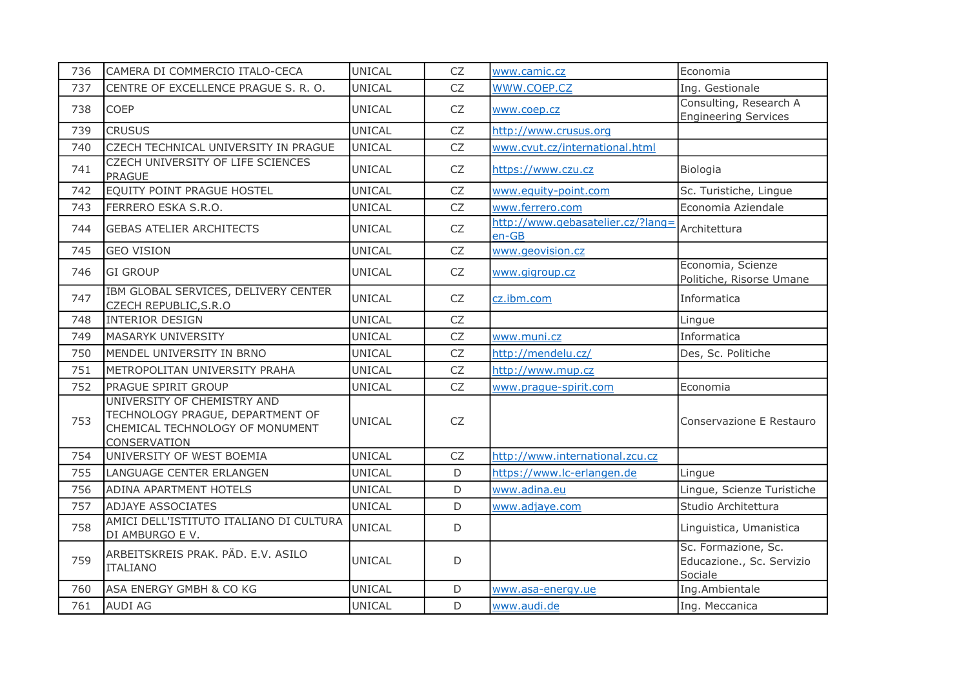| 736 | CAMERA DI COMMERCIO ITALO-CECA                                                                                     | <b>UNICAL</b> | <b>CZ</b>   | www.camic.cz                                 | Economia                                                    |
|-----|--------------------------------------------------------------------------------------------------------------------|---------------|-------------|----------------------------------------------|-------------------------------------------------------------|
| 737 | CENTRE OF EXCELLENCE PRAGUE S. R. O.                                                                               | UNICAL        | <b>CZ</b>   | WWW.COEP.CZ                                  | Ing. Gestionale                                             |
| 738 | <b>COEP</b>                                                                                                        | <b>UNICAL</b> | CZ          | www.coep.cz                                  | Consulting, Research A<br><b>Engineering Services</b>       |
| 739 | <b>CRUSUS</b>                                                                                                      | <b>UNICAL</b> | CZ          | http://www.crusus.org                        |                                                             |
| 740 | CZECH TECHNICAL UNIVERSITY IN PRAGUE                                                                               | <b>UNICAL</b> | <b>CZ</b>   | www.cvut.cz/international.html               |                                                             |
| 741 | CZECH UNIVERSITY OF LIFE SCIENCES<br><b>PRAGUE</b>                                                                 | <b>UNICAL</b> | <b>CZ</b>   | https://www.czu.cz                           | Biologia                                                    |
| 742 | EQUITY POINT PRAGUE HOSTEL                                                                                         | <b>UNICAL</b> | <b>CZ</b>   | www.equity-point.com                         | Sc. Turistiche, Lingue                                      |
| 743 | FERRERO ESKA S.R.O.                                                                                                | <b>UNICAL</b> | CZ          | www.ferrero.com                              | Economia Aziendale                                          |
| 744 | <b>GEBAS ATELIER ARCHITECTS</b>                                                                                    | <b>UNICAL</b> | CZ          | http://www.gebasatelier.cz/?lang=<br>$en-GB$ | Architettura                                                |
| 745 | <b>GEO VISION</b>                                                                                                  | UNICAL        | <b>CZ</b>   | www.geovision.cz                             |                                                             |
| 746 | <b>GI GROUP</b>                                                                                                    | <b>UNICAL</b> | CZ          | www.gigroup.cz                               | Economia, Scienze<br>Politiche, Risorse Umane               |
| 747 | IBM GLOBAL SERVICES, DELIVERY CENTER<br>CZECH REPUBLIC, S.R.O                                                      | UNICAL        | CZ          | cz.ibm.com                                   | Informatica                                                 |
| 748 | <b>INTERIOR DESIGN</b>                                                                                             | <b>UNICAL</b> | <b>CZ</b>   |                                              | Lingue                                                      |
| 749 | <b>MASARYK UNIVERSITY</b>                                                                                          | <b>UNICAL</b> | <b>CZ</b>   | www.muni.cz                                  | Informatica                                                 |
| 750 | MENDEL UNIVERSITY IN BRNO                                                                                          | <b>UNICAL</b> | <b>CZ</b>   | http://mendelu.cz/                           | Des, Sc. Politiche                                          |
| 751 | METROPOLITAN UNIVERSITY PRAHA                                                                                      | <b>UNICAL</b> | ${\sf CZ}$  | http://www.mup.cz                            |                                                             |
| 752 | PRAGUE SPIRIT GROUP                                                                                                | <b>UNICAL</b> | <b>CZ</b>   | www.praque-spirit.com                        | Economia                                                    |
| 753 | UNIVERSITY OF CHEMISTRY AND<br>TECHNOLOGY PRAGUE, DEPARTMENT OF<br>CHEMICAL TECHNOLOGY OF MONUMENT<br>CONSERVATION | <b>UNICAL</b> | <b>CZ</b>   |                                              | Conservazione E Restauro                                    |
| 754 | UNIVERSITY OF WEST BOEMIA                                                                                          | <b>UNICAL</b> | CZ          | http://www.international.zcu.cz              |                                                             |
| 755 | LANGUAGE CENTER ERLANGEN                                                                                           | <b>UNICAL</b> | D           | https://www.lc-erlangen.de                   | Lingue                                                      |
| 756 | <b>ADINA APARTMENT HOTELS</b>                                                                                      | <b>UNICAL</b> | D           | www.adina.eu                                 | Lingue, Scienze Turistiche                                  |
| 757 | <b>ADJAYE ASSOCIATES</b>                                                                                           | <b>UNICAL</b> | D           | www.adjaye.com                               | Studio Architettura                                         |
| 758 | AMICI DELL'ISTITUTO ITALIANO DI CULTURA<br>DI AMBURGO E V.                                                         | <b>UNICAL</b> | $\mathsf D$ |                                              | Linguistica, Umanistica                                     |
| 759 | ARBEITSKREIS PRAK. PÄD. E.V. ASILO<br><b>ITALIANO</b>                                                              | <b>UNICAL</b> | $\mathsf D$ |                                              | Sc. Formazione, Sc.<br>Educazione., Sc. Servizio<br>Sociale |
| 760 | ASA ENERGY GMBH & CO KG                                                                                            | <b>UNICAL</b> | D           | www.asa-energy.ue                            | Ing.Ambientale                                              |
| 761 | <b>AUDI AG</b>                                                                                                     | <b>UNICAL</b> | $\mathsf D$ | www.audi.de                                  | Ing. Meccanica                                              |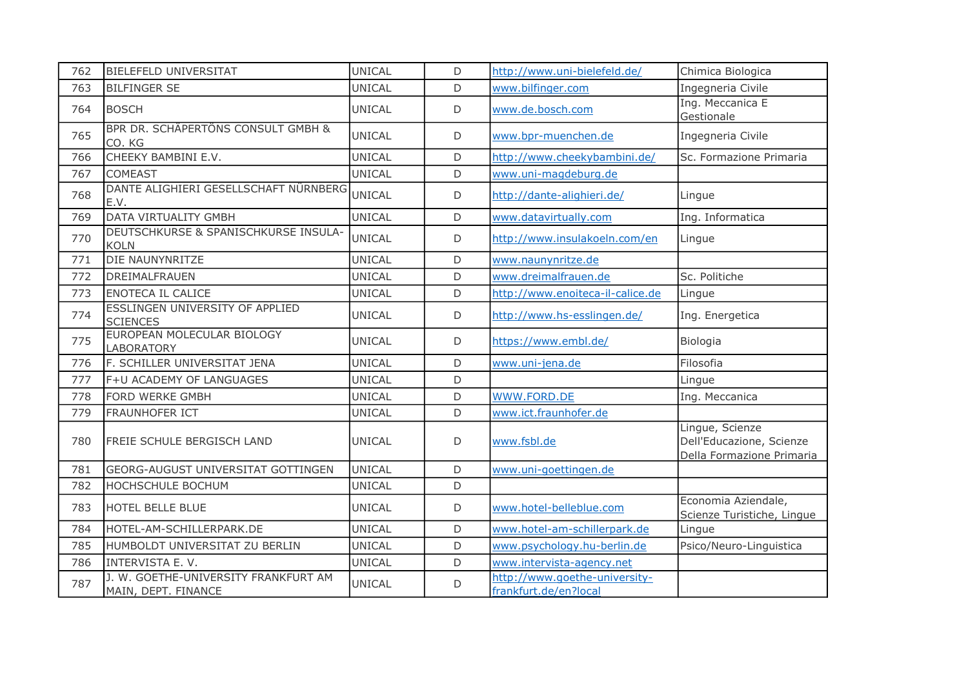| 762 | <b>BIELEFELD UNIVERSITAT</b>                                | UNICAL        | D           | http://www.uni-bielefeld.de/                           | Chimica Biologica                                                        |
|-----|-------------------------------------------------------------|---------------|-------------|--------------------------------------------------------|--------------------------------------------------------------------------|
| 763 | <b>BILFINGER SE</b>                                         | UNICAL        | D           | www.bilfinger.com                                      | Ingegneria Civile                                                        |
| 764 | <b>BOSCH</b>                                                | <b>UNICAL</b> | $\mathsf D$ | www.de.bosch.com                                       | Ing. Meccanica E<br>Gestionale                                           |
| 765 | BPR DR. SCHÄPERTÖNS CONSULT GMBH &<br>CO. KG                | UNICAL        | D           | www.bpr-muenchen.de                                    | Ingegneria Civile                                                        |
| 766 | CHEEKY BAMBINI E.V.                                         | <b>UNICAL</b> | D           | http://www.cheekybambini.de/                           | Sc. Formazione Primaria                                                  |
| 767 | <b>COMEAST</b>                                              | <b>UNICAL</b> | D           | www.uni-magdeburg.de                                   |                                                                          |
| 768 | DANTE ALIGHIERI GESELLSCHAFT NÜRNBERG<br>E.V.               | UNICAL        | D           | http://dante-alighieri.de/                             | Lingue                                                                   |
| 769 | DATA VIRTUALITY GMBH                                        | <b>UNICAL</b> | D           | www.datavirtually.com                                  | Ing. Informatica                                                         |
| 770 | DEUTSCHKURSE & SPANISCHKURSE INSULA-<br><b>KOLN</b>         | <b>UNICAL</b> | D           | http://www.insulakoeln.com/en                          | Lingue                                                                   |
| 771 | DIE NAUNYNRITZE                                             | <b>UNICAL</b> | D           | www.naunynritze.de                                     |                                                                          |
| 772 | DREIMALFRAUEN                                               | <b>UNICAL</b> | D           | www.dreimalfrauen.de                                   | Sc. Politiche                                                            |
| 773 | <b>ENOTECA IL CALICE</b>                                    | UNICAL        | D           | http://www.enoiteca-il-calice.de                       | Lingue                                                                   |
| 774 | <b>ESSLINGEN UNIVERSITY OF APPLIED</b><br><b>SCIENCES</b>   | UNICAL        | D           | http://www.hs-esslingen.de/                            | Ing. Energetica                                                          |
| 775 | EUROPEAN MOLECULAR BIOLOGY<br>LABORATORY                    | UNICAL        | D           | https://www.embl.de/                                   | Biologia                                                                 |
| 776 | F. SCHILLER UNIVERSITAT JENA                                | <b>UNICAL</b> | D           | www.uni-jena.de                                        | Filosofia                                                                |
| 777 | F+U ACADEMY OF LANGUAGES                                    | UNICAL        | D           |                                                        | Lingue                                                                   |
| 778 | FORD WERKE GMBH                                             | <b>UNICAL</b> | D           | WWW.FORD.DE                                            | Ing. Meccanica                                                           |
| 779 | FRAUNHOFER ICT                                              | UNICAL        | D           | www.ict.fraunhofer.de                                  |                                                                          |
| 780 | <b>FREIE SCHULE BERGISCH LAND</b>                           | UNICAL        | D           | www.fsbl.de                                            | Lingue, Scienze<br>Dell'Educazione, Scienze<br>Della Formazione Primaria |
| 781 | <b>GEORG-AUGUST UNIVERSITAT GOTTINGEN</b>                   | <b>UNICAL</b> | D           | www.uni-goettingen.de                                  |                                                                          |
| 782 | <b>HOCHSCHULE BOCHUM</b>                                    | <b>UNICAL</b> | D           |                                                        |                                                                          |
| 783 | <b>HOTEL BELLE BLUE</b>                                     | UNICAL        | D           | www.hotel-belleblue.com                                | Economia Aziendale,<br>Scienze Turistiche, Lingue                        |
| 784 | HOTEL-AM-SCHILLERPARK.DE                                    | UNICAL        | D           | www.hotel-am-schillerpark.de                           | Lingue                                                                   |
| 785 | HUMBOLDT UNIVERSITAT ZU BERLIN                              | UNICAL        | $\mathsf D$ | www.psychology.hu-berlin.de                            | Psico/Neuro-Linguistica                                                  |
| 786 | INTERVISTA E.V.                                             | <b>UNICAL</b> | $\mathsf D$ | www.intervista-agency.net                              |                                                                          |
| 787 | J. W. GOETHE-UNIVERSITY FRANKFURT AM<br>MAIN, DEPT. FINANCE | <b>UNICAL</b> | D           | http://www.goethe-university-<br>frankfurt.de/en?local |                                                                          |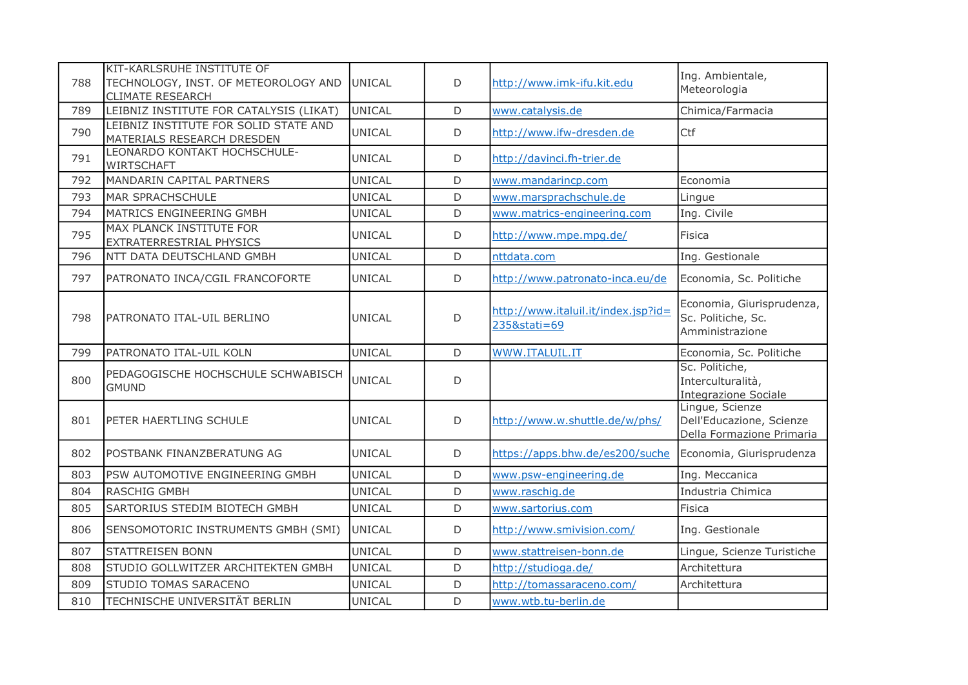| 788 | KIT-KARLSRUHE INSTITUTE OF<br>TECHNOLOGY, INST. OF METEOROLOGY AND<br><b>CLIMATE RESEARCH</b> | UNICAL        | D           | http://www.imk-ifu.kit.edu                          | Ing. Ambientale,<br>Meteorologia                                         |
|-----|-----------------------------------------------------------------------------------------------|---------------|-------------|-----------------------------------------------------|--------------------------------------------------------------------------|
| 789 | LEIBNIZ INSTITUTE FOR CATALYSIS (LIKAT)                                                       | <b>UNICAL</b> | D           | www.catalysis.de                                    | Chimica/Farmacia                                                         |
| 790 | LEIBNIZ INSTITUTE FOR SOLID STATE AND<br>MATERIALS RESEARCH DRESDEN                           | <b>UNICAL</b> | D           | http://www.ifw-dresden.de                           | Ctf                                                                      |
| 791 | LEONARDO KONTAKT HOCHSCHULE-<br><b>WIRTSCHAFT</b>                                             | UNICAL        | D           | http://davinci.fh-trier.de                          |                                                                          |
| 792 | MANDARIN CAPITAL PARTNERS                                                                     | UNICAL        | D           | www.mandarincp.com                                  | Economia                                                                 |
| 793 | <b>MAR SPRACHSCHULE</b>                                                                       | UNICAL        | D           | www.marsprachschule.de                              | Lingue                                                                   |
| 794 | MATRICS ENGINEERING GMBH                                                                      | <b>UNICAL</b> | D           | www.matrics-engineering.com                         | Ing. Civile                                                              |
| 795 | MAX PLANCK INSTITUTE FOR<br>EXTRATERRESTRIAL PHYSICS                                          | <b>UNICAL</b> | $\mathsf D$ | http://www.mpe.mpg.de/                              | Fisica                                                                   |
| 796 | NTT DATA DEUTSCHLAND GMBH                                                                     | <b>UNICAL</b> | D           | nttdata.com                                         | Ing. Gestionale                                                          |
| 797 | PATRONATO INCA/CGIL FRANCOFORTE                                                               | UNICAL        | D           | http://www.patronato-inca.eu/de                     | Economia, Sc. Politiche                                                  |
| 798 | PATRONATO ITAL-UIL BERLINO                                                                    | <b>UNICAL</b> | $\mathsf D$ | http://www.italuil.it/index.jsp?id=<br>235&stati=69 | Economia, Giurisprudenza,<br>Sc. Politiche, Sc.<br>Amministrazione       |
| 799 | PATRONATO ITAL-UIL KOLN                                                                       | <b>UNICAL</b> | D           | WWW.ITALUIL.IT                                      | Economia, Sc. Politiche                                                  |
| 800 | PEDAGOGISCHE HOCHSCHULE SCHWABISCH<br><b>GMUND</b>                                            | <b>UNICAL</b> | D           |                                                     | Sc. Politiche,<br>Interculturalità,<br><b>Integrazione Sociale</b>       |
| 801 | PETER HAERTLING SCHULE                                                                        | UNICAL        | $\mathsf D$ | http://www.w.shuttle.de/w/phs/                      | Lingue, Scienze<br>Dell'Educazione, Scienze<br>Della Formazione Primaria |
| 802 | POSTBANK FINANZBERATUNG AG                                                                    | UNICAL        | D           | https://apps.bhw.de/es200/suche                     | Economia, Giurisprudenza                                                 |
| 803 | PSW AUTOMOTIVE ENGINEERING GMBH                                                               | <b>UNICAL</b> | D           | www.psw-engineering.de                              | Ing. Meccanica                                                           |
| 804 | <b>RASCHIG GMBH</b>                                                                           | <b>UNICAL</b> | D           | www.raschig.de                                      | Industria Chimica                                                        |
| 805 | <b>SARTORIUS STEDIM BIOTECH GMBH</b>                                                          | <b>UNICAL</b> | D           | www.sartorius.com                                   | <b>Fisica</b>                                                            |
| 806 | SENSOMOTORIC INSTRUMENTS GMBH (SMI)                                                           | UNICAL        | D           | http://www.smivision.com/                           | Ing. Gestionale                                                          |
| 807 | <b>STATTREISEN BONN</b>                                                                       | <b>UNICAL</b> | D           | www.stattreisen-bonn.de                             | Lingue, Scienze Turistiche                                               |
| 808 | STUDIO GOLLWITZER ARCHITEKTEN GMBH                                                            | <b>UNICAL</b> | D           | http://studioga.de/                                 | Architettura                                                             |
| 809 | STUDIO TOMAS SARACENO                                                                         | <b>UNICAL</b> | $\mathsf D$ | http://tomassaraceno.com/                           | Architettura                                                             |
| 810 | TECHNISCHE UNIVERSITÄT BERLIN                                                                 | <b>UNICAL</b> | D           | www.wtb.tu-berlin.de                                |                                                                          |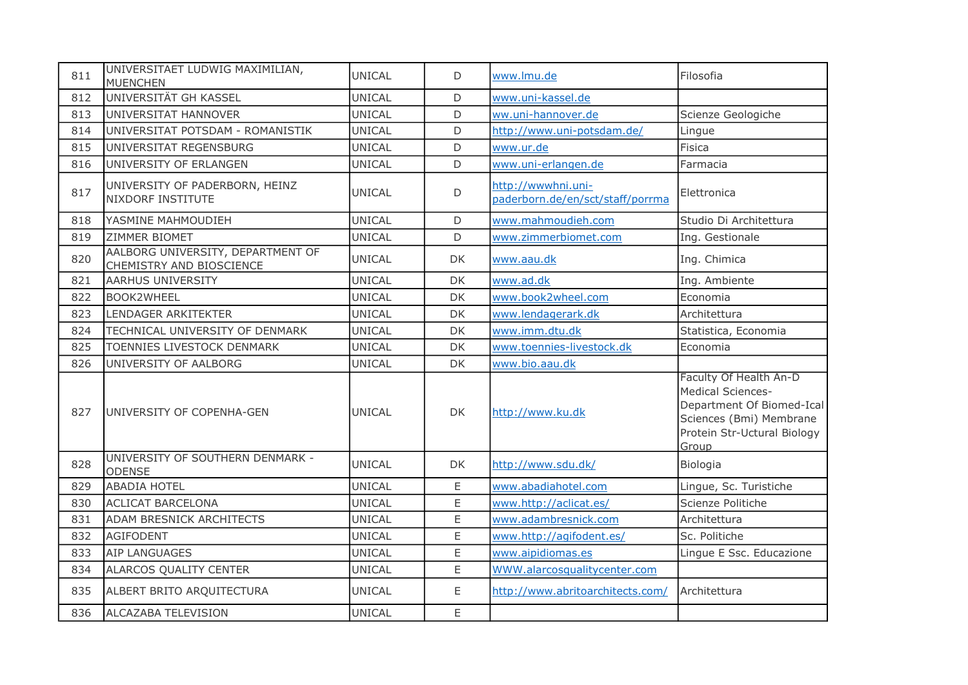| 811 | UNIVERSITAET LUDWIG MAXIMILIAN,<br><b>MUENCHEN</b>            | <b>UNICAL</b> | D           | www.lmu.de                                             | Filosofia                                                                                                                                          |
|-----|---------------------------------------------------------------|---------------|-------------|--------------------------------------------------------|----------------------------------------------------------------------------------------------------------------------------------------------------|
| 812 | UNIVERSITÄT GH KASSEL                                         | <b>UNICAL</b> | $\mathsf D$ | www.uni-kassel.de                                      |                                                                                                                                                    |
| 813 | UNIVERSITAT HANNOVER                                          | <b>UNICAL</b> | D           | ww.uni-hannover.de                                     | Scienze Geologiche                                                                                                                                 |
| 814 | UNIVERSITAT POTSDAM - ROMANISTIK                              | UNICAL        | D           | http://www.uni-potsdam.de/                             | Lingue                                                                                                                                             |
| 815 | UNIVERSITAT REGENSBURG                                        | UNICAL        | D           | www.ur.de                                              | <b>Fisica</b>                                                                                                                                      |
| 816 | UNIVERSITY OF ERLANGEN                                        | <b>UNICAL</b> | D           | www.uni-erlangen.de                                    | Farmacia                                                                                                                                           |
| 817 | UNIVERSITY OF PADERBORN, HEINZ<br>NIXDORF INSTITUTE           | UNICAL        | D           | http://wwwhni.uni-<br>paderborn.de/en/sct/staff/porrma | Elettronica                                                                                                                                        |
| 818 | YASMINE MAHMOUDIEH                                            | UNICAL        | D           | www.mahmoudieh.com                                     | Studio Di Architettura                                                                                                                             |
| 819 | <b>ZIMMER BIOMET</b>                                          | UNICAL        | D           | www.zimmerbiomet.com                                   | Ing. Gestionale                                                                                                                                    |
| 820 | AALBORG UNIVERSITY, DEPARTMENT OF<br>CHEMISTRY AND BIOSCIENCE | UNICAL        | DK.         | www.aau.dk                                             | Ing. Chimica                                                                                                                                       |
| 821 | <b>AARHUS UNIVERSITY</b>                                      | <b>UNICAL</b> | DK          | www.ad.dk                                              | Ing. Ambiente                                                                                                                                      |
| 822 | BOOK2WHEEL                                                    | <b>UNICAL</b> | DK          | www.book2wheel.com                                     | Economia                                                                                                                                           |
| 823 | LENDAGER ARKITEKTER                                           | <b>UNICAL</b> | DK          | www.lendagerark.dk                                     | Architettura                                                                                                                                       |
| 824 | TECHNICAL UNIVERSITY OF DENMARK                               | <b>UNICAL</b> | DK          | www.imm.dtu.dk                                         | Statistica, Economia                                                                                                                               |
| 825 | TOENNIES LIVESTOCK DENMARK                                    | <b>UNICAL</b> | DK          | www.toennies-livestock.dk                              | Economia                                                                                                                                           |
| 826 | UNIVERSITY OF AALBORG                                         | <b>UNICAL</b> | DK          | www.bio.aau.dk                                         |                                                                                                                                                    |
| 827 | UNIVERSITY OF COPENHA-GEN                                     | <b>UNICAL</b> | <b>DK</b>   | http://www.ku.dk                                       | Faculty Of Health An-D<br><b>Medical Sciences-</b><br>Department Of Biomed-Ical<br>Sciences (Bmi) Membrane<br>Protein Str-Uctural Biology<br>Group |
| 828 | UNIVERSITY OF SOUTHERN DENMARK -<br><b>ODENSE</b>             | <b>UNICAL</b> | <b>DK</b>   | http://www.sdu.dk/                                     | Biologia                                                                                                                                           |
| 829 | <b>ABADIA HOTEL</b>                                           | <b>UNICAL</b> | $\mathsf E$ | www.abadiahotel.com                                    | Lingue, Sc. Turistiche                                                                                                                             |
| 830 | <b>ACLICAT BARCELONA</b>                                      | <b>UNICAL</b> | E           | www.http://aclicat.es/                                 | Scienze Politiche                                                                                                                                  |
| 831 | ADAM BRESNICK ARCHITECTS                                      | UNICAL        | E           | www.adambresnick.com                                   | Architettura                                                                                                                                       |
| 832 | <b>AGIFODENT</b>                                              | <b>UNICAL</b> | E           | www.http://agifodent.es/                               | Sc. Politiche                                                                                                                                      |
| 833 | <b>AIP LANGUAGES</b>                                          | UNICAL        | E           | www.aipidiomas.es                                      | Lingue E Ssc. Educazione                                                                                                                           |
| 834 | ALARCOS QUALITY CENTER                                        | <b>UNICAL</b> | E           | WWW.alarcosqualitycenter.com                           |                                                                                                                                                    |
| 835 | ALBERT BRITO ARQUITECTURA                                     | <b>UNICAL</b> | $\mathsf E$ | http://www.abritoarchitects.com/                       | Architettura                                                                                                                                       |
| 836 | ALCAZABA TELEVISION                                           | <b>UNICAL</b> | E           |                                                        |                                                                                                                                                    |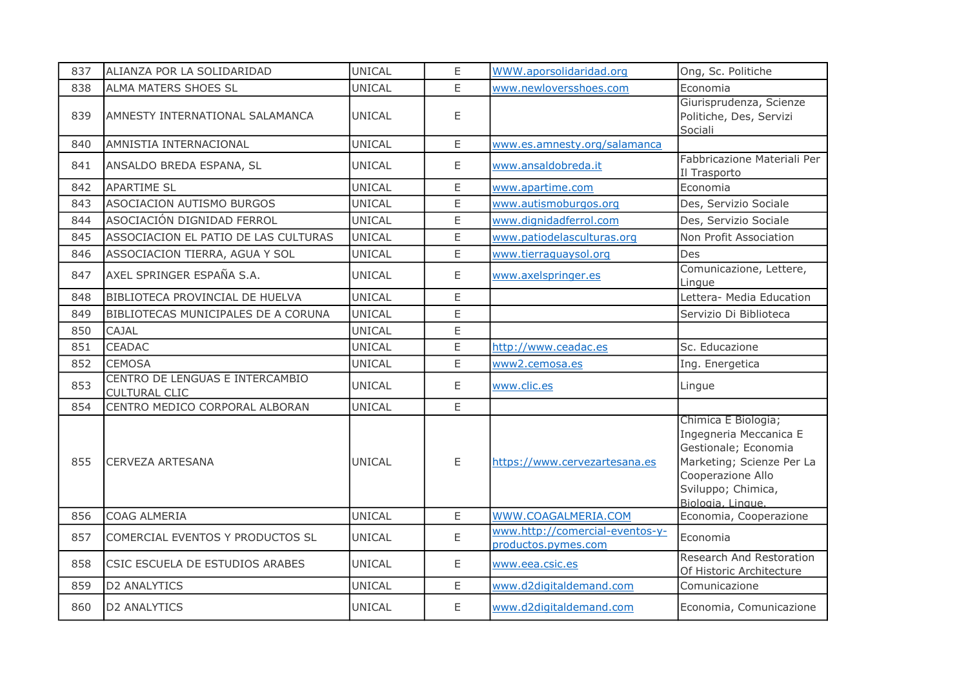| 837 | ALIANZA POR LA SOLIDARIDAD                              | <b>UNICAL</b> | E           | <b>WWW.aporsolidaridad.org</b>                         | Ong, Sc. Politiche                                                                                                                                                 |
|-----|---------------------------------------------------------|---------------|-------------|--------------------------------------------------------|--------------------------------------------------------------------------------------------------------------------------------------------------------------------|
| 838 | ALMA MATERS SHOES SL                                    | <b>UNICAL</b> | E           | www.newloversshoes.com                                 | Economia                                                                                                                                                           |
| 839 | AMNESTY INTERNATIONAL SALAMANCA                         | <b>UNICAL</b> | Ε           |                                                        | Giurisprudenza, Scienze<br>Politiche, Des, Servizi<br>Sociali                                                                                                      |
| 840 | AMNISTIA INTERNACIONAL                                  | <b>UNICAL</b> | E           | www.es.amnesty.org/salamanca                           |                                                                                                                                                                    |
| 841 | ANSALDO BREDA ESPANA, SL                                | <b>UNICAL</b> | E           | www.ansaldobreda.it                                    | Fabbricazione Materiali Per<br>Il Trasporto                                                                                                                        |
| 842 | <b>APARTIME SL</b>                                      | <b>UNICAL</b> | E           | www.apartime.com                                       | Economia                                                                                                                                                           |
| 843 | <b>ASOCIACION AUTISMO BURGOS</b>                        | <b>UNICAL</b> | E           | www.autismoburgos.org                                  | Des, Servizio Sociale                                                                                                                                              |
| 844 | ASOCIACIÓN DIGNIDAD FERROL                              | UNICAL        | $\mathsf E$ | www.dignidadferrol.com                                 | Des, Servizio Sociale                                                                                                                                              |
| 845 | ASSOCIACION EL PATIO DE LAS CULTURAS                    | <b>UNICAL</b> | E           | www.patiodelasculturas.org                             | Non Profit Association                                                                                                                                             |
| 846 | ASSOCIACION TIERRA, AGUA Y SOL                          | <b>UNICAL</b> | E           | www.tierraguaysol.org                                  | Des                                                                                                                                                                |
| 847 | AXEL SPRINGER ESPAÑA S.A.                               | <b>UNICAL</b> | E           | www.axelspringer.es                                    | Comunicazione, Lettere,<br>Lingue                                                                                                                                  |
| 848 | BIBLIOTECA PROVINCIAL DE HUELVA                         | <b>UNICAL</b> | E           |                                                        | Lettera- Media Education                                                                                                                                           |
| 849 | BIBLIOTECAS MUNICIPALES DE A CORUNA                     | <b>UNICAL</b> | E           |                                                        | Servizio Di Biblioteca                                                                                                                                             |
| 850 | <b>CAJAL</b>                                            | <b>UNICAL</b> | E           |                                                        |                                                                                                                                                                    |
| 851 | <b>CEADAC</b>                                           | UNICAL        | $\mathsf E$ | http://www.ceadac.es                                   | Sc. Educazione                                                                                                                                                     |
| 852 | <b>CEMOSA</b>                                           | <b>UNICAL</b> | E           | www2.cemosa.es                                         | Ing. Energetica                                                                                                                                                    |
| 853 | CENTRO DE LENGUAS E INTERCAMBIO<br><b>CULTURAL CLIC</b> | <b>UNICAL</b> | E           | www.clic.es                                            | Lingue                                                                                                                                                             |
| 854 | CENTRO MEDICO CORPORAL ALBORAN                          | <b>UNICAL</b> | $\mathsf E$ |                                                        |                                                                                                                                                                    |
| 855 | <b>CERVEZA ARTESANA</b>                                 | <b>UNICAL</b> | E           | https://www.cervezartesana.es                          | Chimica E Biologia;<br>Ingegneria Meccanica E<br>Gestionale; Economia<br>Marketing; Scienze Per La<br>Cooperazione Allo<br>Sviluppo; Chimica,<br>Biologia, Lingue. |
| 856 | <b>COAG ALMERIA</b>                                     | UNICAL        | E           | WWW.COAGALMERIA.COM                                    | Economia, Cooperazione                                                                                                                                             |
| 857 | COMERCIAL EVENTOS Y PRODUCTOS SL                        | <b>UNICAL</b> | $\mathsf E$ | www.http://comercial-eventos-y-<br>productos.pymes.com | Economia                                                                                                                                                           |
| 858 | CSIC ESCUELA DE ESTUDIOS ARABES                         | <b>UNICAL</b> | E           | www.eea.csic.es                                        | Research And Restoration<br>Of Historic Architecture                                                                                                               |
| 859 | <b>D2 ANALYTICS</b>                                     | UNICAL        | E           | www.d2digitaldemand.com                                | Comunicazione                                                                                                                                                      |
| 860 | <b>D2 ANALYTICS</b>                                     | <b>UNICAL</b> | E.          | www.d2digitaldemand.com                                | Economia, Comunicazione                                                                                                                                            |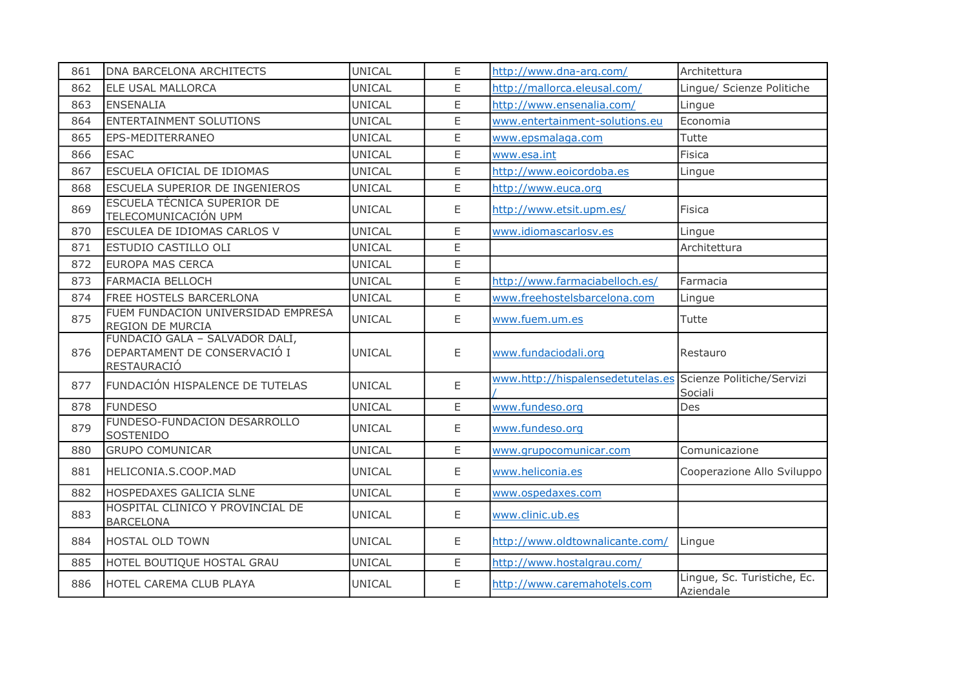| 861 | DNA BARCELONA ARCHITECTS                                                             | <b>UNICAL</b> | E           | http://www.dna-arg.com/                                     | Architettura                             |
|-----|--------------------------------------------------------------------------------------|---------------|-------------|-------------------------------------------------------------|------------------------------------------|
| 862 | ELE USAL MALLORCA                                                                    | UNICAL        | E           | http://mallorca.eleusal.com/                                | Lingue/ Scienze Politiche                |
| 863 | <b>ENSENALIA</b>                                                                     | UNICAL        | E           | http://www.ensenalia.com/                                   | Lingue                                   |
| 864 | <b>ENTERTAINMENT SOLUTIONS</b>                                                       | UNICAL        | E           | www.entertainment-solutions.eu                              | Economia                                 |
| 865 | EPS-MEDITERRANEO                                                                     | UNICAL        | E           | www.epsmalaga.com                                           | Tutte                                    |
| 866 | <b>ESAC</b>                                                                          | <b>UNICAL</b> | E           | www.esa.int                                                 | <b>Fisica</b>                            |
| 867 | ESCUELA OFICIAL DE IDIOMAS                                                           | UNICAL        | E           | http://www.eoicordoba.es                                    | Lingue                                   |
| 868 | ESCUELA SUPERIOR DE INGENIEROS                                                       | UNICAL        | E           | http://www.euca.org                                         |                                          |
| 869 | ESCUELA TÉCNICA SUPERIOR DE<br>TELECOMUNICACIÓN UPM                                  | UNICAL        | E           | http://www.etsit.upm.es/                                    | Fisica                                   |
| 870 | ESCULEA DE IDIOMAS CARLOS V                                                          | UNICAL        | E           | www.idiomascarlosv.es                                       | Lingue                                   |
| 871 | ESTUDIO CASTILLO OLI                                                                 | <b>UNICAL</b> | E           |                                                             | Architettura                             |
| 872 | <b>EUROPA MAS CERCA</b>                                                              | <b>UNICAL</b> | $\mathsf E$ |                                                             |                                          |
| 873 | <b>FARMACIA BELLOCH</b>                                                              | UNICAL        | E           | http://www.farmaciabelloch.es/                              | Farmacia                                 |
| 874 | FREE HOSTELS BARCERLONA                                                              | UNICAL        | E           | www.freehostelsbarcelona.com                                | Lingue                                   |
| 875 | FUEM FUNDACION UNIVERSIDAD EMPRESA<br>REGION DE MURCIA                               | UNICAL        | E           | www.fuem.um.es                                              | Tutte                                    |
| 876 | FUNDACIÓ GALA - SALVADOR DALÍ,<br>DEPARTAMENT DE CONSERVACIÓ I<br><b>RESTAURACIÓ</b> | UNICAL        | Ε           | www.fundaciodali.org                                        | Restauro                                 |
| 877 | FUNDACIÓN HISPALENCE DE TUTELAS                                                      | UNICAL        | E           | www.http://hispalensedetutelas.es Scienze Politiche/Servizi | Sociali                                  |
| 878 | <b>FUNDESO</b>                                                                       | UNICAL        | E           | www.fundeso.org                                             | Des                                      |
| 879 | FUNDESO-FUNDACION DESARROLLO<br>SOSTENIDO                                            | <b>UNICAL</b> | E           | www.fundeso.org                                             |                                          |
| 880 | <b>GRUPO COMUNICAR</b>                                                               | <b>UNICAL</b> | E           | www.grupocomunicar.com                                      | Comunicazione                            |
| 881 | HELICONIA.S.COOP.MAD                                                                 | UNICAL        | E           | www.heliconia.es                                            | Cooperazione Allo Sviluppo               |
| 882 | HOSPEDAXES GALICIA SLNE                                                              | <b>UNICAL</b> | E           | www.ospedaxes.com                                           |                                          |
| 883 | HOSPITAL CLINICO Y PROVINCIAL DE<br><b>BARCELONA</b>                                 | UNICAL        | E           | www.clinic.ub.es                                            |                                          |
| 884 | <b>HOSTAL OLD TOWN</b>                                                               | UNICAL        | E           | http://www.oldtownalicante.com/                             | Lingue                                   |
| 885 | HOTEL BOUTIQUE HOSTAL GRAU                                                           | UNICAL        | E           | http://www.hostalgrau.com/                                  |                                          |
| 886 | HOTEL CAREMA CLUB PLAYA                                                              | UNICAL        | E           | http://www.caremahotels.com                                 | Lingue, Sc. Turistiche, Ec.<br>Aziendale |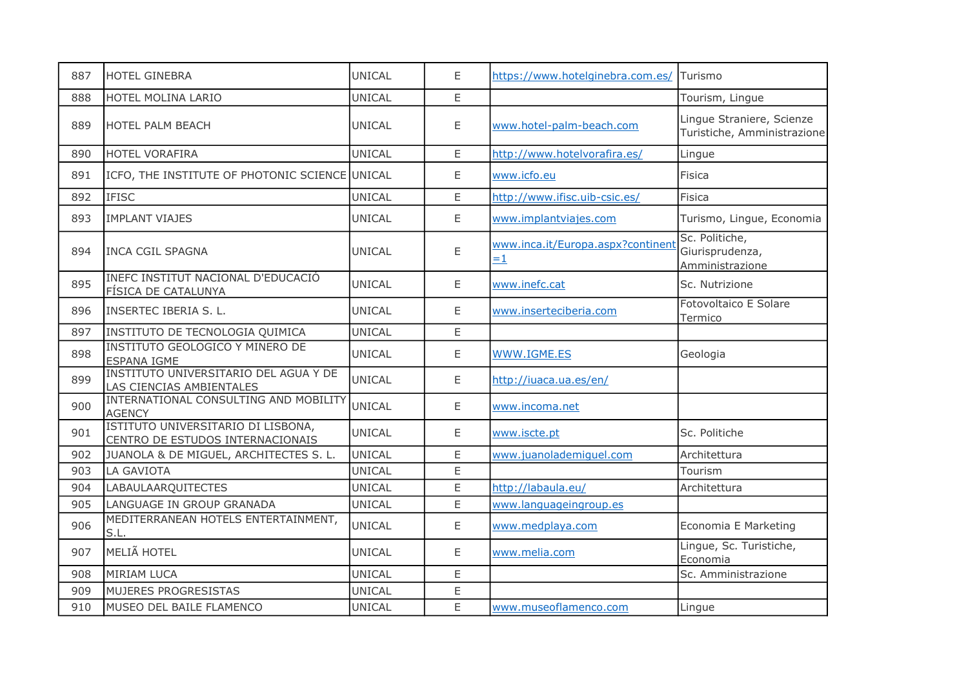| 887 | <b>HOTEL GINEBRA</b>                                                   | <b>UNICAL</b> | E  | https://www.hotelginebra.com.es/ Turismo  |                                                          |
|-----|------------------------------------------------------------------------|---------------|----|-------------------------------------------|----------------------------------------------------------|
| 888 | HOTEL MOLINA LARIO                                                     | <b>UNICAL</b> | E  |                                           | Tourism, Lingue                                          |
| 889 | HOTEL PALM BEACH                                                       | <b>UNICAL</b> | E  | www.hotel-palm-beach.com                  | Lingue Straniere, Scienze<br>Turistiche, Amministrazione |
| 890 | HOTEL VORAFIRA                                                         | <b>UNICAL</b> | E  | http://www.hotelvorafira.es/              | Lingue                                                   |
| 891 | ICFO, THE INSTITUTE OF PHOTONIC SCIENCE UNICAL                         |               | E  | www.icfo.eu                               | Fisica                                                   |
| 892 | <b>IFISC</b>                                                           | <b>UNICAL</b> | E  | http://www.ifisc.uib-csic.es/             | Fisica                                                   |
| 893 | <b>IMPLANT VIAJES</b>                                                  | <b>UNICAL</b> | E  | www.implantviajes.com                     | Turismo, Lingue, Economia                                |
| 894 | <b>INCA CGIL SPAGNA</b>                                                | <b>UNICAL</b> | E  | www.inca.it/Europa.aspx?continent<br>$=1$ | Sc. Politiche,<br>Giurisprudenza,<br>Amministrazione     |
| 895 | INEFC INSTITUT NACIONAL D'EDUCACIÓ<br>FÍSICA DE CATALUNYA              | <b>UNICAL</b> | E  | www.inefc.cat                             | Sc. Nutrizione                                           |
| 896 | INSERTEC IBERIA S. L.                                                  | <b>UNICAL</b> | Ε  | www.inserteciberia.com                    | Fotovoltaico E Solare<br>Termico                         |
| 897 | INSTITUTO DE TECNOLOGIA QUIMICA                                        | <b>UNICAL</b> | E  |                                           |                                                          |
| 898 | INSTITUTO GEOLOGICO Y MINERO DE<br>ESPANA IGME                         | <b>UNICAL</b> | Ε  | WWW.IGME.ES                               | Geologia                                                 |
| 899 | INSTITUTO UNIVERSITARIO DEL AGUA Y DE<br>LAS CIENCIAS AMBIENTALES      | UNICAL        | E  | http://iuaca.ua.es/en/                    |                                                          |
| 900 | INTERNATIONAL CONSULTING AND MOBILITY<br><b>AGENCY</b>                 | <b>UNICAL</b> | E  | www.incoma.net                            |                                                          |
| 901 | ISTITUTO UNIVERSITARIO DI LISBONA,<br>CENTRO DE ESTUDOS INTERNACIONAIS | <b>UNICAL</b> | Ε  | www.iscte.pt                              | Sc. Politiche                                            |
| 902 | JUANOLA & DE MIGUEL, ARCHITECTES S. L.                                 | <b>UNICAL</b> | E. | www.juanolademiguel.com                   | Architettura                                             |
| 903 | LA GAVIOTA                                                             | <b>UNICAL</b> | E  |                                           | Tourism                                                  |
| 904 | <b>LABAULAARQUITECTES</b>                                              | <b>UNICAL</b> | E  | http://labaula.eu/                        | Architettura                                             |
| 905 | LANGUAGE IN GROUP GRANADA                                              | <b>UNICAL</b> | E  | www.languageingroup.es                    |                                                          |
| 906 | MEDITERRANEAN HOTELS ENTERTAINMENT,<br>S.L.                            | <b>UNICAL</b> | E  | www.medplaya.com                          | Economia E Marketing                                     |
| 907 | MELIÃ HOTEL                                                            | <b>UNICAL</b> | Ε  | www.melia.com                             | Lingue, Sc. Turistiche,<br>Economia                      |
| 908 | <b>MIRIAM LUCA</b>                                                     | <b>UNICAL</b> | E  |                                           | Sc. Amministrazione                                      |
| 909 | <b>MUJERES PROGRESISTAS</b>                                            | <b>UNICAL</b> | E  |                                           |                                                          |
| 910 | MUSEO DEL BAILE FLAMENCO                                               | <b>UNICAL</b> | E  | www.museoflamenco.com                     | Lingue                                                   |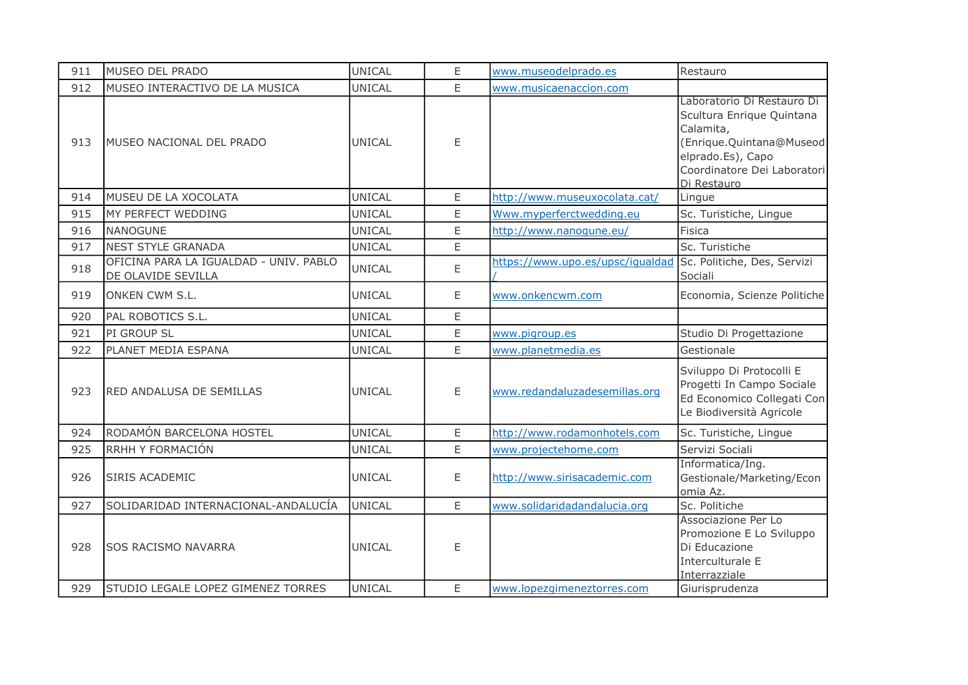| 911 | MUSEO DEL PRADO                                              | <b>UNICAL</b> | E | www.museodelprado.es             | Restauro                                                                                                                                                            |
|-----|--------------------------------------------------------------|---------------|---|----------------------------------|---------------------------------------------------------------------------------------------------------------------------------------------------------------------|
| 912 | MUSEO INTERACTIVO DE LA MUSICA                               | <b>UNICAL</b> | E | www.musicaenaccion.com           |                                                                                                                                                                     |
| 913 | MUSEO NACIONAL DEL PRADO                                     | <b>UNICAL</b> | E |                                  | Laboratorio Di Restauro Di<br>Scultura Enrique Quintana<br>Calamita,<br>(Enrique.Quintana@Museod<br>elprado.Es), Capo<br>Coordinatore Dei Laboratori<br>Di Restauro |
| 914 | MUSEU DE LA XOCOLATA                                         | <b>UNICAL</b> | E | http://www.museuxocolata.cat/    | Lingue                                                                                                                                                              |
| 915 | MY PERFECT WEDDING                                           | <b>UNICAL</b> | E | Www.myperferctwedding.eu         | Sc. Turistiche, Lingue                                                                                                                                              |
| 916 | NANOGUNE                                                     | <b>UNICAL</b> | E | http://www.nanogune.eu/          | Fisica                                                                                                                                                              |
| 917 | <b>NEST STYLE GRANADA</b>                                    | <b>UNICAL</b> | E |                                  | Sc. Turistiche                                                                                                                                                      |
| 918 | OFICINA PARA LA IGUALDAD - UNIV. PABLO<br>DE OLAVIDE SEVILLA | UNICAL        | E | https://www.upo.es/upsc/iqualdad | Sc. Politiche, Des, Servizi<br>Sociali                                                                                                                              |
| 919 | ONKEN CWM S.L.                                               | <b>UNICAL</b> | E | www.onkencwm.com                 | Economia, Scienze Politiche                                                                                                                                         |
| 920 | PAL ROBOTICS S.L.                                            | <b>UNICAL</b> | E |                                  |                                                                                                                                                                     |
| 921 | PI GROUP SL                                                  | <b>UNICAL</b> | E | www.pigroup.es                   | Studio Di Progettazione                                                                                                                                             |
| 922 | PLANET MEDIA ESPANA                                          | <b>UNICAL</b> | E | www.planetmedia.es               | Gestionale                                                                                                                                                          |
| 923 | <b>RED ANDALUSA DE SEMILLAS</b>                              | <b>UNICAL</b> | Ε | www.redandaluzadesemillas.org    | Sviluppo Di Protocolli E<br>Progetti In Campo Sociale<br>Ed Economico Collegati Con<br>Le Biodiversità Agricole                                                     |
| 924 | RODAMÓN BARCELONA HOSTEL                                     | <b>UNICAL</b> | E | http://www.rodamonhotels.com     | Sc. Turistiche, Lingue                                                                                                                                              |
| 925 | RRHH Y FORMACIÓN                                             | UNICAL        | E | www.projectehome.com             | Servizi Sociali                                                                                                                                                     |
| 926 | <b>SIRIS ACADEMIC</b>                                        | <b>UNICAL</b> | E | http://www.sirisacademic.com     | Informatica/Ing.<br>Gestionale/Marketing/Econ<br>omia Az.                                                                                                           |
| 927 | SOLIDARIDAD INTERNACIONAL-ANDALUCÍA                          | <b>UNICAL</b> | E | www.solidaridadandalucia.org     | Sc. Politiche                                                                                                                                                       |
| 928 | <b>SOS RACISMO NAVARRA</b>                                   | <b>UNICAL</b> | Ε |                                  | Associazione Per Lo<br>Promozione E Lo Sviluppo<br>Di Educazione<br>Interculturale E<br>Interrazziale                                                               |
| 929 | STUDIO LEGALE LOPEZ GIMENEZ TORRES                           | <b>UNICAL</b> | E | www.lopezgimeneztorres.com       | Giurisprudenza                                                                                                                                                      |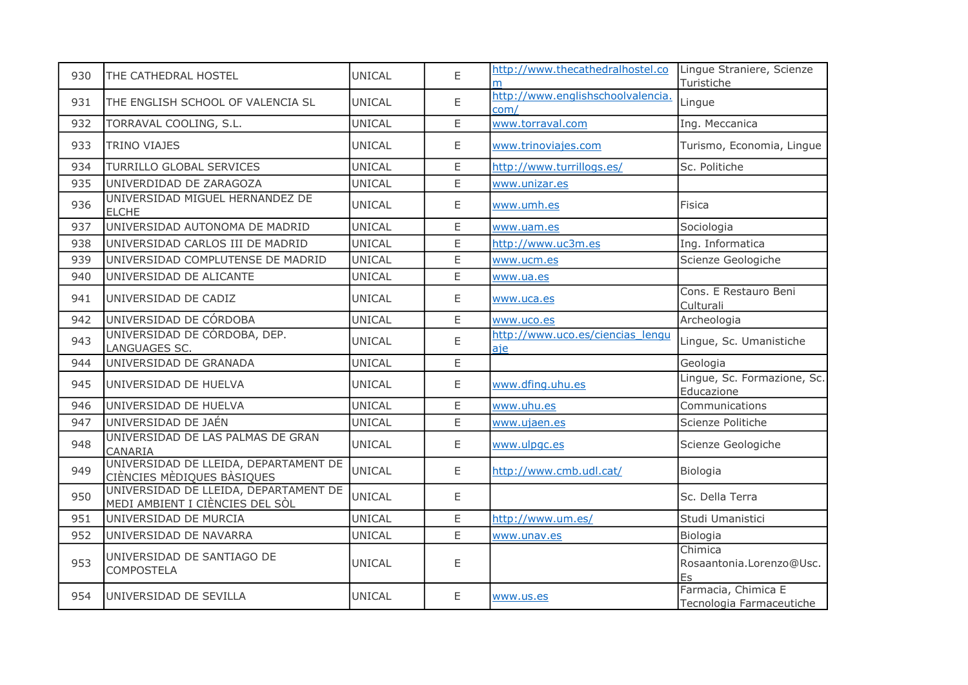| 930 | THE CATHEDRAL HOSTEL                                                     | UNICAL        | E | http://www.thecathedralhostel.co Lingue Straniere, Scienze | Turistiche                                      |
|-----|--------------------------------------------------------------------------|---------------|---|------------------------------------------------------------|-------------------------------------------------|
| 931 | THE ENGLISH SCHOOL OF VALENCIA SL                                        | <b>UNICAL</b> | E | http://www.englishschoolvalencia.<br>com/                  | Lingue                                          |
| 932 | TORRAVAL COOLING, S.L.                                                   | UNICAL        | E | www.torraval.com                                           | Ing. Meccanica                                  |
| 933 | <b>TRINO VIAJES</b>                                                      | <b>UNICAL</b> | E | www.trinoviajes.com                                        | Turismo, Economia, Lingue                       |
| 934 | TURRILLO GLOBAL SERVICES                                                 | UNICAL        | E | http://www.turrillogs.es/                                  | Sc. Politiche                                   |
| 935 | UNIVERDIDAD DE ZARAGOZA                                                  | <b>UNICAL</b> | E | www.unizar.es                                              |                                                 |
| 936 | UNIVERSIDAD MIGUEL HERNANDEZ DE<br><b>ELCHE</b>                          | <b>UNICAL</b> | E | www.umh.es                                                 | Fisica                                          |
| 937 | UNIVERSIDAD AUTONOMA DE MADRID                                           | <b>UNICAL</b> | E | www.uam.es                                                 | Sociologia                                      |
| 938 | UNIVERSIDAD CARLOS III DE MADRID                                         | <b>UNICAL</b> | E | http://www.uc3m.es                                         | Ing. Informatica                                |
| 939 | UNIVERSIDAD COMPLUTENSE DE MADRID                                        | <b>UNICAL</b> | E | www.ucm.es                                                 | Scienze Geologiche                              |
| 940 | UNIVERSIDAD DE ALICANTE                                                  | UNICAL        | E | www.ua.es                                                  |                                                 |
| 941 | UNIVERSIDAD DE CADIZ                                                     | UNICAL        | E | www.uca.es                                                 | Cons. E Restauro Beni<br>Culturali              |
| 942 | UNIVERSIDAD DE CÓRDOBA                                                   | UNICAL        | E | www.uco.es                                                 | Archeologia                                     |
| 943 | UNIVERSIDAD DE CÓRDOBA, DEP.<br>LANGUAGES SC.                            | UNICAL        | E | http://www.uco.es/ciencias lengu<br>aje                    | Lingue, Sc. Umanistiche                         |
| 944 | UNIVERSIDAD DE GRANADA                                                   | UNICAL        | E |                                                            | Geologia                                        |
| 945 | UNIVERSIDAD DE HUELVA                                                    | <b>UNICAL</b> | E | www.dfing.uhu.es                                           | Lingue, Sc. Formazione, Sc.<br>Educazione       |
| 946 | UNIVERSIDAD DE HUELVA                                                    | <b>UNICAL</b> | E | www.uhu.es                                                 | Communications                                  |
| 947 | UNIVERSIDAD DE JAÉN                                                      | <b>UNICAL</b> | E | www.ujaen.es                                               | Scienze Politiche                               |
| 948 | UNIVERSIDAD DE LAS PALMAS DE GRAN<br>CANARIA                             | <b>UNICAL</b> | E | www.ulpgc.es                                               | Scienze Geologiche                              |
| 949 | UNIVERSIDAD DE LLEIDA, DEPARTAMENT DE<br>CIÈNCIES MÈDIQUES BÀSIQUES      | UNICAL        | E | http://www.cmb.udl.cat/                                    | Biologia                                        |
| 950 | UNIVERSIDAD DE LLEIDA, DEPARTAMENT DE<br>MEDI AMBIENT I CIÈNCIES DEL SÒL | <b>UNICAL</b> | E |                                                            | Sc. Della Terra                                 |
| 951 | UNIVERSIDAD DE MURCIA                                                    | <b>UNICAL</b> | E | http://www.um.es/                                          | Studi Umanistici                                |
| 952 | UNIVERSIDAD DE NAVARRA                                                   | <b>UNICAL</b> | E | www.unav.es                                                | Biologia                                        |
| 953 | UNIVERSIDAD DE SANTIAGO DE<br><b>COMPOSTELA</b>                          | <b>UNICAL</b> | E |                                                            | Chimica<br>Rosaantonia.Lorenzo@Usc.<br>Es       |
| 954 | UNIVERSIDAD DE SEVILLA                                                   | UNICAL        | E | www.us.es                                                  | Farmacia, Chimica E<br>Tecnologia Farmaceutiche |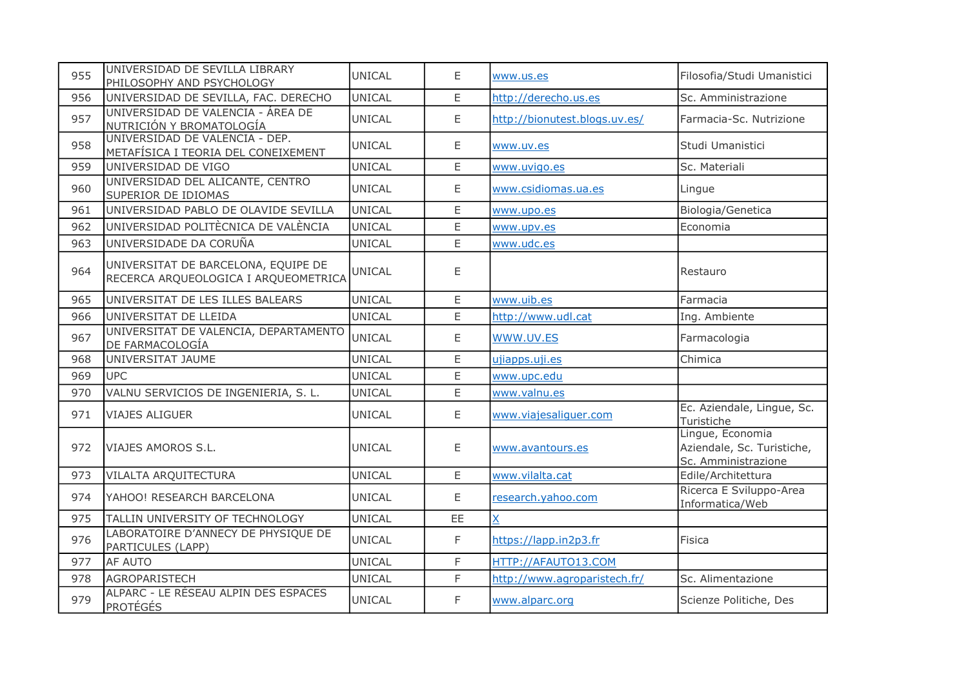| 955 | UNIVERSIDAD DE SEVILLA LIBRARY<br>PHILOSOPHY AND PSYCHOLOGY                  | <b>UNICAL</b> | E           | www.us.es                     | Filosofia/Studi Umanistici                                            |
|-----|------------------------------------------------------------------------------|---------------|-------------|-------------------------------|-----------------------------------------------------------------------|
| 956 | UNIVERSIDAD DE SEVILLA, FAC. DERECHO                                         | <b>UNICAL</b> | E           | http://derecho.us.es          | Sc. Amministrazione                                                   |
| 957 | UNIVERSIDAD DE VALENCIA - ÁREA DE<br>NUTRICIÓN Y BROMATOLOGÍA                | <b>UNICAL</b> | E           | http://bionutest.blogs.uv.es/ | Farmacia-Sc. Nutrizione                                               |
| 958 | UNIVERSIDAD DE VALENCIA - DEP.<br><u>METAFÍSICA I TEORIA DEL CONEIXEMENT</u> | UNICAL        | E           | www.uv.es                     | Studi Umanistici                                                      |
| 959 | UNIVERSIDAD DE VIGO                                                          | <b>UNICAL</b> | $\mathsf E$ | www.uvigo.es                  | Sc. Materiali                                                         |
| 960 | UNIVERSIDAD DEL ALICANTE, CENTRO<br>SUPERIOR DE IDIOMAS                      | UNICAL        | $\mathsf E$ | www.csidiomas.ua.es           | Lingue                                                                |
| 961 | UNIVERSIDAD PABLO DE OLAVIDE SEVILLA                                         | <b>UNICAL</b> | $\mathsf E$ | www.upo.es                    | Biologia/Genetica                                                     |
| 962 | UNIVERSIDAD POLITÈCNICA DE VALÈNCIA                                          | <b>UNICAL</b> | E           | www.upv.es                    | Economia                                                              |
| 963 | UNIVERSIDADE DA CORUÑA                                                       | <b>UNICAL</b> | E           | www.udc.es                    |                                                                       |
| 964 | UNIVERSITAT DE BARCELONA, EQUIPE DE<br>RECERCA ARQUEOLOGICA I ARQUEOMETRICA  | <b>UNICAL</b> | E           |                               | Restauro                                                              |
| 965 | UNIVERSITAT DE LES ILLES BALEARS                                             | <b>UNICAL</b> | E           | www.uib.es                    | Farmacia                                                              |
| 966 | UNIVERSITAT DE LLEIDA                                                        | <b>UNICAL</b> | E           | http://www.udl.cat            | Ing. Ambiente                                                         |
| 967 | UNIVERSITAT DE VALENCIA, DEPARTAMENTO<br>DE FARMACOLOGÍA                     | UNICAL        | E           | WWW.UV.ES                     | Farmacologia                                                          |
| 968 | UNIVERSITAT JAUME                                                            | <b>UNICAL</b> | E           | ujiapps.uji.es                | Chimica                                                               |
| 969 | <b>UPC</b>                                                                   | UNICAL        | E           | www.upc.edu                   |                                                                       |
| 970 | VALNU SERVICIOS DE INGENIERIA, S. L.                                         | UNICAL        | E           | www.valnu.es                  |                                                                       |
| 971 | <b>VIAJES ALIGUER</b>                                                        | UNICAL        | E           | www.viajesaliguer.com         | Ec. Aziendale, Lingue, Sc.<br>Turistiche                              |
| 972 | <b>VIAJES AMOROS S.L.</b>                                                    | <b>UNICAL</b> | Ε           | www.avantours.es              | Lingue, Economia<br>Aziendale, Sc. Turistiche,<br>Sc. Amministrazione |
| 973 | VILALTA ARQUITECTURA                                                         | <b>UNICAL</b> | E           | www.vilalta.cat               | Edile/Architettura                                                    |
| 974 | YAHOO! RESEARCH BARCELONA                                                    | <b>UNICAL</b> | E           | research.yahoo.com            | Ricerca E Sviluppo-Area<br>Informatica/Web                            |
| 975 | TALLIN UNIVERSITY OF TECHNOLOGY                                              | <b>UNICAL</b> | EE          | $\overline{X}$                |                                                                       |
| 976 | LABORATOIRE D'ANNECY DE PHYSIQUE DE<br>PARTICULES (LAPP)                     | UNICAL        | F           | https://lapp.in2p3.fr         | Fisica                                                                |
| 977 | <b>AF AUTO</b>                                                               | <b>UNICAL</b> | F           | HTTP://AFAUTO13.COM           |                                                                       |
| 978 | AGROPARISTECH                                                                | <b>UNICAL</b> | F           | http://www.agroparistech.fr/  | Sc. Alimentazione                                                     |
| 979 | ALPARC - LE RÉSEAU ALPIN DES ESPACES<br>PROTÉGÉS                             | <b>UNICAL</b> | F           | www.alparc.org                | Scienze Politiche, Des                                                |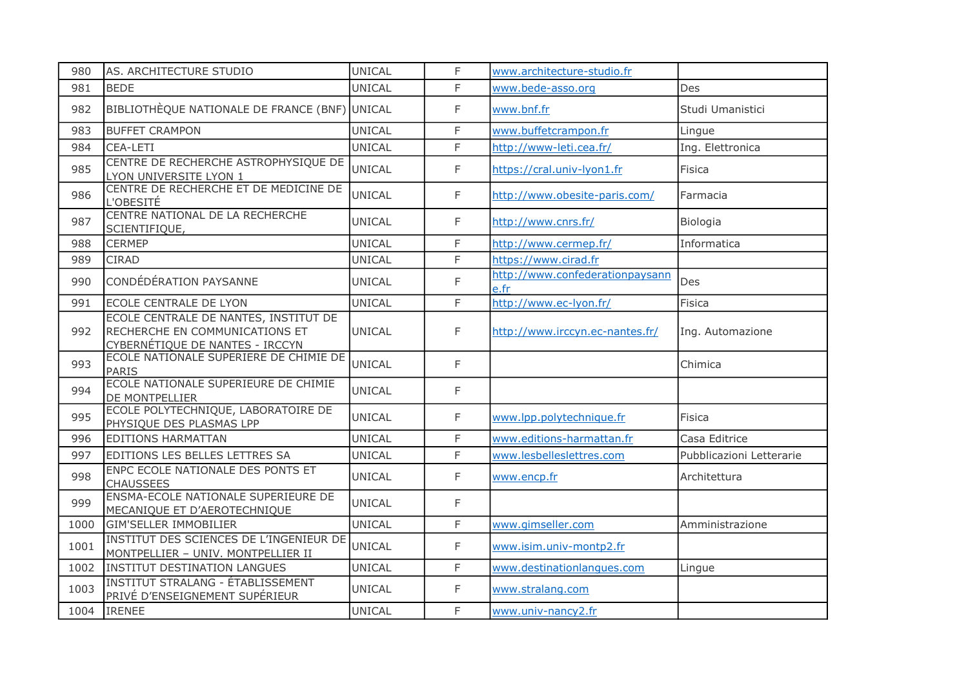| 980  | AS. ARCHITECTURE STUDIO                                                                                    | <b>UNICAL</b> | F            | www.architecture-studio.fr              |                          |
|------|------------------------------------------------------------------------------------------------------------|---------------|--------------|-----------------------------------------|--------------------------|
| 981  | <b>BEDE</b>                                                                                                | UNICAL        | F            | www.bede-asso.org                       | Des                      |
| 982  | BIBLIOTHÈQUE NATIONALE DE FRANCE (BNF) UNICAL                                                              |               | F            | www.bnf.fr                              | Studi Umanistici         |
| 983  | <b>BUFFET CRAMPON</b>                                                                                      | <b>UNICAL</b> | F            | www.buffetcrampon.fr                    | Lingue                   |
| 984  | <b>CEA-LETI</b>                                                                                            | <b>UNICAL</b> | F            | http://www-leti.cea.fr/                 | Ing. Elettronica         |
| 985  | CENTRE DE RECHERCHE ASTROPHYSIQUE DE<br>LYON UNIVERSITE LYON 1                                             | <b>UNICAL</b> | F            | https://cral.univ-lyon1.fr              | Fisica                   |
| 986  | CENTRE DE RECHERCHE ET DE MEDICINE DE<br>L'OBESITÉ                                                         | <b>UNICAL</b> | F.           | http://www.obesite-paris.com/           | Farmacia                 |
| 987  | CENTRE NATIONAL DE LA RECHERCHE<br>SCIENTIFIQUE,                                                           | UNICAL        | F            | http://www.cnrs.fr/                     | Biologia                 |
| 988  | <b>CERMEP</b>                                                                                              | <b>UNICAL</b> | $\mathsf F$  | http://www.cermep.fr/                   | Informatica              |
| 989  | <b>CIRAD</b>                                                                                               | <b>UNICAL</b> | F            | https://www.cirad.fr                    |                          |
| 990  | CONDÉDÉRATION PAYSANNE                                                                                     | <b>UNICAL</b> | F            | http://www.confederationpaysann<br>e.fr | Des                      |
| 991  | ECOLE CENTRALE DE LYON                                                                                     | UNICAL        | F            | http://www.ec-lyon.fr/                  | Fisica                   |
| 992  | ECOLE CENTRALE DE NANTES, INSTITUT DE<br>RECHERCHE EN COMMUNICATIONS ET<br>CYBERNÉTIQUE DE NANTES - IRCCYN | UNICAL        | F            | http://www.irccyn.ec-nantes.fr/         | Ing. Automazione         |
| 993  | ECOLE NATIONALE SUPERIERE DE CHIMIE DE<br>PARIS                                                            | UNICAL        | F            |                                         | Chimica                  |
| 994  | ECOLE NATIONALE SUPERIEURE DE CHIMIE<br><b>DE MONTPELLIER</b>                                              | UNICAL        | $\mathsf F$  |                                         |                          |
| 995  | ECOLE POLYTECHNIQUE, LABORATOIRE DE<br>PHYSIQUE DES PLASMAS LPP                                            | UNICAL        | F            | www.lpp.polytechnique.fr                | Fisica                   |
| 996  | <b>EDITIONS HARMATTAN</b>                                                                                  | <b>UNICAL</b> | $\mathsf{F}$ | www.editions-harmattan.fr               | Casa Editrice            |
| 997  | EDITIONS LES BELLES LETTRES SA                                                                             | <b>UNICAL</b> | F            | www.lesbelleslettres.com                | Pubblicazioni Letterarie |
| 998  | ENPC ECOLE NATIONALE DES PONTS ET<br><b>CHAUSSEES</b>                                                      | UNICAL        | F            | www.encp.fr                             | Architettura             |
| 999  | ENSMA-ECOLE NATIONALE SUPERIEURE DE<br>MECANIQUE ET D'AEROTECHNIQUE                                        | <b>UNICAL</b> | F            |                                         |                          |
| 1000 | <b>GIM'SELLER IMMOBILIER</b>                                                                               | <b>UNICAL</b> | F            | www.gimseller.com                       | Amministrazione          |
| 1001 | INSTITUT DES SCIENCES DE L'INGENIEUR DE<br>MONTPELLIER - UNIV. MONTPELLIER II                              | <b>UNICAL</b> | $\mathsf F$  | www.isim.univ-montp2.fr                 |                          |
| 1002 | <b>INSTITUT DESTINATION LANGUES</b>                                                                        | <b>UNICAL</b> | F.           | www.destinationlangues.com              | Lingue                   |
| 1003 | <b>INSTITUT STRALANG - ÉTABLISSEMENT</b><br>PRIVÉ D'ENSEIGNEMENT SUPÉRIEUR                                 | <b>UNICAL</b> | $\mathsf{F}$ | www.stralang.com                        |                          |
| 1004 | <b>IRENEE</b>                                                                                              | <b>UNICAL</b> | F            | www.univ-nancy2.fr                      |                          |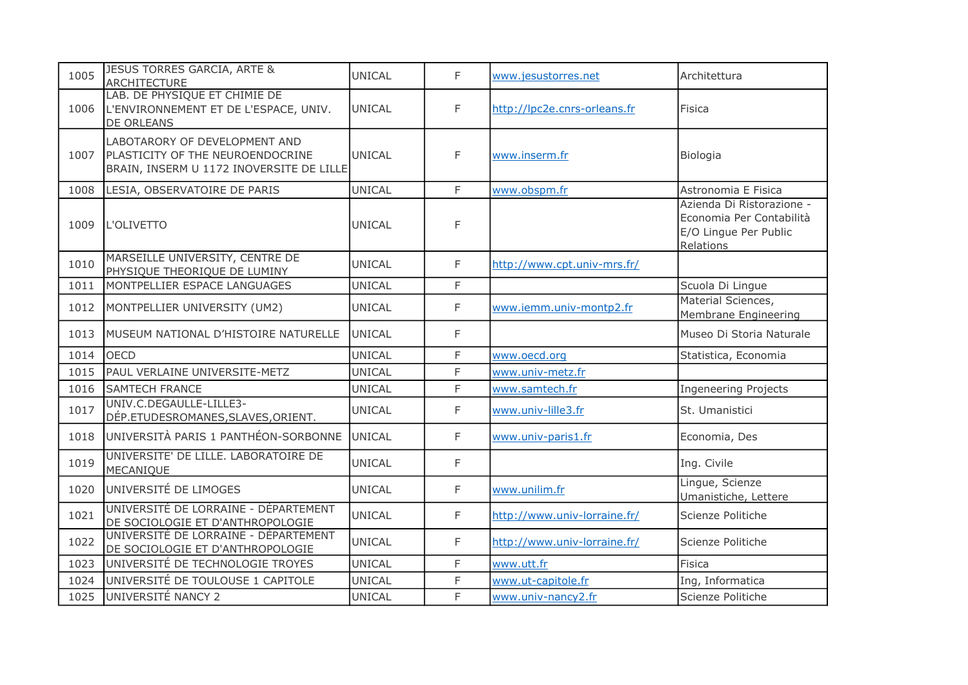| 1005 | JESUS TORRES GARCIA, ARTE &<br><b>ARCHITECTURE</b>                                                            | <b>UNICAL</b> | F  | www.jesustorres.net          | Architettura                                                                                |
|------|---------------------------------------------------------------------------------------------------------------|---------------|----|------------------------------|---------------------------------------------------------------------------------------------|
| 1006 | LAB. DE PHYSIQUE ET CHIMIE DE<br>L'ENVIRONNEMENT ET DE L'ESPACE, UNIV.<br>DE ORLEANS                          | UNICAL        | F  | http://lpc2e.cnrs-orleans.fr | Fisica                                                                                      |
| 1007 | LABOTARORY OF DEVELOPMENT AND<br>PLASTICITY OF THE NEUROENDOCRINE<br>BRAIN, INSERM U 1172 INOVERSITE DE LILLE | <b>UNICAL</b> | F  | www.inserm.fr                | Biologia                                                                                    |
| 1008 | LESIA, OBSERVATOIRE DE PARIS                                                                                  | <b>UNICAL</b> | F  | www.obspm.fr                 | Astronomia E Fisica                                                                         |
| 1009 | L'OLIVETTO                                                                                                    | <b>UNICAL</b> | F  |                              | Azienda Di Ristorazione -<br>Economia Per Contabilità<br>E/O Lingue Per Public<br>Relations |
| 1010 | MARSEILLE UNIVERSITY, CENTRE DE<br>PHYSIQUE THEORIQUE DE LUMINY                                               | <b>UNICAL</b> | F  | http://www.cpt.univ-mrs.fr/  |                                                                                             |
| 1011 | MONTPELLIER ESPACE LANGUAGES                                                                                  | <b>UNICAL</b> | F. |                              | Scuola Di Lingue                                                                            |
| 1012 | MONTPELLIER UNIVERSITY (UM2)                                                                                  | <b>UNICAL</b> | F  | www.iemm.univ-montp2.fr      | Material Sciences,<br>Membrane Engineering                                                  |
| 1013 | MUSEUM NATIONAL D'HISTOIRE NATURELLE                                                                          | <b>UNICAL</b> | F  |                              | Museo Di Storia Naturale                                                                    |
| 1014 | <b>OECD</b>                                                                                                   | <b>UNICAL</b> | F. | www.oecd.org                 | Statistica, Economia                                                                        |
| 1015 | PAUL VERLAINE UNIVERSITE-METZ                                                                                 | <b>UNICAL</b> | F. | www.univ-metz.fr             |                                                                                             |
| 1016 | <b>SAMTECH FRANCE</b>                                                                                         | UNICAL        | F. | www.samtech.fr               | <b>Ingeneering Projects</b>                                                                 |
| 1017 | UNIV.C.DEGAULLE-LILLE3-<br>DÉP.ETUDESROMANES, SLAVES, ORIENT.                                                 | <b>UNICAL</b> | F. | www.univ-lille3.fr           | St. Umanistici                                                                              |
| 1018 | UNIVERSITÀ PARIS 1 PANTHÉON-SORBONNE                                                                          | UNICAL        | F. | www.univ-paris1.fr           | Economia, Des                                                                               |
| 1019 | UNIVERSITE' DE LILLE. LABORATOIRE DE<br>MECANIQUE                                                             | UNICAL        | F. |                              | Ing. Civile                                                                                 |
| 1020 | UNIVERSITÉ DE LIMOGES                                                                                         | <b>UNICAL</b> | F  | www.unilim.fr                | Lingue, Scienze<br>Umanistiche, Lettere                                                     |
| 1021 | UNIVERSITÉ DE LORRAINE - DÉPARTEMENT<br>DE SOCIOLOGIE ET D'ANTHROPOLOGIE                                      | <b>UNICAL</b> | F  | http://www.univ-lorraine.fr/ | Scienze Politiche                                                                           |
| 1022 | UNIVERSITÉ DE LORRAINE - DÉPARTEMENT<br>DE SOCIOLOGIE ET D'ANTHROPOLOGIE                                      | <b>UNICAL</b> | F. | http://www.univ-lorraine.fr/ | Scienze Politiche                                                                           |
| 1023 | UNIVERSITÉ DE TECHNOLOGIE TROYES                                                                              | <b>UNICAL</b> | F. | www.utt.fr                   | <b>Fisica</b>                                                                               |
| 1024 | UNIVERSITÉ DE TOULOUSE 1 CAPITOLE                                                                             | <b>UNICAL</b> | F  | www.ut-capitole.fr           | Ing, Informatica                                                                            |
| 1025 | UNIVERSITÉ NANCY 2                                                                                            | <b>UNICAL</b> | F. | www.univ-nancy2.fr           | Scienze Politiche                                                                           |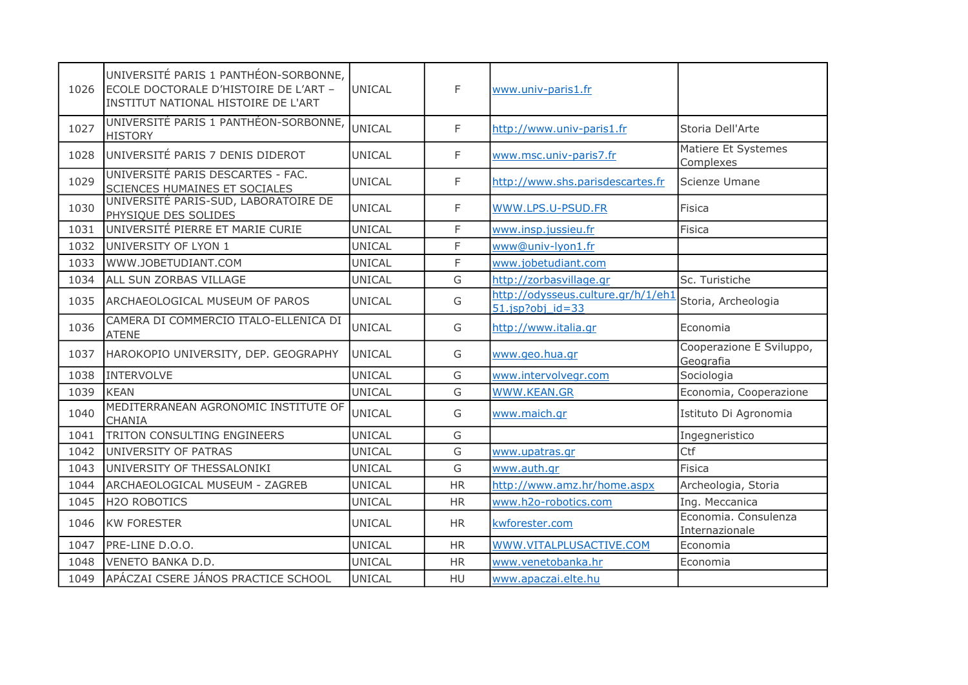| 1026 | UNIVERSITÉ PARIS 1 PANTHÉON-SORBONNE,<br>ECOLE DOCTORALE D'HISTOIRE DE L'ART -<br>INSTITUT NATIONAL HISTOIRE DE L'ART | <b>UNICAL</b> | F         | www.univ-paris1.fr                                         |                                        |
|------|-----------------------------------------------------------------------------------------------------------------------|---------------|-----------|------------------------------------------------------------|----------------------------------------|
| 1027 | UNIVERSITÉ PARIS 1 PANTHÉON-SORBONNE,<br><b>HISTORY</b>                                                               | <b>UNICAL</b> | F.        | http://www.univ-paris1.fr                                  | Storia Dell'Arte                       |
| 1028 | UNIVERSITÉ PARIS 7 DENIS DIDEROT                                                                                      | UNICAL        | F.        | www.msc.univ-paris7.fr                                     | Matiere Et Systemes<br>Complexes       |
| 1029 | UNIVERSITÉ PARIS DESCARTES - FAC.<br>SCIENCES HUMAINES ET SOCIALES                                                    | <b>UNICAL</b> | F         | http://www.shs.parisdescartes.fr                           | Scienze Umane                          |
| 1030 | UNIVERSITÉ PARIS-SUD, LABORATOIRE DE<br>PHYSIQUE DES SOLIDES                                                          | UNICAL        | F         | WWW.LPS.U-PSUD.FR                                          | Fisica                                 |
| 1031 | UNIVERSITÉ PIERRE ET MARIE CURIE                                                                                      | <b>UNICAL</b> | F.        | www.insp.jussieu.fr                                        | Fisica                                 |
| 1032 | UNIVERSITY OF LYON 1                                                                                                  | <b>UNICAL</b> | F         | www@univ-lyon1.fr                                          |                                        |
| 1033 | WWW.JOBETUDIANT.COM                                                                                                   | <b>UNICAL</b> | F.        | www.jobetudiant.com                                        |                                        |
| 1034 | ALL SUN ZORBAS VILLAGE                                                                                                | <b>UNICAL</b> | G         | http://zorbasvillage.gr                                    | Sc. Turistiche                         |
| 1035 | <b>ARCHAEOLOGICAL MUSEUM OF PAROS</b>                                                                                 | <b>UNICAL</b> | G         | http://odysseus.culture.gr/h/1/eh1<br>$51.jpg$ obj $id=33$ | Storia, Archeologia                    |
| 1036 | CAMERA DI COMMERCIO ITALO-ELLENICA DI<br><b>ATENE</b>                                                                 | UNICAL        | G         | http://www.italia.gr                                       | Economia                               |
| 1037 | HAROKOPIO UNIVERSITY, DEP. GEOGRAPHY                                                                                  | <b>UNICAL</b> | G         | www.geo.hua.gr                                             | Cooperazione E Sviluppo,<br>Geografia  |
| 1038 | <b>INTERVOLVE</b>                                                                                                     | <b>UNICAL</b> | G         | www.intervolvegr.com                                       | Sociologia                             |
| 1039 | <b>KEAN</b>                                                                                                           | <b>UNICAL</b> | G         | WWW.KEAN.GR                                                | Economia, Cooperazione                 |
| 1040 | MEDITERRANEAN AGRONOMIC INSTITUTE OF<br><b>CHANIA</b>                                                                 | UNICAL        | G         | www.maich.gr                                               | Istituto Di Agronomia                  |
| 1041 | <b>TRITON CONSULTING ENGINEERS</b>                                                                                    | <b>UNICAL</b> | G         |                                                            | Ingegneristico                         |
| 1042 | UNIVERSITY OF PATRAS                                                                                                  | <b>UNICAL</b> | G         | www.upatras.gr                                             | Ctf                                    |
| 1043 | UNIVERSITY OF THESSALONIKI                                                                                            | <b>UNICAL</b> | G         | www.auth.gr                                                | Fisica                                 |
| 1044 | ARCHAEOLOGICAL MUSEUM - ZAGREB                                                                                        | UNICAL        | <b>HR</b> | http://www.amz.hr/home.aspx                                | Archeologia, Storia                    |
| 1045 | <b>H2O ROBOTICS</b>                                                                                                   | <b>UNICAL</b> | <b>HR</b> | www.h2o-robotics.com                                       | Ing. Meccanica                         |
| 1046 | <b>KW FORESTER</b>                                                                                                    | <b>UNICAL</b> | <b>HR</b> | kwforester.com                                             | Economia. Consulenza<br>Internazionale |
| 1047 | PRE-LINE D.O.O.                                                                                                       | <b>UNICAL</b> | <b>HR</b> | WWW.VITALPLUSACTIVE.COM                                    | Economia                               |
| 1048 | VENETO BANKA D.D.                                                                                                     | <b>UNICAL</b> | <b>HR</b> | www.venetobanka.hr                                         | Economia                               |
| 1049 | APÁCZAI CSERE JÁNOS PRACTICE SCHOOL                                                                                   | <b>UNICAL</b> | HU        | www.apaczai.elte.hu                                        |                                        |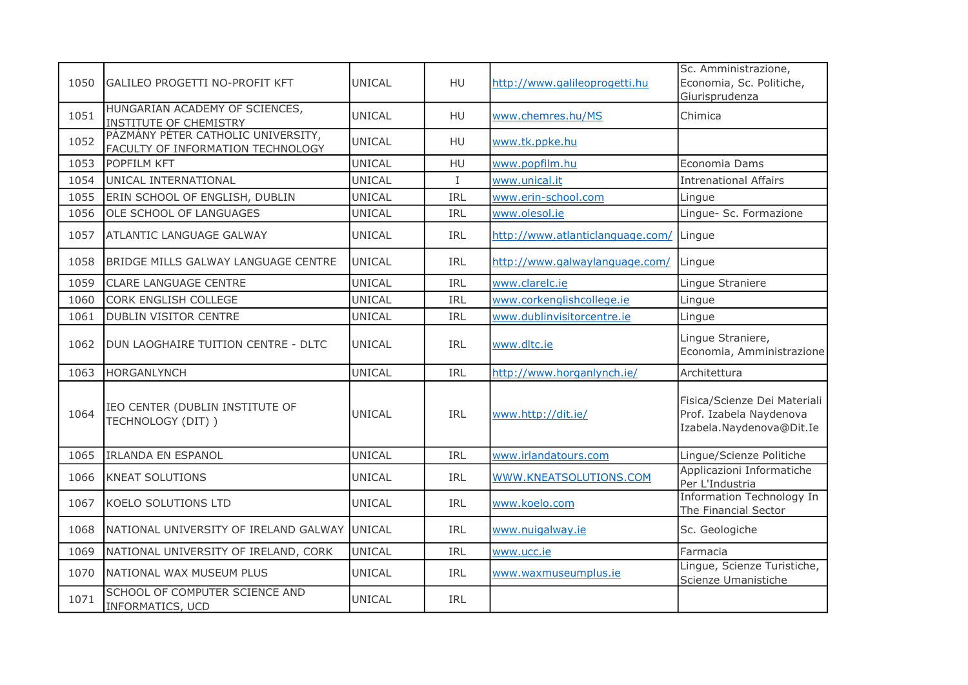| 1050 | <b>GALILEO PROGETTI NO-PROFIT KFT</b>                                   | UNICAL        | HU          | http://www.galileoprogetti.hu    | Sc. Amministrazione,<br>Economia, Sc. Politiche,<br>Giurisprudenza                  |
|------|-------------------------------------------------------------------------|---------------|-------------|----------------------------------|-------------------------------------------------------------------------------------|
| 1051 | HUNGARIAN ACADEMY OF SCIENCES,<br><b>INSTITUTE OF CHEMISTRY</b>         | <b>UNICAL</b> | <b>HU</b>   | www.chemres.hu/MS                | Chimica                                                                             |
| 1052 | PÁZMÁNY PÉTER CATHOLIC UNIVERSITY,<br>FACULTY OF INFORMATION TECHNOLOGY | <b>UNICAL</b> | <b>HU</b>   | www.tk.ppke.hu                   |                                                                                     |
| 1053 | POPFILM KFT                                                             | <b>UNICAL</b> | HU          | www.popfilm.hu                   | Economia Dams                                                                       |
| 1054 | UNICAL INTERNATIONAL                                                    | <b>UNICAL</b> | $\mathbf I$ | www.unical.it                    | <b>Intrenational Affairs</b>                                                        |
| 1055 | ERIN SCHOOL OF ENGLISH, DUBLIN                                          | <b>UNICAL</b> | IRL         | www.erin-school.com              | Lingue                                                                              |
| 1056 | OLE SCHOOL OF LANGUAGES                                                 | <b>UNICAL</b> | IRL         | www.olesol.ie                    | Lingue- Sc. Formazione                                                              |
| 1057 | <b>ATLANTIC LANGUAGE GALWAY</b>                                         | <b>UNICAL</b> | IRL         | http://www.atlanticlanguage.com/ | Lingue                                                                              |
| 1058 | <b>BRIDGE MILLS GALWAY LANGUAGE CENTRE</b>                              | <b>UNICAL</b> | <b>IRL</b>  | http://www.galwaylanguage.com/   | Lingue                                                                              |
| 1059 | <b>CLARE LANGUAGE CENTRE</b>                                            | <b>UNICAL</b> | IRL         | www.clarelc.ie                   | Lingue Straniere                                                                    |
| 1060 | CORK ENGLISH COLLEGE                                                    | <b>UNICAL</b> | IRL         | www.corkenglishcollege.ie        | Lingue                                                                              |
| 1061 | <b>DUBLIN VISITOR CENTRE</b>                                            | <b>UNICAL</b> | IRL         | www.dublinvisitorcentre.ie       | Lingue                                                                              |
| 1062 | DUN LAOGHAIRE TUITION CENTRE - DLTC                                     | UNICAL        | <b>IRL</b>  | www.dltc.ie                      | Lingue Straniere,<br>Economia, Amministrazione                                      |
| 1063 | <b>HORGANLYNCH</b>                                                      | <b>UNICAL</b> | IRL         | http://www.horganlynch.ie/       | Architettura                                                                        |
| 1064 | IEO CENTER (DUBLIN INSTITUTE OF<br>TECHNOLOGY (DIT))                    | UNICAL        | IRL         | www.http://dit.ie/               | Fisica/Scienze Dei Materiali<br>Prof. Izabela Naydenova<br>Izabela.Naydenova@Dit.Ie |
| 1065 | <b>IRLANDA EN ESPANOL</b>                                               | <b>UNICAL</b> | IRL         | www.irlandatours.com             | Lingue/Scienze Politiche                                                            |
| 1066 | <b>KNEAT SOLUTIONS</b>                                                  | <b>UNICAL</b> | <b>IRL</b>  | WWW.KNEATSOLUTIONS.COM           | Applicazioni Informatiche<br>Per L'Industria                                        |
| 1067 | <b>KOELO SOLUTIONS LTD</b>                                              | <b>UNICAL</b> | IRL         | www.koelo.com                    | <b>Information Technology In</b><br>The Financial Sector                            |
| 1068 | NATIONAL UNIVERSITY OF IRELAND GALWAY UNICAL                            |               | <b>IRL</b>  | www.nuigalway.ie                 | Sc. Geologiche                                                                      |
| 1069 | NATIONAL UNIVERSITY OF IRELAND, CORK                                    | <b>UNICAL</b> | IRL         | www.ucc.ie                       | Farmacia                                                                            |
| 1070 | NATIONAL WAX MUSEUM PLUS                                                | <b>UNICAL</b> | <b>IRL</b>  | www.waxmuseumplus.ie             | Lingue, Scienze Turistiche,<br>Scienze Umanistiche                                  |
| 1071 | SCHOOL OF COMPUTER SCIENCE AND<br><b>INFORMATICS, UCD</b>               | UNICAL        | <b>IRL</b>  |                                  |                                                                                     |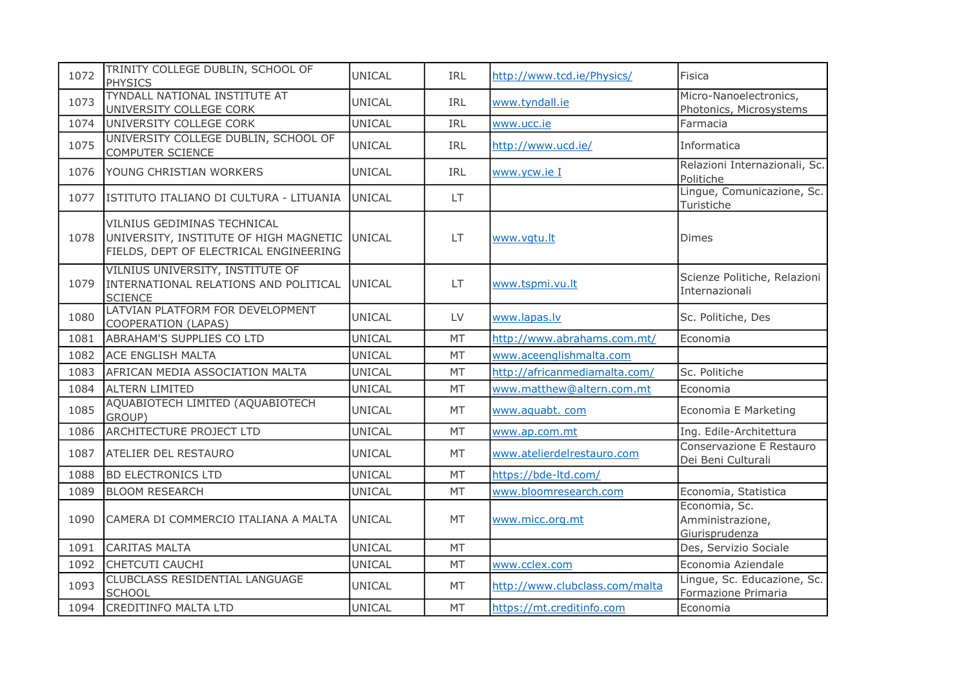| 1072 | TRINITY COLLEGE DUBLIN, SCHOOL OF<br><b>PHYSICS</b>                                                             | UNICAL        | IRL        | http://www.tcd.ie/Physics/     | Fisica                                              |
|------|-----------------------------------------------------------------------------------------------------------------|---------------|------------|--------------------------------|-----------------------------------------------------|
| 1073 | TYNDALL NATIONAL INSTITUTE AT<br>UNIVERSITY COLLEGE CORK                                                        | <b>UNICAL</b> | IRL        | www.tyndall.ie                 | Micro-Nanoelectronics,<br>Photonics, Microsystems   |
| 1074 | UNIVERSITY COLLEGE CORK                                                                                         | <b>UNICAL</b> | <b>IRL</b> | www.ucc.ie                     | Farmacia                                            |
| 1075 | UNIVERSITY COLLEGE DUBLIN, SCHOOL OF<br><b>COMPUTER SCIENCE</b>                                                 | UNICAL        | IRL        | http://www.ucd.ie/             | Informatica                                         |
| 1076 | YOUNG CHRISTIAN WORKERS                                                                                         | UNICAL        | IRL        | www.ycw.ie I                   | Relazioni Internazionali, Sc.<br>Politiche          |
| 1077 | IISTITUTO ITALIANO DI CULTURA - LITUANIA                                                                        | UNICAL        | LT.        |                                | Lingue, Comunicazione, Sc.<br>Turistiche            |
| 1078 | VILNIUS GEDIMINAS TECHNICAL<br>UNIVERSITY, INSTITUTE OF HIGH MAGNETIC<br>FIELDS, DEPT OF ELECTRICAL ENGINEERING | <b>UNICAL</b> | LT.        | www.vgtu.lt                    | <b>Dimes</b>                                        |
| 1079 | VILNIUS UNIVERSITY, INSTITUTE OF<br>INTERNATIONAL RELATIONS AND POLITICAL<br><b>SCIENCE</b>                     | <b>UNICAL</b> | <b>LT</b>  | www.tspmi.vu.lt                | Scienze Politiche, Relazioni<br>Internazionali      |
| 1080 | LATVIAN PLATFORM FOR DEVELOPMENT<br>COOPERATION (LAPAS)                                                         | UNICAL        | LV         | www.lapas.lv                   | Sc. Politiche, Des                                  |
| 1081 | <b>ABRAHAM'S SUPPLIES CO LTD</b>                                                                                | UNICAL        | MT         | http://www.abrahams.com.mt/    | Economia                                            |
| 1082 | <b>ACE ENGLISH MALTA</b>                                                                                        | UNICAL        | MT         | www.aceenglishmalta.com        |                                                     |
| 1083 | AFRICAN MEDIA ASSOCIATION MALTA                                                                                 | <b>UNICAL</b> | MT         | http://africanmediamalta.com/  | Sc. Politiche                                       |
| 1084 | <b>ALTERN LIMITED</b>                                                                                           | <b>UNICAL</b> | <b>MT</b>  | www.matthew@altern.com.mt      | Economia                                            |
| 1085 | AQUABIOTECH LIMITED (AQUABIOTECH<br>GROUP)                                                                      | UNICAL        | MT         | www.aquabt.com                 | Economia E Marketing                                |
| 1086 | <b>ARCHITECTURE PROJECT LTD</b>                                                                                 | <b>UNICAL</b> | MT         | www.ap.com.mt                  | Ing. Edile-Architettura                             |
| 1087 | <b>ATELIER DEL RESTAURO</b>                                                                                     | <b>UNICAL</b> | <b>MT</b>  | www.atelierdelrestauro.com     | Conservazione E Restauro<br>Dei Beni Culturali      |
| 1088 | <b>BD ELECTRONICS LTD</b>                                                                                       | <b>UNICAL</b> | MT         | https://bde-ltd.com/           |                                                     |
| 1089 | <b>BLOOM RESEARCH</b>                                                                                           | <b>UNICAL</b> | MT         | www.bloomresearch.com          | Economia, Statistica                                |
| 1090 | CAMERA DI COMMERCIO ITALIANA A MALTA                                                                            | <b>UNICAL</b> | MT         | www.micc.org.mt                | Economia, Sc.<br>Amministrazione,<br>Giurisprudenza |
| 1091 | <b>CARITAS MALTA</b>                                                                                            | <b>UNICAL</b> | MT         |                                | Des, Servizio Sociale                               |
| 1092 | CHETCUTI CAUCHI                                                                                                 | <b>UNICAL</b> | MT         | www.cclex.com                  | Economia Aziendale                                  |
| 1093 | CLUBCLASS RESIDENTIAL LANGUAGE<br><b>SCHOOL</b>                                                                 | <b>UNICAL</b> | MT         | http://www.clubclass.com/malta | Lingue, Sc. Educazione, Sc.<br>Formazione Primaria  |
| 1094 | <b>CREDITINFO MALTA LTD</b>                                                                                     | <b>UNICAL</b> | MT         | https://mt.creditinfo.com      | Economia                                            |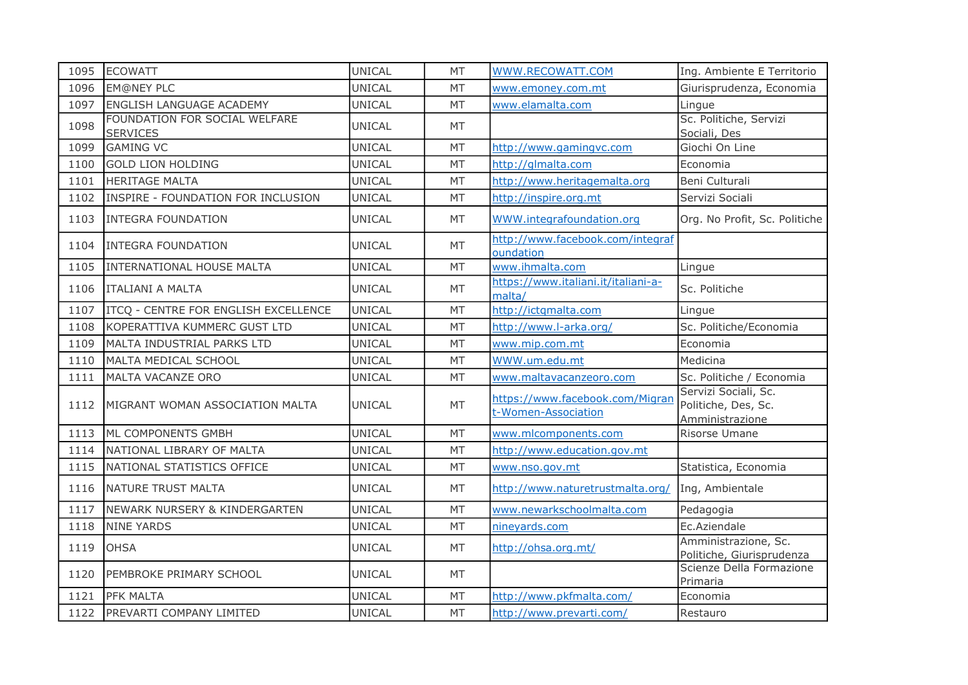| 1095 | <b>ECOWATT</b>                                   | <b>UNICAL</b> | <b>MT</b> | WWW.RECOWATT.COM                                       | Ing. Ambiente E Territorio                                     |
|------|--------------------------------------------------|---------------|-----------|--------------------------------------------------------|----------------------------------------------------------------|
| 1096 | <b>EM@NEY PLC</b>                                | UNICAL        | MT        | www.emoney.com.mt                                      | Giurisprudenza, Economia                                       |
| 1097 | ENGLISH LANGUAGE ACADEMY                         | UNICAL        | <b>MT</b> | www.elamalta.com                                       | Lingue                                                         |
| 1098 | FOUNDATION FOR SOCIAL WELFARE<br><b>SERVICES</b> | <b>UNICAL</b> | MT        |                                                        | Sc. Politiche, Servizi<br>Sociali, Des                         |
| 1099 | <b>GAMING VC</b>                                 | <b>UNICAL</b> | MT        | http://www.gamingvc.com                                | Giochi On Line                                                 |
| 1100 | <b>GOLD LION HOLDING</b>                         | UNICAL        | <b>MT</b> | http://glmalta.com                                     | Economia                                                       |
| 1101 | <b>HERITAGE MALTA</b>                            | <b>UNICAL</b> | <b>MT</b> | http://www.heritagemalta.org                           | Beni Culturali                                                 |
| 1102 | INSPIRE - FOUNDATION FOR INCLUSION               | UNICAL        | <b>MT</b> | http://inspire.org.mt                                  | Servizi Sociali                                                |
| 1103 | <b>INTEGRA FOUNDATION</b>                        | <b>UNICAL</b> | MT        | WWW.integrafoundation.org                              | Org. No Profit, Sc. Politiche                                  |
| 1104 | <b>INTEGRA FOUNDATION</b>                        | <b>UNICAL</b> | <b>MT</b> | http://www.facebook.com/integraf<br>oundation          |                                                                |
| 1105 | <b>INTERNATIONAL HOUSE MALTA</b>                 | <b>UNICAL</b> | MT        | www.ihmalta.com                                        | Lingue                                                         |
| 1106 | <b>ITALIANI A MALTA</b>                          | <b>UNICAL</b> | <b>MT</b> | https://www.italiani.it/italiani-a-<br>malta/          | Sc. Politiche                                                  |
| 1107 | ITCQ - CENTRE FOR ENGLISH EXCELLENCE             | UNICAL        | MT        | http://ictgmalta.com                                   | Lingue                                                         |
| 1108 | KOPERATTIVA KUMMERC GUST LTD                     | <b>UNICAL</b> | MT        | http://www.l-arka.org/                                 | Sc. Politiche/Economia                                         |
| 1109 | MALTA INDUSTRIAL PARKS LTD                       | UNICAL        | <b>MT</b> | www.mip.com.mt                                         | Economia                                                       |
| 1110 | MALTA MEDICAL SCHOOL                             | <b>UNICAL</b> | <b>MT</b> | WWW.um.edu.mt                                          | Medicina                                                       |
| 1111 | MALTA VACANZE ORO                                | UNICAL        | <b>MT</b> | www.maltavacanzeoro.com                                | Sc. Politiche / Economia                                       |
| 1112 | MIGRANT WOMAN ASSOCIATION MALTA                  | <b>UNICAL</b> | MT        | https://www.facebook.com/Migran<br>t-Women-Association | Servizi Sociali, Sc.<br>Politiche, Des, Sc.<br>Amministrazione |
| 1113 | ML COMPONENTS GMBH                               | UNICAL        | <b>MT</b> | www.mlcomponents.com                                   | Risorse Umane                                                  |
| 1114 | NATIONAL LIBRARY OF MALTA                        | UNICAL        | <b>MT</b> | http://www.education.gov.mt                            |                                                                |
| 1115 | NATIONAL STATISTICS OFFICE                       | UNICAL        | MT        | www.nso.gov.mt                                         | Statistica, Economia                                           |
| 1116 | NATURE TRUST MALTA                               | UNICAL        | MT        | http://www.naturetrustmalta.org/                       | Ing, Ambientale                                                |
| 1117 | NEWARK NURSERY & KINDERGARTEN                    | <b>UNICAL</b> | MT        | www.newarkschoolmalta.com                              | Pedagogia                                                      |
| 1118 | <b>NINE YARDS</b>                                | UNICAL        | MT        | nineyards.com                                          | Ec.Aziendale                                                   |
| 1119 | <b>OHSA</b>                                      | UNICAL        | MT        | http://ohsa.org.mt/                                    | Amministrazione, Sc.<br>Politiche, Giurisprudenza              |
| 1120 | PEMBROKE PRIMARY SCHOOL                          | <b>UNICAL</b> | <b>MT</b> |                                                        | Scienze Della Formazione<br>Primaria                           |
| 1121 | <b>PFK MALTA</b>                                 | UNICAL        | MT        | http://www.pkfmalta.com/                               | Economia                                                       |
| 1122 | PREVARTI COMPANY LIMITED                         | <b>UNICAL</b> | MT        | http://www.prevarti.com/                               | Restauro                                                       |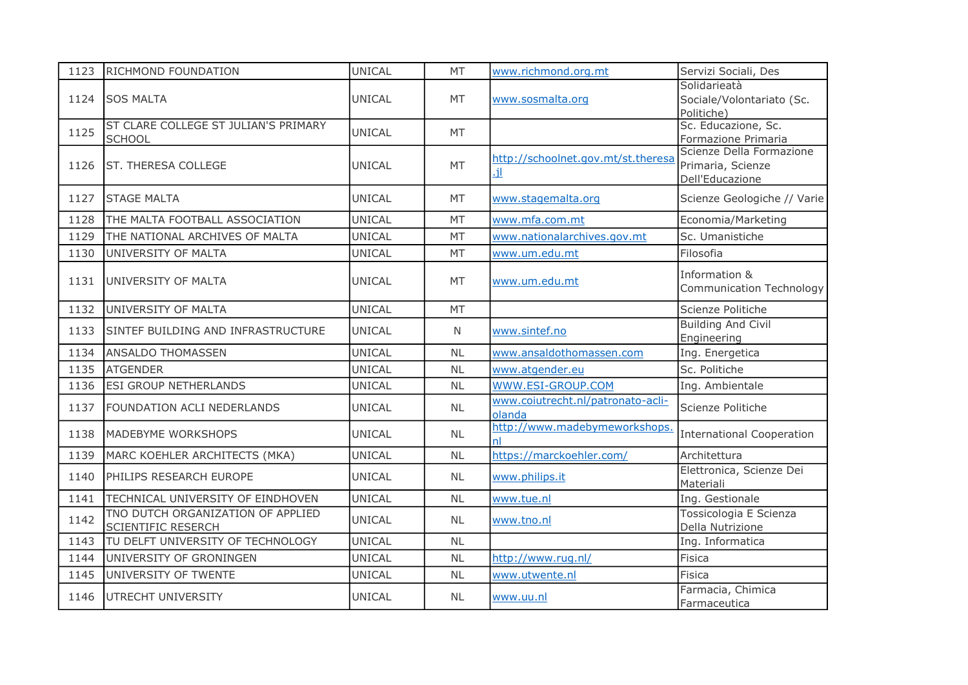| 1123 | <b>RICHMOND FOUNDATION</b>                                     | <b>UNICAL</b> | MT           | www.richmond.org.mt                         | Servizi Sociali, Des                                             |
|------|----------------------------------------------------------------|---------------|--------------|---------------------------------------------|------------------------------------------------------------------|
| 1124 | <b>SOS MALTA</b>                                               | <b>UNICAL</b> | MT           | www.sosmalta.org                            | Solidarieatà<br>Sociale/Volontariato (Sc.<br>Politiche)          |
| 1125 | ST CLARE COLLEGE ST JULIAN'S PRIMARY<br><b>SCHOOL</b>          | UNICAL        | MT           |                                             | Sc. Educazione, Sc.<br>Formazione Primaria                       |
| 1126 | ST. THERESA COLLEGE                                            | <b>UNICAL</b> | MT           | http://schoolnet.gov.mt/st.theresa<br>٠ÎL.  | Scienze Della Formazione<br>Primaria, Scienze<br>Dell'Educazione |
| 1127 | <b>STAGE MALTA</b>                                             | <b>UNICAL</b> | MT           | www.stagemalta.org                          | Scienze Geologiche // Varie                                      |
| 1128 | THE MALTA FOOTBALL ASSOCIATION                                 | <b>UNICAL</b> | MT           | www.mfa.com.mt                              | Economia/Marketing                                               |
| 1129 | THE NATIONAL ARCHIVES OF MALTA                                 | <b>UNICAL</b> | <b>MT</b>    | www.nationalarchives.gov.mt                 | Sc. Umanistiche                                                  |
| 1130 | UNIVERSITY OF MALTA                                            | <b>UNICAL</b> | MT           | www.um.edu.mt                               | Filosofia                                                        |
| 1131 | UNIVERSITY OF MALTA                                            | UNICAL        | MT           | www.um.edu.mt                               | Information &<br>Communication Technology                        |
| 1132 | UNIVERSITY OF MALTA                                            | <b>UNICAL</b> | MT           |                                             | Scienze Politiche                                                |
| 1133 | SINTEF BUILDING AND INFRASTRUCTURE                             | <b>UNICAL</b> | $\mathsf{N}$ | www.sintef.no                               | <b>Building And Civil</b><br>Engineering                         |
| 1134 | ANSALDO THOMASSEN                                              | <b>UNICAL</b> | <b>NL</b>    | www.ansaldothomassen.com                    | Ing. Energetica                                                  |
| 1135 | <b>ATGENDER</b>                                                | <b>UNICAL</b> | <b>NL</b>    | www.atgender.eu                             | Sc. Politiche                                                    |
| 1136 | <b>ESI GROUP NETHERLANDS</b>                                   | <b>UNICAL</b> | <b>NL</b>    | WWW.ESI-GROUP.COM                           | Ing. Ambientale                                                  |
| 1137 | FOUNDATION ACLI NEDERLANDS                                     | UNICAL        | <b>NL</b>    | www.coiutrecht.nl/patronato-acli-<br>olanda | Scienze Politiche                                                |
| 1138 | MADEBYME WORKSHOPS                                             | <b>UNICAL</b> | <b>NL</b>    | http://www.madebymeworkshops.<br>nl         | <b>International Cooperation</b>                                 |
| 1139 | MARC KOEHLER ARCHITECTS (MKA)                                  | <b>UNICAL</b> | <b>NL</b>    | https://marckoehler.com/                    | Architettura                                                     |
| 1140 | PHILIPS RESEARCH EUROPE                                        | <b>UNICAL</b> | <b>NL</b>    | www.philips.it                              | Elettronica, Scienze Dei<br>Materiali                            |
| 1141 | TECHNICAL UNIVERSITY OF EINDHOVEN                              | <b>UNICAL</b> | <b>NL</b>    | www.tue.nl                                  | Ing. Gestionale                                                  |
| 1142 | TNO DUTCH ORGANIZATION OF APPLIED<br><b>SCIENTIFIC RESERCH</b> | <b>UNICAL</b> | <b>NL</b>    | www.tno.nl                                  | Tossicologia E Scienza<br>Della Nutrizione                       |
| 1143 | TU DELFT UNIVERSITY OF TECHNOLOGY                              | <b>UNICAL</b> | <b>NL</b>    |                                             | Ing. Informatica                                                 |
| 1144 | UNIVERSITY OF GRONINGEN                                        | <b>UNICAL</b> | <b>NL</b>    | http://www.rug.nl/                          | Fisica                                                           |
| 1145 | UNIVERSITY OF TWENTE                                           | <b>UNICAL</b> | <b>NL</b>    | www.utwente.nl                              | Fisica                                                           |
| 1146 | UTRECHT UNIVERSITY                                             | UNICAL        | NL           | www.uu.nl                                   | Farmacia, Chimica<br>Farmaceutica                                |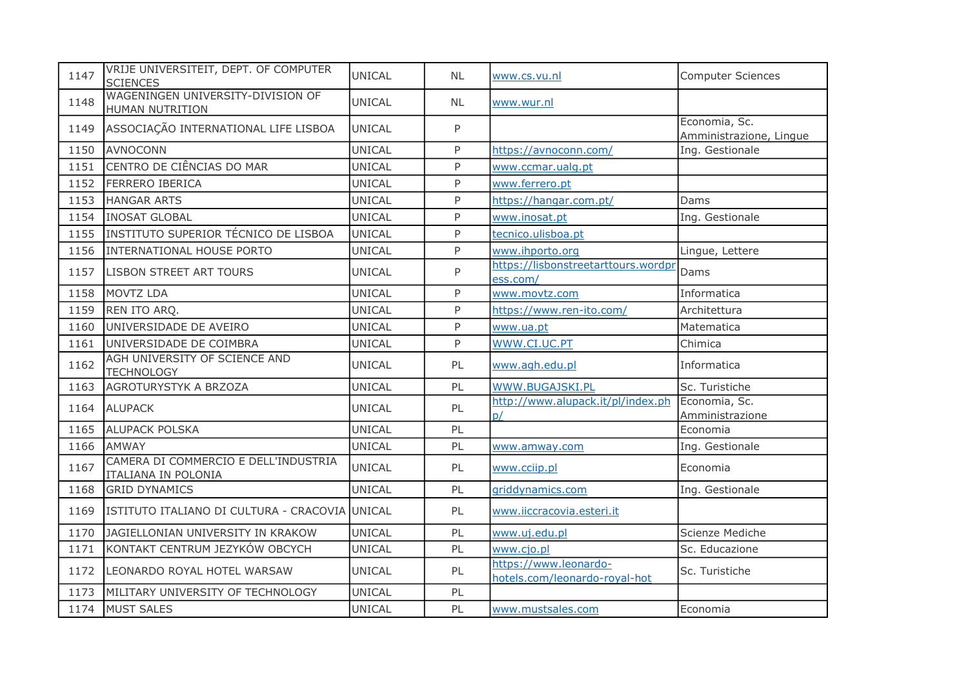| 1147 | VRIJE UNIVERSITEIT, DEPT. OF COMPUTER<br><b>SCIENCES</b>    | UNICAL        | <b>NL</b> | www.cs.vu.nl                                           | Computer Sciences                        |
|------|-------------------------------------------------------------|---------------|-----------|--------------------------------------------------------|------------------------------------------|
| 1148 | WAGENINGEN UNIVERSITY-DIVISION OF<br><b>HUMAN NUTRITION</b> | <b>UNICAL</b> | <b>NL</b> | www.wur.nl                                             |                                          |
| 1149 | ASSOCIAÇÃO INTERNATIONAL LIFE LISBOA                        | UNICAL        | P         |                                                        | Economia, Sc.<br>Amministrazione, Lingue |
| 1150 | <b>AVNOCONN</b>                                             | <b>UNICAL</b> | P         | https://avnoconn.com/                                  | Ing. Gestionale                          |
| 1151 | CENTRO DE CIÊNCIAS DO MAR                                   | UNICAL        | P         | www.ccmar.ualg.pt                                      |                                          |
| 1152 | <b>FERRERO IBERICA</b>                                      | UNICAL        | P         | www.ferrero.pt                                         |                                          |
| 1153 | <b>HANGAR ARTS</b>                                          | <b>UNICAL</b> | P         | https://hangar.com.pt/                                 | Dams                                     |
| 1154 | <b>INOSAT GLOBAL</b>                                        | <b>UNICAL</b> | P         | www.inosat.pt                                          | Ing. Gestionale                          |
| 1155 | INSTITUTO SUPERIOR TÉCNICO DE LISBOA                        | <b>UNICAL</b> | P         | tecnico.ulisboa.pt                                     |                                          |
| 1156 | INTERNATIONAL HOUSE PORTO                                   | <b>UNICAL</b> | P         | www.ihporto.org                                        | Lingue, Lettere                          |
| 1157 | <b>LISBON STREET ART TOURS</b>                              | UNICAL        | P         | https://lisbonstreetarttours.wordpr<br>ess.com/        | Dams                                     |
| 1158 | MOVTZ LDA                                                   | UNICAL        | P         | www.movtz.com                                          | Informatica                              |
| 1159 | REN ITO ARQ.                                                | UNICAL        | P         | https://www.ren-ito.com/                               | Architettura                             |
| 1160 | UNIVERSIDADE DE AVEIRO                                      | <b>UNICAL</b> | P         | www.ua.pt                                              | Matematica                               |
| 1161 | UNIVERSIDADE DE COIMBRA                                     | UNICAL        | P         | WWW.CI.UC.PT                                           | Chimica                                  |
| 1162 | AGH UNIVERSITY OF SCIENCE AND<br><b>TECHNOLOGY</b>          | UNICAL        | PL        | www.agh.edu.pl                                         | Informatica                              |
| 1163 | AGROTURYSTYK A BRZOZA                                       | UNICAL        | PL        | WWW.BUGAJSKI.PL                                        | Sc. Turistiche                           |
| 1164 | <b>ALUPACK</b>                                              | <b>UNICAL</b> | PL        | http://www.alupack.it/pl/index.ph<br>D/                | Economia, Sc.<br>Amministrazione         |
| 1165 | <b>ALUPACK POLSKA</b>                                       | UNICAL        | PL        |                                                        | Economia                                 |
| 1166 | <b>AMWAY</b>                                                | <b>UNICAL</b> | PL        | www.amway.com                                          | Ing. Gestionale                          |
| 1167 | CAMERA DI COMMERCIO E DELL'INDUSTRIA<br>ITALIANA IN POLONIA | <b>UNICAL</b> | PL        | www.cciip.pl                                           | Economia                                 |
| 1168 | <b>GRID DYNAMICS</b>                                        | <b>UNICAL</b> | PL        | griddynamics.com                                       | Ing. Gestionale                          |
| 1169 | ISTITUTO ITALIANO DI CULTURA - CRACOVIA UNICAL              |               | PL        | www.iiccracovia.esteri.it                              |                                          |
| 1170 | JAGIELLONIAN UNIVERSITY IN KRAKOW                           | UNICAL        | PL        | www.uj.edu.pl                                          | Scienze Mediche                          |
| 1171 | KONTAKT CENTRUM JEZYKÓW OBCYCH                              | <b>UNICAL</b> | PL        | www.cjo.pl                                             | Sc. Educazione                           |
| 1172 | LEONARDO ROYAL HOTEL WARSAW                                 | <b>UNICAL</b> | PL        | https://www.leonardo-<br>hotels.com/leonardo-royal-hot | Sc. Turistiche                           |
| 1173 | MILITARY UNIVERSITY OF TECHNOLOGY                           | <b>UNICAL</b> | PL        |                                                        |                                          |
| 1174 | <b>MUST SALES</b>                                           | <b>UNICAL</b> | PL        | www.mustsales.com                                      | Economia                                 |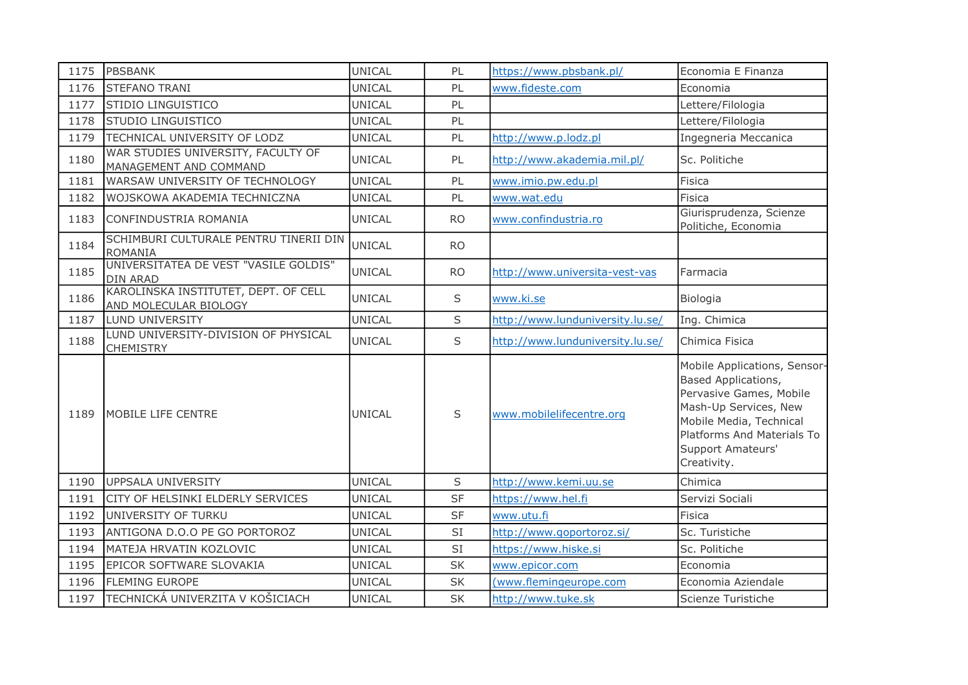| 1175 | <b>PBSBANK</b>                                                | UNICAL        | PL        | https://www.pbsbank.pl/          | Economia E Finanza                                                                                                                                                                                   |
|------|---------------------------------------------------------------|---------------|-----------|----------------------------------|------------------------------------------------------------------------------------------------------------------------------------------------------------------------------------------------------|
| 1176 | <b>STEFANO TRANI</b>                                          | <b>UNICAL</b> | PL        | www.fideste.com                  | Economia                                                                                                                                                                                             |
| 1177 | STIDIO LINGUISTICO                                            | <b>UNICAL</b> | PL        |                                  | Lettere/Filologia                                                                                                                                                                                    |
| 1178 | STUDIO LINGUISTICO                                            | <b>UNICAL</b> | PL        |                                  | Lettere/Filologia                                                                                                                                                                                    |
| 1179 | TECHNICAL UNIVERSITY OF LODZ                                  | <b>UNICAL</b> | PL        | http://www.p.lodz.pl             | Ingegneria Meccanica                                                                                                                                                                                 |
| 1180 | WAR STUDIES UNIVERSITY, FACULTY OF<br>MANAGEMENT AND COMMAND  | UNICAL        | PL        | http://www.akademia.mil.pl/      | Sc. Politiche                                                                                                                                                                                        |
| 1181 | WARSAW UNIVERSITY OF TECHNOLOGY                               | UNICAL        | PL        | www.imio.pw.edu.pl               | Fisica                                                                                                                                                                                               |
| 1182 | WOJSKOWA AKADEMIA TECHNICZNA                                  | <b>UNICAL</b> | PL        | www.wat.edu                      | Fisica                                                                                                                                                                                               |
| 1183 | CONFINDUSTRIA ROMANIA                                         | <b>UNICAL</b> | <b>RO</b> | www.confindustria.ro             | Giurisprudenza, Scienze<br>Politiche, Economia                                                                                                                                                       |
| 1184 | SCHIMBURI CULTURALE PENTRU TINERII DIN<br><b>ROMANIA</b>      | <b>UNICAL</b> | <b>RO</b> |                                  |                                                                                                                                                                                                      |
| 1185 | UNIVERSITATEA DE VEST "VASILE GOLDIS"<br><b>DIN ARAD</b>      | <b>UNICAL</b> | <b>RO</b> | http://www.universita-vest-vas   | Farmacia                                                                                                                                                                                             |
| 1186 | KAROLINSKA INSTITUTET, DEPT. OF CELL<br>AND MOLECULAR BIOLOGY | <b>UNICAL</b> | S         | www.ki.se                        | Biologia                                                                                                                                                                                             |
| 1187 | LUND UNIVERSITY                                               | <b>UNICAL</b> | S         | http://www.lunduniversity.lu.se/ | Ing. Chimica                                                                                                                                                                                         |
| 1188 | LUND UNIVERSITY-DIVISION OF PHYSICAL<br><b>CHEMISTRY</b>      | <b>UNICAL</b> | $\sf S$   | http://www.lunduniversity.lu.se/ | Chimica Fisica                                                                                                                                                                                       |
| 1189 | <b>MOBILE LIFE CENTRE</b>                                     | <b>UNICAL</b> | S         | www.mobilelifecentre.org         | Mobile Applications, Sensor-<br>Based Applications,<br>Pervasive Games, Mobile<br>Mash-Up Services, New<br>Mobile Media, Technical<br>Platforms And Materials To<br>Support Amateurs'<br>Creativity. |
| 1190 | <b>UPPSALA UNIVERSITY</b>                                     | UNICAL        | S         | http://www.kemi.uu.se            | Chimica                                                                                                                                                                                              |
| 1191 | CITY OF HELSINKI ELDERLY SERVICES                             | <b>UNICAL</b> | <b>SF</b> | https://www.hel.fi               | Servizi Sociali                                                                                                                                                                                      |
| 1192 | UNIVERSITY OF TURKU                                           | <b>UNICAL</b> | SF        | www.utu.fi                       | Fisica                                                                                                                                                                                               |
| 1193 | ANTIGONA D.O.O PE GO PORTOROZ                                 | <b>UNICAL</b> | SI        | http://www.goportoroz.si/        | Sc. Turistiche                                                                                                                                                                                       |
| 1194 | MATEJA HRVATIN KOZLOVIC                                       | <b>UNICAL</b> | SI        | https://www.hiske.si             | Sc. Politiche                                                                                                                                                                                        |
| 1195 | EPICOR SOFTWARE SLOVAKIA                                      | <b>UNICAL</b> | <b>SK</b> | www.epicor.com                   | Economia                                                                                                                                                                                             |
| 1196 | <b>FLEMING EUROPE</b>                                         | UNICAL        | SK        | (www.flemingeurope.com           | Economia Aziendale                                                                                                                                                                                   |
| 1197 | TECHNICKÁ UNIVERZITA V KOŠICIACH                              | <b>UNICAL</b> | <b>SK</b> | http://www.tuke.sk               | Scienze Turistiche                                                                                                                                                                                   |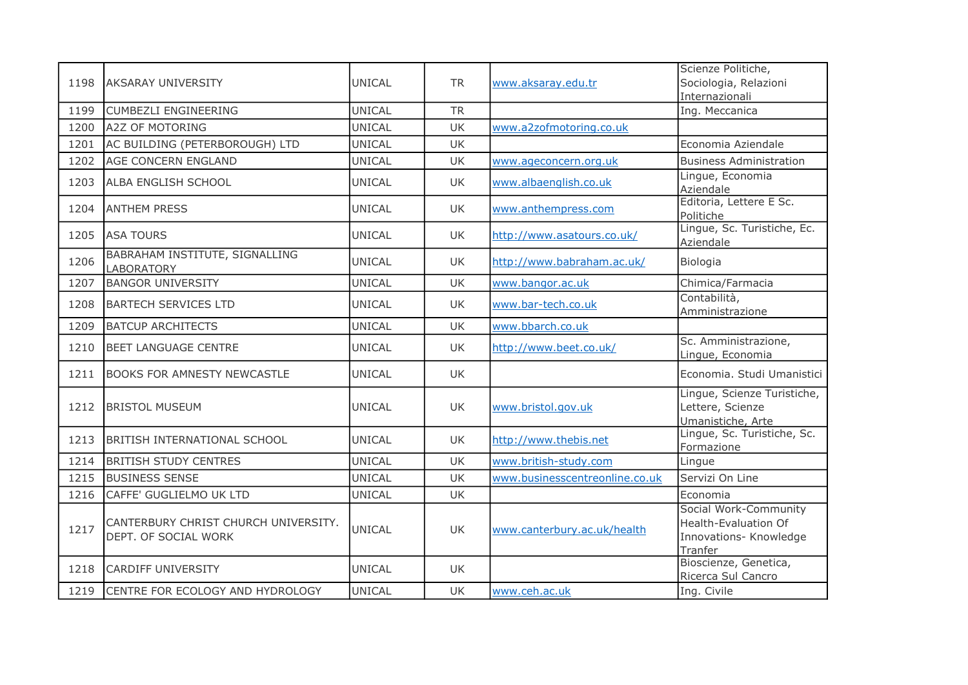| 1198 | <b>AKSARAY UNIVERSITY</b>                                    | <b>UNICAL</b> | <b>TR</b> | www.aksaray.edu.tr             | Scienze Politiche,<br>Sociologia, Relazioni<br>Internazionali                      |
|------|--------------------------------------------------------------|---------------|-----------|--------------------------------|------------------------------------------------------------------------------------|
| 1199 | <b>CUMBEZLI ENGINEERING</b>                                  | UNICAL        | <b>TR</b> |                                | Ing. Meccanica                                                                     |
| 1200 | <b>A2Z OF MOTORING</b>                                       | <b>UNICAL</b> | UK        | www.a2zofmotoring.co.uk        |                                                                                    |
| 1201 | AC BUILDING (PETERBOROUGH) LTD                               | UNICAL        | <b>UK</b> |                                | Economia Aziendale                                                                 |
| 1202 | <b>AGE CONCERN ENGLAND</b>                                   | <b>UNICAL</b> | <b>UK</b> | www.ageconcern.org.uk          | <b>Business Administration</b>                                                     |
| 1203 | ALBA ENGLISH SCHOOL                                          | <b>UNICAL</b> | UK.       | www.albaenglish.co.uk          | Lingue, Economia<br>Aziendale                                                      |
| 1204 | <b>ANTHEM PRESS</b>                                          | <b>UNICAL</b> | <b>UK</b> | www.anthempress.com            | Editoria, Lettere E Sc.<br>Politiche                                               |
| 1205 | <b>ASA TOURS</b>                                             | <b>UNICAL</b> | UK        | http://www.asatours.co.uk/     | Lingue, Sc. Turistiche, Ec.<br>Aziendale                                           |
| 1206 | BABRAHAM INSTITUTE, SIGNALLING<br>LABORATORY                 | <b>UNICAL</b> | <b>UK</b> | http://www.babraham.ac.uk/     | Biologia                                                                           |
| 1207 | <b>BANGOR UNIVERSITY</b>                                     | UNICAL        | <b>UK</b> | www.bangor.ac.uk               | Chimica/Farmacia                                                                   |
| 1208 | <b>BARTECH SERVICES LTD</b>                                  | <b>UNICAL</b> | UK        | www.bar-tech.co.uk             | Contabilità,<br>Amministrazione                                                    |
| 1209 | <b>BATCUP ARCHITECTS</b>                                     | UNICAL        | <b>UK</b> | www.bbarch.co.uk               |                                                                                    |
| 1210 | <b>BEET LANGUAGE CENTRE</b>                                  | <b>UNICAL</b> | UK        | http://www.beet.co.uk/         | Sc. Amministrazione,<br>Lingue, Economia                                           |
| 1211 | <b>BOOKS FOR AMNESTY NEWCASTLE</b>                           | <b>UNICAL</b> | UK        |                                | Economia. Studi Umanistici                                                         |
| 1212 | <b>BRISTOL MUSEUM</b>                                        | <b>UNICAL</b> | <b>UK</b> | www.bristol.gov.uk             | Lingue, Scienze Turistiche,<br>Lettere, Scienze<br>Umanistiche, Arte               |
| 1213 | <b>BRITISH INTERNATIONAL SCHOOL</b>                          | <b>UNICAL</b> | UK        | http://www.thebis.net          | Lingue, Sc. Turistiche, Sc.<br>Formazione                                          |
| 1214 | <b>BRITISH STUDY CENTRES</b>                                 | UNICAL        | UK        | www.british-study.com          | Lingue                                                                             |
| 1215 | <b>BUSINESS SENSE</b>                                        | <b>UNICAL</b> | UK        | www.businesscentreonline.co.uk | Servizi On Line                                                                    |
| 1216 | CAFFE' GUGLIELMO UK LTD                                      | <b>UNICAL</b> | UK.       |                                | Economia                                                                           |
| 1217 | CANTERBURY CHRIST CHURCH UNIVERSITY.<br>DEPT. OF SOCIAL WORK | <b>UNICAL</b> | <b>UK</b> | www.canterbury.ac.uk/health    | Social Work-Community<br>Health-Evaluation Of<br>Innovations- Knowledge<br>Tranfer |
| 1218 | <b>CARDIFF UNIVERSITY</b>                                    | <b>UNICAL</b> | UK        |                                | Bioscienze, Genetica,<br>Ricerca Sul Cancro                                        |
| 1219 | CENTRE FOR ECOLOGY AND HYDROLOGY                             | UNICAL        | UK        | www.ceh.ac.uk                  | Ing. Civile                                                                        |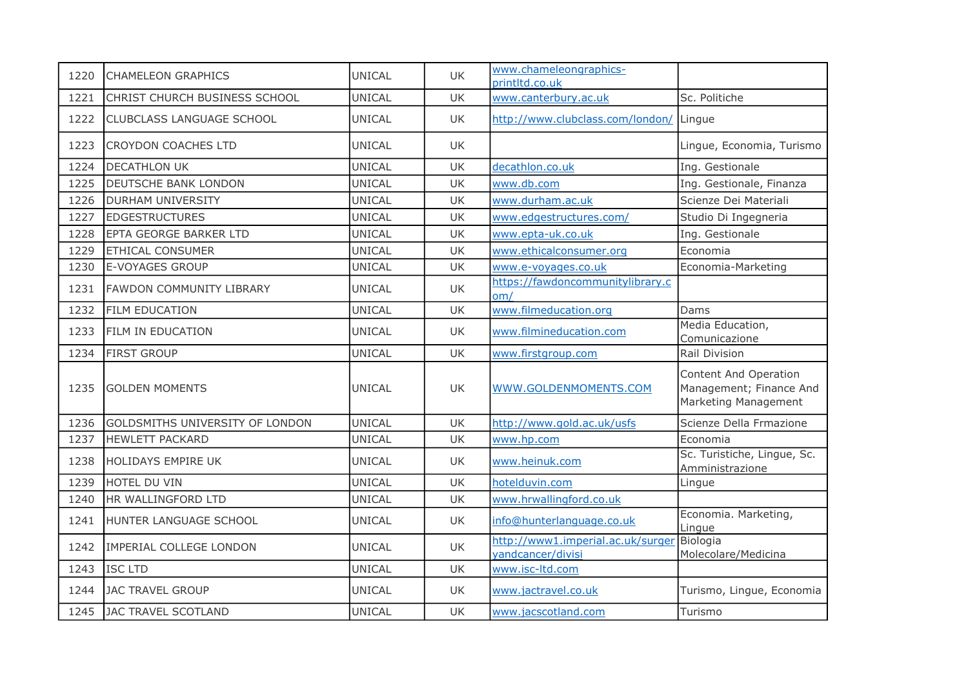| 1220 | <b>CHAMELEON GRAPHICS</b>              | <b>UNICAL</b> | <b>UK</b> | www.chameleongraphics-<br>printltd.co.uk               |                                                                          |
|------|----------------------------------------|---------------|-----------|--------------------------------------------------------|--------------------------------------------------------------------------|
| 1221 | CHRIST CHURCH BUSINESS SCHOOL          | <b>UNICAL</b> | <b>UK</b> | www.canterbury.ac.uk                                   | Sc. Politiche                                                            |
| 1222 | <b>CLUBCLASS LANGUAGE SCHOOL</b>       | <b>UNICAL</b> | UK        | http://www.clubclass.com/london/ Lingue                |                                                                          |
| 1223 | <b>CROYDON COACHES LTD</b>             | <b>UNICAL</b> | UK        |                                                        | Lingue, Economia, Turismo                                                |
| 1224 | <b>DECATHLON UK</b>                    | <b>UNICAL</b> | UK        | decathlon.co.uk                                        | Ing. Gestionale                                                          |
| 1225 | DEUTSCHE BANK LONDON                   | <b>UNICAL</b> | <b>UK</b> | www.db.com                                             | Ing. Gestionale, Finanza                                                 |
| 1226 | <b>DURHAM UNIVERSITY</b>               | <b>UNICAL</b> | UK        | www.durham.ac.uk                                       | Scienze Dei Materiali                                                    |
| 1227 | <b>EDGESTRUCTURES</b>                  | <b>UNICAL</b> | UK        | www.edgestructures.com/                                | Studio Di Ingegneria                                                     |
| 1228 | EPTA GEORGE BARKER LTD                 | <b>UNICAL</b> | UK        | www.epta-uk.co.uk                                      | Ing. Gestionale                                                          |
| 1229 | <b>ETHICAL CONSUMER</b>                | UNICAL        | <b>UK</b> | www.ethicalconsumer.org                                | Economia                                                                 |
| 1230 | <b>E-VOYAGES GROUP</b>                 | <b>UNICAL</b> | UK        | www.e-voyages.co.uk                                    | Economia-Marketing                                                       |
| 1231 | FAWDON COMMUNITY LIBRARY               | UNICAL        | UK        | https://fawdoncommunitylibrary.c<br>om/                |                                                                          |
| 1232 | <b>FILM EDUCATION</b>                  | UNICAL        | <b>UK</b> | www.filmeducation.org                                  | Dams                                                                     |
| 1233 | FILM IN EDUCATION                      | <b>UNICAL</b> | UK        | www.filmineducation.com                                | Media Education,<br>Comunicazione                                        |
| 1234 | <b>FIRST GROUP</b>                     | <b>UNICAL</b> | <b>UK</b> | www.firstgroup.com                                     | Rail Division                                                            |
| 1235 | <b>GOLDEN MOMENTS</b>                  | <b>UNICAL</b> | UK        | WWW.GOLDENMOMENTS.COM                                  | Content And Operation<br>Management; Finance And<br>Marketing Management |
| 1236 | <b>GOLDSMITHS UNIVERSITY OF LONDON</b> | <b>UNICAL</b> | <b>UK</b> | http://www.gold.ac.uk/usfs                             | Scienze Della Frmazione                                                  |
| 1237 | <b>HEWLETT PACKARD</b>                 | <b>UNICAL</b> | UK        | www.hp.com                                             | Economia                                                                 |
| 1238 | HOLIDAYS EMPIRE UK                     | <b>UNICAL</b> | <b>UK</b> | www.heinuk.com                                         | Sc. Turistiche, Lingue, Sc.<br>Amministrazione                           |
| 1239 | HOTEL DU VIN                           | <b>UNICAL</b> | UK        | hotelduvin.com                                         | Lingue                                                                   |
| 1240 | HR WALLINGFORD LTD                     | <b>UNICAL</b> | UK        | www.hrwallingford.co.uk                                |                                                                          |
| 1241 | HUNTER LANGUAGE SCHOOL                 | <b>UNICAL</b> | UK        | info@hunterlanguage.co.uk                              | Economia. Marketing,<br>Lingue                                           |
| 1242 | <b>IMPERIAL COLLEGE LONDON</b>         | UNICAL        | UK        | http://www1.imperial.ac.uk/surger<br>vandcancer/divisi | Biologia<br>Molecolare/Medicina                                          |
| 1243 | <b>ISC LTD</b>                         | <b>UNICAL</b> | <b>UK</b> | www.isc-ltd.com                                        |                                                                          |
| 1244 | JAC TRAVEL GROUP                       | UNICAL        | UK        | www.jactravel.co.uk                                    | Turismo, Lingue, Economia                                                |
| 1245 | JAC TRAVEL SCOTLAND                    | <b>UNICAL</b> | UK        | www.jacscotland.com                                    | Turismo                                                                  |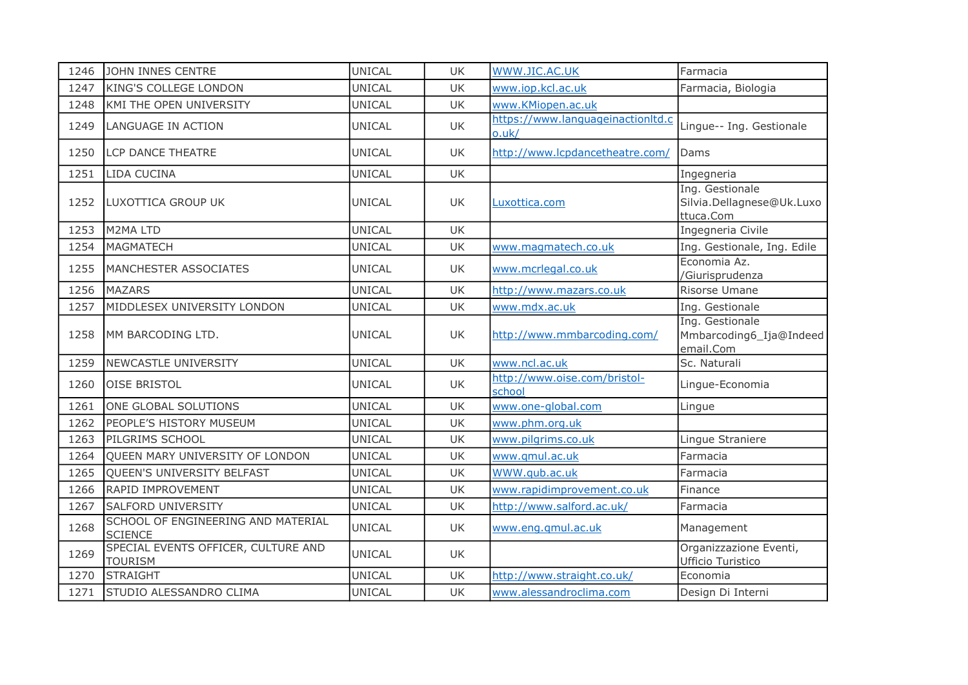| 1246 | JOHN INNES CENTRE                                     | <b>UNICAL</b> | UK        | WWW.JIC.AC.UK                              | Farmacia                                                  |
|------|-------------------------------------------------------|---------------|-----------|--------------------------------------------|-----------------------------------------------------------|
| 1247 | <b>KING'S COLLEGE LONDON</b>                          | <b>UNICAL</b> | UK        | www.iop.kcl.ac.uk                          | Farmacia, Biologia                                        |
| 1248 | KMI THE OPEN UNIVERSITY                               | <b>UNICAL</b> | <b>UK</b> | www.KMiopen.ac.uk                          |                                                           |
| 1249 | LANGUAGE IN ACTION                                    | UNICAL        | <b>UK</b> | https://www.languageinactionltd.c<br>o.uk/ | Lingue-- Ing. Gestionale                                  |
| 1250 | <b>LCP DANCE THEATRE</b>                              | <b>UNICAL</b> | UK.       | http://www.lcpdancetheatre.com/            | Dams                                                      |
| 1251 | LIDA CUCINA                                           | <b>UNICAL</b> | <b>UK</b> |                                            | Ingegneria                                                |
| 1252 | LUXOTTICA GROUP UK                                    | <b>UNICAL</b> | UK        | Luxottica.com                              | Ing. Gestionale<br>Silvia.Dellagnese@Uk.Luxo<br>ttuca.Com |
| 1253 | M2MA LTD                                              | <b>UNICAL</b> | UK        |                                            | Ingegneria Civile                                         |
| 1254 | MAGMATECH                                             | <b>UNICAL</b> | UK        | www.magmatech.co.uk                        | Ing. Gestionale, Ing. Edile                               |
| 1255 | MANCHESTER ASSOCIATES                                 | <b>UNICAL</b> | <b>UK</b> | www.mcrlegal.co.uk                         | Economia Az.<br>/Giurisprudenza                           |
| 1256 | <b>MAZARS</b>                                         | <b>UNICAL</b> | <b>UK</b> | http://www.mazars.co.uk                    | Risorse Umane                                             |
| 1257 | MIDDLESEX UNIVERSITY LONDON                           | UNICAL        | <b>UK</b> | www.mdx.ac.uk                              | Ing. Gestionale                                           |
| 1258 | MM BARCODING LTD.                                     | <b>UNICAL</b> | <b>UK</b> | http://www.mmbarcoding.com/                | Ing. Gestionale<br>Mmbarcoding6_Ija@Indeed<br>email.Com   |
| 1259 | NEWCASTLE UNIVERSITY                                  | <b>UNICAL</b> | <b>UK</b> | www.ncl.ac.uk                              | Sc. Naturali                                              |
| 1260 | <b>OISE BRISTOL</b>                                   | <b>UNICAL</b> | <b>UK</b> | http://www.oise.com/bristol-<br>school     | Lingue-Economia                                           |
| 1261 | ONE GLOBAL SOLUTIONS                                  | <b>UNICAL</b> | <b>UK</b> | www.one-global.com                         | Lingue                                                    |
| 1262 | PEOPLE'S HISTORY MUSEUM                               | UNICAL        | <b>UK</b> | www.phm.org.uk                             |                                                           |
| 1263 | PILGRIMS SCHOOL                                       | <b>UNICAL</b> | <b>UK</b> | www.pilgrims.co.uk                         | Lingue Straniere                                          |
| 1264 | QUEEN MARY UNIVERSITY OF LONDON                       | <b>UNICAL</b> | UK        | www.gmul.ac.uk                             | Farmacia                                                  |
| 1265 | QUEEN'S UNIVERSITY BELFAST                            | <b>UNICAL</b> | <b>UK</b> | WWW.qub.ac.uk                              | Farmacia                                                  |
| 1266 | RAPID IMPROVEMENT                                     | <b>UNICAL</b> | UK        | www.rapidimprovement.co.uk                 | Finance                                                   |
| 1267 | <b>SALFORD UNIVERSITY</b>                             | <b>UNICAL</b> | UK        | http://www.salford.ac.uk/                  | Farmacia                                                  |
| 1268 | SCHOOL OF ENGINEERING AND MATERIAL<br><b>SCIENCE</b>  | <b>UNICAL</b> | <b>UK</b> | www.eng.gmul.ac.uk                         | Management                                                |
| 1269 | SPECIAL EVENTS OFFICER, CULTURE AND<br><b>TOURISM</b> | UNICAL        | UK        |                                            | Organizzazione Eventi,<br>Ufficio Turistico               |
| 1270 | <b>STRAIGHT</b>                                       | <b>UNICAL</b> | <b>UK</b> | http://www.straight.co.uk/                 | Economia                                                  |
| 1271 | STUDIO ALESSANDRO CLIMA                               | <b>UNICAL</b> | <b>UK</b> | www.alessandroclima.com                    | Design Di Interni                                         |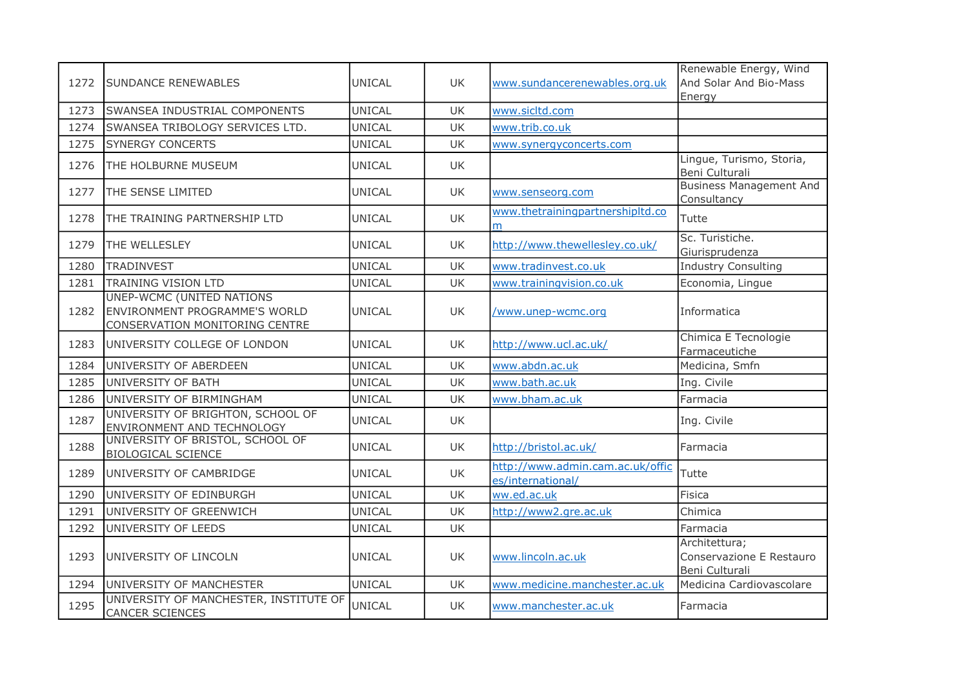| 1272 | <b>SUNDANCE RENEWABLES</b>                                                                                 | <b>UNICAL</b> | UK.       | www.sundancerenewables.org.uk                         | Renewable Energy, Wind<br>And Solar And Bio-Mass<br>Energy  |
|------|------------------------------------------------------------------------------------------------------------|---------------|-----------|-------------------------------------------------------|-------------------------------------------------------------|
| 1273 | SWANSEA INDUSTRIAL COMPONENTS                                                                              | <b>UNICAL</b> | <b>UK</b> | www.sicltd.com                                        |                                                             |
| 1274 | SWANSEA TRIBOLOGY SERVICES LTD.                                                                            | <b>UNICAL</b> | <b>UK</b> | www.trib.co.uk                                        |                                                             |
| 1275 | <b>SYNERGY CONCERTS</b>                                                                                    | <b>UNICAL</b> | <b>UK</b> | www.synergyconcerts.com                               |                                                             |
| 1276 | THE HOLBURNE MUSEUM                                                                                        | <b>UNICAL</b> | <b>UK</b> |                                                       | Lingue, Turismo, Storia,<br>Beni Culturali                  |
| 1277 | THE SENSE LIMITED                                                                                          | <b>UNICAL</b> | UK        | www.senseorg.com                                      | <b>Business Management And</b><br>Consultancy               |
| 1278 | THE TRAINING PARTNERSHIP LTD                                                                               | UNICAL        | <b>UK</b> | www.thetrainingpartnershipltd.co<br>m                 | Tutte                                                       |
| 1279 | THE WELLESLEY                                                                                              | <b>UNICAL</b> | <b>UK</b> | http://www.thewellesley.co.uk/                        | Sc. Turistiche.<br>Giurisprudenza                           |
| 1280 | <b>TRADINVEST</b>                                                                                          | <b>UNICAL</b> | <b>UK</b> | www.tradinvest.co.uk                                  | <b>Industry Consulting</b>                                  |
| 1281 | <b>TRAINING VISION LTD</b>                                                                                 | <b>UNICAL</b> | <b>UK</b> | www.trainingvision.co.uk                              | Economia, Lingue                                            |
| 1282 | <b>UNEP-WCMC (UNITED NATIONS</b><br>ENVIRONMENT PROGRAMME'S WORLD<br><b>CONSERVATION MONITORING CENTRE</b> | UNICAL        | UK        | <u>/www.unep-wcmc.org</u>                             | Informatica                                                 |
| 1283 | UNIVERSITY COLLEGE OF LONDON                                                                               | UNICAL        | <b>UK</b> | http://www.ucl.ac.uk/                                 | Chimica E Tecnologie<br>Farmaceutiche                       |
| 1284 | UNIVERSITY OF ABERDEEN                                                                                     | <b>UNICAL</b> | UK        | www.abdn.ac.uk                                        | Medicina, Smfn                                              |
| 1285 | UNIVERSITY OF BATH                                                                                         | <b>UNICAL</b> | <b>UK</b> | www.bath.ac.uk                                        | Ing. Civile                                                 |
| 1286 | UNIVERSITY OF BIRMINGHAM                                                                                   | <b>UNICAL</b> | UK        | www.bham.ac.uk                                        | Farmacia                                                    |
| 1287 | UNIVERSITY OF BRIGHTON, SCHOOL OF<br>ENVIRONMENT AND TECHNOLOGY                                            | UNICAL        | UK.       |                                                       | Ing. Civile                                                 |
| 1288 | UNIVERSITY OF BRISTOL, SCHOOL OF<br><b>BIOLOGICAL SCIENCE</b>                                              | <b>UNICAL</b> | <b>UK</b> | http://bristol.ac.uk/                                 | Farmacia                                                    |
| 1289 | UNIVERSITY OF CAMBRIDGE                                                                                    | UNICAL        | UK        | http://www.admin.cam.ac.uk/offic<br>es/international/ | Tutte                                                       |
| 1290 | UNIVERSITY OF EDINBURGH                                                                                    | <b>UNICAL</b> | <b>UK</b> | ww.ed.ac.uk                                           | Fisica                                                      |
| 1291 | UNIVERSITY OF GREENWICH                                                                                    | <b>UNICAL</b> | UK        | http://www2.gre.ac.uk                                 | Chimica                                                     |
| 1292 | UNIVERSITY OF LEEDS                                                                                        | <b>UNICAL</b> | UK        |                                                       | Farmacia                                                    |
| 1293 | UNIVERSITY OF LINCOLN                                                                                      | <b>UNICAL</b> | UK        | www.lincoln.ac.uk                                     | Architettura;<br>Conservazione E Restauro<br>Beni Culturali |
| 1294 | UNIVERSITY OF MANCHESTER                                                                                   | UNICAL        | <b>UK</b> | www.medicine.manchester.ac.uk                         | Medicina Cardiovascolare                                    |
| 1295 | UNIVERSITY OF MANCHESTER, INSTITUTE OF<br>CANCER SCIENCES                                                  | UNICAL        | <b>UK</b> | www.manchester.ac.uk                                  | Farmacia                                                    |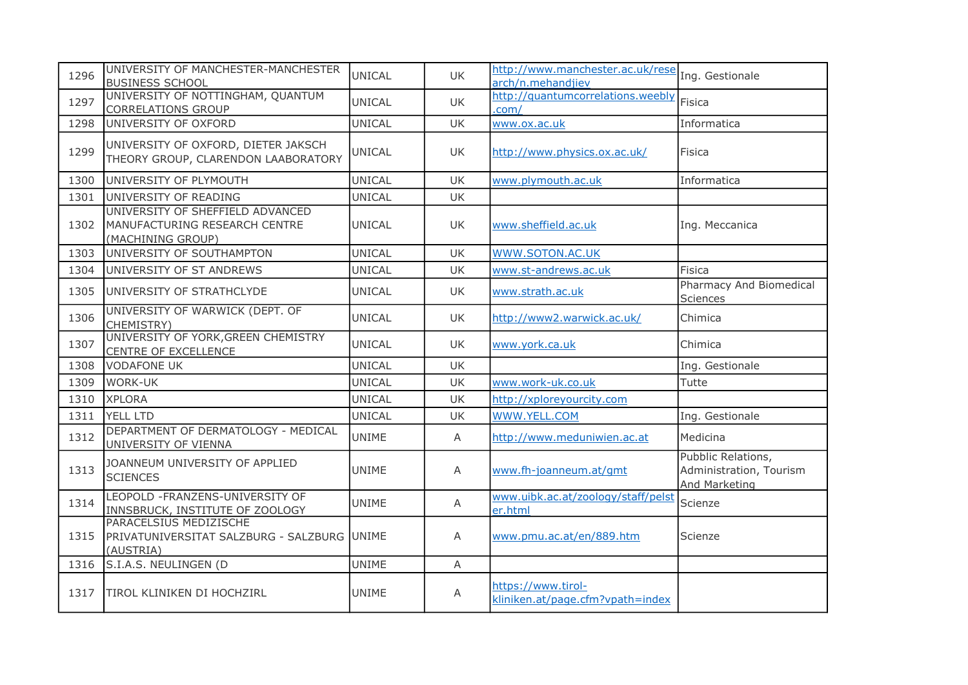| 1296 | UNIVERSITY OF MANCHESTER-MANCHESTER<br><b>BUSINESS SCHOOL</b>                          | UNICAL        | UK        | http://www.manchester.ac.uk/rese<br>arch/n.mehandjiev  | Ing. Gestionale                                                |
|------|----------------------------------------------------------------------------------------|---------------|-----------|--------------------------------------------------------|----------------------------------------------------------------|
| 1297 | UNIVERSITY OF NOTTINGHAM, QUANTUM<br>CORRELATIONS GROUP                                | UNICAL        | UK        | http://quantumcorrelations.weebly<br>.com/             | Fisica                                                         |
| 1298 | UNIVERSITY OF OXFORD                                                                   | <b>UNICAL</b> | <b>UK</b> | www.ox.ac.uk                                           | Informatica                                                    |
| 1299 | UNIVERSITY OF OXFORD, DIETER JAKSCH<br>THEORY GROUP, CLARENDON LAABORATORY             | UNICAL        | UK.       | http://www.physics.ox.ac.uk/                           | Fisica                                                         |
| 1300 | UNIVERSITY OF PLYMOUTH                                                                 | UNICAL        | <b>UK</b> | www.plymouth.ac.uk                                     | Informatica                                                    |
| 1301 | UNIVERSITY OF READING                                                                  | <b>UNICAL</b> | UK        |                                                        |                                                                |
| 1302 | UNIVERSITY OF SHEFFIELD ADVANCED<br>MANUFACTURING RESEARCH CENTRE<br>(MACHINING GROUP) | UNICAL        | UK        | www.sheffield.ac.uk                                    | Ing. Meccanica                                                 |
| 1303 | UNIVERSITY OF SOUTHAMPTON                                                              | <b>UNICAL</b> | <b>UK</b> | <b>WWW.SOTON.AC.UK</b>                                 |                                                                |
| 1304 | UNIVERSITY OF ST ANDREWS                                                               | UNICAL        | UK.       | www.st-andrews.ac.uk                                   | <b>Fisica</b>                                                  |
| 1305 | UNIVERSITY OF STRATHCLYDE                                                              | UNICAL        | UK        | www.strath.ac.uk                                       | Pharmacy And Biomedical<br><b>Sciences</b>                     |
| 1306 | UNIVERSITY OF WARWICK (DEPT. OF<br>CHEMISTRY)                                          | UNICAL        | UK        | http://www2.warwick.ac.uk/                             | Chimica                                                        |
| 1307 | UNIVERSITY OF YORK, GREEN CHEMISTRY<br>CENTRE OF EXCELLENCE                            | <b>UNICAL</b> | <b>UK</b> | www.york.ca.uk                                         | Chimica                                                        |
| 1308 | <b>VODAFONE UK</b>                                                                     | <b>UNICAL</b> | <b>UK</b> |                                                        | Ing. Gestionale                                                |
| 1309 | <b>WORK-UK</b>                                                                         | <b>UNICAL</b> | <b>UK</b> | www.work-uk.co.uk                                      | Tutte                                                          |
| 1310 | <b>XPLORA</b>                                                                          | <b>UNICAL</b> | UK        | http://xploreyourcity.com                              |                                                                |
| 1311 | YELL LTD                                                                               | <b>UNICAL</b> | UK        | WWW.YELL.COM                                           | Ing. Gestionale                                                |
| 1312 | DEPARTMENT OF DERMATOLOGY - MEDICAL<br>UNIVERSITY OF VIENNA                            | <b>UNIME</b>  | A         | http://www.meduniwien.ac.at                            | Medicina                                                       |
| 1313 | JOANNEUM UNIVERSITY OF APPLIED<br><b>SCIENCES</b>                                      | <b>UNIME</b>  | A         | www.fh-joanneum.at/gmt                                 | Pubblic Relations,<br>Administration, Tourism<br>And Marketing |
| 1314 | LEOPOLD - FRANZENS-UNIVERSITY OF<br><b>INNSBRUCK, INSTITUTE OF ZOOLOGY</b>             | <b>UNIME</b>  | A         | www.uibk.ac.at/zoology/staff/pelst<br>er.html          | Scienze                                                        |
| 1315 | PARACELSIUS MEDIZISCHE<br>PRIVATUNIVERSITAT SALZBURG - SALZBURG UNIME<br>(AUSTRIA)     |               | A         | www.pmu.ac.at/en/889.htm                               | Scienze                                                        |
| 1316 | S.I.A.S. NEULINGEN (D                                                                  | <b>UNIME</b>  | A         |                                                        |                                                                |
| 1317 | <b>TIROL KLINIKEN DI HOCHZIRL</b>                                                      | <b>UNIME</b>  | A         | https://www.tirol-<br>kliniken.at/page.cfm?vpath=index |                                                                |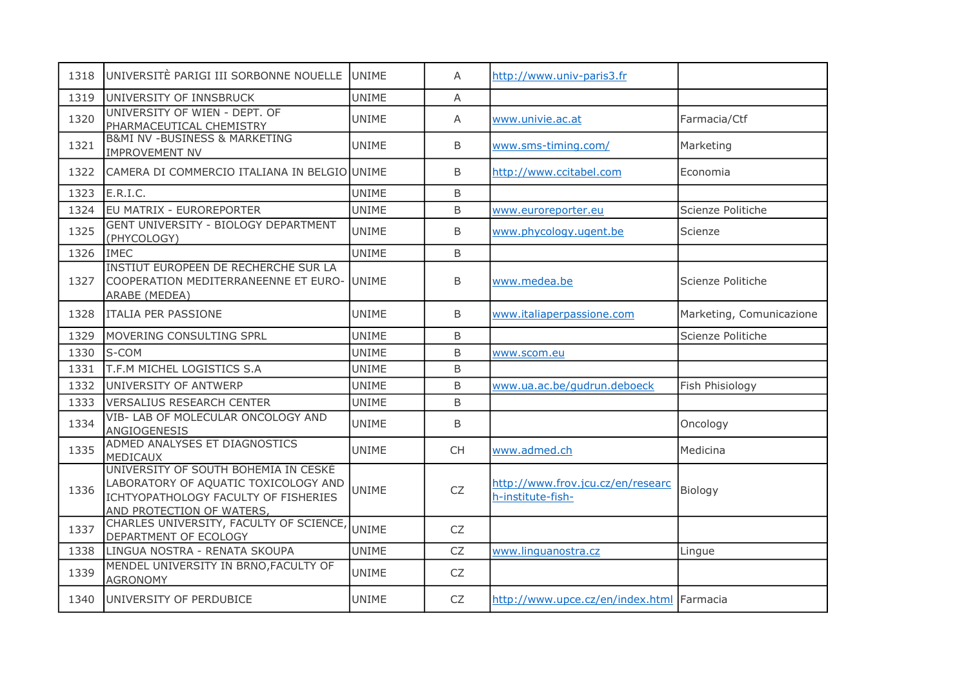| 1318 | UNIVERSITÈ PARIGI III SORBONNE NOUELLE                                                                                                            | <b>UNIME</b> | A            | http://www.univ-paris3.fr                              |                          |
|------|---------------------------------------------------------------------------------------------------------------------------------------------------|--------------|--------------|--------------------------------------------------------|--------------------------|
| 1319 | UNIVERSITY OF INNSBRUCK                                                                                                                           | <b>UNIME</b> | A            |                                                        |                          |
| 1320 | UNIVERSITY OF WIEN - DEPT. OF<br>PHARMACEUTICAL CHEMISTRY                                                                                         | <b>UNIME</b> | A            | www.univie.ac.at                                       | Farmacia/Ctf             |
| 1321 | <b>B&amp;MI NV -BUSINESS &amp; MARKETING</b><br><b>IMPROVEMENT NV</b>                                                                             | <b>UNIME</b> | B            | www.sms-timing.com/                                    | Marketing                |
| 1322 | CAMERA DI COMMERCIO ITALIANA IN BELGIO UNIME                                                                                                      |              | B            | http://www.ccitabel.com                                | Economia                 |
| 1323 | E.R.I.C.                                                                                                                                          | <b>UNIME</b> | B            |                                                        |                          |
| 1324 | EU MATRIX - EUROREPORTER                                                                                                                          | <b>UNIME</b> | B            | www.euroreporter.eu                                    | Scienze Politiche        |
| 1325 | GENT UNIVERSITY - BIOLOGY DEPARTMENT<br>(PHYCOLOGY)                                                                                               | <b>UNIME</b> | B            | www.phycology.ugent.be                                 | Scienze                  |
| 1326 | <b>IMEC</b>                                                                                                                                       | <b>UNIME</b> | B            |                                                        |                          |
| 1327 | INSTIUT EUROPEEN DE RECHERCHE SUR LA<br>COOPERATION MEDITERRANEENNE ET EURO- UNIME<br>ARABE (MEDEA)                                               |              | B            | www.medea.be                                           | Scienze Politiche        |
| 1328 | <b>ITALIA PER PASSIONE</b>                                                                                                                        | <b>UNIME</b> | B            | www.italiaperpassione.com                              | Marketing, Comunicazione |
| 1329 | MOVERING CONSULTING SPRL                                                                                                                          | <b>UNIME</b> | <sub>B</sub> |                                                        | Scienze Politiche        |
| 1330 | S-COM                                                                                                                                             | <b>UNIME</b> | B            | www.scom.eu                                            |                          |
| 1331 | T.F.M MICHEL LOGISTICS S.A                                                                                                                        | <b>UNIME</b> | B            |                                                        |                          |
| 1332 | UNIVERSITY OF ANTWERP                                                                                                                             | <b>UNIME</b> | B            | www.ua.ac.be/gudrun.deboeck                            | Fish Phisiology          |
| 1333 | <b>VERSALIUS RESEARCH CENTER</b>                                                                                                                  | <b>UNIME</b> | B            |                                                        |                          |
| 1334 | VIB- LAB OF MOLECULAR ONCOLOGY AND<br>ANGIOGENESIS                                                                                                | <b>UNIME</b> | B            |                                                        | Oncology                 |
| 1335 | ADMED ANALYSES ET DIAGNOSTICS<br>MEDICAUX                                                                                                         | <b>UNIME</b> | <b>CH</b>    | www.admed.ch                                           | Medicina                 |
| 1336 | UNIVERSITY OF SOUTH BOHEMIA IN CESKÉ<br>LABORATORY OF AQUATIC TOXICOLOGY AND<br>ICHTYOPATHOLOGY FACULTY OF FISHERIES<br>AND PROTECTION OF WATERS, | <b>UNIME</b> | CZ           | http://www.frov.jcu.cz/en/researc<br>h-institute-fish- | Biology                  |
| 1337 | CHARLES UNIVERSITY, FACULTY OF SCIENCE, UNIME<br>DEPARTMENT OF ECOLOGY                                                                            |              | <b>CZ</b>    |                                                        |                          |
| 1338 | LINGUA NOSTRA - RENATA SKOUPA                                                                                                                     | <b>UNIME</b> | <b>CZ</b>    | www.linguanostra.cz                                    | Lingue                   |
| 1339 | MENDEL UNIVERSITY IN BRNO, FACULTY OF<br><b>AGRONOMY</b>                                                                                          | <b>UNIME</b> | <b>CZ</b>    |                                                        |                          |
| 1340 | UNIVERSITY OF PERDUBICE                                                                                                                           | <b>UNIME</b> | CZ           | http://www.upce.cz/en/index.html Farmacia              |                          |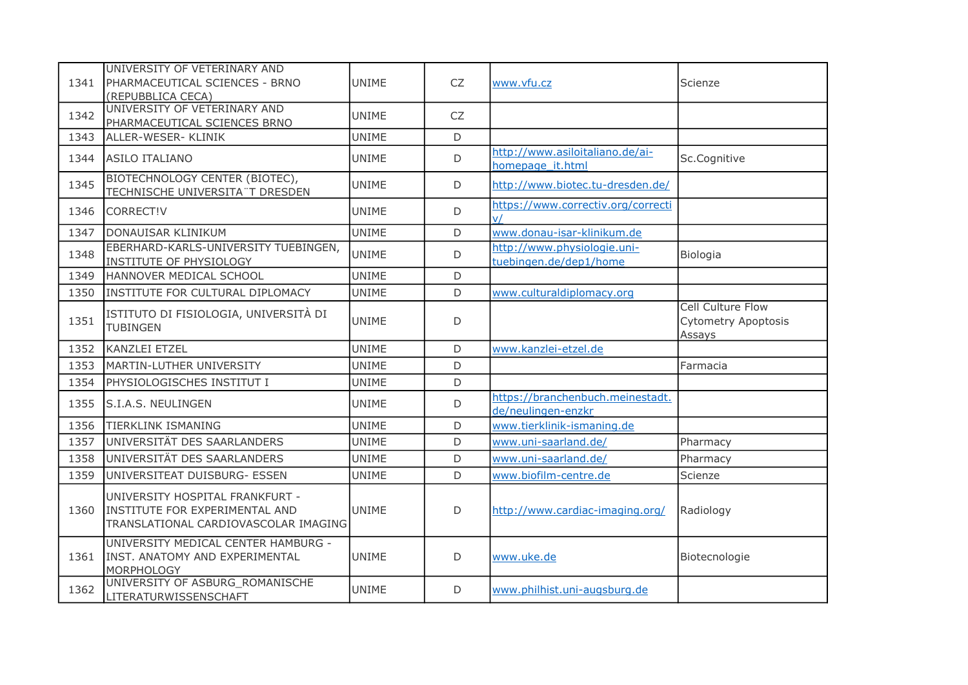| 1341 | UNIVERSITY OF VETERINARY AND<br>PHARMACEUTICAL SCIENCES - BRNO<br>(REPUBBLICA CECA)                       | <b>UNIME</b> | <b>CZ</b>   | www.vfu.cz                                             | Scienze                                                          |
|------|-----------------------------------------------------------------------------------------------------------|--------------|-------------|--------------------------------------------------------|------------------------------------------------------------------|
| 1342 | UNIVERSITY OF VETERINARY AND<br>PHARMACEUTICAL SCIENCES BRNO                                              | <b>UNIME</b> | CZ          |                                                        |                                                                  |
| 1343 | ALLER-WESER- KLINIK                                                                                       | <b>UNIME</b> | D           |                                                        |                                                                  |
| 1344 | <b>ASILO ITALIANO</b>                                                                                     | UNIME        | D           | http://www.asiloitaliano.de/ai-<br>homepage it.html    | Sc.Cognitive                                                     |
| 1345 | BIOTECHNOLOGY CENTER (BIOTEC),<br>TECHNISCHE UNIVERSITA T DRESDEN                                         | <b>UNIME</b> | $\mathsf D$ | http://www.biotec.tu-dresden.de/                       |                                                                  |
| 1346 | CORRECT!V                                                                                                 | <b>UNIME</b> | D           | https://www.correctiv.org/correcti<br>V                |                                                                  |
| 1347 | DONAUISAR KLINIKUM                                                                                        | <b>UNIME</b> | $\mathsf D$ | www.donau-isar-klinikum.de                             |                                                                  |
| 1348 | EBERHARD-KARLS-UNIVERSITY TUEBINGEN,<br>INSTITUTE OF PHYSIOLOGY                                           | <b>UNIME</b> | D           | http://www.physiologie.uni-<br>tuebingen.de/dep1/home  | Biologia                                                         |
| 1349 | HANNOVER MEDICAL SCHOOL                                                                                   | <b>UNIME</b> | D           |                                                        |                                                                  |
| 1350 | INSTITUTE FOR CULTURAL DIPLOMACY                                                                          | <b>UNIME</b> | D           | www.culturaldiplomacy.org                              |                                                                  |
| 1351 | ISTITUTO DI FISIOLOGIA, UNIVERSITÀ DI<br><b>TUBINGEN</b>                                                  | <b>UNIME</b> | D           |                                                        | <b>Cell Culture Flow</b><br><b>Cytometry Apoptosis</b><br>Assays |
| 1352 | <b>KANZLEI ETZEL</b>                                                                                      | <b>UNIME</b> | D           | www.kanzlei-etzel.de                                   |                                                                  |
| 1353 | MARTIN-LUTHER UNIVERSITY                                                                                  | <b>UNIME</b> | D           |                                                        | Farmacia                                                         |
| 1354 | PHYSIOLOGISCHES INSTITUT I                                                                                | UNIME        | D           |                                                        |                                                                  |
| 1355 | S.I.A.S. NEULINGEN                                                                                        | UNIME        | D           | https://branchenbuch.meinestadt.<br>de/neulingen-enzkr |                                                                  |
| 1356 | <b>TIERKLINK ISMANING</b>                                                                                 | UNIME        | D           | www.tierklinik-ismaning.de                             |                                                                  |
| 1357 | UNIVERSITÄT DES SAARLANDERS                                                                               | <b>UNIME</b> | $\mathsf D$ | www.uni-saarland.de/                                   | Pharmacy                                                         |
| 1358 | UNIVERSITÄT DES SAARLANDERS                                                                               | <b>UNIME</b> | D           | www.uni-saarland.de/                                   | Pharmacy                                                         |
| 1359 | UNIVERSITEAT DUISBURG- ESSEN                                                                              | <b>UNIME</b> | D           | www.biofilm-centre.de                                  | Scienze                                                          |
| 1360 | UNIVERSITY HOSPITAL FRANKFURT -<br>INSTITUTE FOR EXPERIMENTAL AND<br>TRANSLATIONAL CARDIOVASCOLAR IMAGING | <b>UNIME</b> | D           | http://www.cardiac-imaging.org/                        | Radiology                                                        |
| 1361 | UNIVERSITY MEDICAL CENTER HAMBURG -<br>INST. ANATOMY AND EXPERIMENTAL<br>MORPHOLOGY                       | <b>UNIME</b> | D           | www.uke.de                                             | Biotecnologie                                                    |
| 1362 | UNIVERSITY OF ASBURG_ROMANISCHE<br>LITERATURWISSENSCHAFT                                                  | <b>UNIME</b> | D           | www.philhist.uni-augsburg.de                           |                                                                  |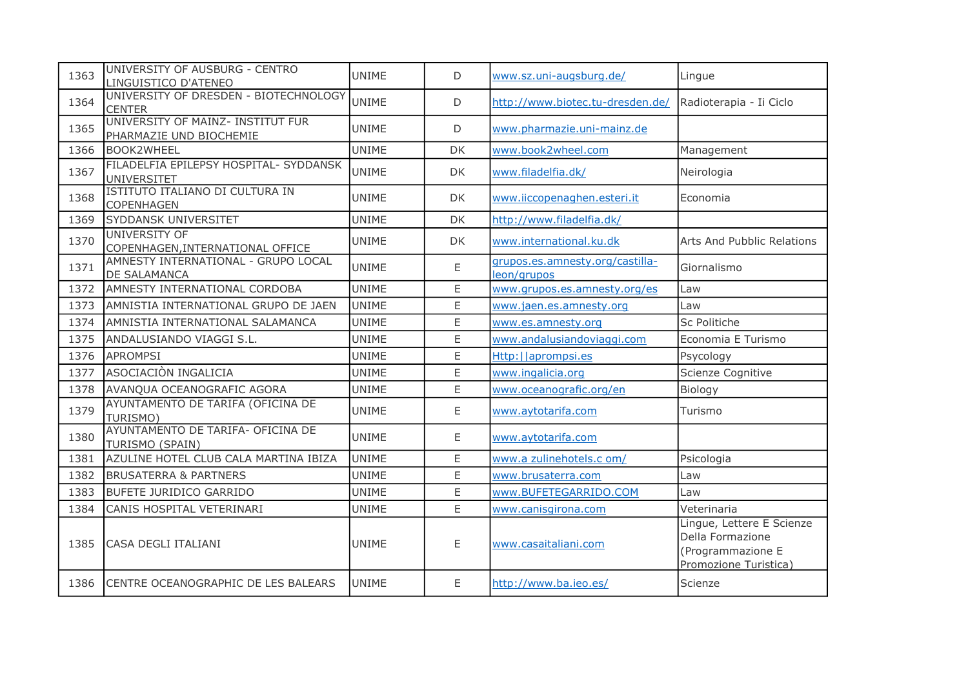| 1363 | UNIVERSITY OF AUSBURG - CENTRO<br>LINGUISTICO D'ATENEO       | UNIME        | D  | www.sz.uni-augsburg.de/                        | Lingue                                                                                      |
|------|--------------------------------------------------------------|--------------|----|------------------------------------------------|---------------------------------------------------------------------------------------------|
| 1364 | UNIVERSITY OF DRESDEN - BIOTECHNOLOGY<br><b>CENTER</b>       | <b>UNIME</b> | D  | http://www.biotec.tu-dresden.de/               | Radioterapia - Ii Ciclo                                                                     |
| 1365 | UNIVERSITY OF MAINZ- INSTITUT FUR<br>PHARMAZIE UND BIOCHEMIE | <b>UNIME</b> | D  | www.pharmazie.uni-mainz.de                     |                                                                                             |
| 1366 | <b>BOOK2WHEEL</b>                                            | <b>UNIME</b> | DK | www.book2wheel.com                             | Management                                                                                  |
| 1367 | FILADELFIA EPILEPSY HOSPITAL- SYDDANSK<br><b>UNIVERSITET</b> | <b>UNIME</b> | DK | www.filadelfia.dk/                             | Neirologia                                                                                  |
| 1368 | ISTITUTO ITALIANO DI CULTURA IN<br>COPENHAGEN                | <b>UNIME</b> | DK | www.iiccopenaghen.esteri.it                    | Economia                                                                                    |
| 1369 | SYDDANSK UNIVERSITET                                         | UNIME        | DK | http://www.filadelfia.dk/                      |                                                                                             |
| 1370 | UNIVERSITY OF<br>COPENHAGEN, INTERNATIONAL OFFICE            | <b>UNIME</b> | DK | www.international.ku.dk                        | Arts And Pubblic Relations                                                                  |
| 1371 | AMNESTY INTERNATIONAL - GRUPO LOCAL<br>DE SALAMANCA          | <b>UNIME</b> | E  | grupos.es.amnesty.org/castilla-<br>leon/grupos | Giornalismo                                                                                 |
| 1372 | AMNESTY INTERNATIONAL CORDOBA                                | <b>UNIME</b> | E  | www.grupos.es.amnesty.org/es                   | Law                                                                                         |
| 1373 | AMNISTIA INTERNATIONAL GRUPO DE JAEN                         | <b>UNIME</b> | E  | www.jaen.es.amnesty.org                        | Law                                                                                         |
| 1374 | AMNISTIA INTERNATIONAL SALAMANCA                             | UNIME        | E  | www.es.amnesty.org                             | Sc Politiche                                                                                |
| 1375 | ANDALUSIANDO VIAGGI S.L.                                     | <b>UNIME</b> | E  | www.andalusiandoviaggi.com                     | Economia E Turismo                                                                          |
| 1376 | <b>APROMPSI</b>                                              | <b>UNIME</b> | E  | Http:     aprompsi.es                          | Psycology                                                                                   |
| 1377 | ASOCIACIÓN INGALICIA                                         | UNIME        | E  | www.ingalicia.org                              | Scienze Cognitive                                                                           |
| 1378 | AVANQUA OCEANOGRAFIC AGORA                                   | <b>UNIME</b> | E  | www.oceanografic.org/en                        | Biology                                                                                     |
| 1379 | AYUNTAMENTO DE TARIFA (OFICINA DE<br>TURISMO)                | <b>UNIME</b> | Ε  | www.aytotarifa.com                             | Turismo                                                                                     |
| 1380 | AYUNTAMENTO DE TARIFA- OFICINA DE<br>TURISMO (SPAIN)         | <b>UNIME</b> | E  | www.aytotarifa.com                             |                                                                                             |
| 1381 | AZULINE HOTEL CLUB CALA MARTINA IBIZA                        | UNIME        | E  | www.a zulinehotels.c om/                       | Psicologia                                                                                  |
| 1382 | <b>BRUSATERRA &amp; PARTNERS</b>                             | <b>UNIME</b> | E  | www.brusaterra.com                             | Law                                                                                         |
| 1383 | <b>BUFETE JURIDICO GARRIDO</b>                               | <b>UNIME</b> | E  | www.BUFETEGARRIDO.COM                          | Law                                                                                         |
| 1384 | CANIS HOSPITAL VETERINARI                                    | <b>UNIME</b> | E  | www.canisgirona.com                            | Veterinaria                                                                                 |
| 1385 | CASA DEGLI ITALIANI                                          | <b>UNIME</b> | Ε  | www.casaitaliani.com                           | Lingue, Lettere E Scienze<br>Della Formazione<br>(Programmazione E<br>Promozione Turistica) |
| 1386 | CENTRE OCEANOGRAPHIC DE LES BALEARS                          | <b>UNIME</b> | Ε  | http://www.ba.ieo.es/                          | Scienze                                                                                     |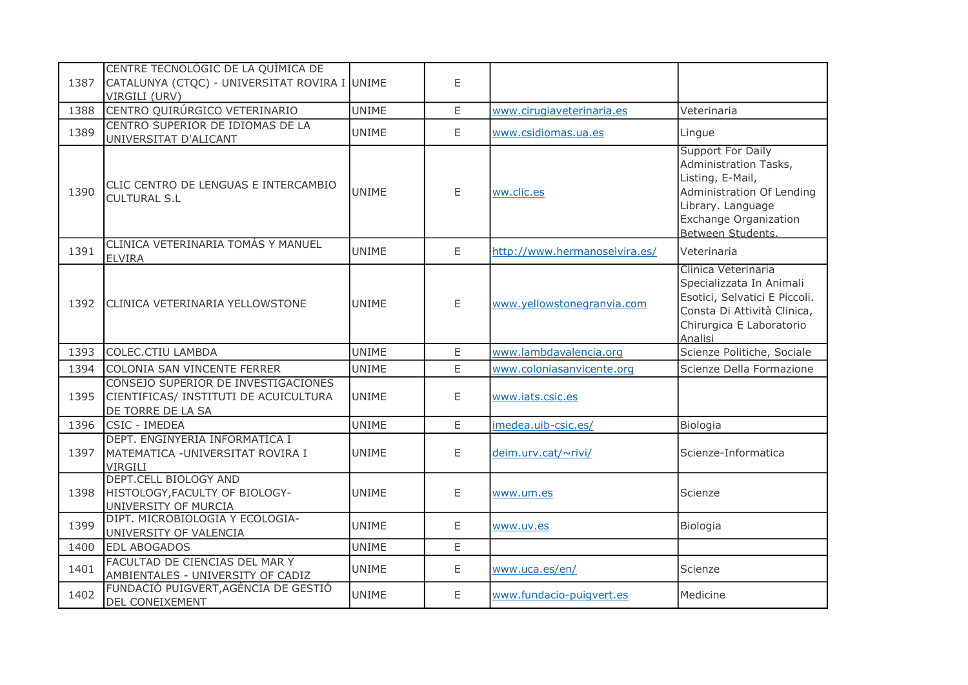| 1387 | CENTRE TECNOLÒGIC DE LA QUÍMICA DE<br>CATALUNYA (CTQC) - UNIVERSITAT ROVIRA I UNIME<br>VIRGILI (URV) |              | E  |                               |                                                                                                                                                                       |
|------|------------------------------------------------------------------------------------------------------|--------------|----|-------------------------------|-----------------------------------------------------------------------------------------------------------------------------------------------------------------------|
| 1388 | CENTRO QUIRÚRGICO VETERINARIO                                                                        | <b>UNIME</b> | E  | www.cirugiaveterinaria.es     | Veterinaria                                                                                                                                                           |
| 1389 | CENTRO SUPERIOR DE IDIOMAS DE LA<br>UNIVERSITAT D'ALICANT                                            | <b>UNIME</b> | E  | www.csidiomas.ua.es           | Lingue                                                                                                                                                                |
| 1390 | CLIC CENTRO DE LENGUAS E INTERCAMBIO<br><b>CULTURAL S.L</b>                                          | <b>UNIME</b> | E  | ww.clic.es                    | <b>Support For Daily</b><br>Administration Tasks,<br>Listing, E-Mail,<br>Administration Of Lending<br>Library. Language<br>Exchange Organization<br>Between Students. |
| 1391 | CLINICA VETERINARIA TOMÁS Y MANUEL<br><b>ELVIRA</b>                                                  | <b>UNIME</b> | E  | http://www.hermanoselvira.es/ | Veterinaria                                                                                                                                                           |
| 1392 | CLINICA VETERINARIA YELLOWSTONE                                                                      | <b>UNIME</b> | E  | www.yellowstonegranvia.com    | Clinica Veterinaria<br>Specializzata In Animali<br>Esotici, Selvatici E Piccoli.<br>Consta Di Attività Clinica,<br>Chirurgica E Laboratorio<br>Analisi                |
| 1393 | COLEC.CTIU LAMBDA                                                                                    | <b>UNIME</b> | E  | www.lambdavalencia.org        | Scienze Politiche, Sociale                                                                                                                                            |
| 1394 | COLONIA SAN VINCENTE FERRER                                                                          | <b>UNIME</b> | E  | www.coloniasanvicente.org     | Scienze Della Formazione                                                                                                                                              |
| 1395 | CONSEJO SUPERIOR DE INVESTIGACIONES<br>CIENTIFICAS/ INSTITUTI DE ACUICULTURA<br>DE TORRE DE LA SA    | <b>UNIME</b> | E  | www.iats.csic.es              |                                                                                                                                                                       |
| 1396 | <b>CSIC - IMEDEA</b>                                                                                 | <b>UNIME</b> | E. | imedea.uib-csic.es/           | Biologia                                                                                                                                                              |
| 1397 | DEPT. ENGINYERIA INFORMATICA I<br>MATEMATICA - UNIVERSITAT ROVIRA I<br><b>VIRGILI</b>                | <b>UNIME</b> | Ε  | deim.urv.cat/~rivi/           | Scienze-Informatica                                                                                                                                                   |
| 1398 | DEPT.CELL BIOLOGY AND<br>HISTOLOGY, FACULTY OF BIOLOGY-<br>UNIVERSITY OF MURCIA                      | <b>UNIME</b> | Ε  | www.um.es                     | Scienze                                                                                                                                                               |
| 1399 | DIPT. MICROBIOLOGIA Y ECOLOGIA-<br>UNIVERSITY OF VALENCIA                                            | <b>UNIME</b> | E  | www.uv.es                     | Biologia                                                                                                                                                              |
| 1400 | <b>EDL ABOGADOS</b>                                                                                  | <b>UNIME</b> | E  |                               |                                                                                                                                                                       |
| 1401 | FACULTAD DE CIENCIAS DEL MAR Y<br>AMBIENTALES - UNIVERSITY OF CADIZ                                  | <b>UNIME</b> | E  | www.uca.es/en/                | Scienze                                                                                                                                                               |
| 1402 | FUNDACIÓ PUIGVERT, AGÈNCIA DE GESTIÓ<br>DEL CONEIXEMENT                                              | <b>UNIME</b> | E  | www.fundacio-puigvert.es      | Medicine                                                                                                                                                              |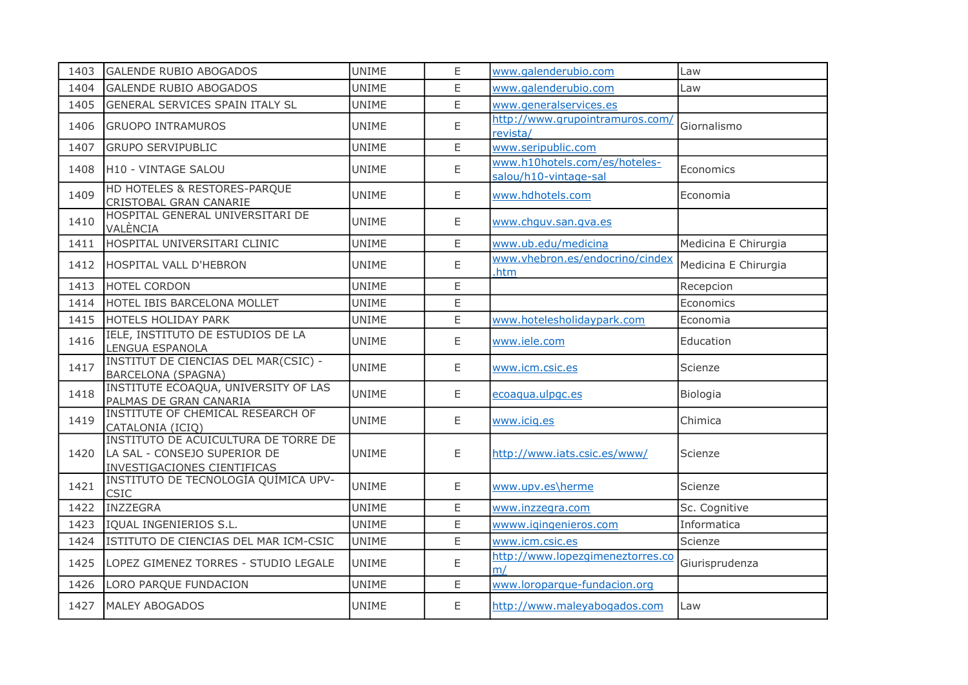| 1403 | <b>GALENDE RUBIO ABOGADOS</b>                                                                       | <b>UNIME</b> | E  | www.galenderubio.com                                   | Law                  |
|------|-----------------------------------------------------------------------------------------------------|--------------|----|--------------------------------------------------------|----------------------|
| 1404 | <b>GALENDE RUBIO ABOGADOS</b>                                                                       | <b>UNIME</b> | E  | www.galenderubio.com                                   | Law                  |
| 1405 | GENERAL SERVICES SPAIN ITALY SL                                                                     | <b>UNIME</b> | E. | www.generalservices.es                                 |                      |
| 1406 | <b>GRUOPO INTRAMUROS</b>                                                                            | <b>UNIME</b> | E  | http://www.grupointramuros.com/<br>revista/            | Giornalismo          |
| 1407 | <b>GRUPO SERVIPUBLIC</b>                                                                            | <b>UNIME</b> | E  | www.seripublic.com                                     |                      |
| 1408 | H10 - VINTAGE SALOU                                                                                 | <b>UNIME</b> | E  | www.h10hotels.com/es/hoteles-<br>salou/h10-vintage-sal | Economics            |
| 1409 | HD HOTELES & RESTORES-PARQUE<br>CRISTOBAL GRAN CANARIE                                              | <b>UNIME</b> | E  | www.hdhotels.com                                       | Economia             |
| 1410 | HOSPITAL GENERAL UNIVERSITARI DE<br>VALÈNCIA                                                        | <b>UNIME</b> | Ε  | www.chguv.san.gva.es                                   |                      |
| 1411 | HOSPITAL UNIVERSITARI CLINIC                                                                        | <b>UNIME</b> | E  | www.ub.edu/medicina                                    | Medicina E Chirurgia |
| 1412 | <b>HOSPITAL VALL D'HEBRON</b>                                                                       | <b>UNIME</b> | E  | www.vhebron.es/endocrino/cindex<br>.htm                | Medicina E Chirurgia |
| 1413 | <b>HOTEL CORDON</b>                                                                                 | <b>UNIME</b> | E  |                                                        | Recepcion            |
| 1414 | HOTEL IBIS BARCELONA MOLLET                                                                         | <b>UNIME</b> | E  |                                                        | Economics            |
| 1415 | <b>HOTELS HOLIDAY PARK</b>                                                                          | <b>UNIME</b> | E  | www.hotelesholidaypark.com                             | Economia             |
| 1416 | IELE, INSTITUTO DE ESTUDIOS DE LA<br>LENGUA ESPANOLA                                                | <b>UNIME</b> | E  | www.iele.com                                           | Education            |
| 1417 | <b>INSTITUT DE CIENCIAS DEL MAR(CSIC) -</b><br><b>BARCELONA (SPAGNA)</b>                            | <b>UNIME</b> | E  | www.icm.csic.es                                        | Scienze              |
| 1418 | INSTITUTE ECOAQUA, UNIVERSITY OF LAS<br>PALMAS DE GRAN CANARIA                                      | <b>UNIME</b> | E  | ecoaqua.ulpgc.es                                       | Biologia             |
| 1419 | INSTITUTE OF CHEMICAL RESEARCH OF<br>CATALONIA (ICIQ)                                               | <b>UNIME</b> | E  | www.icig.es                                            | Chimica              |
| 1420 | INSTITUTO DE ACUICULTURA DE TORRE DE<br>LA SAL - CONSEJO SUPERIOR DE<br>INVESTIGACIONES CIENTIFICAS | <b>UNIME</b> | Ε  | http://www.iats.csic.es/www/                           | Scienze              |
| 1421 | INSTITUTO DE TECNOLOGÍA QUÍMICA UPV-<br><b>CSIC</b>                                                 | <b>UNIME</b> | E  | www.upv.es\herme                                       | Scienze              |
| 1422 | INZZEGRA                                                                                            | <b>UNIME</b> | E  | www.inzzegra.com                                       | Sc. Cognitive        |
| 1423 | IQUAL INGENIERIOS S.L.                                                                              | <b>UNIME</b> | E  | wwww.igingenieros.com                                  | Informatica          |
| 1424 | ISTITUTO DE CIENCIAS DEL MAR ICM-CSIC                                                               | <b>UNIME</b> | E  | www.icm.csic.es                                        | Scienze              |
| 1425 | LOPEZ GIMENEZ TORRES - STUDIO LEGALE                                                                | <b>UNIME</b> | E  | http://www.lopezgimeneztorres.co<br>m/                 | Giurisprudenza       |
| 1426 | LORO PARQUE FUNDACION                                                                               | <b>UNIME</b> | E  | www.loroparque-fundacion.org                           |                      |
| 1427 | <b>MALEY ABOGADOS</b>                                                                               | <b>UNIME</b> | Ε  | http://www.maleyabogados.com                           | Law                  |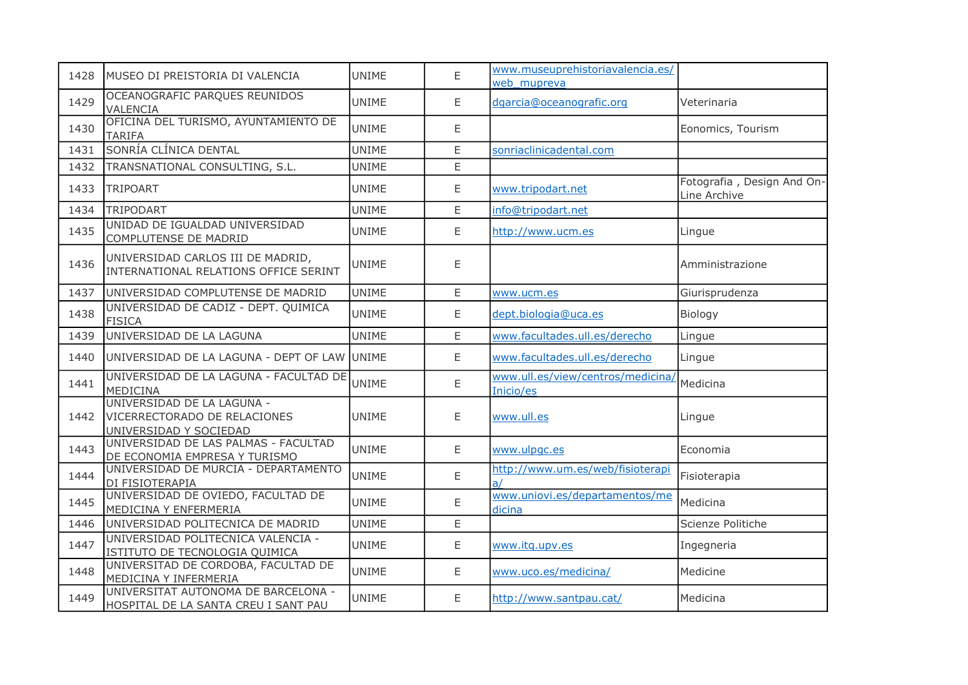| 1428 | MUSEO DI PREISTORIA DI VALENCIA                                                      | <b>UNIME</b> | E | www.museuprehistoriavalencia.es/<br>web mupreva |                                            |
|------|--------------------------------------------------------------------------------------|--------------|---|-------------------------------------------------|--------------------------------------------|
| 1429 | OCEANOGRAFIC PARQUES REUNIDOS<br>VALENCIA                                            | <b>UNIME</b> | E | dgarcia@oceanografic.org                        | Veterinaria                                |
| 1430 | OFICINA DEL TURISMO, AYUNTAMIENTO DE<br><b>TARIFA</b>                                | <b>UNIME</b> | E |                                                 | Eonomics, Tourism                          |
| 1431 | SONRÍA CLÍNICA DENTAL                                                                | <b>UNIME</b> | E | sonriaclinicadental.com                         |                                            |
| 1432 | TRANSNATIONAL CONSULTING, S.L.                                                       | <b>UNIME</b> | E |                                                 |                                            |
| 1433 | <b>TRIPOART</b>                                                                      | UNIME        | E | www.tripodart.net                               | Fotografia, Design And On-<br>Line Archive |
| 1434 | TRIPODART                                                                            | <b>UNIME</b> | E | info@tripodart.net                              |                                            |
| 1435 | UNIDAD DE IGUALDAD UNIVERSIDAD<br>COMPLUTENSE DE MADRID                              | <b>UNIME</b> | E | http://www.ucm.es                               | Lingue                                     |
| 1436 | UNIVERSIDAD CARLOS III DE MADRID,<br>INTERNATIONAL RELATIONS OFFICE SERINT           | <b>UNIME</b> | Ε |                                                 | Amministrazione                            |
| 1437 | UNIVERSIDAD COMPLUTENSE DE MADRID                                                    | <b>UNIME</b> | E | www.ucm.es                                      | Giurisprudenza                             |
| 1438 | UNIVERSIDAD DE CADIZ - DEPT. QUIMICA<br><b>FISICA</b>                                | <b>UNIME</b> | E | dept.biologia@uca.es                            | Biology                                    |
| 1439 | UNIVERSIDAD DE LA LAGUNA                                                             | <b>UNIME</b> | E | www.facultades.ull.es/derecho                   | Lingue                                     |
| 1440 | UNIVERSIDAD DE LA LAGUNA - DEPT OF LAW UNIME                                         |              | E | www.facultades.ull.es/derecho                   | Lingue                                     |
| 1441 | UNIVERSIDAD DE LA LAGUNA - FACULTAD DE<br><b>MEDICINA</b>                            | <b>UNIME</b> | E | www.ull.es/view/centros/medicina/<br>Inicio/es  | Medicina                                   |
| 1442 | UNIVERSIDAD DE LA LAGUNA -<br>VICERRECTORADO DE RELACIONES<br>UNIVERSIDAD Y SOCIEDAD | <b>UNIME</b> | Ε | www.ull.es                                      | Lingue                                     |
| 1443 | UNIVERSIDAD DE LAS PALMAS - FACULTAD<br>DE ECONOMIA EMPRESA Y TURISMO                | <b>UNIME</b> | E | www.ulpgc.es                                    | Economia                                   |
| 1444 | UNIVERSIDAD DE MURCIA - DEPARTAMENTO<br>DI FISIOTERAPIA                              | <b>UNIME</b> | E | http://www.um.es/web/fisioterapi                | Fisioterapia                               |
| 1445 | UNIVERSIDAD DE OVIEDO, FACULTAD DE<br>MEDICINA Y ENFERMERIA                          | <b>UNIME</b> | E | www.uniovi.es/departamentos/me<br>dicina        | Medicina                                   |
| 1446 | UNIVERSIDAD POLITECNICA DE MADRID                                                    | <b>UNIME</b> | E |                                                 | Scienze Politiche                          |
| 1447 | UNIVERSIDAD POLITECNICA VALENCIA -<br>ISTITUTO DE TECNOLOGIA QUIMICA                 | <b>UNIME</b> | E | www.itg.upv.es                                  | Ingegneria                                 |
| 1448 | UNIVERSITAD DE CORDOBA, FACULTAD DE<br>MEDICINA Y INFERMERIA                         | <b>UNIME</b> | E | www.uco.es/medicina/                            | Medicine                                   |
| 1449 | UNIVERSITAT AUTONOMA DE BARCELONA -<br>HOSPITAL DE LA SANTA CREU I SANT PAU          | <b>UNIME</b> | E | http://www.santpau.cat/                         | Medicina                                   |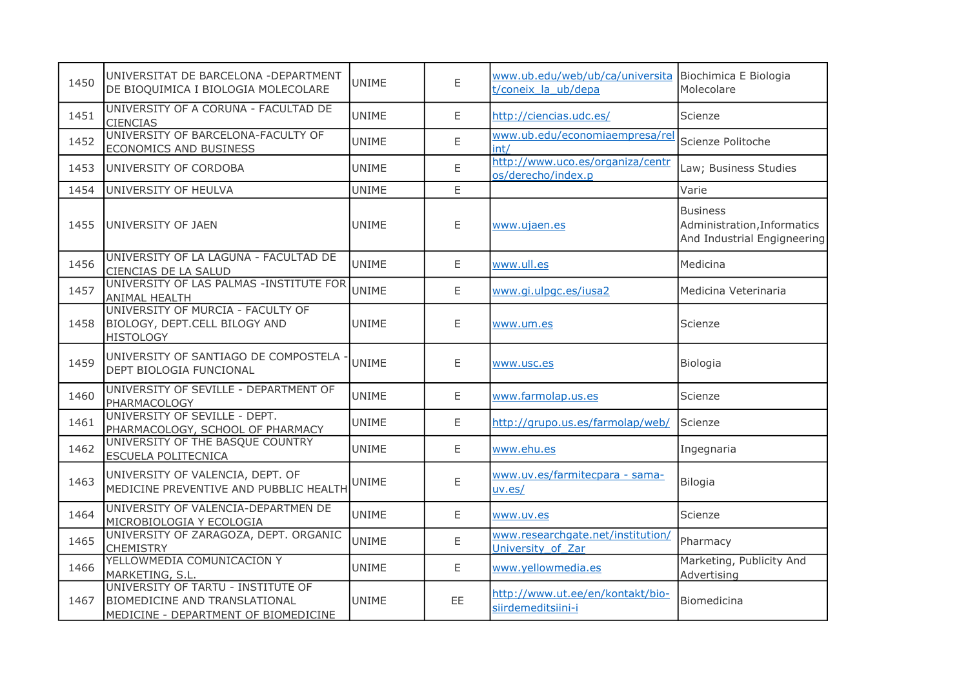| 1450 | UNIVERSITAT DE BARCELONA - DEPARTMENT<br>DE BIOQUIMICA I BIOLOGIA MOLECOLARE                                       | <b>UNIME</b> | E  | www.ub.edu/web/ub/ca/universita Biochimica E Biologia<br>t/coneix la ub/depa | Molecolare                                                                    |
|------|--------------------------------------------------------------------------------------------------------------------|--------------|----|------------------------------------------------------------------------------|-------------------------------------------------------------------------------|
| 1451 | UNIVERSITY OF A CORUNA - FACULTAD DE<br><b>CIENCIAS</b>                                                            | <b>UNIME</b> | E. | http://ciencias.udc.es/                                                      | Scienze                                                                       |
| 1452 | UNIVERSITY OF BARCELONA-FACULTY OF<br>ECONOMICS AND BUSINESS                                                       | <b>UNIME</b> | E  | www.ub.edu/economiaempresa/rel<br>int/                                       | Scienze Politoche                                                             |
| 1453 | UNIVERSITY OF CORDOBA                                                                                              | <b>UNIME</b> | E  | http://www.uco.es/organiza/centr<br>os/derecho/index.p                       | Law; Business Studies                                                         |
| 1454 | UNIVERSITY OF HEULVA                                                                                               | <b>UNIME</b> | E  |                                                                              | Varie                                                                         |
| 1455 | UNIVERSITY OF JAEN                                                                                                 | <b>UNIME</b> | E  | www.ujaen.es                                                                 | <b>Business</b><br>Administration, Informatics<br>And Industrial Engigneering |
| 1456 | UNIVERSITY OF LA LAGUNA - FACULTAD DE<br>CIENCIAS DE LA SALUD                                                      | <b>UNIME</b> | E  | www.ull.es                                                                   | Medicina                                                                      |
| 1457 | UNIVERSITY OF LAS PALMAS -INSTITUTE FOR<br>ANIMAL HEALTH                                                           | <b>UNIME</b> | E  | www.gi.ulpgc.es/iusa2                                                        | Medicina Veterinaria                                                          |
| 1458 | UNIVERSITY OF MURCIA - FACULTY OF<br><b>BIOLOGY, DEPT.CELL BILOGY AND</b><br><b>HISTOLOGY</b>                      | <b>UNIME</b> | E  | www.um.es                                                                    | Scienze                                                                       |
| 1459 | UNIVERSITY OF SANTIAGO DE COMPOSTELA -<br>DEPT BIOLOGIA FUNCIONAL                                                  | <b>UNIME</b> | Ε  | www.usc.es                                                                   | Biologia                                                                      |
| 1460 | UNIVERSITY OF SEVILLE - DEPARTMENT OF<br>PHARMACOLOGY                                                              | <b>UNIME</b> | E  | www.farmolap.us.es                                                           | Scienze                                                                       |
| 1461 | UNIVERSITY OF SEVILLE - DEPT.<br>PHARMACOLOGY, SCHOOL OF PHARMACY                                                  | <b>UNIME</b> | E  | http://grupo.us.es/farmolap/web/                                             | Scienze                                                                       |
| 1462 | UNIVERSITY OF THE BASQUE COUNTRY<br>ESCUELA POLITECNICA                                                            | <b>UNIME</b> | E  | www.ehu.es                                                                   | Ingegnaria                                                                    |
| 1463 | UNIVERSITY OF VALENCIA, DEPT. OF<br>MEDICINE PREVENTIVE AND PUBBLIC HEALTH                                         | UNIME        | Ε  | www.uv.es/farmitecpara - sama-<br>uv. es/                                    | <b>Bilogia</b>                                                                |
| 1464 | UNIVERSITY OF VALENCIA-DEPARTMEN DE<br>MICROBIOLOGIA Y ECOLOGIA                                                    | <b>UNIME</b> | Ε  | www.uv.es                                                                    | Scienze                                                                       |
| 1465 | UNIVERSITY OF ZARAGOZA, DEPT. ORGANIC<br><b>CHEMISTRY</b>                                                          | <b>UNIME</b> | E  | www.researchgate.net/institution/<br>University of Zar                       | Pharmacy                                                                      |
| 1466 | YELLOWMEDIA COMUNICACION Y<br>MARKETING, S.L.                                                                      | <b>UNIME</b> | E  | www.yellowmedia.es                                                           | Marketing, Publicity And<br>Advertising                                       |
| 1467 | UNIVERSITY OF TARTU - INSTITUTE OF<br><b>BIOMEDICINE AND TRANSLATIONAL</b><br>MEDICINE - DEPARTMENT OF BIOMEDICINE | <b>UNIME</b> | EE | http://www.ut.ee/en/kontakt/bio-<br>siirdemeditsiini-i                       | Biomedicina                                                                   |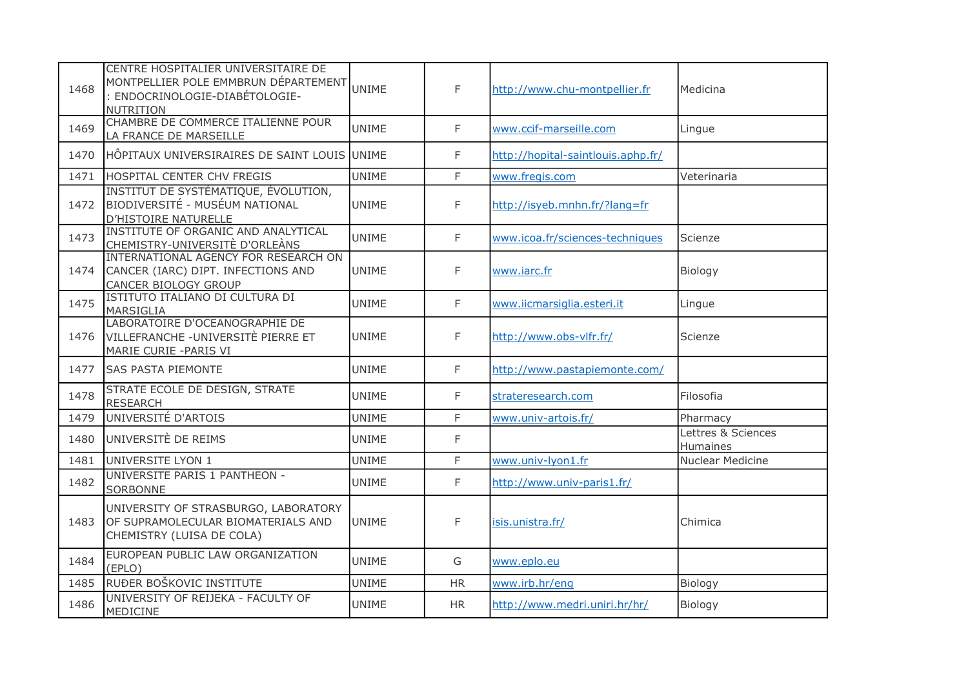| 1468 | CENTRE HOSPITALIER UNIVERSITAIRE DE<br>MONTPELLIER POLE EMMBRUN DÉPARTEMENT<br>: ENDOCRINOLOGIE-DIABÉTOLOGIE-<br>NUTRITION | UNIME        | F            | http://www.chu-montpellier.fr      | Medicina                       |
|------|----------------------------------------------------------------------------------------------------------------------------|--------------|--------------|------------------------------------|--------------------------------|
| 1469 | CHAMBRE DE COMMERCE ITALIENNE POUR<br>LA FRANCE DE MARSEILLE                                                               | <b>UNIME</b> | $\mathsf{F}$ | www.ccif-marseille.com             | Lingue                         |
| 1470 | HÔPITAUX UNIVERSIRAIRES DE SAINT LOUIS UNIME                                                                               |              | F            | http://hopital-saintlouis.aphp.fr/ |                                |
| 1471 | HOSPITAL CENTER CHV FREGIS                                                                                                 | <b>UNIME</b> | $\mathsf{F}$ | www.fregis.com                     | Veterinaria                    |
| 1472 | INSTITUT DE SYSTÉMATIQUE, ÉVOLUTION,<br>BIODIVERSITÉ - MUSÉUM NATIONAL<br><b>D'HISTOIRE NATURELLE</b>                      | <b>UNIME</b> | F            | http://isyeb.mnhn.fr/?lang=fr      |                                |
| 1473 | INSTITUTE OF ORGANIC AND ANALYTICAL<br>CHEMISTRY-UNIVERSITÈ D'ORLEÀNS                                                      | <b>UNIME</b> | F            | www.icoa.fr/sciences-techniques    | Scienze                        |
| 1474 | INTERNATIONAL AGENCY FOR RESEARCH ON<br>CANCER (IARC) DIPT. INFECTIONS AND<br>CANCER BIOLOGY GROUP                         | <b>UNIME</b> | F            | www.iarc.fr                        | Biology                        |
| 1475 | ISTITUTO ITALIANO DI CULTURA DI<br>MARSIGLIA                                                                               | <b>UNIME</b> | F            | www.iicmarsiglia.esteri.it         | Lingue                         |
| 1476 | LABORATOIRE D'OCEANOGRAPHIE DE<br>VILLEFRANCHE -UNIVERSITÈ PIERRE ET<br>MARIE CURIE - PARIS VI                             | <b>UNIME</b> | F            | http://www.obs-vlfr.fr/            | Scienze                        |
| 1477 | <b>SAS PASTA PIEMONTE</b>                                                                                                  | <b>UNIME</b> | F            | http://www.pastapiemonte.com/      |                                |
| 1478 | STRATE ECOLE DE DESIGN, STRATE<br><b>RESEARCH</b>                                                                          | <b>UNIME</b> | F            | strateresearch.com                 | Filosofia                      |
| 1479 | UNIVERSITÉ D'ARTOIS                                                                                                        | <b>UNIME</b> | F.           | www.univ-artois.fr/                | Pharmacy                       |
| 1480 | UNIVERSITÈ DE REIMS                                                                                                        | <b>UNIME</b> | F            |                                    | Lettres & Sciences<br>Humaines |
| 1481 | UNIVERSITE LYON 1                                                                                                          | <b>UNIME</b> | $\mathsf{F}$ | www.univ-lyon1.fr                  | Nuclear Medicine               |
| 1482 | UNIVERSITE PARIS 1 PANTHEON -<br>SORBONNE                                                                                  | <b>UNIME</b> | F            | http://www.univ-paris1.fr/         |                                |
| 1483 | UNIVERSITY OF STRASBURGO, LABORATORY<br>OF SUPRAMOLECULAR BIOMATERIALS AND<br>CHEMISTRY (LUISA DE COLA)                    | <b>UNIME</b> | F            | isis.unistra.fr/                   | Chimica                        |
| 1484 | EUROPEAN PUBLIC LAW ORGANIZATION<br>(EPLO)                                                                                 | <b>UNIME</b> | G            | www.eplo.eu                        |                                |
| 1485 | RUĐER BOŠKOVIC INSTITUTE                                                                                                   | <b>UNIME</b> | <b>HR</b>    | www.irb.hr/enq                     | Biology                        |
| 1486 | UNIVERSITY OF REIJEKA - FACULTY OF<br>MEDICINE                                                                             | <b>UNIME</b> | <b>HR</b>    | http://www.medri.uniri.hr/hr/      | Biology                        |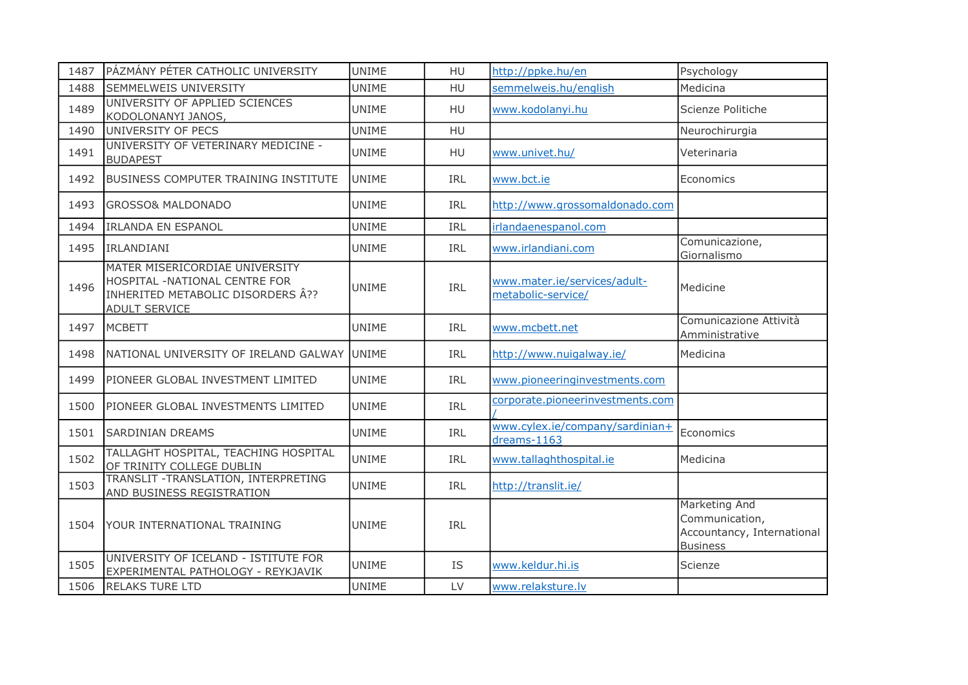| 1487 | PÁZMÁNY PÉTER CATHOLIC UNIVERSITY                                                                                            | <b>UNIME</b> | HU         | http://ppke.hu/en                                  | Psychology                                                                       |
|------|------------------------------------------------------------------------------------------------------------------------------|--------------|------------|----------------------------------------------------|----------------------------------------------------------------------------------|
| 1488 | SEMMELWEIS UNIVERSITY                                                                                                        | <b>UNIME</b> | HU         | semmelweis.hu/english                              | Medicina                                                                         |
| 1489 | UNIVERSITY OF APPLIED SCIENCES<br>KODOLONANYI JANOS,                                                                         | <b>UNIME</b> | <b>HU</b>  | www.kodolanyi.hu                                   | Scienze Politiche                                                                |
| 1490 | UNIVERSITY OF PECS                                                                                                           | <b>UNIME</b> | <b>HU</b>  |                                                    | Neurochirurgia                                                                   |
| 1491 | UNIVERSITY OF VETERINARY MEDICINE -<br><b>BUDAPEST</b>                                                                       | <b>UNIME</b> | <b>HU</b>  | www.univet.hu/                                     | Veterinaria                                                                      |
| 1492 | <b>BUSINESS COMPUTER TRAINING INSTITUTE</b>                                                                                  | <b>UNIME</b> | IRL        | www.bct.ie                                         | Economics                                                                        |
| 1493 | <b>GROSSO&amp; MALDONADO</b>                                                                                                 | <b>UNIME</b> | IRL        | http://www.grossomaldonado.com                     |                                                                                  |
| 1494 | <b>IRLANDA EN ESPANOL</b>                                                                                                    | <b>UNIME</b> | IRL        | irlandaenespanol.com                               |                                                                                  |
| 1495 | IRLANDIANI                                                                                                                   | <b>UNIME</b> | IRL        | www.irlandiani.com                                 | Comunicazione,<br>Giornalismo                                                    |
| 1496 | MATER MISERICORDIAE UNIVERSITY<br>HOSPITAL -NATIONAL CENTRE FOR<br>INHERITED METABOLIC DISORDERS Â??<br><b>ADULT SERVICE</b> | <b>UNIME</b> | IRL        | www.mater.ie/services/adult-<br>metabolic-service/ | Medicine                                                                         |
| 1497 | <b>MCBETT</b>                                                                                                                | <b>UNIME</b> | IRL        | www.mcbett.net                                     | Comunicazione Attività<br>Amministrative                                         |
| 1498 | NATIONAL UNIVERSITY OF IRELAND GALWAY UNIME                                                                                  |              | IRL        | http://www.nuigalway.ie/                           | Medicina                                                                         |
| 1499 | PIONEER GLOBAL INVESTMENT LIMITED                                                                                            | <b>UNIME</b> | IRL        | www.pioneeringinvestments.com                      |                                                                                  |
| 1500 | PIONEER GLOBAL INVESTMENTS LIMITED                                                                                           | <b>UNIME</b> | IRL        | corporate.pioneerinvestments.com                   |                                                                                  |
| 1501 | <b>SARDINIAN DREAMS</b>                                                                                                      | <b>UNIME</b> | IRL        | www.cylex.ie/company/sardinian+<br>dreams-1163     | Economics                                                                        |
| 1502 | TALLAGHT HOSPITAL, TEACHING HOSPITAL<br>OF TRINITY COLLEGE DUBLIN                                                            | <b>UNIME</b> | IRL        | www.tallaghthospital.ie                            | Medicina                                                                         |
| 1503 | TRANSLIT - TRANSLATION, INTERPRETING<br>AND BUSINESS REGISTRATION                                                            | <b>UNIME</b> | <b>IRL</b> | http://translit.ie/                                |                                                                                  |
| 1504 | YOUR INTERNATIONAL TRAINING                                                                                                  | <b>UNIME</b> | IRL        |                                                    | Marketing And<br>Communication,<br>Accountancy, International<br><b>Business</b> |
| 1505 | UNIVERSITY OF ICELAND - ISTITUTE FOR<br>EXPERIMENTAL PATHOLOGY - REYKJAVIK                                                   | <b>UNIME</b> | <b>IS</b>  | www.keldur.hi.is                                   | Scienze                                                                          |
| 1506 | <b>RELAKS TURE LTD</b>                                                                                                       | <b>UNIME</b> | LV         | www.relaksture.lv                                  |                                                                                  |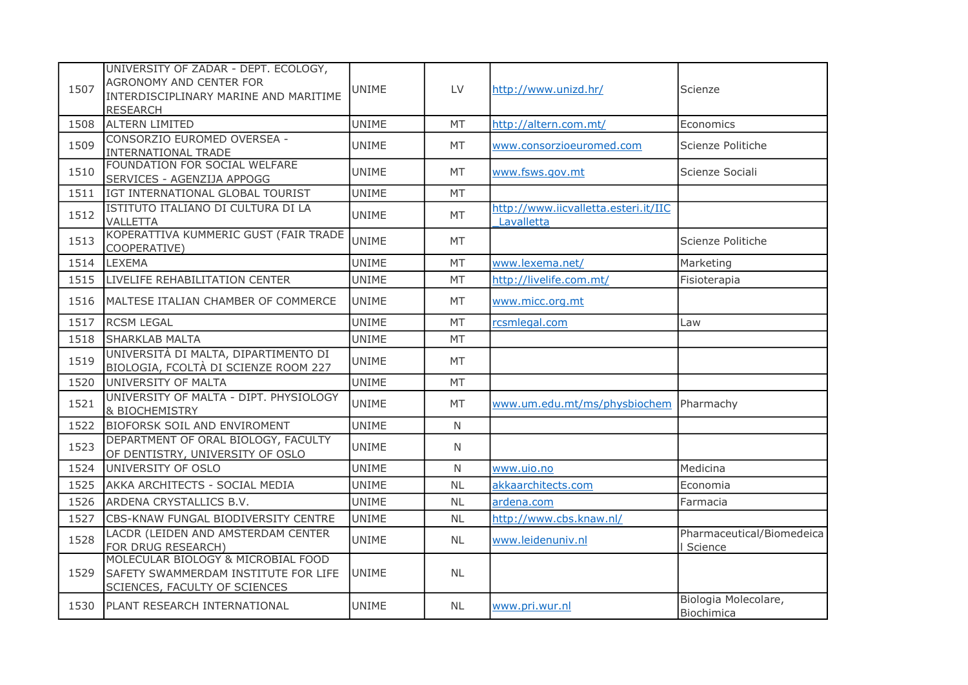| 1507 | UNIVERSITY OF ZADAR - DEPT. ECOLOGY,<br>AGRONOMY AND CENTER FOR<br>INTERDISCIPLINARY MARINE AND MARITIME<br><b>RESEARCH</b> | UNIME        | LV           | http://www.unizd.hr/                               | Scienze                              |
|------|-----------------------------------------------------------------------------------------------------------------------------|--------------|--------------|----------------------------------------------------|--------------------------------------|
| 1508 | <b>ALTERN LIMITED</b>                                                                                                       | <b>UNIME</b> | MT           | http://altern.com.mt/                              | Economics                            |
| 1509 | CONSORZIO EUROMED OVERSEA -<br>INTERNATIONAL TRADE                                                                          | <b>UNIME</b> | МT           | www.consorzioeuromed.com                           | Scienze Politiche                    |
| 1510 | FOUNDATION FOR SOCIAL WELFARE<br>SERVICES - AGENZIJA APPOGG                                                                 | <b>UNIME</b> | MT           | www.fsws.gov.mt                                    | Scienze Sociali                      |
| 1511 | IGT INTERNATIONAL GLOBAL TOURIST                                                                                            | <b>UNIME</b> | MT           |                                                    |                                      |
| 1512 | ISTITUTO ITALIANO DI CULTURA DI LA<br>VALLETTA                                                                              | <b>UNIME</b> | MT           | http://www.iicvalletta.esteri.it/IIC<br>Lavalletta |                                      |
| 1513 | KOPERATTIVA KUMMERIC GUST (FAIR TRADE<br>COOPERATIVE)                                                                       | <b>UNIME</b> | MT           |                                                    | Scienze Politiche                    |
| 1514 | <b>LEXEMA</b>                                                                                                               | <b>UNIME</b> | <b>MT</b>    | www.lexema.net/                                    | Marketing                            |
| 1515 | LIVELIFE REHABILITATION CENTER                                                                                              | <b>UNIME</b> | MT           | http://livelife.com.mt/                            | Fisioterapia                         |
| 1516 | MALTESE ITALIAN CHAMBER OF COMMERCE                                                                                         | <b>UNIME</b> | MT           | www.micc.org.mt                                    |                                      |
| 1517 | <b>RCSM LEGAL</b>                                                                                                           | <b>UNIME</b> | <b>MT</b>    | rcsmlegal.com                                      | Law                                  |
| 1518 | <b>SHARKLAB MALTA</b>                                                                                                       | <b>UNIME</b> | MT           |                                                    |                                      |
| 1519 | UNIVERSITÀ DI MALTA, DIPARTIMENTO DI<br>BIOLOGIA, FCOLTÀ DI SCIENZE ROOM 227                                                | <b>UNIME</b> | MT           |                                                    |                                      |
| 1520 | UNIVERSITY OF MALTA                                                                                                         | <b>UNIME</b> | <b>MT</b>    |                                                    |                                      |
| 1521 | UNIVERSITY OF MALTA - DIPT. PHYSIOLOGY<br><b>&amp; BIOCHEMISTRY</b>                                                         | <b>UNIME</b> | <b>MT</b>    | www.um.edu.mt/ms/physbiochem                       | Pharmachy                            |
| 1522 | BIOFORSK SOIL AND ENVIROMENT                                                                                                | <b>UNIME</b> | $\mathsf{N}$ |                                                    |                                      |
| 1523 | DEPARTMENT OF ORAL BIOLOGY, FACULTY<br>OF DENTISTRY, UNIVERSITY OF OSLO                                                     | <b>UNIME</b> | N            |                                                    |                                      |
| 1524 | UNIVERSITY OF OSLO                                                                                                          | <b>UNIME</b> | N            | www.uio.no                                         | Medicina                             |
| 1525 | AKKA ARCHITECTS - SOCIAL MEDIA                                                                                              | <b>UNIME</b> | <b>NL</b>    | akkaarchitects.com                                 | Economia                             |
| 1526 | ARDENA CRYSTALLICS B.V.                                                                                                     | <b>UNIME</b> | <b>NL</b>    | ardena.com                                         | Farmacia                             |
| 1527 | CBS-KNAW FUNGAL BIODIVERSITY CENTRE                                                                                         | <b>UNIME</b> | <b>NL</b>    | http://www.cbs.knaw.nl/                            |                                      |
| 1528 | LACDR (LEIDEN AND AMSTERDAM CENTER<br>FOR DRUG RESEARCH)                                                                    | <b>UNIME</b> | <b>NL</b>    | www.leidenuniv.nl                                  | Pharmaceutical/Biomedeica<br>Science |
| 1529 | MOLECULAR BIOLOGY & MICROBIAL FOOD<br>SAFETY SWAMMERDAM INSTITUTE FOR LIFE<br>SCIENCES, FACULTY OF SCIENCES                 | <b>UNIME</b> | <b>NL</b>    |                                                    |                                      |
| 1530 | PLANT RESEARCH INTERNATIONAL                                                                                                | <b>UNIME</b> | <b>NL</b>    | www.pri.wur.nl                                     | Biologia Molecolare,<br>Biochimica   |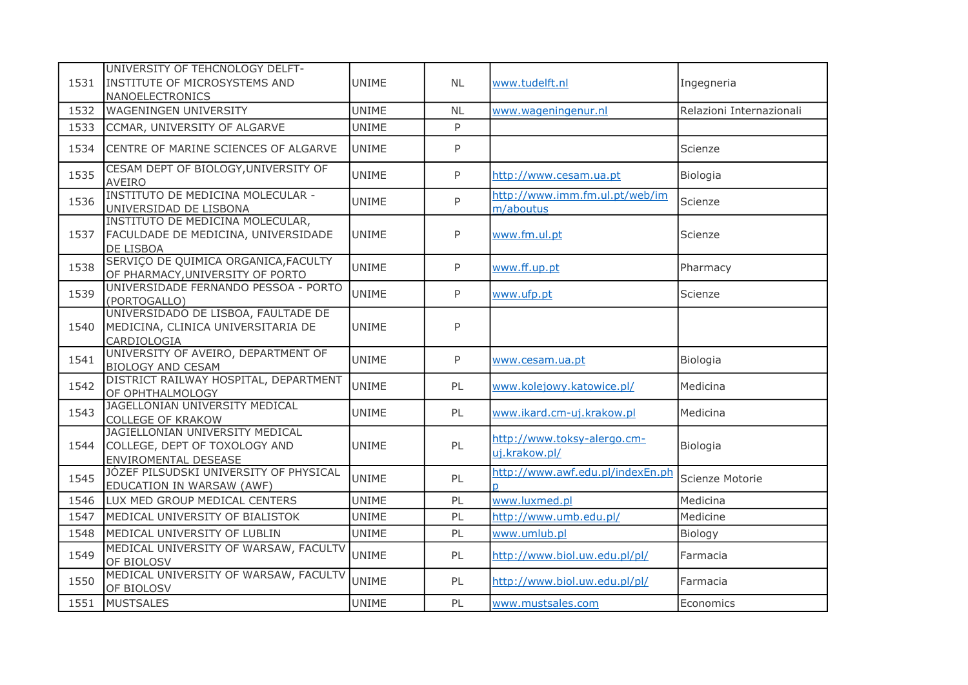| 1531 | UNIVERSITY OF TEHCNOLOGY DELFT-<br>INSTITUTE OF MICROSYSTEMS AND<br><b>NANOELECTRONICS</b> | <b>UNIME</b> | <b>NL</b> | www.tudelft.nl                               | Ingegneria               |
|------|--------------------------------------------------------------------------------------------|--------------|-----------|----------------------------------------------|--------------------------|
| 1532 | <b>WAGENINGEN UNIVERSITY</b>                                                               | <b>UNIME</b> | <b>NL</b> | www.wageningenur.nl                          | Relazioni Internazionali |
| 1533 | CCMAR, UNIVERSITY OF ALGARVE                                                               | <b>UNIME</b> | P         |                                              |                          |
| 1534 | CENTRE OF MARINE SCIENCES OF ALGARVE                                                       | <b>UNIME</b> | P         |                                              | Scienze                  |
| 1535 | CESAM DEPT OF BIOLOGY, UNIVERSITY OF<br><b>AVEIRO</b>                                      | <b>UNIME</b> | P         | http://www.cesam.ua.pt                       | Biologia                 |
| 1536 | INSTITUTO DE MEDICINA MOLECULAR -<br>UNIVERSIDAD DE LISBONA                                | <b>UNIME</b> | P         | http://www.imm.fm.ul.pt/web/im<br>m/aboutus  | Scienze                  |
| 1537 | INSTITUTO DE MEDICINA MOLECULAR,<br>FACULDADE DE MEDICINA, UNIVERSIDADE<br>DE LISBOA       | <b>UNIME</b> | P         | www.fm.ul.pt                                 | Scienze                  |
| 1538 | SERVIÇO DE QUIMICA ORGANICA, FACULTY<br>OF PHARMACY, UNIVERSITY OF PORTO                   | <b>UNIME</b> | P         | www.ff.up.pt                                 | Pharmacy                 |
| 1539 | UNIVERSIDADE FERNANDO PESSOA - PORTO<br>(PORTOGALLO)                                       | <b>UNIME</b> | P         | www.ufp.pt                                   | Scienze                  |
| 1540 | UNIVERSIDADO DE LISBOA, FAULTADE DE<br>MEDICINA, CLINICA UNIVERSITARIA DE<br>CARDIOLOGIA   | <b>UNIME</b> | P         |                                              |                          |
| 1541 | UNIVERSITY OF AVEIRO, DEPARTMENT OF<br><b>BIOLOGY AND CESAM</b>                            | <b>UNIME</b> | P         | www.cesam.ua.pt                              | Biologia                 |
| 1542 | DISTRICT RAILWAY HOSPITAL, DEPARTMENT<br>OF OPHTHALMOLOGY                                  | <b>UNIME</b> | PL        | www.kolejowy.katowice.pl/                    | Medicina                 |
| 1543 | JAGELLONIAN UNIVERSITY MEDICAL<br><b>COLLEGE OF KRAKOW</b>                                 | <b>UNIME</b> | PL        | www.ikard.cm-uj.krakow.pl                    | Medicina                 |
| 1544 | JAGIELLONIAN UNIVERSITY MEDICAL<br>COLLEGE, DEPT OF TOXOLOGY AND<br>ENVIROMENTAL DESEASE   | <b>UNIME</b> | PL        | http://www.toksy-alergo.cm-<br>uj.krakow.pl/ | Biologia                 |
| 1545 | JÓZEF PILSUDSKI UNIVERSITY OF PHYSICAL<br>EDUCATION IN WARSAW (AWF)                        | UNIME        | PL        | http://www.awf.edu.pl/indexEn.ph             | Scienze Motorie          |
| 1546 | LUX MED GROUP MEDICAL CENTERS                                                              | <b>UNIME</b> | PL        | www.luxmed.pl                                | Medicina                 |
| 1547 | MEDICAL UNIVERSITY OF BIALISTOK                                                            | <b>UNIME</b> | PL        | http://www.umb.edu.pl/                       | Medicine                 |
| 1548 | MEDICAL UNIVERSITY OF LUBLIN                                                               | <b>UNIME</b> | PL        | www.umlub.pl                                 | Biology                  |
| 1549 | MEDICAL UNIVERSITY OF WARSAW, FACULTV<br>OF BIOLOSV                                        | <b>UNIME</b> | PL        | http://www.biol.uw.edu.pl/pl/                | Farmacia                 |
| 1550 | MEDICAL UNIVERSITY OF WARSAW, FACULTV<br>OF BIOLOSV                                        | <b>UNIME</b> | PL        | http://www.biol.uw.edu.pl/pl/                | Farmacia                 |
| 1551 | <b>MUSTSALES</b>                                                                           | <b>UNIME</b> | PL        | www.mustsales.com                            | Economics                |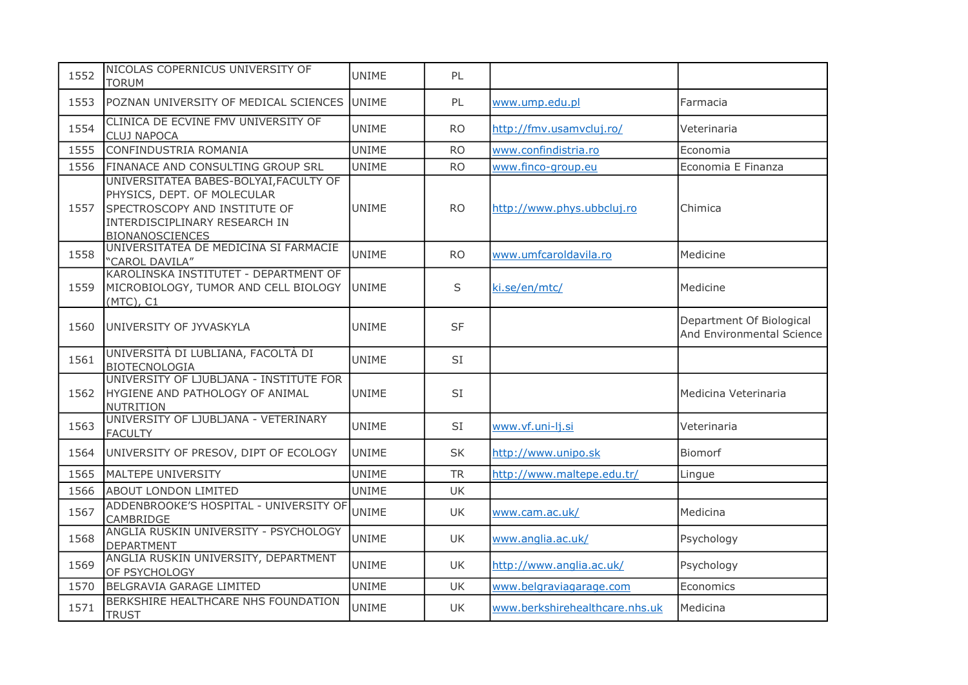| 1552 | NICOLAS COPERNICUS UNIVERSITY OF<br><b>TORUM</b>                                                                                                                  | <b>UNIME</b> | PL        |                                |                                                       |
|------|-------------------------------------------------------------------------------------------------------------------------------------------------------------------|--------------|-----------|--------------------------------|-------------------------------------------------------|
| 1553 | POZNAN UNIVERSITY OF MEDICAL SCIENCES                                                                                                                             | <b>UNIME</b> | PL        | www.ump.edu.pl                 | Farmacia                                              |
| 1554 | CLINICA DE ECVINE FMV UNIVERSITY OF<br><b>CLUJ NAPOCA</b>                                                                                                         | <b>UNIME</b> | <b>RO</b> | http://fmv.usamvcluj.ro/       | Veterinaria                                           |
| 1555 | CONFINDUSTRIA ROMANIA                                                                                                                                             | <b>UNIME</b> | <b>RO</b> | www.confindistria.ro           | Economia                                              |
| 1556 | FINANACE AND CONSULTING GROUP SRL                                                                                                                                 | <b>UNIME</b> | <b>RO</b> | www.finco-group.eu             | Economia E Finanza                                    |
| 1557 | UNIVERSITATEA BABES-BOLYAI, FACULTY OF<br>PHYSICS, DEPT. OF MOLECULAR<br>SPECTROSCOPY AND INSTITUTE OF<br>INTERDISCIPLINARY RESEARCH IN<br><b>BIONANOSCIENCES</b> | <b>UNIME</b> | <b>RO</b> | http://www.phys.ubbcluj.ro     | Chimica                                               |
| 1558 | UNIVERSITATEA DE MEDICINA SI FARMACIE<br>"CAROL DAVILA"                                                                                                           | UNIME        | <b>RO</b> | www.umfcaroldavila.ro          | Medicine                                              |
| 1559 | KAROLINSKA INSTITUTET - DEPARTMENT OF<br>MICROBIOLOGY, TUMOR AND CELL BIOLOGY<br>(MTC), C1                                                                        | <b>UNIME</b> | S         | ki.se/en/mtc/                  | Medicine                                              |
| 1560 | UNIVERSITY OF JYVASKYLA                                                                                                                                           | <b>UNIME</b> | <b>SF</b> |                                | Department Of Biological<br>And Environmental Science |
| 1561 | UNIVERSITÀ DI LUBLIANA, FACOLTÀ DI<br><b>BIOTECNOLOGIA</b>                                                                                                        | <b>UNIME</b> | SI        |                                |                                                       |
| 1562 | UNIVERSITY OF LJUBLJANA - INSTITUTE FOR<br>HYGIENE AND PATHOLOGY OF ANIMAL<br>NUTRITION                                                                           | <b>UNIME</b> | SI        |                                | Medicina Veterinaria                                  |
| 1563 | UNIVERSITY OF LJUBLJANA - VETERINARY<br><b>FACULTY</b>                                                                                                            | <b>UNIME</b> | SI        | www.vf.uni-lj.si               | Veterinaria                                           |
| 1564 | UNIVERSITY OF PRESOV, DIPT OF ECOLOGY                                                                                                                             | <b>UNIME</b> | <b>SK</b> | http://www.unipo.sk            | Biomorf                                               |
| 1565 | MALTEPE UNIVERSITY                                                                                                                                                | <b>UNIME</b> | <b>TR</b> | http://www.maltepe.edu.tr/     | Lingue                                                |
| 1566 | <b>ABOUT LONDON LIMITED</b>                                                                                                                                       | <b>UNIME</b> | UK        |                                |                                                       |
| 1567 | ADDENBROOKE'S HOSPITAL - UNIVERSITY OF<br>CAMBRIDGE                                                                                                               | <b>UNIME</b> | UK        | www.cam.ac.uk/                 | Medicina                                              |
| 1568 | ANGLIA RUSKIN UNIVERSITY - PSYCHOLOGY<br><b>DEPARTMENT</b>                                                                                                        | <b>UNIME</b> | UK        | www.anglia.ac.uk/              | Psychology                                            |
| 1569 | ANGLIA RUSKIN UNIVERSITY, DEPARTMENT<br>OF PSYCHOLOGY                                                                                                             | <b>UNIME</b> | UK        | http://www.anglia.ac.uk/       | Psychology                                            |
| 1570 | BELGRAVIA GARAGE LIMITED                                                                                                                                          | <b>UNIME</b> | <b>UK</b> | www.belgraviagarage.com        | Economics                                             |
| 1571 | BERKSHIRE HEALTHCARE NHS FOUNDATION<br><b>TRUST</b>                                                                                                               | <b>UNIME</b> | UK        | www.berkshirehealthcare.nhs.uk | Medicina                                              |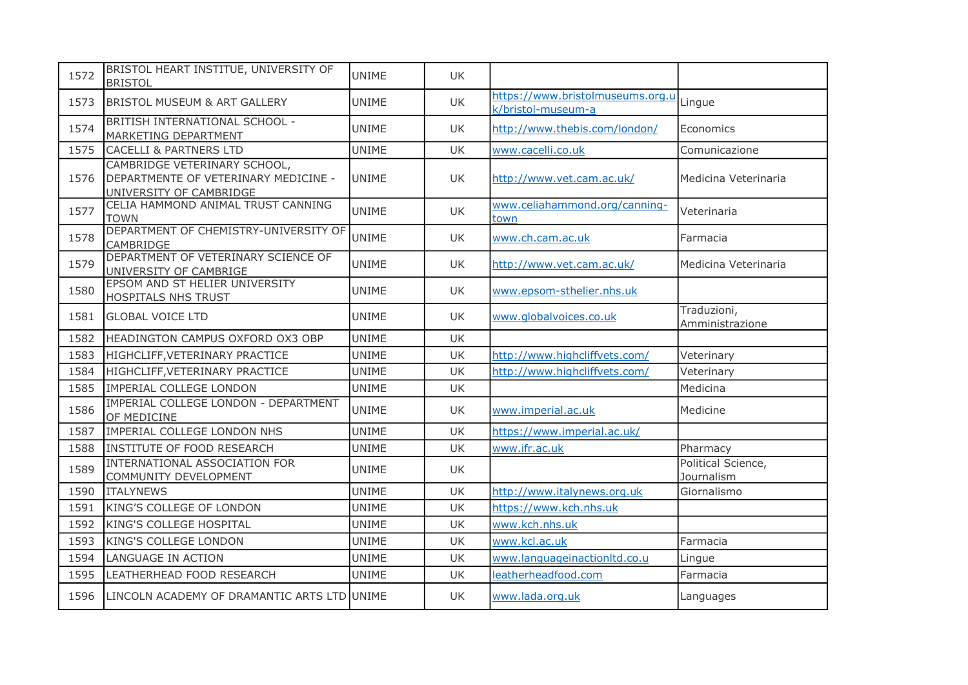| 1572 | BRISTOL HEART INSTITUE, UNIVERSITY OF<br><b>BRISTOL</b>                                         | <b>UNIME</b> | UK.       |                                                        |                                  |
|------|-------------------------------------------------------------------------------------------------|--------------|-----------|--------------------------------------------------------|----------------------------------|
| 1573 | <b>BRISTOL MUSEUM &amp; ART GALLERY</b>                                                         | <b>UNIME</b> | <b>UK</b> | https://www.bristolmuseums.org.u<br>k/bristol-museum-a | Lingue                           |
| 1574 | BRITISH INTERNATIONAL SCHOOL -<br>MARKETING DEPARTMENT                                          | UNIME        | UK        | http://www.thebis.com/london/                          | Economics                        |
| 1575 | <b>CACELLI &amp; PARTNERS LTD</b>                                                               | <b>UNIME</b> | UK        | www.cacelli.co.uk                                      | Comunicazione                    |
| 1576 | CAMBRIDGE VETERINARY SCHOOL,<br>DEPARTMENTE OF VETERINARY MEDICINE -<br>UNIVERSITY OF CAMBRIDGE | <b>UNIME</b> | UK.       | http://www.vet.cam.ac.uk/                              | Medicina Veterinaria             |
| 1577 | CELIA HAMMOND ANIMAL TRUST CANNING<br><b>TOWN</b>                                               | <b>UNIME</b> | <b>UK</b> | www.celiahammond.org/canning-<br>town                  | Veterinaria                      |
| 1578 | DEPARTMENT OF CHEMISTRY-UNIVERSITY OF<br>CAMBRIDGE                                              | <b>UNIME</b> | UK        | www.ch.cam.ac.uk                                       | Farmacia                         |
| 1579 | DEPARTMENT OF VETERINARY SCIENCE OF<br>UNIVERSITY OF CAMBRIGE                                   | <b>UNIME</b> | <b>UK</b> | http://www.vet.cam.ac.uk/                              | Medicina Veterinaria             |
| 1580 | EPSOM AND ST HELIER UNIVERSITY<br>HOSPITALS NHS TRUST                                           | <b>UNIME</b> | UK        | www.epsom-sthelier.nhs.uk                              |                                  |
| 1581 | <b>GLOBAL VOICE LTD</b>                                                                         | UNIME        | UK        | www.globalvoices.co.uk                                 | Traduzioni,<br>Amministrazione   |
| 1582 | HEADINGTON CAMPUS OXFORD OX3 OBP                                                                | <b>UNIME</b> | <b>UK</b> |                                                        |                                  |
| 1583 | HIGHCLIFF, VETERINARY PRACTICE                                                                  | <b>UNIME</b> | UK        | http://www.highcliffvets.com/                          | Veterinary                       |
| 1584 | HIGHCLIFF, VETERINARY PRACTICE                                                                  | <b>UNIME</b> | UK        | http://www.highcliffvets.com/                          | Veterinary                       |
| 1585 | IMPERIAL COLLEGE LONDON                                                                         | <b>UNIME</b> | <b>UK</b> |                                                        | Medicina                         |
| 1586 | IMPERIAL COLLEGE LONDON - DEPARTMENT<br>OF MEDICINE                                             | <b>UNIME</b> | UK        | www.imperial.ac.uk                                     | Medicine                         |
| 1587 | IMPERIAL COLLEGE LONDON NHS                                                                     | UNIME        | <b>UK</b> | https://www.imperial.ac.uk/                            |                                  |
| 1588 | INSTITUTE OF FOOD RESEARCH                                                                      | <b>UNIME</b> | <b>UK</b> | www.ifr.ac.uk                                          | Pharmacy                         |
| 1589 | INTERNATIONAL ASSOCIATION FOR<br>COMMUNITY DEVELOPMENT                                          | <b>UNIME</b> | <b>UK</b> |                                                        | Political Science,<br>Journalism |
| 1590 | <b>ITALYNEWS</b>                                                                                | <b>UNIME</b> | UK        | http://www.italynews.org.uk                            | Giornalismo                      |
| 1591 | KING'S COLLEGE OF LONDON                                                                        | UNIME        | UK        | https://www.kch.nhs.uk                                 |                                  |
| 1592 | KING'S COLLEGE HOSPITAL                                                                         | <b>UNIME</b> | <b>UK</b> | www.kch.nhs.uk                                         |                                  |
| 1593 | KING'S COLLEGE LONDON                                                                           | <b>UNIME</b> | <b>UK</b> | www.kcl.ac.uk                                          | Farmacia                         |
| 1594 | LANGUAGE IN ACTION                                                                              | <b>UNIME</b> | <b>UK</b> | www.languageinactionItd.co.u                           | Lingue                           |
| 1595 | LEATHERHEAD FOOD RESEARCH                                                                       | <b>UNIME</b> | UK.       | leatherheadfood.com                                    | Farmacia                         |
| 1596 | LINCOLN ACADEMY OF DRAMANTIC ARTS LTD UNIME                                                     |              | UK        | www.lada.org.uk                                        | Languages                        |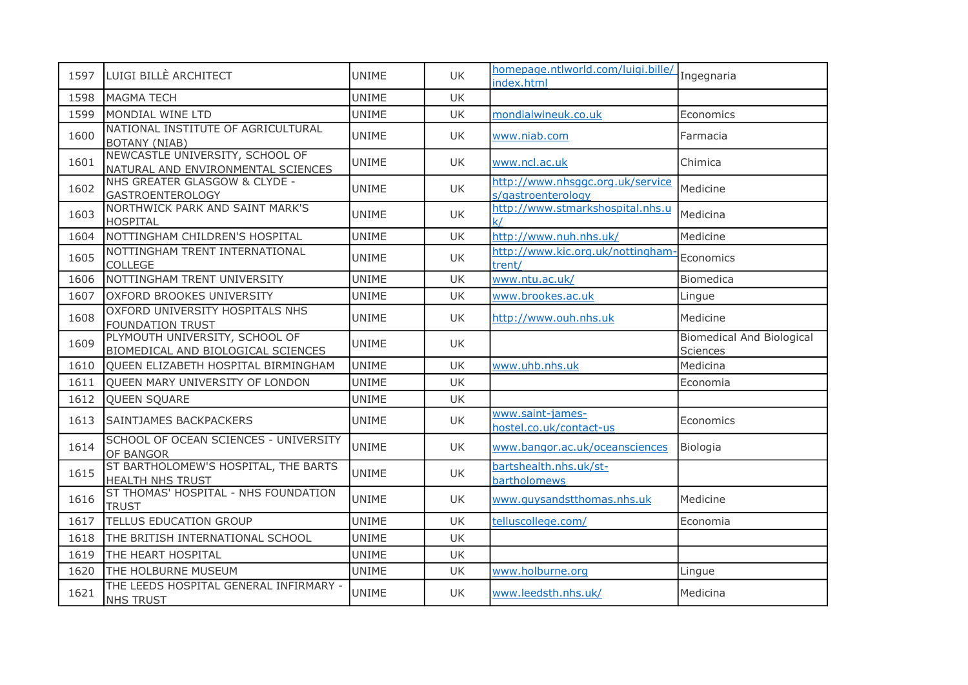| 1597 | LUIGI BILLÈ ARCHITECT                                                 | <b>UNIME</b> | UK        | homepage.ntlworld.com/luigi.bille/<br>index.html       | Ingegnaria                                   |
|------|-----------------------------------------------------------------------|--------------|-----------|--------------------------------------------------------|----------------------------------------------|
| 1598 | <b>MAGMA TECH</b>                                                     | <b>UNIME</b> | <b>UK</b> |                                                        |                                              |
| 1599 | MONDIAL WINE LTD                                                      | <b>UNIME</b> | UK        | mondialwineuk.co.uk                                    | Economics                                    |
| 1600 | NATIONAL INSTITUTE OF AGRICULTURAL<br><b>BOTANY (NIAB)</b>            | <b>UNIME</b> | UK        | www.niab.com                                           | Farmacia                                     |
| 1601 | NEWCASTLE UNIVERSITY, SCHOOL OF<br>NATURAL AND ENVIRONMENTAL SCIENCES | <b>UNIME</b> | UK        | www.ncl.ac.uk                                          | Chimica                                      |
| 1602 | NHS GREATER GLASGOW & CLYDE -<br><b>GASTROENTEROLOGY</b>              | <b>UNIME</b> | UK        | http://www.nhsqqc.org.uk/service<br>s/gastroenterology | Medicine                                     |
| 1603 | NORTHWICK PARK AND SAINT MARK'S<br><b>HOSPITAL</b>                    | UNIME        | UK        | http://www.stmarkshospital.nhs.u<br>k /                | Medicina                                     |
| 1604 | NOTTINGHAM CHILDREN'S HOSPITAL                                        | <b>UNIME</b> | <b>UK</b> | http://www.nuh.nhs.uk/                                 | Medicine                                     |
| 1605 | NOTTINGHAM TRENT INTERNATIONAL<br>COLLEGE                             | <b>UNIME</b> | UK        | http://www.kic.org.uk/nottingham-<br>trent/            | Economics                                    |
| 1606 | NOTTINGHAM TRENT UNIVERSITY                                           | <b>UNIME</b> | UK        | www.ntu.ac.uk/                                         | Biomedica                                    |
| 1607 | OXFORD BROOKES UNIVERSITY                                             | <b>UNIME</b> | UK        | www.brookes.ac.uk                                      | Lingue                                       |
| 1608 | OXFORD UNIVERSITY HOSPITALS NHS<br><b>FOUNDATION TRUST</b>            | UNIME        | UK.       | http://www.ouh.nhs.uk                                  | Medicine                                     |
| 1609 | PLYMOUTH UNIVERSITY, SCHOOL OF<br>BIOMEDICAL AND BIOLOGICAL SCIENCES  | <b>UNIME</b> | UK        |                                                        | <b>Biomedical And Biological</b><br>Sciences |
| 1610 | QUEEN ELIZABETH HOSPITAL BIRMINGHAM                                   | <b>UNIME</b> | <b>UK</b> | www.uhb.nhs.uk                                         | Medicina                                     |
| 1611 | QUEEN MARY UNIVERSITY OF LONDON                                       | <b>UNIME</b> | UK        |                                                        | Economia                                     |
| 1612 | QUEEN SQUARE                                                          | <b>UNIME</b> | UK        |                                                        |                                              |
| 1613 | <b>SAINTJAMES BACKPACKERS</b>                                         | <b>UNIME</b> | UK        | www.saint-james-<br>hostel.co.uk/contact-us            | Economics                                    |
| 1614 | SCHOOL OF OCEAN SCIENCES - UNIVERSITY<br>OF BANGOR                    | <b>UNIME</b> | UK        | www.bangor.ac.uk/oceansciences                         | Biologia                                     |
| 1615 | ST BARTHOLOMEW'S HOSPITAL, THE BARTS<br>HEALTH NHS TRUST              | <b>UNIME</b> | UK        | bartshealth.nhs.uk/st-<br>bartholomews                 |                                              |
| 1616 | ST THOMAS' HOSPITAL - NHS FOUNDATION<br><b>TRUST</b>                  | <b>UNIME</b> | UK.       | www.guysandstthomas.nhs.uk                             | Medicine                                     |
| 1617 | TELLUS EDUCATION GROUP                                                | <b>UNIME</b> | <b>UK</b> | telluscollege.com/                                     | Economia                                     |
| 1618 | THE BRITISH INTERNATIONAL SCHOOL                                      | <b>UNIME</b> | UK        |                                                        |                                              |
| 1619 | THE HEART HOSPITAL                                                    | <b>UNIME</b> | UK        |                                                        |                                              |
| 1620 | THE HOLBURNE MUSEUM                                                   | <b>UNIME</b> | UK        | www.holburne.org                                       | Lingue                                       |
| 1621 | THE LEEDS HOSPITAL GENERAL INFIRMARY -<br><b>NHS TRUST</b>            | <b>UNIME</b> | UK        | www.leedsth.nhs.uk/                                    | Medicina                                     |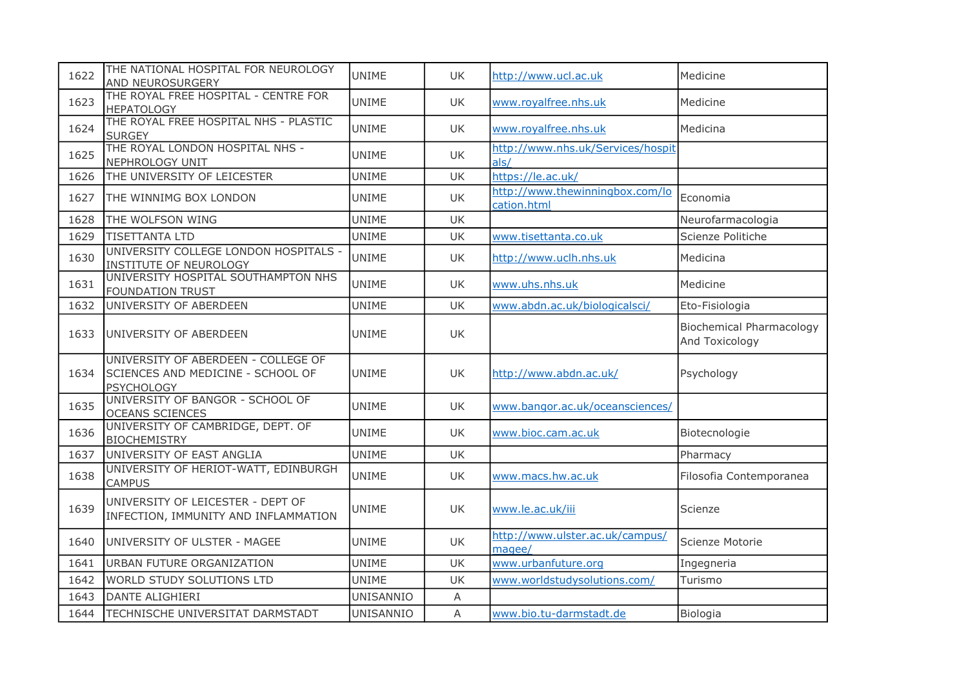| 1622 | THE NATIONAL HOSPITAL FOR NEUROLOGY<br><b>AND NEUROSURGERY</b>                                | <b>UNIME</b>     | <b>UK</b> | http://www.ucl.ac.uk                           | Medicine                                          |
|------|-----------------------------------------------------------------------------------------------|------------------|-----------|------------------------------------------------|---------------------------------------------------|
| 1623 | THE ROYAL FREE HOSPITAL - CENTRE FOR<br><b>HEPATOLOGY</b>                                     | <b>UNIME</b>     | UK        | www.royalfree.nhs.uk                           | Medicine                                          |
| 1624 | THE ROYAL FREE HOSPITAL NHS - PLASTIC<br><b>SURGEY</b>                                        | <b>UNIME</b>     | <b>UK</b> | www.royalfree.nhs.uk                           | Medicina                                          |
| 1625 | THE ROYAL LONDON HOSPITAL NHS -<br>NEPHROLOGY UNIT                                            | <b>UNIME</b>     | <b>UK</b> | http://www.nhs.uk/Services/hospit<br>als/      |                                                   |
| 1626 | THE UNIVERSITY OF LEICESTER                                                                   | <b>UNIME</b>     | <b>UK</b> | https://le.ac.uk/                              |                                                   |
| 1627 | THE WINNIMG BOX LONDON                                                                        | <b>UNIME</b>     | <b>UK</b> | http://www.thewinningbox.com/lo<br>cation.html | Economia                                          |
| 1628 | THE WOLFSON WING                                                                              | <b>UNIME</b>     | <b>UK</b> |                                                | Neurofarmacologia                                 |
| 1629 | <b>TISETTANTA LTD</b>                                                                         | <b>UNIME</b>     | UK        | www.tisettanta.co.uk                           | Scienze Politiche                                 |
| 1630 | UNIVERSITY COLLEGE LONDON HOSPITALS -<br>INSTITUTE OF NEUROLOGY                               | <b>UNIME</b>     | UK        | http://www.uclh.nhs.uk                         | Medicina                                          |
| 1631 | UNIVERSITY HOSPITAL SOUTHAMPTON NHS<br>FOUNDATION TRUST                                       | <b>UNIME</b>     | UK        | www.uhs.nhs.uk                                 | Medicine                                          |
| 1632 | UNIVERSITY OF ABERDEEN                                                                        | <b>UNIME</b>     | <b>UK</b> | www.abdn.ac.uk/biologicalsci/                  | Eto-Fisiologia                                    |
| 1633 | UNIVERSITY OF ABERDEEN                                                                        | <b>UNIME</b>     | UK        |                                                | <b>Biochemical Pharmacology</b><br>And Toxicology |
| 1634 | UNIVERSITY OF ABERDEEN - COLLEGE OF<br>SCIENCES AND MEDICINE - SCHOOL OF<br><b>PSYCHOLOGY</b> | <b>UNIME</b>     | UK        | http://www.abdn.ac.uk/                         | Psychology                                        |
| 1635 | UNIVERSITY OF BANGOR - SCHOOL OF<br><b>OCEANS SCIENCES</b>                                    | <b>UNIME</b>     | UK        | www.bangor.ac.uk/oceansciences/                |                                                   |
| 1636 | UNIVERSITY OF CAMBRIDGE, DEPT. OF<br><b>BIOCHEMISTRY</b>                                      | <b>UNIME</b>     | <b>UK</b> | www.bioc.cam.ac.uk                             | Biotecnologie                                     |
| 1637 | UNIVERSITY OF EAST ANGLIA                                                                     | <b>UNIME</b>     | <b>UK</b> |                                                | Pharmacy                                          |
| 1638 | UNIVERSITY OF HERIOT-WATT, EDINBURGH<br><b>CAMPUS</b>                                         | <b>UNIME</b>     | <b>UK</b> | www.macs.hw.ac.uk                              | Filosofia Contemporanea                           |
| 1639 | UNIVERSITY OF LEICESTER - DEPT OF<br>INFECTION, IMMUNITY AND INFLAMMATION                     | <b>UNIME</b>     | UK        | www.le.ac.uk/iii                               | Scienze                                           |
| 1640 | UNIVERSITY OF ULSTER - MAGEE                                                                  | <b>UNIME</b>     | UK        | http://www.ulster.ac.uk/campus/<br>magee/      | Scienze Motorie                                   |
| 1641 | URBAN FUTURE ORGANIZATION                                                                     | <b>UNIME</b>     | <b>UK</b> | www.urbanfuture.org                            | Ingegneria                                        |
| 1642 | WORLD STUDY SOLUTIONS LTD                                                                     | <b>UNIME</b>     | UK        | www.worldstudysolutions.com/                   | Turismo                                           |
| 1643 | <b>DANTE ALIGHIERI</b>                                                                        | UNISANNIO        | Α         |                                                |                                                   |
| 1644 | TECHNISCHE UNIVERSITAT DARMSTADT                                                              | <b>UNISANNIO</b> | A         | www.bio.tu-darmstadt.de                        | Biologia                                          |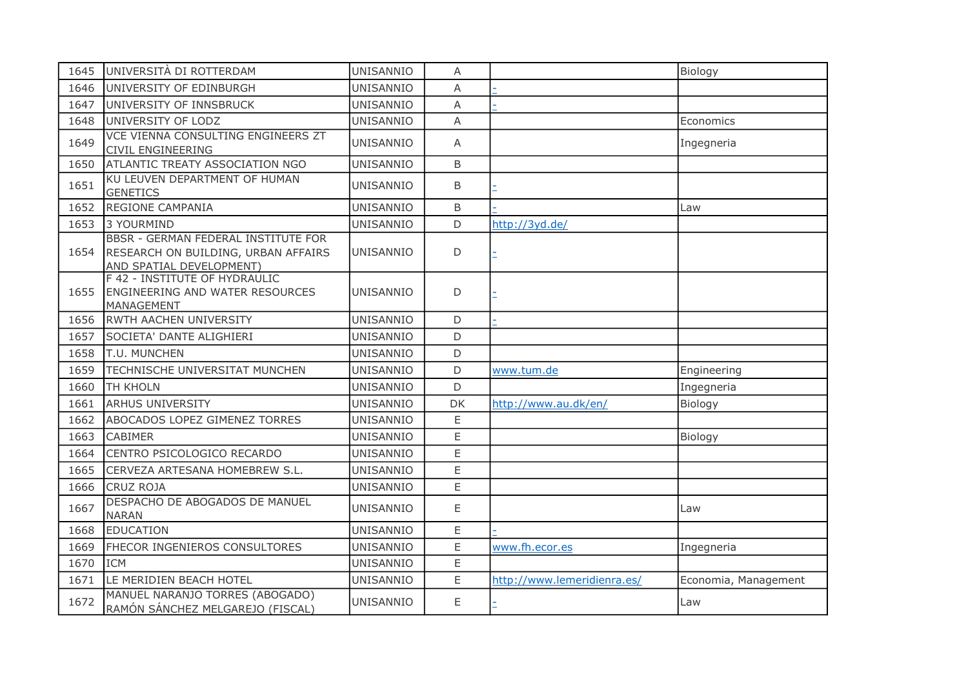| 1645 | UNIVERSITÀ DI ROTTERDAM                                                                                       | UNISANNIO        | A            |                             | Biology              |
|------|---------------------------------------------------------------------------------------------------------------|------------------|--------------|-----------------------------|----------------------|
| 1646 | UNIVERSITY OF EDINBURGH                                                                                       | UNISANNIO        | A            |                             |                      |
| 1647 | UNIVERSITY OF INNSBRUCK                                                                                       | UNISANNIO        | A            |                             |                      |
| 1648 | UNIVERSITY OF LODZ                                                                                            | <b>UNISANNIO</b> | A            |                             | Economics            |
| 1649 | VCE VIENNA CONSULTING ENGINEERS ZT<br>CIVIL ENGINEERING                                                       | UNISANNIO        | A            |                             | Ingegneria           |
| 1650 | ATLANTIC TREATY ASSOCIATION NGO                                                                               | <b>UNISANNIO</b> | B            |                             |                      |
| 1651 | KU LEUVEN DEPARTMENT OF HUMAN<br><b>GENETICS</b>                                                              | UNISANNIO        | <sub>B</sub> |                             |                      |
| 1652 | <b>REGIONE CAMPANIA</b>                                                                                       | <b>UNISANNIO</b> | B            |                             | Law                  |
| 1653 | 3 YOURMIND                                                                                                    | UNISANNIO        | $\mathsf{D}$ | http://3yd.de/              |                      |
| 1654 | <b>BBSR - GERMAN FEDERAL INSTITUTE FOR</b><br>RESEARCH ON BUILDING, URBAN AFFAIRS<br>AND SPATIAL DEVELOPMENT) | UNISANNIO        | D            |                             |                      |
| 1655 | F 42 - INSTITUTE OF HYDRAULIC<br>ENGINEERING AND WATER RESOURCES<br>MANAGEMENT                                | UNISANNIO        | D            |                             |                      |
| 1656 | RWTH AACHEN UNIVERSITY                                                                                        | UNISANNIO        | D            |                             |                      |
| 1657 | SOCIETA' DANTE ALIGHIERI                                                                                      | <b>UNISANNIO</b> | D            |                             |                      |
| 1658 | T.U. MUNCHEN                                                                                                  | UNISANNIO        | D            |                             |                      |
| 1659 | TECHNISCHE UNIVERSITAT MUNCHEN                                                                                | UNISANNIO        | D            | www.tum.de                  | Engineering          |
| 1660 | TH KHOLN                                                                                                      | <b>UNISANNIO</b> | D            |                             | Ingegneria           |
| 1661 | <b>ARHUS UNIVERSITY</b>                                                                                       | UNISANNIO        | DK           | http://www.au.dk/en/        | Biology              |
| 1662 | ABOCADOS LOPEZ GIMENEZ TORRES                                                                                 | <b>UNISANNIO</b> | E            |                             |                      |
| 1663 | <b>CABIMER</b>                                                                                                | <b>UNISANNIO</b> | Ε            |                             | Biology              |
| 1664 | CENTRO PSICOLOGICO RECARDO                                                                                    | UNISANNIO        | E            |                             |                      |
| 1665 | CERVEZA ARTESANA HOMEBREW S.L.                                                                                | <b>UNISANNIO</b> | E            |                             |                      |
| 1666 | CRUZ ROJA                                                                                                     | UNISANNIO        | E            |                             |                      |
| 1667 | DESPACHO DE ABOGADOS DE MANUEL<br><b>NARAN</b>                                                                | UNISANNIO        | E            |                             | Law                  |
| 1668 | <b>EDUCATION</b>                                                                                              | UNISANNIO        | E            |                             |                      |
| 1669 | FHECOR INGENIEROS CONSULTORES                                                                                 | <b>UNISANNIO</b> | E            | www.fh.ecor.es              | Ingegneria           |
| 1670 | <b>ICM</b>                                                                                                    | UNISANNIO        | E            |                             |                      |
| 1671 | LE MERIDIEN BEACH HOTEL                                                                                       | UNISANNIO        | E.           | http://www.lemeridienra.es/ | Economia, Management |
| 1672 | MANUEL NARANJO TORRES (ABOGADO)<br>RAMÓN SÁNCHEZ MELGAREJO (FISCAL)                                           | UNISANNIO        | E            |                             | Law                  |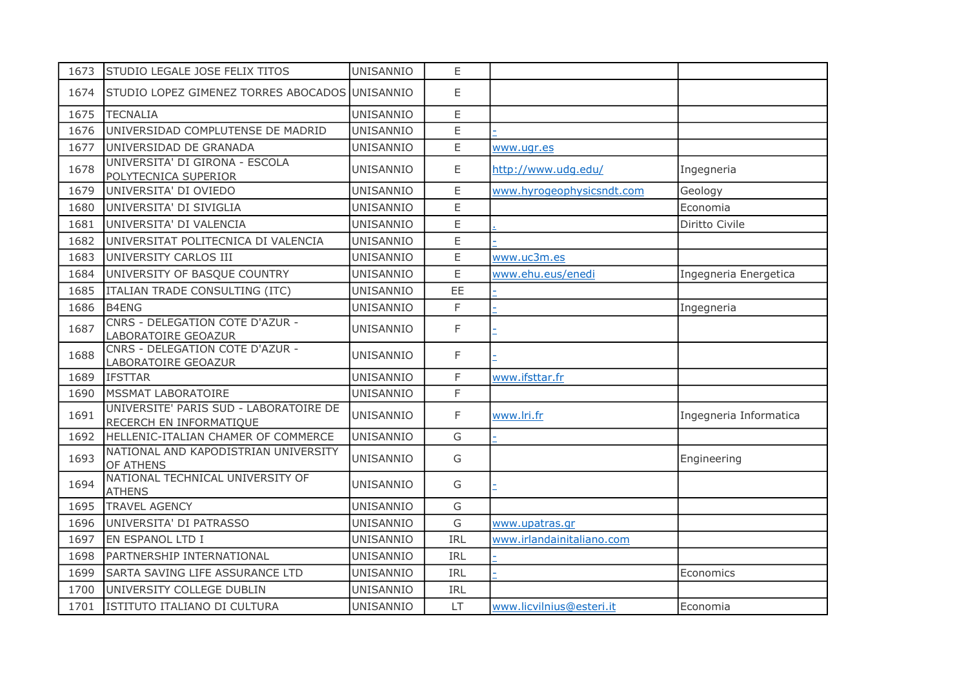| 1673 | STUDIO LEGALE JOSE FELIX TITOS                                    | UNISANNIO        | E             |                           |                        |
|------|-------------------------------------------------------------------|------------------|---------------|---------------------------|------------------------|
| 1674 | STUDIO LOPEZ GIMENEZ TORRES ABOCADOS UNISANNIO                    |                  | E             |                           |                        |
| 1675 | <b>TECNALIA</b>                                                   | UNISANNIO        | E.            |                           |                        |
| 1676 | UNIVERSIDAD COMPLUTENSE DE MADRID                                 | UNISANNIO        | E             |                           |                        |
| 1677 | UNIVERSIDAD DE GRANADA                                            | UNISANNIO        | E             | www.ugr.es                |                        |
| 1678 | UNIVERSITA' DI GIRONA - ESCOLA<br>POLYTECNICA SUPERIOR            | UNISANNIO        | Ε             | http://www.udg.edu/       | Ingegneria             |
| 1679 | UNIVERSITA' DI OVIEDO                                             | <b>UNISANNIO</b> | E             | www.hyrogeophysicsndt.com | Geology                |
| 1680 | UNIVERSITA' DI SIVIGLIA                                           | UNISANNIO        | E             |                           | Economia               |
| 1681 | UNIVERSITA' DI VALENCIA                                           | <b>UNISANNIO</b> | E             |                           | Diritto Civile         |
| 1682 | UNIVERSITAT POLITECNICA DI VALENCIA                               | UNISANNIO        | E             |                           |                        |
| 1683 | UNIVERSITY CARLOS III                                             | UNISANNIO        | E             | www.uc3m.es               |                        |
| 1684 | UNIVERSITY OF BASQUE COUNTRY                                      | UNISANNIO        | E             | www.ehu.eus/enedi         | Ingegneria Energetica  |
| 1685 | ITALIAN TRADE CONSULTING (ITC)                                    | UNISANNIO        | <b>EE</b>     |                           |                        |
| 1686 | B4ENG                                                             | UNISANNIO        | F             |                           | Ingegneria             |
| 1687 | CNRS - DELEGATION COTE D'AZUR -<br>LABORATOIRE GEOAZUR            | UNISANNIO        | F             |                           |                        |
| 1688 | CNRS - DELEGATION COTE D'AZUR -<br>LABORATOIRE GEOAZUR            | <b>UNISANNIO</b> | F             |                           |                        |
| 1689 | <b>IFSTTAR</b>                                                    | UNISANNIO        | F.            | www.ifsttar.fr            |                        |
| 1690 | MSSMAT LABORATOIRE                                                | UNISANNIO        | F.            |                           |                        |
| 1691 | UNIVERSITE' PARIS SUD - LABORATOIRE DE<br>RECERCH EN INFORMATIQUE | UNISANNIO        | F             | www.lri.fr                | Ingegneria Informatica |
| 1692 | HELLENIC-ITALIAN CHAMER OF COMMERCE                               | UNISANNIO        | G             |                           |                        |
| 1693 | NATIONAL AND KAPODISTRIAN UNIVERSITY<br>OF ATHENS                 | UNISANNIO        | G             |                           | Engineering            |
| 1694 | NATIONAL TECHNICAL UNIVERSITY OF<br><b>ATHENS</b>                 | UNISANNIO        | G             |                           |                        |
| 1695 | <b>TRAVEL AGENCY</b>                                              | UNISANNIO        | ${\mathsf G}$ |                           |                        |
| 1696 | UNIVERSITA' DI PATRASSO                                           | UNISANNIO        | G             | www.upatras.gr            |                        |
| 1697 | EN ESPANOL LTD I                                                  | UNISANNIO        | IRL           | www.irlandainitaliano.com |                        |
| 1698 | PARTNERSHIP INTERNATIONAL                                         | UNISANNIO        | IRL           |                           |                        |
| 1699 | SARTA SAVING LIFE ASSURANCE LTD                                   | UNISANNIO        | IRL           |                           | Economics              |
| 1700 | UNIVERSITY COLLEGE DUBLIN                                         | UNISANNIO        | IRL           |                           |                        |
| 1701 | ISTITUTO ITALIANO DI CULTURA                                      | UNISANNIO        | <b>LT</b>     | www.licvilnius@esteri.it  | Economia               |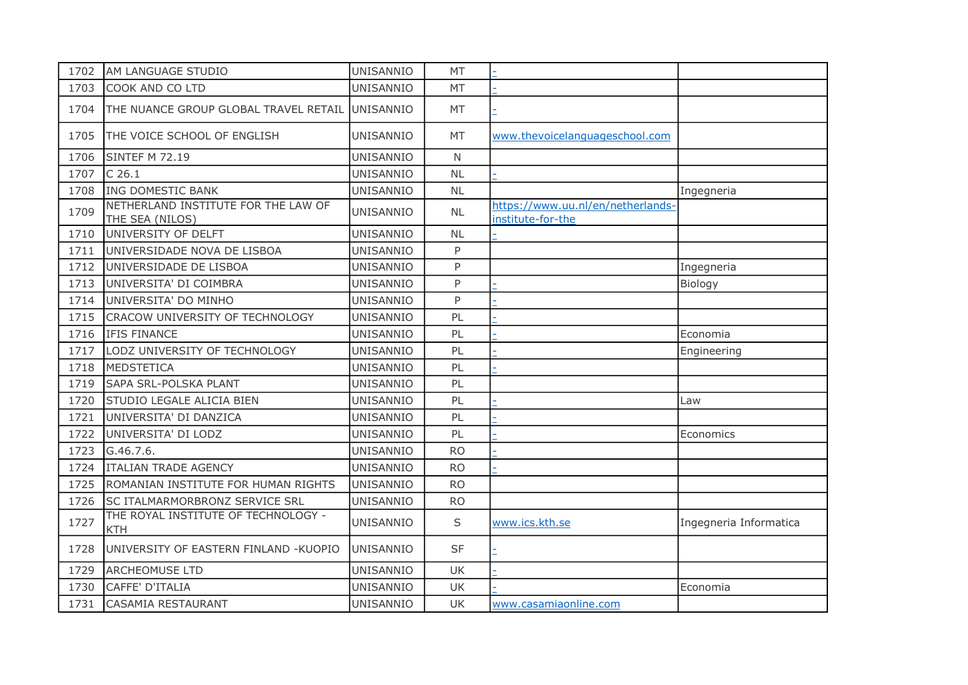| 1702 | AM LANGUAGE STUDIO                                     | UNISANNIO        | MT           |                                                        |                        |
|------|--------------------------------------------------------|------------------|--------------|--------------------------------------------------------|------------------------|
| 1703 | COOK AND CO LTD                                        | <b>UNISANNIO</b> | <b>MT</b>    |                                                        |                        |
| 1704 | THE NUANCE GROUP GLOBAL TRAVEL RETAIL                  | <b>UNISANNIO</b> | MT           |                                                        |                        |
| 1705 | THE VOICE SCHOOL OF ENGLISH                            | UNISANNIO        | MT           | www.thevoicelanguageschool.com                         |                        |
| 1706 | <b>SINTEF M 72.19</b>                                  | UNISANNIO        | $\mathsf{N}$ |                                                        |                        |
| 1707 | $C$ 26.1                                               | <b>UNISANNIO</b> | <b>NL</b>    |                                                        |                        |
| 1708 | ING DOMESTIC BANK                                      | <b>UNISANNIO</b> | <b>NL</b>    |                                                        | Ingegneria             |
| 1709 | NETHERLAND INSTITUTE FOR THE LAW OF<br>THE SEA (NILOS) | UNISANNIO        | <b>NL</b>    | https://www.uu.nl/en/netherlands-<br>institute-for-the |                        |
| 1710 | UNIVERSITY OF DELFT                                    | UNISANNIO        | <b>NL</b>    |                                                        |                        |
| 1711 | UNIVERSIDADE NOVA DE LISBOA                            | <b>UNISANNIO</b> | P            |                                                        |                        |
| 1712 | UNIVERSIDADE DE LISBOA                                 | <b>UNISANNIO</b> | P            |                                                        | Ingegneria             |
| 1713 | UNIVERSITA' DI COIMBRA                                 | UNISANNIO        | P            |                                                        | Biology                |
| 1714 | UNIVERSITA' DO MINHO                                   | <b>UNISANNIO</b> | P            |                                                        |                        |
| 1715 | CRACOW UNIVERSITY OF TECHNOLOGY                        | UNISANNIO        | PL           |                                                        |                        |
| 1716 | IFIS FINANCE                                           | UNISANNIO        | PL           |                                                        | Economia               |
| 1717 | LODZ UNIVERSITY OF TECHNOLOGY                          | UNISANNIO        | PL           |                                                        | Engineering            |
| 1718 | MEDSTETICA                                             | <b>UNISANNIO</b> | PL           |                                                        |                        |
| 1719 | SAPA SRL-POLSKA PLANT                                  | <b>UNISANNIO</b> | PL           |                                                        |                        |
| 1720 | STUDIO LEGALE ALICIA BIEN                              | UNISANNIO        | PL           |                                                        | Law                    |
| 1721 | UNIVERSITA' DI DANZICA                                 | UNISANNIO        | PL           |                                                        |                        |
| 1722 | UNIVERSITA' DI LODZ                                    | UNISANNIO        | PL           |                                                        | Economics              |
| 1723 | G.46.7.6.                                              | <b>UNISANNIO</b> | <b>RO</b>    |                                                        |                        |
| 1724 | <b>ITALIAN TRADE AGENCY</b>                            | <b>UNISANNIO</b> | <b>RO</b>    |                                                        |                        |
| 1725 | ROMANIAN INSTITUTE FOR HUMAN RIGHTS                    | <b>UNISANNIO</b> | <b>RO</b>    |                                                        |                        |
| 1726 | SC ITALMARMORBRONZ SERVICE SRL                         | <b>UNISANNIO</b> | <b>RO</b>    |                                                        |                        |
| 1727 | THE ROYAL INSTITUTE OF TECHNOLOGY -<br><b>KTH</b>      | <b>UNISANNIO</b> | S            | www.ics.kth.se                                         | Ingegneria Informatica |
| 1728 | UNIVERSITY OF EASTERN FINLAND -KUOPIO                  | <b>UNISANNIO</b> | <b>SF</b>    |                                                        |                        |
| 1729 | <b>ARCHEOMUSE LTD</b>                                  | UNISANNIO        | <b>UK</b>    |                                                        |                        |
| 1730 | CAFFE' D'ITALIA                                        | UNISANNIO        | <b>UK</b>    |                                                        | Economia               |
| 1731 | <b>CASAMIA RESTAURANT</b>                              | UNISANNIO        | UK           | www.casamiaonline.com                                  |                        |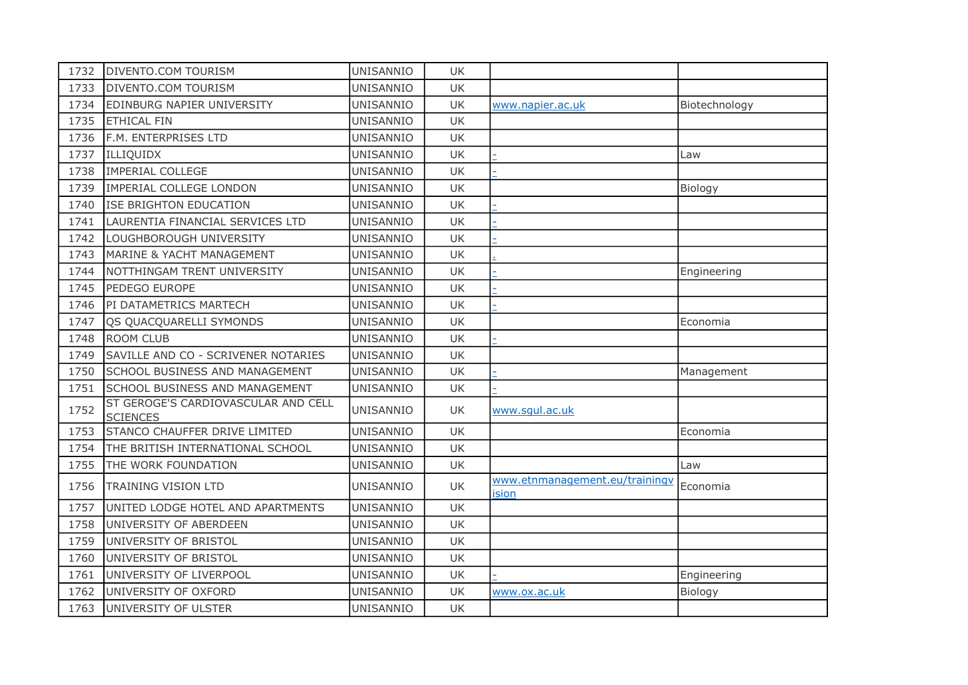| 1732 | <b>DIVENTO.COM TOURISM</b>                             | UNISANNIO        | UK        |                                         |               |
|------|--------------------------------------------------------|------------------|-----------|-----------------------------------------|---------------|
| 1733 | <b>DIVENTO.COM TOURISM</b>                             | UNISANNIO        | <b>UK</b> |                                         |               |
| 1734 | EDINBURG NAPIER UNIVERSITY                             | UNISANNIO        | <b>UK</b> | www.napier.ac.uk                        | Biotechnology |
| 1735 | <b>ETHICAL FIN</b>                                     | UNISANNIO        | UK        |                                         |               |
| 1736 | F.M. ENTERPRISES LTD                                   | UNISANNIO        | <b>UK</b> |                                         |               |
| 1737 | ILLIQUIDX                                              | UNISANNIO        | UK        |                                         | Law           |
| 1738 | <b>IMPERIAL COLLEGE</b>                                | UNISANNIO        | UK        |                                         |               |
| 1739 | IMPERIAL COLLEGE LONDON                                | UNISANNIO        | <b>UK</b> |                                         | Biology       |
| 1740 | <b>ISE BRIGHTON EDUCATION</b>                          | UNISANNIO        | UK        |                                         |               |
| 1741 | LAURENTIA FINANCIAL SERVICES LTD                       | UNISANNIO        | UK        |                                         |               |
| 1742 | LOUGHBOROUGH UNIVERSITY                                | UNISANNIO        | <b>UK</b> |                                         |               |
| 1743 | <b>MARINE &amp; YACHT MANAGEMENT</b>                   | UNISANNIO        | <b>UK</b> |                                         |               |
| 1744 | NOTTHINGAM TRENT UNIVERSITY                            | UNISANNIO        | UK        |                                         | Engineering   |
| 1745 | PEDEGO EUROPE                                          | UNISANNIO        | UK        |                                         |               |
| 1746 | PI DATAMETRICS MARTECH                                 | UNISANNIO        | UK        |                                         |               |
| 1747 | OS QUACQUARELLI SYMONDS                                | <b>UNISANNIO</b> | <b>UK</b> |                                         | Economia      |
| 1748 | <b>ROOM CLUB</b>                                       | UNISANNIO        | UK        |                                         |               |
| 1749 | SAVILLE AND CO - SCRIVENER NOTARIES                    | UNISANNIO        | UK        |                                         |               |
| 1750 | <b>SCHOOL BUSINESS AND MANAGEMENT</b>                  | UNISANNIO        | <b>UK</b> |                                         | Management    |
| 1751 | <b>SCHOOL BUSINESS AND MANAGEMENT</b>                  | UNISANNIO        | <b>UK</b> |                                         |               |
| 1752 | ST GEROGE'S CARDIOVASCULAR AND CELL<br><b>SCIENCES</b> | UNISANNIO        | UK        | www.squl.ac.uk                          |               |
| 1753 | STANCO CHAUFFER DRIVE LIMITED                          | UNISANNIO        | <b>UK</b> |                                         | Economia      |
| 1754 | THE BRITISH INTERNATIONAL SCHOOL                       | UNISANNIO        | <b>UK</b> |                                         |               |
| 1755 | THE WORK FOUNDATION                                    | UNISANNIO        | UK        |                                         | Law           |
| 1756 | <b>TRAINING VISION LTD</b>                             | <b>UNISANNIO</b> | UK        | www.etnmanagement.eu/trainingv<br>ision | Economia      |
| 1757 | UNITED LODGE HOTEL AND APARTMENTS                      | UNISANNIO        | UK        |                                         |               |
| 1758 | UNIVERSITY OF ABERDEEN                                 | UNISANNIO        | UK        |                                         |               |
| 1759 | UNIVERSITY OF BRISTOL                                  | UNISANNIO        | <b>UK</b> |                                         |               |
| 1760 | UNIVERSITY OF BRISTOL                                  | UNISANNIO        | UK        |                                         |               |
| 1761 | UNIVERSITY OF LIVERPOOL                                | UNISANNIO        | <b>UK</b> |                                         | Engineering   |
| 1762 | UNIVERSITY OF OXFORD                                   | UNISANNIO        | UK        | www.ox.ac.uk                            | Biology       |
| 1763 | UNIVERSITY OF ULSTER                                   | UNISANNIO        | <b>UK</b> |                                         |               |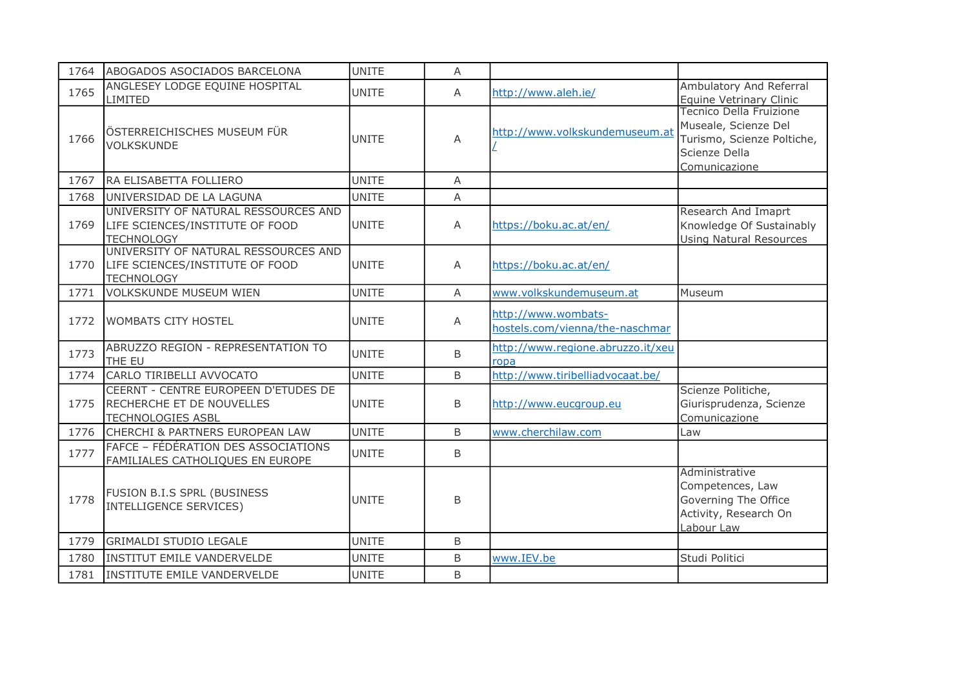| 1764 | ABOGADOS ASOCIADOS BARCELONA                                                                  | <b>UNITE</b> | A              |                                                        |                                                                                                                 |
|------|-----------------------------------------------------------------------------------------------|--------------|----------------|--------------------------------------------------------|-----------------------------------------------------------------------------------------------------------------|
| 1765 | ANGLESEY LODGE EQUINE HOSPITAL<br>LIMITED                                                     | <b>UNITE</b> | A              | http://www.aleh.ie/                                    | Ambulatory And Referral<br>Equine Vetrinary Clinic                                                              |
| 1766 | ÖSTERREICHISCHES MUSEUM FÜR<br>VOLKSKUNDE                                                     | <b>UNITE</b> | A              | http://www.volkskundemuseum.at                         | Tecnico Della Fruizione<br>Museale, Scienze Del<br>Turismo, Scienze Poltiche,<br>Scienze Della<br>Comunicazione |
| 1767 | RA ELISABETTA FOLLIERO                                                                        | <b>UNITE</b> | $\overline{A}$ |                                                        |                                                                                                                 |
| 1768 | UNIVERSIDAD DE LA LAGUNA                                                                      | <b>UNITE</b> | A              |                                                        |                                                                                                                 |
| 1769 | UNIVERSITY OF NATURAL RESSOURCES AND<br>LIFE SCIENCES/INSTITUTE OF FOOD<br><b>TECHNOLOGY</b>  | <b>UNITE</b> | $\overline{A}$ | https://boku.ac.at/en/                                 | Research And Imaprt<br>Knowledge Of Sustainably<br><b>Using Natural Resources</b>                               |
| 1770 | UNIVERSITY OF NATURAL RESSOURCES AND<br>LIFE SCIENCES/INSTITUTE OF FOOD<br><b>TECHNOLOGY</b>  | <b>UNITE</b> | A              | https://boku.ac.at/en/                                 |                                                                                                                 |
| 1771 | <b>VOLKSKUNDE MUSEUM WIEN</b>                                                                 | <b>UNITE</b> | A              | www.volkskundemuseum.at                                | Museum                                                                                                          |
| 1772 | <b>WOMBATS CITY HOSTEL</b>                                                                    | <b>UNITE</b> | A              | http://www.wombats-<br>hostels.com/vienna/the-naschmar |                                                                                                                 |
| 1773 | ABRUZZO REGION - REPRESENTATION TO<br>THE EU                                                  | <b>UNITE</b> | B              | http://www.regione.abruzzo.it/xeu<br>ropa              |                                                                                                                 |
| 1774 | CARLO TIRIBELLI AVVOCATO                                                                      | <b>UNITE</b> | B              | http://www.tiribelliadvocaat.be/                       |                                                                                                                 |
| 1775 | CEERNT - CENTRE EUROPEEN D'ETUDES DE<br>RECHERCHE ET DE NOUVELLES<br><b>TECHNOLOGIES ASBL</b> | <b>UNITE</b> | <sub>B</sub>   | http://www.eucgroup.eu                                 | Scienze Politiche,<br>Giurisprudenza, Scienze<br>Comunicazione                                                  |
| 1776 | <b>CHERCHI &amp; PARTNERS EUROPEAN LAW</b>                                                    | <b>UNITE</b> | <sub>B</sub>   | www.cherchilaw.com                                     | Law                                                                                                             |
| 1777 | FAFCE - FÉDÉRATION DES ASSOCIATIONS<br>FAMILIALES CATHOLIQUES EN EUROPE                       | <b>UNITE</b> | $\mathsf B$    |                                                        |                                                                                                                 |
| 1778 | FUSION B.I.S SPRL (BUSINESS<br>INTELLIGENCE SERVICES)                                         | <b>UNITE</b> | B              |                                                        | Administrative<br>Competences, Law<br>Governing The Office<br>Activity, Research On<br>Labour Law               |
| 1779 | <b>GRIMALDI STUDIO LEGALE</b>                                                                 | <b>UNITE</b> | B              |                                                        |                                                                                                                 |
| 1780 | <b>INSTITUT EMILE VANDERVELDE</b>                                                             | <b>UNITE</b> | B              | www.IEV.be                                             | Studi Politici                                                                                                  |
| 1781 | INSTITUTE EMILE VANDERVELDE                                                                   | <b>UNITE</b> | <sub>B</sub>   |                                                        |                                                                                                                 |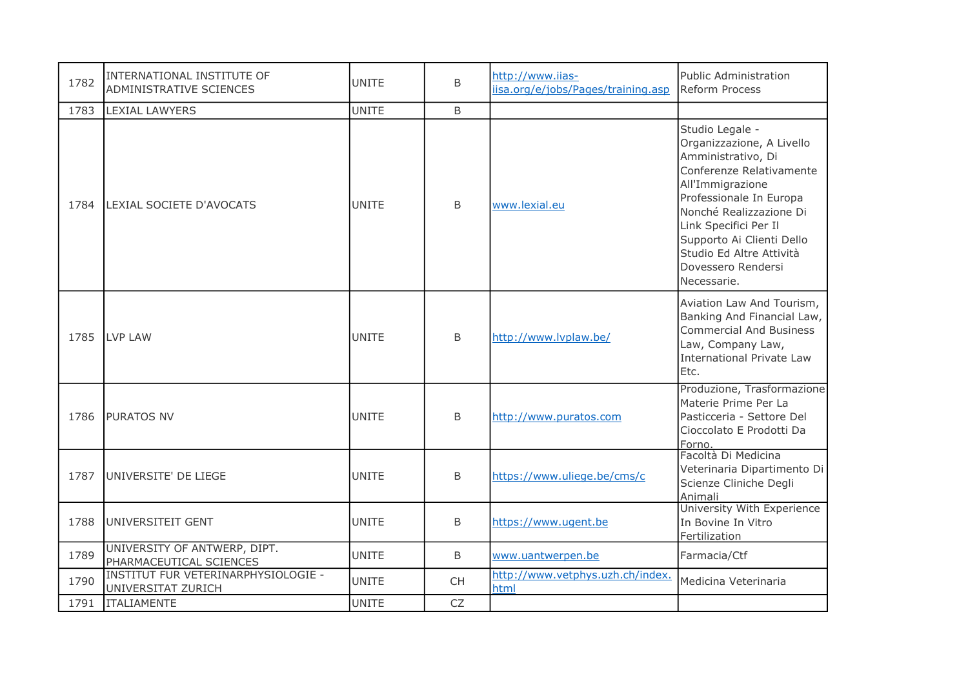| 1782 | INTERNATIONAL INSTITUTE OF<br>ADMINISTRATIVE SCIENCES     | <b>UNITE</b> | B            | http://www.iias-<br>iisa.org/e/jobs/Pages/training.asp | Public Administration<br>Reform Process                                                                                                                                                                                                                                                         |
|------|-----------------------------------------------------------|--------------|--------------|--------------------------------------------------------|-------------------------------------------------------------------------------------------------------------------------------------------------------------------------------------------------------------------------------------------------------------------------------------------------|
| 1783 | <b>LEXIAL LAWYERS</b>                                     | <b>UNITE</b> | B            |                                                        |                                                                                                                                                                                                                                                                                                 |
| 1784 | LEXIAL SOCIETE D'AVOCATS                                  | <b>UNITE</b> | B            | www.lexial.eu                                          | Studio Legale -<br>Organizzazione, A Livello<br>Amministrativo, Di<br>Conferenze Relativamente<br>All'Immigrazione<br>Professionale In Europa<br>Nonché Realizzazione Di<br>Link Specifici Per Il<br>Supporto Ai Clienti Dello<br>Studio Ed Altre Attività<br>Dovessero Rendersi<br>Necessarie. |
| 1785 | LVP LAW                                                   | <b>UNITE</b> | B            | http://www.lvplaw.be/                                  | Aviation Law And Tourism,<br>Banking And Financial Law,<br><b>Commercial And Business</b><br>Law, Company Law,<br><b>International Private Law</b><br>Etc.                                                                                                                                      |
| 1786 | <b>PURATOS NV</b>                                         | UNITE        | B            | http://www.puratos.com                                 | Produzione, Trasformazione<br>Materie Prime Per La<br>Pasticceria - Settore Del<br>Cioccolato E Prodotti Da<br>Forno.                                                                                                                                                                           |
| 1787 | UNIVERSITE' DE LIEGE                                      | <b>UNITE</b> | <sub>B</sub> | https://www.uliege.be/cms/c                            | Facoltà Di Medicina<br>Veterinaria Dipartimento Di<br>Scienze Cliniche Degli<br>Animali                                                                                                                                                                                                         |
| 1788 | UNIVERSITEIT GENT                                         | <b>UNITE</b> | B            | https://www.ugent.be                                   | University With Experience<br>In Bovine In Vitro<br>Fertilization                                                                                                                                                                                                                               |
| 1789 | UNIVERSITY OF ANTWERP, DIPT.<br>PHARMACEUTICAL SCIENCES   | <b>UNITE</b> | B            | www.uantwerpen.be                                      | Farmacia/Ctf                                                                                                                                                                                                                                                                                    |
| 1790 | INSTITUT FUR VETERINARPHYSIOLOGIE -<br>UNIVERSITAT ZURICH | <b>UNITE</b> | <b>CH</b>    | http://www.vetphys.uzh.ch/index.<br>html               | Medicina Veterinaria                                                                                                                                                                                                                                                                            |
| 1791 | <b>ITALIAMENTE</b>                                        | <b>UNITE</b> | <b>CZ</b>    |                                                        |                                                                                                                                                                                                                                                                                                 |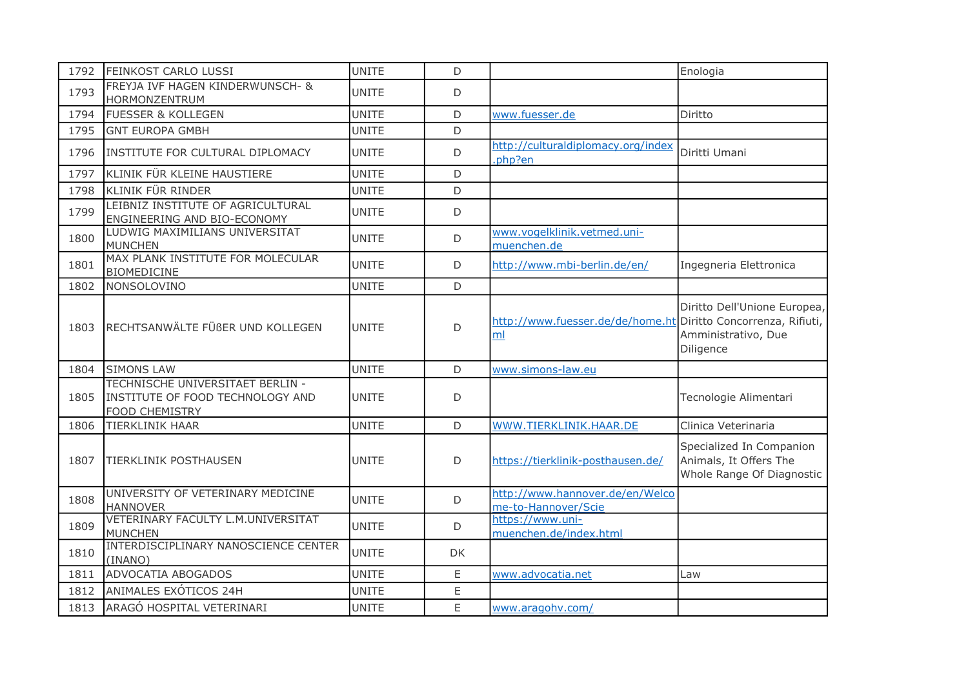| 1792 | <b>FEINKOST CARLO LUSSI</b>                                                                   | <b>UNITE</b> | D   |                                                                      | Enologia                                                                        |
|------|-----------------------------------------------------------------------------------------------|--------------|-----|----------------------------------------------------------------------|---------------------------------------------------------------------------------|
| 1793 | FREYJA IVF HAGEN KINDERWUNSCH- &<br>HORMONZENTRUM                                             | UNITE        | D   |                                                                      |                                                                                 |
| 1794 | <b>FUESSER &amp; KOLLEGEN</b>                                                                 | <b>UNITE</b> | D   | www.fuesser.de                                                       | Diritto                                                                         |
| 1795 | <b>GNT EUROPA GMBH</b>                                                                        | <b>UNITE</b> | D   |                                                                      |                                                                                 |
| 1796 | INSTITUTE FOR CULTURAL DIPLOMACY                                                              | <b>UNITE</b> | D   | http://culturaldiplomacy.org/index<br>.php?en                        | Diritti Umani                                                                   |
| 1797 | KLINIK FÜR KLEINE HAUSTIERE                                                                   | <b>UNITE</b> | D   |                                                                      |                                                                                 |
| 1798 | KLINIK FÜR RINDER                                                                             | <b>UNITE</b> | D   |                                                                      |                                                                                 |
| 1799 | LEIBNIZ INSTITUTE OF AGRICULTURAL<br>ENGINEERING AND BIO-ECONOMY                              | <b>UNITE</b> | D   |                                                                      |                                                                                 |
| 1800 | LUDWIG MAXIMILIANS UNIVERSITAT<br>MUNCHEN                                                     | <b>UNITE</b> | D   | www.vogelklinik.vetmed.uni-<br>muenchen.de                           |                                                                                 |
| 1801 | MAX PLANK INSTITUTE FOR MOLECULAR<br><b>BIOMEDICINE</b>                                       | <b>UNITE</b> | D   | http://www.mbi-berlin.de/en/                                         | Ingegneria Elettronica                                                          |
| 1802 | NONSOLOVINO                                                                                   | <b>UNITE</b> | D   |                                                                      |                                                                                 |
| 1803 | RECHTSANWÄLTE FÜßER UND KOLLEGEN                                                              | <b>UNITE</b> | D   | http://www.fuesser.de/de/home.ht Diritto Concorrenza, Rifiuti,<br>ml | Diritto Dell'Unione Europea,<br>Amministrativo, Due<br>Diligence                |
| 1804 | <b>SIMONS LAW</b>                                                                             | <b>UNITE</b> | D   | www.simons-law.eu                                                    |                                                                                 |
| 1805 | TECHNISCHE UNIVERSITAET BERLIN -<br>INSTITUTE OF FOOD TECHNOLOGY AND<br><b>FOOD CHEMISTRY</b> | UNITE        | D   |                                                                      | Tecnologie Alimentari                                                           |
| 1806 | <b>TIERKLINIK HAAR</b>                                                                        | <b>UNITE</b> | D   | WWW.TIERKLINIK.HAAR.DE                                               | Clinica Veterinaria                                                             |
| 1807 | <b>TIERKLINIK POSTHAUSEN</b>                                                                  | <b>UNITE</b> | D   | https://tierklinik-posthausen.de/                                    | Specialized In Companion<br>Animals, It Offers The<br>Whole Range Of Diagnostic |
| 1808 | UNIVERSITY OF VETERINARY MEDICINE<br><b>HANNOVER</b>                                          | <b>UNITE</b> | D   | http://www.hannover.de/en/Welco<br>me-to-Hannover/Scie               |                                                                                 |
| 1809 | VETERINARY FACULTY L.M.UNIVERSITAT<br><b>MUNCHEN</b>                                          | <b>UNITE</b> | D   | https://www.uni-<br>muenchen.de/index.html                           |                                                                                 |
| 1810 | INTERDISCIPLINARY NANOSCIENCE CENTER<br>(INANO)                                               | <b>UNITE</b> | DK. |                                                                      |                                                                                 |
| 1811 | ADVOCATIA ABOGADOS                                                                            | <b>UNITE</b> | E   | www.advocatia.net                                                    | Law                                                                             |
| 1812 | ANIMALES EXÓTICOS 24H                                                                         | <b>UNITE</b> | E   |                                                                      |                                                                                 |
| 1813 | ARAGÓ HOSPITAL VETERINARI                                                                     | <b>UNITE</b> | E   | www.aragohv.com/                                                     |                                                                                 |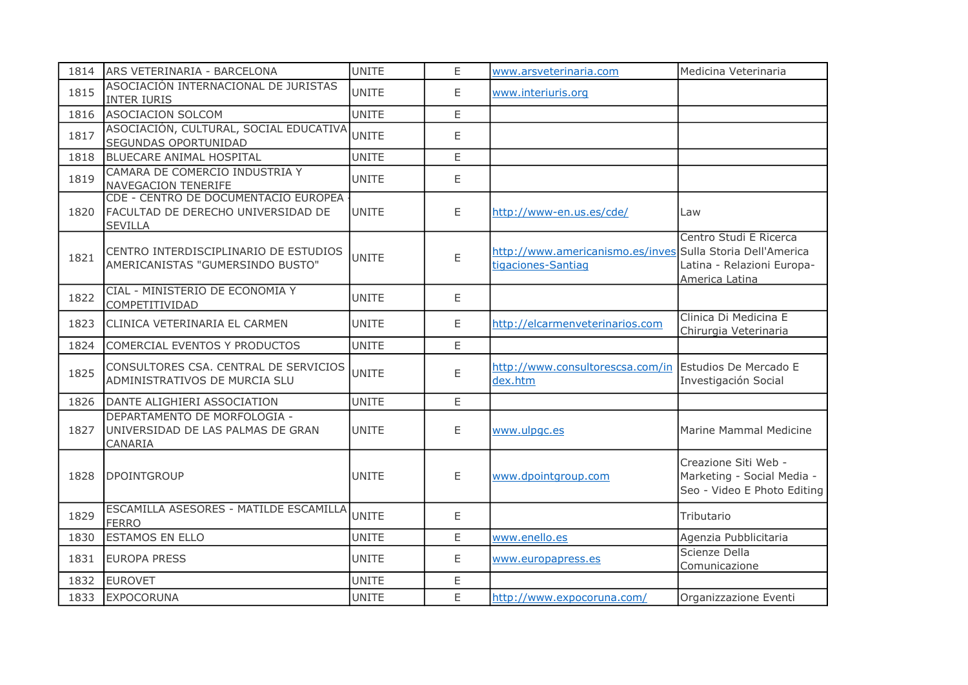| 1814 | ARS VETERINARIA - BARCELONA                                                                  | <b>UNITE</b> | E. | www.arsveterinaria.com                                                           | Medicina Veterinaria                                                              |
|------|----------------------------------------------------------------------------------------------|--------------|----|----------------------------------------------------------------------------------|-----------------------------------------------------------------------------------|
| 1815 | ASOCIACIÓN INTERNACIONAL DE JURISTAS<br><b>INTER IURIS</b>                                   | <b>UNITE</b> | E. | www.interiuris.org                                                               |                                                                                   |
| 1816 | ASOCIACION SOLCOM                                                                            | <b>UNITE</b> | E  |                                                                                  |                                                                                   |
| 1817 | ASOCIACIÓN, CULTURAL, SOCIAL EDUCATIVA<br>SEGUNDAS OPORTUNIDAD                               | <b>UNITE</b> | E  |                                                                                  |                                                                                   |
| 1818 | <b>BLUECARE ANIMAL HOSPITAL</b>                                                              | <b>UNITE</b> | E  |                                                                                  |                                                                                   |
| 1819 | CAMARA DE COMERCIO INDUSTRIA Y<br>NAVEGACION TENERIFE                                        | <b>UNITE</b> | E  |                                                                                  |                                                                                   |
| 1820 | CDE - CENTRO DE DOCUMENTACIO EUROPEA<br>FACULTAD DE DERECHO UNIVERSIDAD DE<br><b>SEVILLA</b> | UNITE        | E  | http://www-en.us.es/cde/                                                         | Law                                                                               |
| 1821 | CENTRO INTERDISCIPLINARIO DE ESTUDIOS<br>AMERICANISTAS "GUMERSINDO BUSTO"                    | <b>UNITE</b> | E  | http://www.americanismo.es/inves Sulla Storia Dell'America<br>tigaciones-Santiag | Centro Studi E Ricerca<br>Latina - Relazioni Europa-<br>America Latina            |
| 1822 | CIAL - MINISTERIO DE ECONOMIA Y<br>COMPETITIVIDAD                                            | <b>UNITE</b> | E  |                                                                                  |                                                                                   |
| 1823 | CLINICA VETERINARIA EL CARMEN                                                                | <b>UNITE</b> | E  | http://elcarmenveterinarios.com                                                  | Clinica Di Medicina E<br>Chirurgia Veterinaria                                    |
| 1824 | COMERCIAL EVENTOS Y PRODUCTOS                                                                | <b>UNITE</b> | E. |                                                                                  |                                                                                   |
| 1825 | CONSULTORES CSA. CENTRAL DE SERVICIOS<br>ADMINISTRATIVOS DE MURCIA SLU                       | <b>UNITE</b> | E  | http://www.consultorescsa.com/in Estudios De Mercado E<br>dex.htm                | Investigación Social                                                              |
| 1826 | DANTE ALIGHIERI ASSOCIATION                                                                  | <b>UNITE</b> | E  |                                                                                  |                                                                                   |
| 1827 | DEPARTAMENTO DE MORFOLOGIA -<br>UNIVERSIDAD DE LAS PALMAS DE GRAN<br>CANARIA                 | <b>UNITE</b> | E  | www.ulpgc.es                                                                     | Marine Mammal Medicine                                                            |
| 1828 | <b>DPOINTGROUP</b>                                                                           | <b>UNITE</b> | E  | www.dpointgroup.com                                                              | Creazione Siti Web -<br>Marketing - Social Media -<br>Seo - Video E Photo Editing |
| 1829 | ESCAMILLA ASESORES - MATILDE ESCAMILLA<br><b>FERRO</b>                                       | UNITE        | E  |                                                                                  | Tributario                                                                        |
| 1830 | <b>ESTAMOS EN ELLO</b>                                                                       | <b>UNITE</b> | E  | www.enello.es                                                                    | Agenzia Pubblicitaria                                                             |
| 1831 | <b>EUROPA PRESS</b>                                                                          | <b>UNITE</b> | Ε  | www.europapress.es                                                               | Scienze Della<br>Comunicazione                                                    |
| 1832 | <b>EUROVET</b>                                                                               | <b>UNITE</b> | E. |                                                                                  |                                                                                   |
| 1833 | EXPOCORUNA                                                                                   | <b>UNITE</b> | E  | http://www.expocoruna.com/                                                       | Organizzazione Eventi                                                             |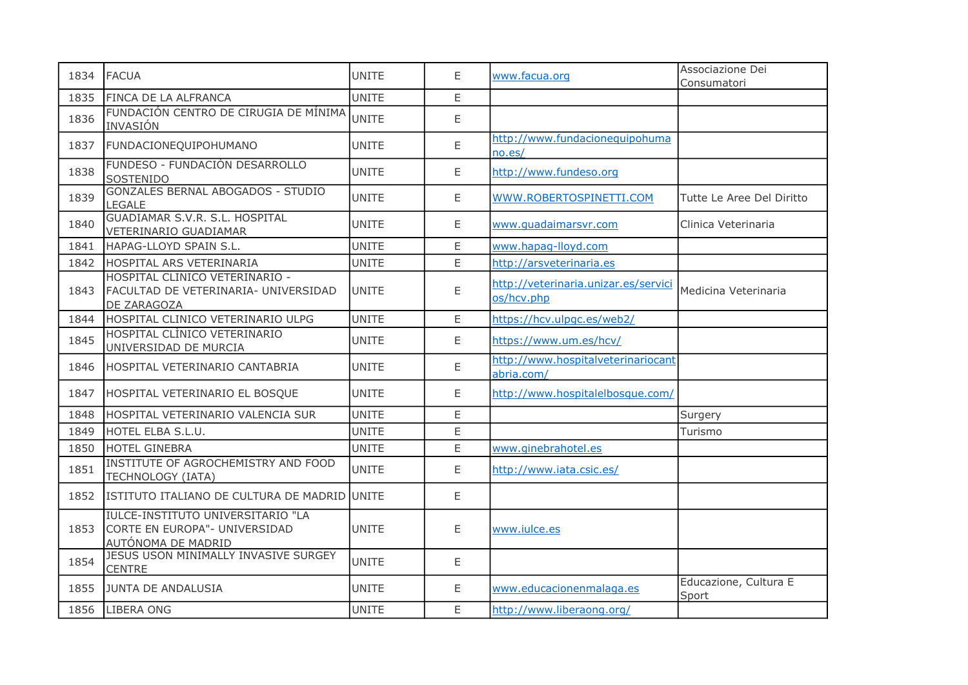| 1834 | <b>FACUA</b>                                                                             | <b>UNITE</b> | E           | www.facua.org                                      | Associazione Dei<br>Consumatori |
|------|------------------------------------------------------------------------------------------|--------------|-------------|----------------------------------------------------|---------------------------------|
| 1835 | FINCA DE LA ALFRANCA                                                                     | <b>UNITE</b> | E           |                                                    |                                 |
| 1836 | FUNDACIÓN CENTRO DE CIRUGIA DE MÍNIMA<br><b>INVASIÓN</b>                                 | <b>UNITE</b> | E           |                                                    |                                 |
| 1837 | FUNDACIONEQUIPOHUMANO                                                                    | <b>UNITE</b> | E           | http://www.fundacionequipohuma<br>no.es/           |                                 |
| 1838 | FUNDESO - FUNDACIÓN DESARROLLO<br>SOSTENIDO                                              | <b>UNITE</b> | E           | http://www.fundeso.org                             |                                 |
| 1839 | <b>GONZALES BERNAL ABOGADOS - STUDIO</b><br><b>LEGALE</b>                                | <b>UNITE</b> | E           | WWW.ROBERTOSPINETTI.COM                            | Tutte Le Aree Del Diritto       |
| 1840 | GUADIAMAR S.V.R. S.L. HOSPITAL<br>VETERINARIO GUADIAMAR                                  | <b>UNITE</b> | E           | www.quadaimarsvr.com                               | Clinica Veterinaria             |
| 1841 | HAPAG-LLOYD SPAIN S.L.                                                                   | <b>UNITE</b> | E           | www.hapag-lloyd.com                                |                                 |
| 1842 | HOSPITAL ARS VETERINARIA                                                                 | <b>UNITE</b> | E           | http://arsveterinaria.es                           |                                 |
| 1843 | HOSPITAL CLINICO VETERINARIO -<br>FACULTAD DE VETERINARIA- UNIVERSIDAD<br>DE ZARAGOZA    | <b>UNITE</b> | E           | http://veterinaria.unizar.es/servici<br>os/hcv.php | Medicina Veterinaria            |
| 1844 | HOSPITAL CLINICO VETERINARIO ULPG                                                        | <b>UNITE</b> | E           | https://hcv.ulpgc.es/web2/                         |                                 |
| 1845 | HOSPITAL CLINICO VETERINARIO<br>UNIVERSIDAD DE MURCIA                                    | <b>UNITE</b> | E           | https://www.um.es/hcv/                             |                                 |
| 1846 | HOSPITAL VETERINARIO CANTABRIA                                                           | <b>UNITE</b> | E           | http://www.hospitalveterinariocant<br>abria.com/   |                                 |
| 1847 | HOSPITAL VETERINARIO EL BOSQUE                                                           | <b>UNITE</b> | E           | http://www.hospitalelbosque.com/                   |                                 |
| 1848 | HOSPITAL VETERINARIO VALENCIA SUR                                                        | <b>UNITE</b> | E           |                                                    | Surgery                         |
| 1849 | HOTEL ELBA S.L.U.                                                                        | <b>UNITE</b> | $\mathsf E$ |                                                    | Turismo                         |
| 1850 | HOTEL GINEBRA                                                                            | <b>UNITE</b> | E           | www.ginebrahotel.es                                |                                 |
| 1851 | INSTITUTE OF AGROCHEMISTRY AND FOOD<br>TECHNOLOGY (IATA)                                 | <b>UNITE</b> | E           | http://www.iata.csic.es/                           |                                 |
| 1852 | ISTITUTO ITALIANO DE CULTURA DE MADRID UNITE                                             |              | E           |                                                    |                                 |
| 1853 | IULCE-INSTITUTO UNIVERSITARIO "LA<br>CORTE EN EUROPA"- UNIVERSIDAD<br>AUTÓNOMA DE MADRID | UNITE        | E           | www.iulce.es                                       |                                 |
| 1854 | JESUS USON MINIMALLY INVASIVE SURGEY<br><b>CENTRE</b>                                    | <b>UNITE</b> | E           |                                                    |                                 |
| 1855 | JUNTA DE ANDALUSIA                                                                       | <b>UNITE</b> | E           | www.educacionenmalaga.es                           | Educazione, Cultura E<br>Sport  |
| 1856 | LIBERA ONG                                                                               | <b>UNITE</b> | E           | http://www.liberaong.org/                          |                                 |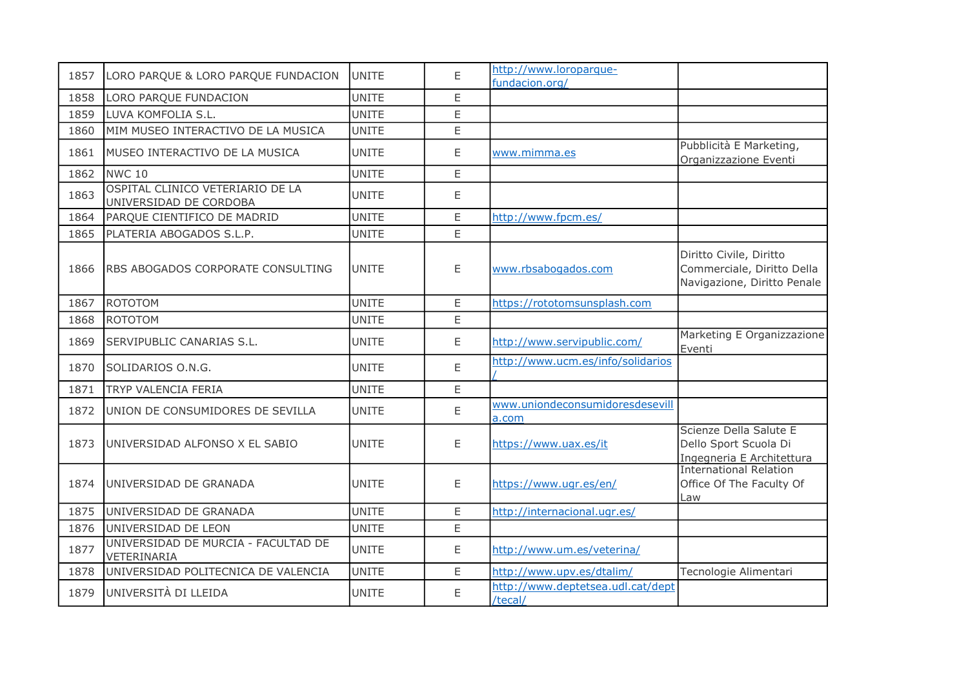| 1857 | LORO PARQUE & LORO PARQUE FUNDACION                        | <b>UNITE</b> | E | http://www.loroparque-<br>fundacion.org/     |                                                                                      |
|------|------------------------------------------------------------|--------------|---|----------------------------------------------|--------------------------------------------------------------------------------------|
| 1858 | LORO PARQUE FUNDACION                                      | <b>UNITE</b> | E |                                              |                                                                                      |
| 1859 | LUVA KOMFOLIA S.L.                                         | <b>UNITE</b> | E |                                              |                                                                                      |
| 1860 | MIM MUSEO INTERACTIVO DE LA MUSICA                         | <b>UNITE</b> | E |                                              |                                                                                      |
| 1861 | MUSEO INTERACTIVO DE LA MUSICA                             | <b>UNITE</b> | E | www.mimma.es                                 | Pubblicità E Marketing,<br>Organizzazione Eventi                                     |
| 1862 | NWC <sub>10</sub>                                          | <b>UNITE</b> | E |                                              |                                                                                      |
| 1863 | OSPITAL CLINICO VETERIARIO DE LA<br>UNIVERSIDAD DE CORDOBA | <b>UNITE</b> | Ε |                                              |                                                                                      |
| 1864 | PARQUE CIENTIFICO DE MADRID                                | <b>UNITE</b> | E | http://www.fpcm.es/                          |                                                                                      |
| 1865 | PLATERIA ABOGADOS S.L.P.                                   | <b>UNITE</b> | E |                                              |                                                                                      |
| 1866 | RBS ABOGADOS CORPORATE CONSULTING                          | <b>UNITE</b> | E | www.rbsabogados.com                          | Diritto Civile, Diritto<br>Commerciale, Diritto Della<br>Navigazione, Diritto Penale |
| 1867 | ROTOTOM                                                    | <b>UNITE</b> | E | https://rototomsunsplash.com                 |                                                                                      |
| 1868 | <b>ROTOTOM</b>                                             | <b>UNITE</b> | E |                                              |                                                                                      |
| 1869 | SERVIPUBLIC CANARIAS S.L.                                  | <b>UNITE</b> | E | http://www.servipublic.com/                  | Marketing E Organizzazione<br>Eventi                                                 |
| 1870 | SOLIDARIOS O.N.G.                                          | <b>UNITE</b> | E | http://www.ucm.es/info/solidarios            |                                                                                      |
| 1871 | <b>TRYP VALENCIA FERIA</b>                                 | <b>UNITE</b> | E |                                              |                                                                                      |
| 1872 | UNION DE CONSUMIDORES DE SEVILLA                           | <b>UNITE</b> | E | www.uniondeconsumidoresdesevill<br>a.com     |                                                                                      |
| 1873 | UNIVERSIDAD ALFONSO X EL SABIO                             | <b>UNITE</b> | E | https://www.uax.es/it                        | Scienze Della Salute E<br>Dello Sport Scuola Di<br>Ingegneria E Architettura         |
| 1874 | UNIVERSIDAD DE GRANADA                                     | <b>UNITE</b> | E | https://www.ugr.es/en/                       | <b>International Relation</b><br>Office Of The Faculty Of<br>Law                     |
| 1875 | UNIVERSIDAD DE GRANADA                                     | <b>UNITE</b> | E | http://internacional.ugr.es/                 |                                                                                      |
| 1876 | UNIVERSIDAD DE LEON                                        | <b>UNITE</b> | E |                                              |                                                                                      |
| 1877 | UNIVERSIDAD DE MURCIA - FACULTAD DE<br>VETERINARIA         | <b>UNITE</b> | E | http://www.um.es/veterina/                   |                                                                                      |
| 1878 | UNIVERSIDAD POLITECNICA DE VALENCIA                        | <b>UNITE</b> | E | http://www.upv.es/dtalim/                    | Tecnologie Alimentari                                                                |
| 1879 | UNIVERSITÀ DI LLEIDA                                       | <b>UNITE</b> | E | http://www.deptetsea.udl.cat/dept<br>/tecal/ |                                                                                      |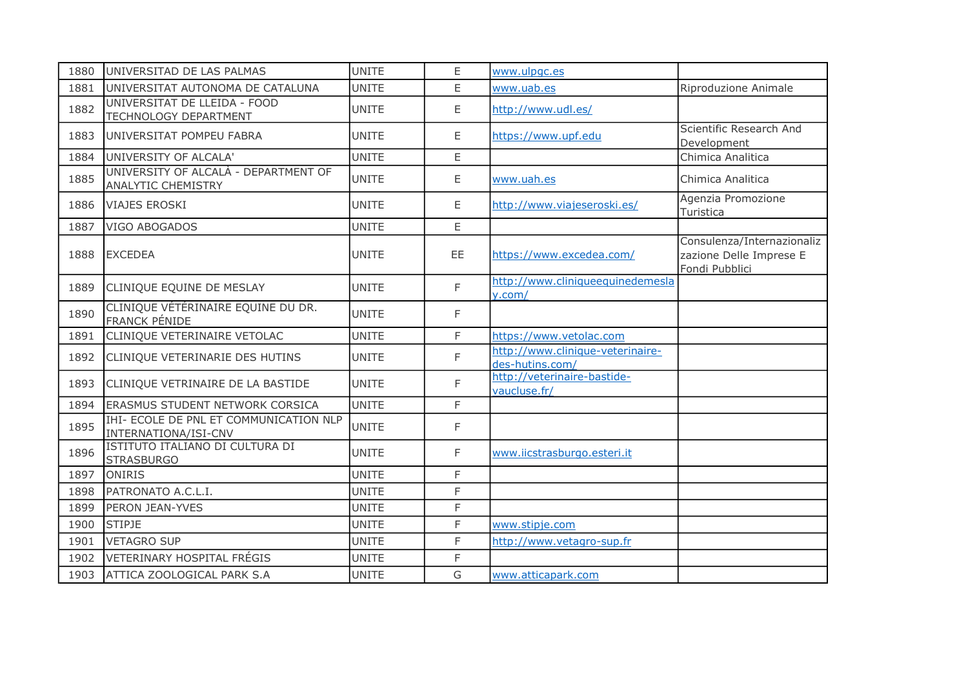| 1880 | UNIVERSITAD DE LAS PALMAS                                             | <b>UNITE</b> | E.        | www.ulpgc.es                                        |                                                                         |
|------|-----------------------------------------------------------------------|--------------|-----------|-----------------------------------------------------|-------------------------------------------------------------------------|
| 1881 | UNIVERSITAT AUTONOMA DE CATALUNA                                      | <b>UNITE</b> | E         | www.uab.es                                          | Riproduzione Animale                                                    |
| 1882 | UNIVERSITAT DE LLEIDA - FOOD<br>TECHNOLOGY DEPARTMENT                 | <b>UNITE</b> | E         | http://www.udl.es/                                  |                                                                         |
| 1883 | UNIVERSITAT POMPEU FABRA                                              | UNITE        | E.        | https://www.upf.edu                                 | Scientific Research And<br>Development                                  |
| 1884 | UNIVERSITY OF ALCALA'                                                 | <b>UNITE</b> | E.        |                                                     | Chimica Analitica                                                       |
| 1885 | UNIVERSITY OF ALCALÀ - DEPARTMENT OF<br><b>ANALYTIC CHEMISTRY</b>     | <b>UNITE</b> | E         | www.uah.es                                          | Chimica Analitica                                                       |
| 1886 | <b>VIAJES EROSKI</b>                                                  | <b>UNITE</b> | E.        | http://www.viajeseroski.es/                         | Agenzia Promozione<br>Turistica                                         |
| 1887 | VIGO ABOGADOS                                                         | <b>UNITE</b> | E         |                                                     |                                                                         |
| 1888 | <b>EXCEDEA</b>                                                        | <b>UNITE</b> | <b>EE</b> | https://www.excedea.com/                            | Consulenza/Internazionaliz<br>zazione Delle Imprese E<br>Fondi Pubblici |
| 1889 | CLINIQUE EQUINE DE MESLAY                                             | <b>UNITE</b> | F         | http://www.cliniqueequinedemesla<br>v.com/          |                                                                         |
| 1890 | CLINIQUE VÉTÉRINAIRE EQUINE DU DR.<br><b>FRANCK PÉNIDE</b>            | <b>UNITE</b> | F         |                                                     |                                                                         |
| 1891 | CLINIQUE VETERINAIRE VETOLAC                                          | <b>UNITE</b> | F         | https://www.vetolac.com                             |                                                                         |
| 1892 | CLINIQUE VETERINARIE DES HUTINS                                       | <b>UNITE</b> | F         | http://www.clinique-veterinaire-<br>des-hutins.com/ |                                                                         |
| 1893 | CLINIQUE VETRINAIRE DE LA BASTIDE                                     | <b>UNITE</b> | F         | http://veterinaire-bastide-<br>vaucluse.fr/         |                                                                         |
| 1894 | <b>ERASMUS STUDENT NETWORK CORSICA</b>                                | <b>UNITE</b> | F         |                                                     |                                                                         |
| 1895 | <b>IHI- ECOLE DE PNL ET COMMUNICATION NLP</b><br>INTERNATIONA/ISI-CNV | <b>UNITE</b> | F         |                                                     |                                                                         |
| 1896 | ISTITUTO ITALIANO DI CULTURA DI<br><b>STRASBURGO</b>                  | <b>UNITE</b> | F         | www.iicstrasburgo.esteri.it                         |                                                                         |
| 1897 | <b>ONIRIS</b>                                                         | <b>UNITE</b> | F         |                                                     |                                                                         |
| 1898 | PATRONATO A.C.L.I.                                                    | <b>UNITE</b> | F         |                                                     |                                                                         |
| 1899 | PERON JEAN-YVES                                                       | <b>UNITE</b> | F         |                                                     |                                                                         |
| 1900 | <b>STIPJE</b>                                                         | <b>UNITE</b> | F         | www.stipje.com                                      |                                                                         |
| 1901 | <b>VETAGRO SUP</b>                                                    | <b>UNITE</b> | F         | http://www.vetagro-sup.fr                           |                                                                         |
| 1902 | <b>VETERINARY HOSPITAL FRÉGIS</b>                                     | <b>UNITE</b> | F         |                                                     |                                                                         |
| 1903 | ATTICA ZOOLOGICAL PARK S.A                                            | <b>UNITE</b> | G         | www.atticapark.com                                  |                                                                         |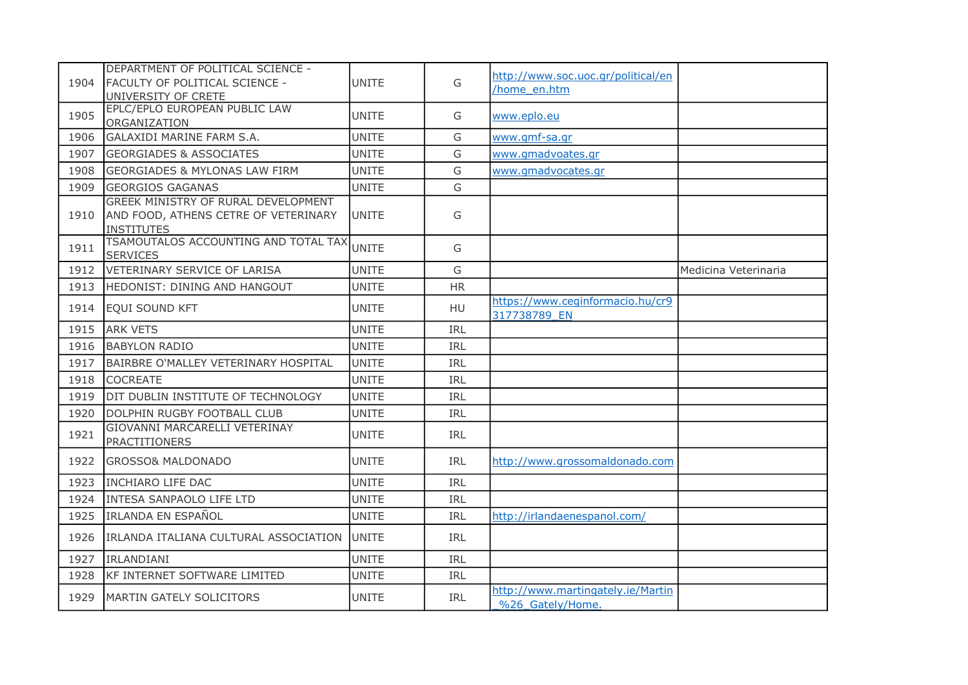| 1904 | DEPARTMENT OF POLITICAL SCIENCE -<br><b>FACULTY OF POLITICAL SCIENCE -</b><br>UNIVERSITY OF CRETE | <b>UNITE</b>  | G          | http://www.soc.uoc.gr/political/en<br>home en.htm     |                      |
|------|---------------------------------------------------------------------------------------------------|---------------|------------|-------------------------------------------------------|----------------------|
| 1905 | EPLC/EPLO EUROPEAN PUBLIC LAW<br>ORGANIZATION                                                     | <b>UNITE</b>  | G          | www.eplo.eu                                           |                      |
| 1906 | <b>GALAXIDI MARINE FARM S.A.</b>                                                                  | <b>UNITE</b>  | G          | www.gmf-sa.gr                                         |                      |
| 1907 | <b>GEORGIADES &amp; ASSOCIATES</b>                                                                | <b>UNITE</b>  | G          | www.gmadvoates.gr                                     |                      |
| 1908 | <b>GEORGIADES &amp; MYLONAS LAW FIRM</b>                                                          | <b>UNITE</b>  | G          | www.gmadvocates.gr                                    |                      |
| 1909 | <b>GEORGIOS GAGANAS</b>                                                                           | <b>UNITE</b>  | G          |                                                       |                      |
| 1910 | GREEK MINISTRY OF RURAL DEVELOPMENT<br>AND FOOD, ATHENS CETRE OF VETERINARY<br><b>INSTITUTES</b>  | <b>IUNITE</b> | G          |                                                       |                      |
| 1911 | TSAMOUTALOS ACCOUNTING AND TOTAL TAX<br><b>SERVICES</b>                                           | <b>UNITE</b>  | G          |                                                       |                      |
| 1912 | VETERINARY SERVICE OF LARISA                                                                      | <b>UNITE</b>  | G          |                                                       | Medicina Veterinaria |
| 1913 | HEDONIST: DINING AND HANGOUT                                                                      | <b>UNITE</b>  | <b>HR</b>  |                                                       |                      |
| 1914 | EQUI SOUND KFT                                                                                    | <b>UNITE</b>  | HU         | https://www.ceginformacio.hu/cr9<br>317738789 EN      |                      |
| 1915 | <b>ARK VETS</b>                                                                                   | <b>UNITE</b>  | IRL        |                                                       |                      |
| 1916 | <b>BABYLON RADIO</b>                                                                              | <b>UNITE</b>  | IRL        |                                                       |                      |
| 1917 | BAIRBRE O'MALLEY VETERINARY HOSPITAL                                                              | <b>UNITE</b>  | IRL        |                                                       |                      |
| 1918 | <b>COCREATE</b>                                                                                   | <b>UNITE</b>  | IRL        |                                                       |                      |
| 1919 | DIT DUBLIN INSTITUTE OF TECHNOLOGY                                                                | <b>UNITE</b>  | IRL        |                                                       |                      |
| 1920 | DOLPHIN RUGBY FOOTBALL CLUB                                                                       | <b>UNITE</b>  | <b>IRL</b> |                                                       |                      |
| 1921 | GIOVANNI MARCARELLI VETERINAY<br><b>PRACTITIONERS</b>                                             | <b>UNITE</b>  | <b>IRL</b> |                                                       |                      |
| 1922 | <b>GROSSO&amp; MALDONADO</b>                                                                      | <b>UNITE</b>  | <b>IRL</b> | http://www.grossomaldonado.com                        |                      |
| 1923 | <b>INCHIARO LIFE DAC</b>                                                                          | <b>UNITE</b>  | IRL        |                                                       |                      |
| 1924 | INTESA SANPAOLO LIFE LTD                                                                          | <b>UNITE</b>  | IRL        |                                                       |                      |
| 1925 | <b>IRLANDA EN ESPAÑOL</b>                                                                         | <b>UNITE</b>  | IRL        | http://irlandaenespanol.com/                          |                      |
| 1926 | IRLANDA ITALIANA CULTURAL ASSOCIATION UNITE                                                       |               | IRL        |                                                       |                      |
| 1927 | IRLANDIANI                                                                                        | <b>UNITE</b>  | <b>IRL</b> |                                                       |                      |
| 1928 | <b>KF INTERNET SOFTWARE LIMITED</b>                                                               | <b>UNITE</b>  | IRL        |                                                       |                      |
| 1929 | MARTIN GATELY SOLICITORS                                                                          | <b>UNITE</b>  | IRL        | http://www.martingately.ie/Martin<br>%26 Gately/Home. |                      |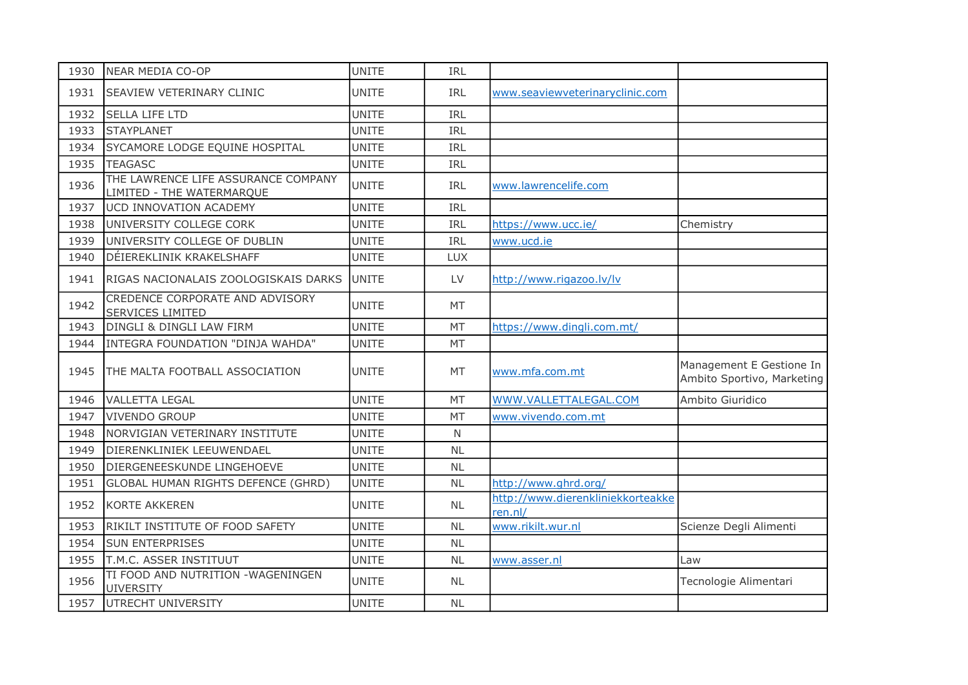| 1930 | NEAR MEDIA CO-OP                                                 | <b>UNITE</b> | IRL          |                                              |                                                        |
|------|------------------------------------------------------------------|--------------|--------------|----------------------------------------------|--------------------------------------------------------|
| 1931 | <b>SEAVIEW VETERINARY CLINIC</b>                                 | <b>UNITE</b> | <b>IRL</b>   | www.seaviewveterinaryclinic.com              |                                                        |
| 1932 | <b>SELLA LIFE LTD</b>                                            | <b>UNITE</b> | IRL          |                                              |                                                        |
| 1933 | <b>STAYPLANET</b>                                                | <b>UNITE</b> | IRL          |                                              |                                                        |
| 1934 | SYCAMORE LODGE EQUINE HOSPITAL                                   | <b>UNITE</b> | IRL          |                                              |                                                        |
| 1935 | <b>TEAGASC</b>                                                   | <b>UNITE</b> | IRL          |                                              |                                                        |
| 1936 | THE LAWRENCE LIFE ASSURANCE COMPANY<br>LIMITED - THE WATERMARQUE | <b>UNITE</b> | IRL          | www.lawrencelife.com                         |                                                        |
| 1937 | UCD INNOVATION ACADEMY                                           | <b>UNITE</b> | IRL          |                                              |                                                        |
| 1938 | UNIVERSITY COLLEGE CORK                                          | <b>UNITE</b> | IRL          | https://www.ucc.ie/                          | Chemistry                                              |
| 1939 | UNIVERSITY COLLEGE OF DUBLIN                                     | <b>UNITE</b> | IRL          | www.ucd.ie                                   |                                                        |
| 1940 | DÉIEREKLINIK KRAKELSHAFF                                         | <b>UNITE</b> | <b>LUX</b>   |                                              |                                                        |
| 1941 | RIGAS NACIONALAIS ZOOLOGISKAIS DARKS                             | <b>UNITE</b> | LV           | http://www.rigazoo.lv/lv                     |                                                        |
| 1942 | CREDENCE CORPORATE AND ADVISORY<br><b>SERVICES LIMITED</b>       | <b>UNITE</b> | MT           |                                              |                                                        |
| 1943 | DINGLI & DINGLI LAW FIRM                                         | <b>UNITE</b> | <b>MT</b>    | https://www.dingli.com.mt/                   |                                                        |
| 1944 | INTEGRA FOUNDATION "DINJA WAHDA"                                 | <b>UNITE</b> | MT           |                                              |                                                        |
| 1945 | THE MALTA FOOTBALL ASSOCIATION                                   | <b>UNITE</b> | MT           | www.mfa.com.mt                               | Management E Gestione In<br>Ambito Sportivo, Marketing |
| 1946 | <b>VALLETTA LEGAL</b>                                            | <b>UNITE</b> | <b>MT</b>    | WWW.VALLETTALEGAL.COM                        | Ambito Giuridico                                       |
| 1947 | <b>VIVENDO GROUP</b>                                             | <b>UNITE</b> | MT           | www.vivendo.com.mt                           |                                                        |
| 1948 | NORVIGIAN VETERINARY INSTITUTE                                   | <b>UNITE</b> | $\mathsf{N}$ |                                              |                                                        |
| 1949 | DIERENKLINIEK LEEUWENDAEL                                        | <b>UNITE</b> | <b>NL</b>    |                                              |                                                        |
| 1950 | DIERGENEESKUNDE LINGEHOEVE                                       | <b>UNITE</b> | NL           |                                              |                                                        |
| 1951 | GLOBAL HUMAN RIGHTS DEFENCE (GHRD)                               | <b>UNITE</b> | <b>NL</b>    | http://www.ghrd.org/                         |                                                        |
| 1952 | <b>KORTE AKKEREN</b>                                             | <b>UNITE</b> | <b>NL</b>    | http://www.dierenkliniekkorteakke<br>ren.nl/ |                                                        |
| 1953 | RIKILT INSTITUTE OF FOOD SAFETY                                  | <b>UNITE</b> | <b>NL</b>    | www.rikilt.wur.nl                            | Scienze Degli Alimenti                                 |
| 1954 | <b>SUN ENTERPRISES</b>                                           | <b>UNITE</b> | <b>NL</b>    |                                              |                                                        |
| 1955 | T.M.C. ASSER INSTITUUT                                           | <b>UNITE</b> | <b>NL</b>    | www.asser.nl                                 | Law                                                    |
| 1956 | TI FOOD AND NUTRITION - WAGENINGEN<br><b>UIVERSITY</b>           | <b>UNITE</b> | <b>NL</b>    |                                              | Tecnologie Alimentari                                  |
| 1957 | UTRECHT UNIVERSITY                                               | <b>UNITE</b> | <b>NL</b>    |                                              |                                                        |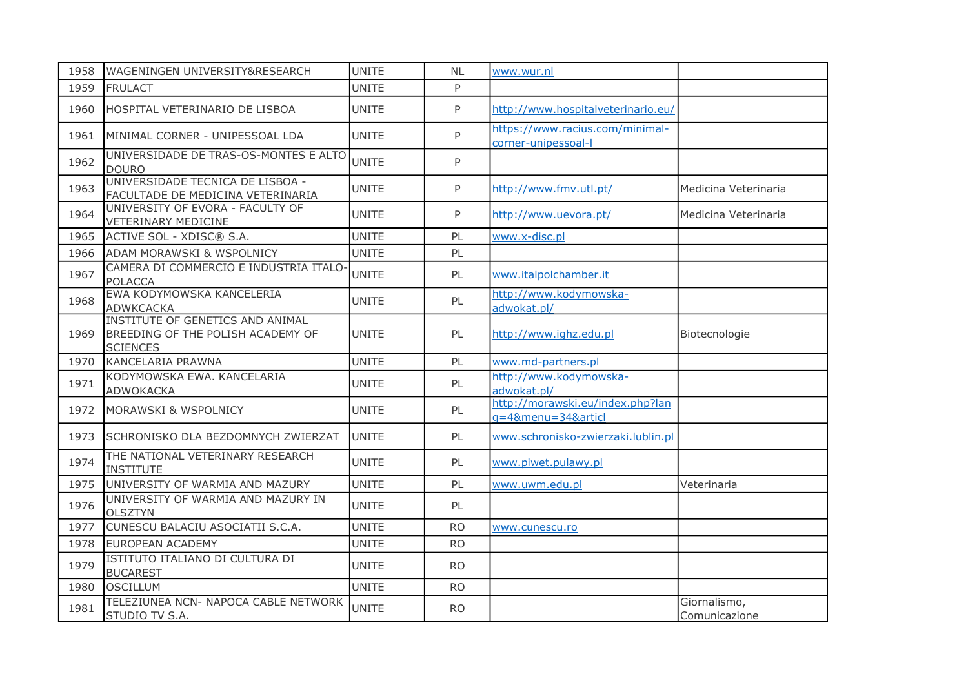| 1958 | WAGENINGEN UNIVERSITY&RESEARCH                                                                  | <b>UNITE</b> | <b>NL</b> | www.wur.nl                                             |                               |
|------|-------------------------------------------------------------------------------------------------|--------------|-----------|--------------------------------------------------------|-------------------------------|
| 1959 | <b>FRULACT</b>                                                                                  | <b>UNITE</b> | P         |                                                        |                               |
| 1960 | HOSPITAL VETERINARIO DE LISBOA                                                                  | <b>UNITE</b> | P         | http://www.hospitalveterinario.eu/                     |                               |
| 1961 | MINIMAL CORNER - UNIPESSOAL LDA                                                                 | <b>UNITE</b> | P         | https://www.racius.com/minimal-<br>corner-unipessoal-l |                               |
| 1962 | UNIVERSIDADE DE TRAS-OS-MONTES E ALTO<br><b>DOURO</b>                                           | <b>UNITE</b> | P         |                                                        |                               |
| 1963 | UNIVERSIDADE TECNICA DE LISBOA -<br>FACULTADE DE MEDICINA VETERINARIA                           | <b>UNITE</b> | P         | http://www.fmv.utl.pt/                                 | Medicina Veterinaria          |
| 1964 | UNIVERSITY OF EVORA - FACULTY OF<br><b>VETERINARY MEDICINE</b>                                  | <b>UNITE</b> | P         | http://www.uevora.pt/                                  | Medicina Veterinaria          |
| 1965 | ACTIVE SOL - XDISC® S.A.                                                                        | <b>UNITE</b> | PL        | www.x-disc.pl                                          |                               |
| 1966 | ADAM MORAWSKI & WSPOLNICY                                                                       | <b>UNITE</b> | PL        |                                                        |                               |
| 1967 | CAMERA DI COMMERCIO E INDUSTRIA ITALO-<br><b>POLACCA</b>                                        | <b>UNITE</b> | PL        | www.italpolchamber.it                                  |                               |
| 1968 | EWA KODYMOWSKA KANCELERIA<br><b>ADWKCACKA</b>                                                   | <b>UNITE</b> | PL        | http://www.kodymowska-<br>adwokat.pl/                  |                               |
| 1969 | INSTITUTE OF GENETICS AND ANIMAL<br><b>BREEDING OF THE POLISH ACADEMY OF</b><br><b>SCIENCES</b> | <b>UNITE</b> | PL        | http://www.ighz.edu.pl                                 | Biotecnologie                 |
| 1970 | KANCELARIA PRAWNA                                                                               | <b>UNITE</b> | PL        | www.md-partners.pl                                     |                               |
| 1971 | KODYMOWSKA EWA. KANCELARIA<br>ADWOKACKA                                                         | <b>UNITE</b> | PL        | http://www.kodymowska-<br>adwokat.pl/                  |                               |
| 1972 | <b>MORAWSKI &amp; WSPOLNICY</b>                                                                 | <b>UNITE</b> | PL        | http://morawski.eu/index.php?lan<br>g=4&menu=34&articl |                               |
| 1973 | SCHRONISKO DLA BEZDOMNYCH ZWIERZAT                                                              | <b>UNITE</b> | PL        | www.schronisko-zwierzaki.lublin.pl                     |                               |
| 1974 | THE NATIONAL VETERINARY RESEARCH<br><b>INSTITUTE</b>                                            | <b>UNITE</b> | PL        | www.piwet.pulawy.pl                                    |                               |
| 1975 | UNIVERSITY OF WARMIA AND MAZURY                                                                 | <b>UNITE</b> | PL        | www.uwm.edu.pl                                         | Veterinaria                   |
| 1976 | UNIVERSITY OF WARMIA AND MAZURY IN<br><b>OLSZTYN</b>                                            | <b>UNITE</b> | PL        |                                                        |                               |
| 1977 | CUNESCU BALACIU ASOCIATII S.C.A.                                                                | <b>UNITE</b> | <b>RO</b> | www.cunescu.ro                                         |                               |
| 1978 | <b>EUROPEAN ACADEMY</b>                                                                         | UNITE        | <b>RO</b> |                                                        |                               |
| 1979 | ISTITUTO ITALIANO DI CULTURA DI<br><b>BUCAREST</b>                                              | <b>UNITE</b> | <b>RO</b> |                                                        |                               |
| 1980 | <b>OSCILLUM</b>                                                                                 | <b>UNITE</b> | <b>RO</b> |                                                        |                               |
| 1981 | TELEZIUNEA NCN- NAPOCA CABLE NETWORK<br>STUDIO TV S.A.                                          | <b>UNITE</b> | <b>RO</b> |                                                        | Giornalismo,<br>Comunicazione |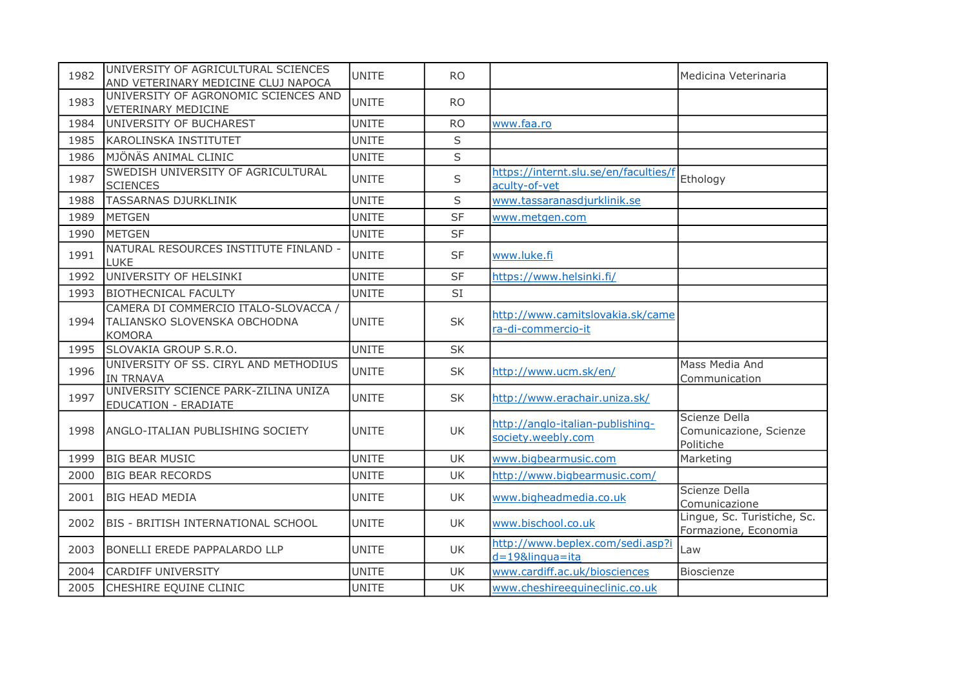| 1982 | UNIVERSITY OF AGRICULTURAL SCIENCES<br>AND VETERINARY MEDICINE CLUJ NAPOCA            | <b>UNITE</b> | RO.       |                                                          | Medicina Veterinaria                                 |
|------|---------------------------------------------------------------------------------------|--------------|-----------|----------------------------------------------------------|------------------------------------------------------|
| 1983 | UNIVERSITY OF AGRONOMIC SCIENCES AND<br><b>VETERINARY MEDICINE</b>                    | <b>UNITE</b> | <b>RO</b> |                                                          |                                                      |
| 1984 | UNIVERSITY OF BUCHAREST                                                               | UNITE        | <b>RO</b> | www.faa.ro                                               |                                                      |
| 1985 | <b>KAROLINSKA INSTITUTET</b>                                                          | <b>UNITE</b> | S         |                                                          |                                                      |
| 1986 | MJÖNÄS ANIMAL CLINIC                                                                  | <b>UNITE</b> | S         |                                                          |                                                      |
| 1987 | SWEDISH UNIVERSITY OF AGRICULTURAL<br><b>SCIENCES</b>                                 | <b>UNITE</b> | S         | https://internt.slu.se/en/faculties/f<br>aculty-of-vet   | Ethology                                             |
| 1988 | <b>TASSARNAS DJURKLINIK</b>                                                           | <b>UNITE</b> | S         | www.tassaranasdjurklinik.se                              |                                                      |
| 1989 | <b>METGEN</b>                                                                         | <b>UNITE</b> | <b>SF</b> | www.metgen.com                                           |                                                      |
| 1990 | <b>METGEN</b>                                                                         | <b>UNITE</b> | <b>SF</b> |                                                          |                                                      |
| 1991 | NATURAL RESOURCES INSTITUTE FINLAND -<br>LUKE                                         | UNITE        | <b>SF</b> | www.luke.fi                                              |                                                      |
| 1992 | UNIVERSITY OF HELSINKI                                                                | <b>UNITE</b> | <b>SF</b> | https://www.helsinki.fi/                                 |                                                      |
| 1993 | <b>BIOTHECNICAL FACULTY</b>                                                           | <b>UNITE</b> | SI        |                                                          |                                                      |
| 1994 | CAMERA DI COMMERCIO ITALO-SLOVACCA /<br>TALIANSKO SLOVENSKA OBCHODNA<br><b>KOMORA</b> | <b>UNITE</b> | <b>SK</b> | http://www.camitslovakia.sk/came<br>ra-di-commercio-it   |                                                      |
| 1995 | SLOVAKIA GROUP S.R.O.                                                                 | <b>UNITE</b> | <b>SK</b> |                                                          |                                                      |
| 1996 | UNIVERSITY OF SS. CIRYL AND METHODIUS<br><b>IN TRNAVA</b>                             | <b>UNITE</b> | <b>SK</b> | http://www.ucm.sk/en/                                    | Mass Media And<br>Communication                      |
| 1997 | UNIVERSITY SCIENCE PARK-ZILINA UNIZA<br><b>EDUCATION - ERADIATE</b>                   | <b>UNITE</b> | <b>SK</b> | http://www.erachair.uniza.sk/                            |                                                      |
| 1998 | ANGLO-ITALIAN PUBLISHING SOCIETY                                                      | <b>UNITE</b> | <b>UK</b> | http://anglo-italian-publishing-<br>society.weebly.com   | Scienze Della<br>Comunicazione, Scienze<br>Politiche |
| 1999 | <b>BIG BEAR MUSIC</b>                                                                 | <b>UNITE</b> | <b>UK</b> | www.bigbearmusic.com                                     | Marketing                                            |
| 2000 | <b>BIG BEAR RECORDS</b>                                                               | <b>UNITE</b> | <b>UK</b> | http://www.bigbearmusic.com/                             |                                                      |
| 2001 | <b>BIG HEAD MEDIA</b>                                                                 | <b>UNITE</b> | <b>UK</b> | www.bigheadmedia.co.uk                                   | Scienze Della<br>Comunicazione                       |
| 2002 | <b>BIS - BRITISH INTERNATIONAL SCHOOL</b>                                             | <b>UNITE</b> | UK        | www.bischool.co.uk                                       | Lingue, Sc. Turistiche, Sc.<br>Formazione, Economia  |
| 2003 | <b>BONELLI EREDE PAPPALARDO LLP</b>                                                   | <b>UNITE</b> | <b>UK</b> | http://www.beplex.com/sedi.asp?i<br>$d = 19$ &lingua=ita | Law                                                  |
| 2004 | <b>CARDIFF UNIVERSITY</b>                                                             | <b>UNITE</b> | UK        | www.cardiff.ac.uk/biosciences                            | Bioscienze                                           |
| 2005 | CHESHIRE EQUINE CLINIC                                                                | <b>UNITE</b> | <b>UK</b> | www.cheshireequineclinic.co.uk                           |                                                      |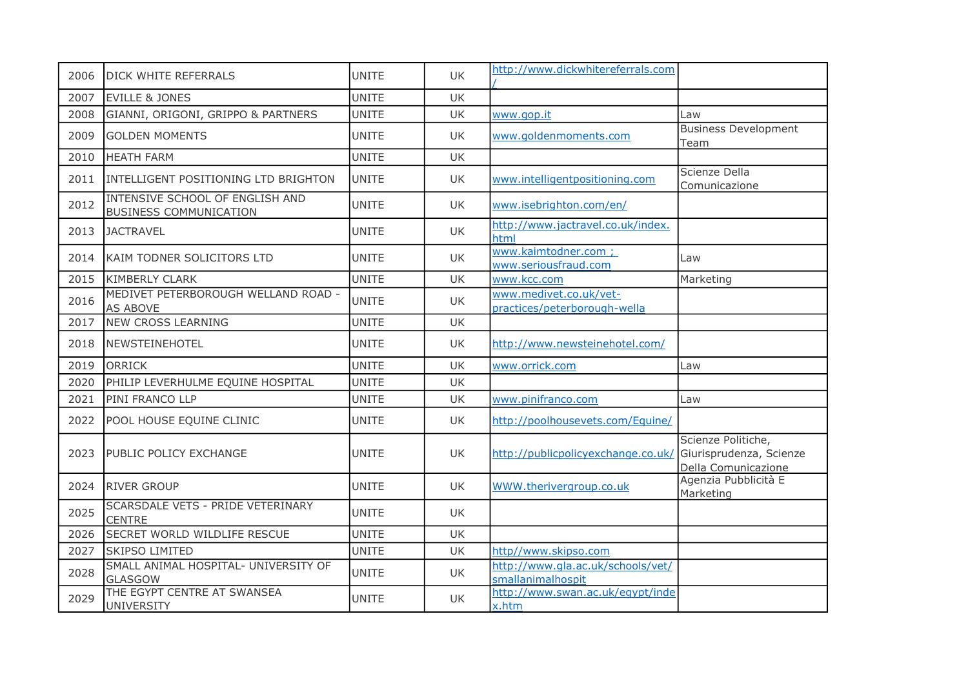| 2006 | <b>DICK WHITE REFERRALS</b>                                      | <b>UNITE</b> | UK        | http://www.dickwhitereferrals.com                      |                                                                      |
|------|------------------------------------------------------------------|--------------|-----------|--------------------------------------------------------|----------------------------------------------------------------------|
| 2007 | <b>EVILLE &amp; JONES</b>                                        | <b>UNITE</b> | <b>UK</b> |                                                        |                                                                      |
| 2008 | GIANNI, ORIGONI, GRIPPO & PARTNERS                               | <b>UNITE</b> | UK        | www.gop.it                                             | Law                                                                  |
| 2009 | <b>GOLDEN MOMENTS</b>                                            | <b>UNITE</b> | UK.       | www.goldenmoments.com                                  | <b>Business Development</b><br>Team                                  |
| 2010 | <b>HEATH FARM</b>                                                | <b>UNITE</b> | <b>UK</b> |                                                        |                                                                      |
| 2011 | INTELLIGENT POSITIONING LTD BRIGHTON                             | <b>UNITE</b> | UK        | www.intelligentpositioning.com                         | Scienze Della<br>Comunicazione                                       |
| 2012 | INTENSIVE SCHOOL OF ENGLISH AND<br><b>BUSINESS COMMUNICATION</b> | <b>UNITE</b> | UK        | www.isebrighton.com/en/                                |                                                                      |
| 2013 | <b>JACTRAVEL</b>                                                 | <b>UNITE</b> | UK        | http://www.jactravel.co.uk/index.<br>html              |                                                                      |
| 2014 | KAIM TODNER SOLICITORS LTD                                       | <b>UNITE</b> | UK        | www.kaimtodner.com ;<br>www.seriousfraud.com           | Law                                                                  |
| 2015 | <b>KIMBERLY CLARK</b>                                            | <b>UNITE</b> | UK        | www.kcc.com                                            | Marketing                                                            |
| 2016 | MEDIVET PETERBOROUGH WELLAND ROAD -<br>AS ABOVE                  | <b>UNITE</b> | UK        | www.medivet.co.uk/vet-<br>practices/peterborough-wella |                                                                      |
| 2017 | <b>NEW CROSS LEARNING</b>                                        | <b>UNITE</b> | UK        |                                                        |                                                                      |
| 2018 | NEWSTEINEHOTEL                                                   | <b>UNITE</b> | UK        | http://www.newsteinehotel.com/                         |                                                                      |
| 2019 | <b>ORRICK</b>                                                    | <b>UNITE</b> | UK        | www.orrick.com                                         | Law                                                                  |
| 2020 | PHILIP LEVERHULME EQUINE HOSPITAL                                | <b>UNITE</b> | UK        |                                                        |                                                                      |
| 2021 | PINI FRANCO LLP                                                  | <b>UNITE</b> | UK        | www.pinifranco.com                                     | Law                                                                  |
| 2022 | POOL HOUSE EQUINE CLINIC                                         | <b>UNITE</b> | UK        | http://poolhousevets.com/Equine/                       |                                                                      |
| 2023 | PUBLIC POLICY EXCHANGE                                           | <b>UNITE</b> | UK        | http://publicpolicyexchange.co.uk/                     | Scienze Politiche,<br>Giurisprudenza, Scienze<br>Della Comunicazione |
| 2024 | <b>RIVER GROUP</b>                                               | <b>UNITE</b> | <b>UK</b> | WWW.therivergroup.co.uk                                | Agenzia Pubblicità E<br>Marketing                                    |
| 2025 | SCARSDALE VETS - PRIDE VETERINARY<br><b>CENTRE</b>               | <b>UNITE</b> | UK        |                                                        |                                                                      |
| 2026 | <b>SECRET WORLD WILDLIFE RESCUE</b>                              | <b>UNITE</b> | <b>UK</b> |                                                        |                                                                      |
| 2027 | <b>SKIPSO LIMITED</b>                                            | <b>UNITE</b> | UK        | http//www.skipso.com                                   |                                                                      |
| 2028 | SMALL ANIMAL HOSPITAL- UNIVERSITY OF<br><b>GLASGOW</b>           | <b>UNITE</b> | UK        | http://www.gla.ac.uk/schools/vet/<br>smallanimalhospit |                                                                      |
| 2029 | THE EGYPT CENTRE AT SWANSEA<br><b>UNIVERSITY</b>                 | <b>UNITE</b> | UK        | http://www.swan.ac.uk/egypt/inde<br>x.htm              |                                                                      |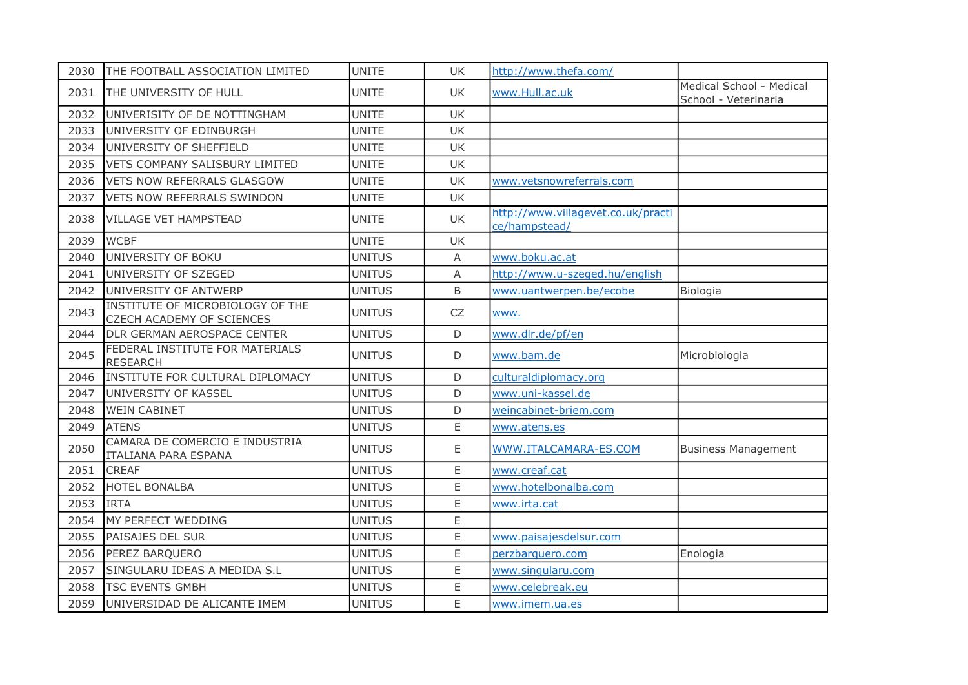| 2030 | THE FOOTBALL ASSOCIATION LIMITED                              | <b>UNITE</b>  | UK          | http://www.thefa.com/                               |                                                  |
|------|---------------------------------------------------------------|---------------|-------------|-----------------------------------------------------|--------------------------------------------------|
| 2031 | THE UNIVERSITY OF HULL                                        | <b>UNITE</b>  | <b>UK</b>   | www.Hull.ac.uk                                      | Medical School - Medical<br>School - Veterinaria |
| 2032 | UNIVERISITY OF DE NOTTINGHAM                                  | <b>UNITE</b>  | <b>UK</b>   |                                                     |                                                  |
| 2033 | UNIVERSITY OF EDINBURGH                                       | <b>UNITE</b>  | UK          |                                                     |                                                  |
| 2034 | UNIVERSITY OF SHEFFIELD                                       | <b>UNITE</b>  | <b>UK</b>   |                                                     |                                                  |
| 2035 | VETS COMPANY SALISBURY LIMITED                                | <b>UNITE</b>  | UK          |                                                     |                                                  |
| 2036 | <b>VETS NOW REFERRALS GLASGOW</b>                             | <b>UNITE</b>  | <b>UK</b>   | www.vetsnowreferrals.com                            |                                                  |
| 2037 | <b>VETS NOW REFERRALS SWINDON</b>                             | <b>UNITE</b>  | <b>UK</b>   |                                                     |                                                  |
| 2038 | <b>VILLAGE VET HAMPSTEAD</b>                                  | <b>UNITE</b>  | <b>UK</b>   | http://www.villagevet.co.uk/practi<br>ce/hampstead/ |                                                  |
| 2039 | <b>WCBF</b>                                                   | <b>UNITE</b>  | <b>UK</b>   |                                                     |                                                  |
| 2040 | UNIVERSITY OF BOKU                                            | <b>UNITUS</b> | A           | www.boku.ac.at                                      |                                                  |
| 2041 | UNIVERSITY OF SZEGED                                          | <b>UNITUS</b> | A           | http://www.u-szeged.hu/english                      |                                                  |
| 2042 | UNIVERSITY OF ANTWERP                                         | <b>UNITUS</b> | B           | www.uantwerpen.be/ecobe                             | Biologia                                         |
| 2043 | INSTITUTE OF MICROBIOLOGY OF THE<br>CZECH ACADEMY OF SCIENCES | <b>UNITUS</b> | CZ          | www.                                                |                                                  |
| 2044 | DLR GERMAN AEROSPACE CENTER                                   | <b>UNITUS</b> | D           | www.dlr.de/pf/en                                    |                                                  |
| 2045 | FEDERAL INSTITUTE FOR MATERIALS<br><b>RESEARCH</b>            | <b>UNITUS</b> | $\mathsf D$ | www.bam.de                                          | Microbiologia                                    |
| 2046 | INSTITUTE FOR CULTURAL DIPLOMACY                              | <b>UNITUS</b> | D           | culturaldiplomacy.org                               |                                                  |
| 2047 | UNIVERSITY OF KASSEL                                          | <b>UNITUS</b> | D           | www.uni-kassel.de                                   |                                                  |
| 2048 | <b>WEIN CABINET</b>                                           | <b>UNITUS</b> | D           | weincabinet-briem.com                               |                                                  |
| 2049 | <b>ATENS</b>                                                  | <b>UNITUS</b> | E           | www.atens.es                                        |                                                  |
| 2050 | CAMARA DE COMERCIO E INDUSTRIA<br>ITALIANA PARA ESPANA        | <b>UNITUS</b> | Ε           | WWW.ITALCAMARA-ES.COM                               | <b>Business Management</b>                       |
| 2051 | <b>CREAF</b>                                                  | <b>UNITUS</b> | E           | www.creaf.cat                                       |                                                  |
| 2052 | <b>HOTEL BONALBA</b>                                          | <b>UNITUS</b> | E           | www.hotelbonalba.com                                |                                                  |
| 2053 | <b>IRTA</b>                                                   | <b>UNITUS</b> | E           | www.irta.cat                                        |                                                  |
| 2054 | MY PERFECT WEDDING                                            | <b>UNITUS</b> | E           |                                                     |                                                  |
| 2055 | PAISAJES DEL SUR                                              | <b>UNITUS</b> | E           | www.paisajesdelsur.com                              |                                                  |
| 2056 | PEREZ BARQUERO                                                | <b>UNITUS</b> | E           | perzbarquero.com                                    | Enologia                                         |
| 2057 | SINGULARU IDEAS A MEDIDA S.L                                  | <b>UNITUS</b> | E           | www.singularu.com                                   |                                                  |
| 2058 | <b>TSC EVENTS GMBH</b>                                        | <b>UNITUS</b> | E           | www.celebreak.eu                                    |                                                  |
| 2059 | UNIVERSIDAD DE ALICANTE IMEM                                  | <b>UNITUS</b> | E           | www.imem.ua.es                                      |                                                  |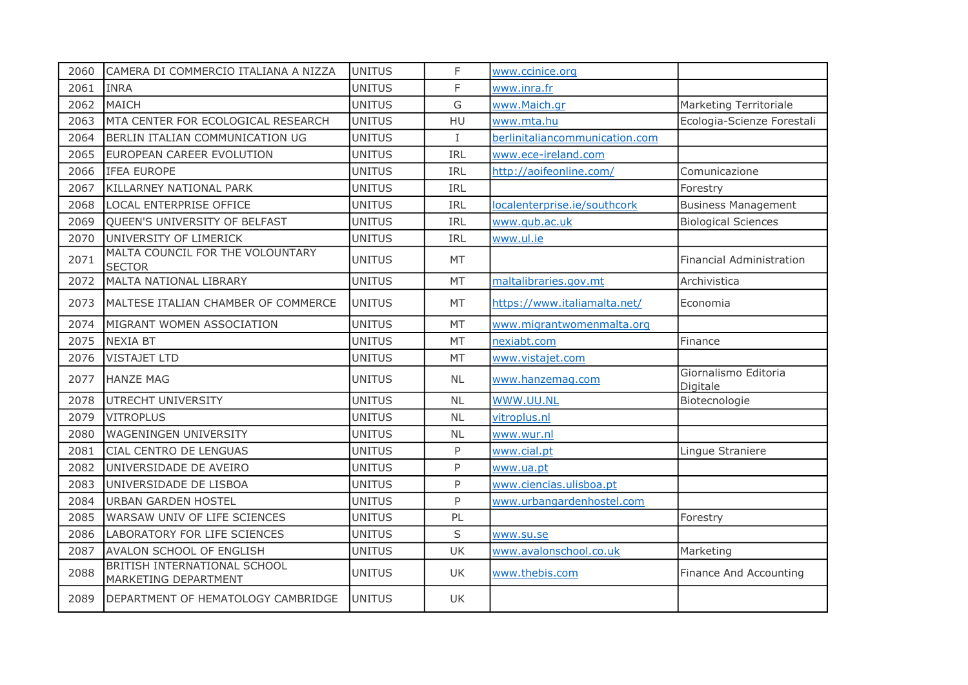| 2060 | CAMERA DI COMMERCIO ITALIANA A NIZZA                 | <b>UNITUS</b> | F           | www.ccinice.org                |                                  |
|------|------------------------------------------------------|---------------|-------------|--------------------------------|----------------------------------|
| 2061 | <b>INRA</b>                                          | <b>UNITUS</b> | F           | www.inra.fr                    |                                  |
| 2062 | MAICH                                                | <b>UNITUS</b> | G           | www.Maich.gr                   | Marketing Territoriale           |
| 2063 | MTA CENTER FOR ECOLOGICAL RESEARCH                   | <b>UNITUS</b> | HU          | www.mta.hu                     | Ecologia-Scienze Forestali       |
| 2064 | BERLIN ITALIAN COMMUNICATION UG                      | <b>UNITUS</b> | $\mathbf I$ | berlinitaliancommunication.com |                                  |
| 2065 | EUROPEAN CAREER EVOLUTION                            | <b>UNITUS</b> | <b>IRL</b>  | www.ece-ireland.com            |                                  |
| 2066 | IFEA EUROPE                                          | <b>UNITUS</b> | IRL         | http://aoifeonline.com/        | Comunicazione                    |
| 2067 | KILLARNEY NATIONAL PARK                              | <b>UNITUS</b> | <b>IRL</b>  |                                | Forestry                         |
| 2068 | LOCAL ENTERPRISE OFFICE                              | <b>UNITUS</b> | <b>IRL</b>  | localenterprise.ie/southcork   | <b>Business Management</b>       |
| 2069 | QUEEN'S UNIVERSITY OF BELFAST                        | <b>UNITUS</b> | <b>IRL</b>  | www.qub.ac.uk                  | <b>Biological Sciences</b>       |
| 2070 | UNIVERSITY OF LIMERICK                               | <b>UNITUS</b> | IRL         | www.ul.ie                      |                                  |
| 2071 | MALTA COUNCIL FOR THE VOLOUNTARY<br><b>SECTOR</b>    | <b>UNITUS</b> | MT          |                                | Financial Administration         |
| 2072 | MALTA NATIONAL LIBRARY                               | <b>UNITUS</b> | MT          | maltalibraries.gov.mt          | Archivistica                     |
| 2073 | MALTESE ITALIAN CHAMBER OF COMMERCE                  | <b>UNITUS</b> | MT          | https://www.italiamalta.net/   | Economia                         |
| 2074 | MIGRANT WOMEN ASSOCIATION                            | <b>UNITUS</b> | <b>MT</b>   | www.migrantwomenmalta.org      |                                  |
| 2075 | <b>NEXIA BT</b>                                      | <b>UNITUS</b> | <b>MT</b>   | nexiabt.com                    | Finance                          |
| 2076 | <b>VISTAJET LTD</b>                                  | <b>UNITUS</b> | <b>MT</b>   | www.vistajet.com               |                                  |
| 2077 | <b>HANZE MAG</b>                                     | <b>UNITUS</b> | <b>NL</b>   | www.hanzemag.com               | Giornalismo Editoria<br>Digitale |
| 2078 | UTRECHT UNIVERSITY                                   | <b>UNITUS</b> | <b>NL</b>   | WWW.UU.NL                      | Biotecnologie                    |
| 2079 | <b>VITROPLUS</b>                                     | <b>UNITUS</b> | <b>NL</b>   | vitroplus.nl                   |                                  |
| 2080 | WAGENINGEN UNIVERSITY                                | <b>UNITUS</b> | <b>NL</b>   | www.wur.nl                     |                                  |
| 2081 | CIAL CENTRO DE LENGUAS                               | <b>UNITUS</b> | P           | www.cial.pt                    | Lingue Straniere                 |
| 2082 | UNIVERSIDADE DE AVEIRO                               | <b>UNITUS</b> | P           | www.ua.pt                      |                                  |
| 2083 | UNIVERSIDADE DE LISBOA                               | <b>UNITUS</b> | P           | www.ciencias.ulisboa.pt        |                                  |
| 2084 | <b>URBAN GARDEN HOSTEL</b>                           | <b>UNITUS</b> | P           | www.urbangardenhostel.com      |                                  |
| 2085 | WARSAW UNIV OF LIFE SCIENCES                         | <b>UNITUS</b> | PL          |                                | Forestry                         |
| 2086 | LABORATORY FOR LIFE SCIENCES                         | <b>UNITUS</b> | $\sf S$     | www.su.se                      |                                  |
| 2087 | AVALON SCHOOL OF ENGLISH                             | <b>UNITUS</b> | UK          | www.avalonschool.co.uk         | Marketing                        |
| 2088 | BRITISH INTERNATIONAL SCHOOL<br>MARKETING DEPARTMENT | <b>UNITUS</b> | <b>UK</b>   | www.thebis.com                 | Finance And Accounting           |
| 2089 | DEPARTMENT OF HEMATOLOGY CAMBRIDGE                   | <b>UNITUS</b> | <b>UK</b>   |                                |                                  |